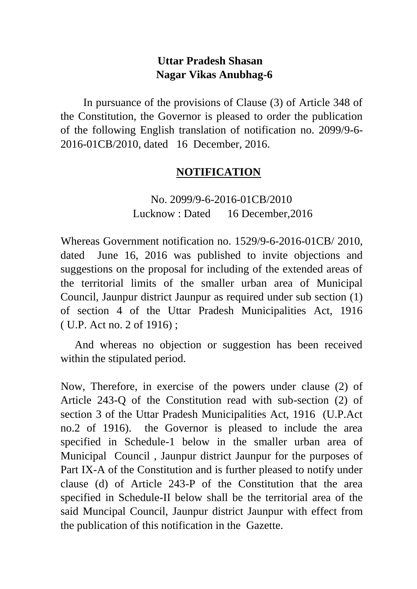# **Uttar Pradesh Shasan Nagar Vikas Anubhag-6**

 In pursuance of the provisions of Clause (3) of Article 348 of the Constitution, the Governor is pleased to order the publication of the following English translation of notification no. 2099/9-6- 2016-01CB/2010, dated 16 December, 2016.

# **NOTIFICATION**

 No. 2099/9-6-2016-01CB/2010 Lucknow : Dated 16 December,2016

Whereas Government notification no. 1529/9-6-2016-01CB/ 2010, dated June 16, 2016 was published to invite objections and suggestions on the proposal for including of the extended areas of the territorial limits of the smaller urban area of Municipal Council, Jaunpur district Jaunpur as required under sub section (1) of section 4 of the Uttar Pradesh Municipalities Act, 1916 ( U.P. Act no. 2 of 1916) ;

 And whereas no objection or suggestion has been received within the stipulated period.

Now, Therefore, in exercise of the powers under clause (2) of Article 243-Q of the Constitution read with sub-section (2) of section 3 of the Uttar Pradesh Municipalities Act, 1916 (U.P.Act no.2 of 1916). the Governor is pleased to include the area specified in Schedule-1 below in the smaller urban area of Municipal Council , Jaunpur district Jaunpur for the purposes of Part IX-A of the Constitution and is further pleased to notify under clause (d) of Article 243-P of the Constitution that the area specified in Schedule-II below shall be the territorial area of the said Muncipal Council, Jaunpur district Jaunpur with effect from the publication of this notification in the Gazette.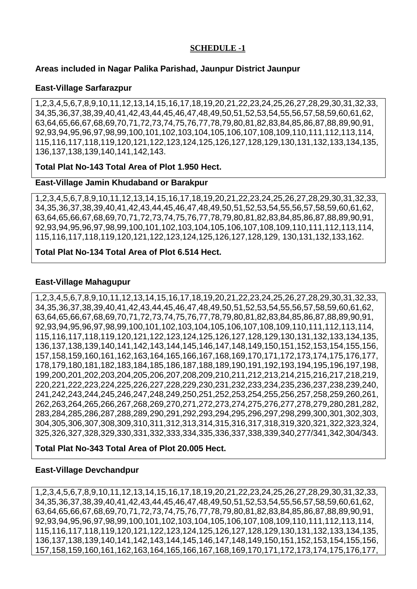#### **SCHEDULE -1**

#### **Areas included in Nagar Palika Parishad, Jaunpur District Jaunpur**

#### **East-Village Sarfarazpur**

1,2,3,4,5,6,7,8,9,10,11,12,13,14,15,16,17,18,19,20,21,22,23,24,25,26,27,28,29,30,31,32,33, 34,35,36,37,38,39,40,41,42,43,44,45,46,47,48,49,50,51,52,53,54,55,56,57,58,59,60,61,62, 63,64,65,66,67,68,69,70,71,72,73,74,75,76,77,78,79,80,81,82,83,84,85,86,87,88,89,90,91, 92,93,94,95,96,97,98,99,100,101,102,103,104,105,106,107,108,109,110,111,112,113,114, 115,116,117,118,119,120,121,122,123,124,125,126,127,128,129,130,131,132,133,134,135, 136,137,138,139,140,141,142,143.

#### **Total Plat No-143 Total Area of Plot 1.950 Hect.**

#### **East-Village Jamin Khudaband or Barakpur**

1,2,3,4,5,6,7,8,9,10,11,12,13,14,15,16,17,18,19,20,21,22,23,24,25,26,27,28,29,30,31,32,33, 34,35,36,37,38,39,40,41,42,43,44,45,46,47,48,49,50,51,52,53,54,55,56,57,58,59,60,61,62, 63,64,65,66,67,68,69,70,71,72,73,74,75,76,77,78,79,80,81,82,83,84,85,86,87,88,89,90,91, 92,93,94,95,96,97,98,99,100,101,102,103,104,105,106,107,108,109,110,111,112,113,114, 115,116,117,118,119,120,121,122,123,124,125,126,127,128,129, 130,131,132,133,162.

#### **Total Plat No-134 Total Area of Plot 6.514 Hect.**

#### **East-Village Mahagupur**

1,2,3,4,5,6,7,8,9,10,11,12,13,14,15,16,17,18,19,20,21,22,23,24,25,26,27,28,29,30,31,32,33, 34,35,36,37,38,39,40,41,42,43,44,45,46,47,48,49,50,51,52,53,54,55,56,57,58,59,60,61,62, 63,64,65,66,67,68,69,70,71,72,73,74,75,76,77,78,79,80,81,82,83,84,85,86,87,88,89,90,91, 92,93,94,95,96,97,98,99,100,101,102,103,104,105,106,107,108,109,110,111,112,113,114, 115,116,117,118,119,120,121,122,123,124,125,126,127,128,129,130,131,132,133,134,135, 136,137,138,139,140,141,142,143,144,145,146,147,148,149,150,151,152,153,154,155,156, 157,158,159,160,161,162,163,164,165,166,167,168,169,170,171,172,173,174,175,176,177, 178,179,180,181,182,183,184,185,186,187,188,189,190,191,192,193,194,195,196,197,198, 199,200,201,202,203,204,205,206,207,208,209,210,211,212,213,214,215,216,217,218,219, 220,221,222,223,224,225,226,227,228,229,230,231,232,233,234,235,236,237,238,239,240, 241,242,243,244,245,246,247,248,249,250,251,252,253,254,255,256,257,258,259,260,261, 262,263,264,265,266,267,268,269,270,271,272,273,274,275,276,277,278,279,280,281,282, 283,284,285,286,287,288,289,290,291,292,293,294,295,296,297,298,299,300,301,302,303, 304,305,306,307,308,309,310,311,312,313,314,315,316,317,318,319,320,321,322,323,324, 325,326,327,328,329,330,331,332,333,334,335,336,337,338,339,340,277/341,342,304/343.

#### **Total Plat No-343 Total Area of Plot 20.005 Hect.**

#### **East-Village Devchandpur**

1,2,3,4,5,6,7,8,9,10,11,12,13,14,15,16,17,18,19,20,21,22,23,24,25,26,27,28,29,30,31,32,33, 34,35,36,37,38,39,40,41,42,43,44,45,46,47,48,49,50,51,52,53,54,55,56,57,58,59,60,61,62, 63,64,65,66,67,68,69,70,71,72,73,74,75,76,77,78,79,80,81,82,83,84,85,86,87,88,89,90,91, 92,93,94,95,96,97,98,99,100,101,102,103,104,105,106,107,108,109,110,111,112,113,114, 115,116,117,118,119,120,121,122,123,124,125,126,127,128,129,130,131,132,133,134,135, 136,137,138,139,140,141,142,143,144,145,146,147,148,149,150,151,152,153,154,155,156, 157,158,159,160,161,162,163,164,165,166,167,168,169,170,171,172,173,174,175,176,177,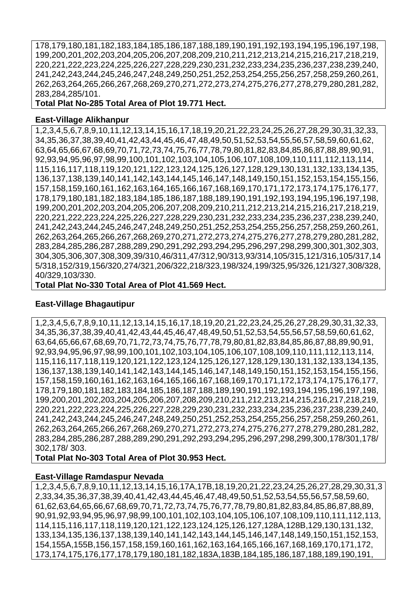178,179,180,181,182,183,184,185,186,187,188,189,190,191,192,193,194,195,196,197,198, 199,200,201,202,203,204,205,206,207,208,209,210,211,212,213,214,215,216,217,218,219, 220,221,222,223,224,225,226,227,228,229,230,231,232,233,234,235,236,237,238,239,240, 241,242,243,244,245,246,247,248,249,250,251,252,253,254,255,256,257,258,259,260,261, 262,263,264,265,266,267,268,269,270,271,272,273,274,275,276,277,278,279,280,281,282, 283,284,285/101.

**Total Plat No-285 Total Area of Plot 19.771 Hect.**

#### **East-Village Alikhanpur**

 1,2,3,4,5,6,7,8,9,10,11,12,13,14,15,16,17,18,19,20,21,22,23,24,25,26,27,28,29,30,31,32,33, 34,35,36,37,38,39,40,41,42,43,44,45,46,47,48,49,50,51,52,53,54,55,56,57,58,59,60,61,62, 63,64,65,66,67,68,69,70,71,72,73,74,75,76,77,78,79,80,81,82,83,84,85,86,87,88,89,90,91, 92,93,94,95,96,97,98,99,100,101,102,103,104,105,106,107,108,109,110,111,112,113,114, 115,116,117,118,119,120,121,122,123,124,125,126,127,128,129,130,131,132,133,134,135, 136,137,138,139,140,141,142,143,144,145,146,147,148,149,150,151,152,153,154,155,156, 157,158,159,160,161,162,163,164,165,166,167,168,169,170,171,172,173,174,175,176,177, 178,179,180,181,182,183,184,185,186,187,188,189,190,191,192,193,194,195,196,197,198, 199,200,201,202,203,204,205,206,207,208,209,210,211,212,213,214,215,216,217,218,219, 220,221,222,223,224,225,226,227,228,229,230,231,232,233,234,235,236,237,238,239,240, 241,242,243,244,245,246,247,248,249,250,251,252,253,254,255,256,257,258,259,260,261, 262,263,264,265,266,267,268,269,270,271,272,273,274,275,276,277,278,279,280,281,282, 283,284,285,286,287,288,289,290,291,292,293,294,295,296,297,298,299,300,301,302,303, 304,305,306,307,308,309,39/310,46/311,47/312,90/313,93/314,105/315,121/316,105/317,14 5/318,152/319,156/320,274/321,206/322,218/323,198/324,199/325,95/326,121/327,308/328, 40/329,103/330.

**Total Plat No-330 Total Area of Plot 41.569 Hect.**

#### **East-Village Bhagautipur**

1,2,3,4,5,6,7,8,9,10,11,12,13,14,15,16,17,18,19,20,21,22,23,24,25,26,27,28,29,30,31,32,33, 34,35,36,37,38,39,40,41,42,43,44,45,46,47,48,49,50,51,52,53,54,55,56,57,58,59,60,61,62, 63,64,65,66,67,68,69,70,71,72,73,74,75,76,77,78,79,80,81,82,83,84,85,86,87,88,89,90,91, 92,93,94,95,96,97,98,99,100,101,102,103,104,105,106,107,108,109,110,111,112,113,114, 115,116,117,118,119,120,121,122,123,124,125,126,127,128,129,130,131,132,133,134,135, 136,137,138,139,140,141,142,143,144,145,146,147,148,149,150,151,152,153,154,155,156, 157,158,159,160,161,162,163,164,165,166,167,168,169,170,171,172,173,174,175,176,177, 178,179,180,181,182,183,184,185,186,187,188,189,190,191,192,193,194,195,196,197,198, 199,200,201,202,203,204,205,206,207,208,209,210,211,212,213,214,215,216,217,218,219, 220,221,222,223,224,225,226,227,228,229,230,231,232,233,234,235,236,237,238,239,240, 241,242,243,244,245,246,247,248,249,250,251,252,253,254,255,256,257,258,259,260,261, 262,263,264,265,266,267,268,269,270,271,272,273,274,275,276,277,278,279,280,281,282, 283,284,285,286,287,288,289,290,291,292,293,294,295,296,297,298,299,300,178/301,178/ 302,178/ 303.

**Total Plat No-303 Total Area of Plot 30.953 Hect.**

#### **East-Village Ramdaspur Nevada**

1,2,3,4,5,6,7,8,9,10,11,12,13,14,15,16,17A,17B,18,19,20,21,22,23,24,25,26,27,28,29,30,31,3 2,33,34,35,36,37,38,39,40,41,42,43,44,45,46,47,48,49,50,51,52,53,54,55,56,57,58,59,60, 61,62,63,64,65,66,67,68,69,70,71,72,73,74,75,76,77,78,79,80,81,82,83,84,85,86,87,88,89, 90,91,92,93,94,95,96,97,98,99,100,101,102,103,104,105,106,107,108,109,110,111,112,113, 114,115,116,117,118,119,120,121,122,123,124,125,126,127,128A,128B,129,130,131,132, 133,134,135,136,137,138,139,140,141,142,143,144,145,146,147,148,149,150,151,152,153, 154,155A,155B,156,157,158,159,160,161,162,163,164,165,166,167,168,169,170,171,172, 173,174,175,176,177,178,179,180,181,182,183A,183B,184,185,186,187,188,189,190,191,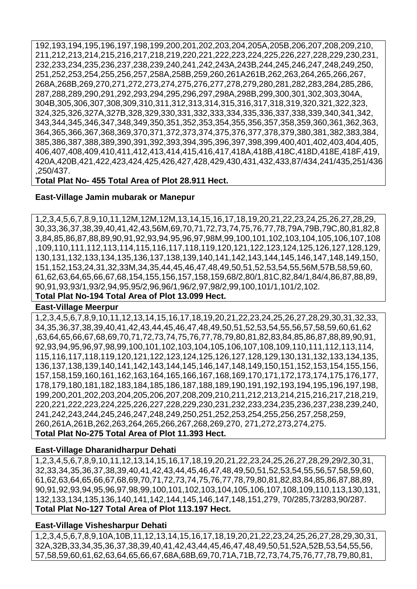192,193,194,195,196,197,198,199,200,201,202,203,204,205A,205B,206,207,208,209,210, 211,212,213,214,215,216,217,218,219,220,221,222,223,224,225,226,227,228,229,230,231, 232,233,234,235,236,237,238,239,240,241,242,243A,243B,244,245,246,247,248,249,250, 251,252,253,254,255,256,257,258A,258B,259,260,261A261B,262,263,264,265,266,267, 268A,268B,269,270,271,272,273,274,275,276,277,278,279,280,281,282,283,284,285,286, 287,288,289,290,291,292,293,294,295,296,297,298A,298B,299,300,301,302,303,304A, 304B,305,306,307,308,309,310,311,312,313,314,315,316,317,318,319,320,321,322,323, 324,325,326,327A,327B,328,329,330,331,332,333,334,335,336,337,338,339,340,341,342, 343,344,345,346,347,348,349,350,351,352,353,354,355,356,357,358,359,360,361,362,363, 364,365,366,367,368,369,370,371,372,373,374,375,376,377,378,379,380,381,382,383,384, 385,386,387,388,389,390,391,392,393,394,395,396,397,398,399,400,401,402,403,404,405, 406,407,408,409,410,411,412,413,414,415,416,417,418A,418B,418C,418D,418E,418F,419, 420A,420B,421,422,423,424,425,426,427,428,429,430,431,432,433,87/434,241/435,251/436 ,250/437.

**Total Plat No- 455 Total Area of Plot 28.911 Hect.**

## **East-Village Jamin mubarak or Manepur**

1,2,3,4,5,6,7,8,9,10,11,12M,12M,12M,13,14,15,16,17,18,19,20,21,22,23,24,25,26,27,28,29, 30,33,36,37,38,39,40,41,42,43,56M,69,70,71,72,73,74,75,76,77,78,79A,79B,79C,80,81,82,8 3,84,85,86,87,88,89,90,91,92,93,94,95,96,97,98M,99,100,101,102,103,104,105,106,107,108 ,109,110,111,112,113,114,115,116,117,118,119,120,121,122,123,124,125,126,127,128,129, 130,131,132,133,134,135,136,137,138,139,140,141,142,143,144,145,146,147,148,149,150, 151,152,153,24,31,32,33M,34,35,44,45,46,47,48,49,50,51,52,53,54,55,56M,57B,58,59,60, 61,62,63,64,65,66,67,68,154,155,156,157,158,159,68/2,80/1,81C,82,84/1,84/4,86,87,88,89, 90,91,93,93/1,93/2,94,95,95/2,96,96/1,96/2,97,98/2,99,100,101/1,101/2,102. **Total Plat No-194 Total Area of Plot 13.099 Hect.**

#### **East-Village Meerpur**

1,2,3,4,5,6,7,8,9,10,11,12,13,14,15,16,17,18,19,20,21,22,23,24,25,26,27,28,29,30,31,32,33, 34,35,36,37,38,39,40,41,42,43,44,45,46,47,48,49,50,51,52,53,54,55,56,57,58,59,60,61,62 ,63,64,65,66,67,68,69,70,71,72,73,74,75,76,77,78,79,80,81,82,83,84,85,86,87,88,89,90,91, 92,93,94,95,96,97,98,99,100,101,102,103,104,105,106,107,108,109,110,111,112,113,114, 115,116,117,118,119,120,121,122,123,124,125,126,127,128,129,130,131,132,133,134,135, 136,137,138,139,140,141,142,143,144,145,146,147,148,149,150,151,152,153,154,155,156, 157,158,159,160,161,162,163,164,165,166,167,168,169,170,171,172,173,174,175,176,177, 178,179,180,181,182,183,184,185,186,187,188,189,190,191,192,193,194,195,196,197,198, 199,200,201,202,203,204,205,206,207,208,209,210,211,212,213,214,215,216,217,218,219, 220,221,222,223,224,225,226,227,228,229,230,231,232,233,234,235,236,237,238,239,240, 241,242,243,244,245,246,247,248,249,250,251,252,253,254,255,256,257,258,259, 260,261A,261B,262,263,264,265,266,267,268,269,270, 271,272,273,274,275. **Total Plat No-275 Total Area of Plot 11.393 Hect.**

#### **East-Village Dharanidharpur Dehati**

1,2,3,4,5,6,7,8,9,10,11,12,13,14,15,16,17,18,19,20,21,22,23,24,25,26,27,28,29,29/2,30,31, 32,33,34,35,36,37,38,39,40,41,42,43,44,45,46,47,48,49,50,51,52,53,54,55,56,57,58,59,60, 61,62,63,64,65,66,67,68,69,70,71,72,73,74,75,76,77,78,79,80,81,82,83,84,85,86,87,88,89, 90,91,92,93,94,95,96,97,98,99,100,101,102,103,104,105,106,107,108,109,110,113,130,131, 132,133,134,135,136,140,141,142,144,145,146,147,148,151,279, 70/285,73/283,90/287. **Total Plat No-127 Total Area of Plot 113.197 Hect.**

#### **East-Village Vishesharpur Dehati**

1,2,3,4,5,6,7,8,9,10A,10B,11,12,13,14,15,16,17,18,19,20,21,22,23,24,25,26,27,28,29,30,31, 32A,32B,33,34,35,36,37,38,39,40,41,42,43,44,45,46,47,48,49,50,51,52A,52B,53,54,55,56, 57,58,59,60,61,62,63,64,65,66,67,68A,68B,69,70,71A,71B,72,73,74,75,76,77,78,79,80,81,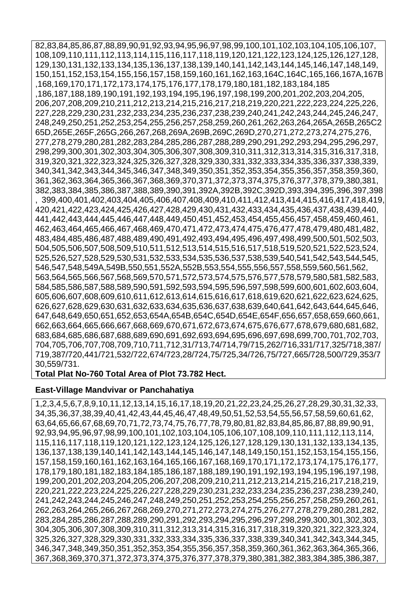82,83,84,85,86,87,88,89,90,91,92,93,94,95,96,97,98,99,100,101,102,103,104,105,106,107, 108,109,110,111,112,113,114,115,116,117,118,119,120,121,122,123,124,125,126,127,128, 129,130,131,132,133,134,135,136,137,138,139,140,141,142,143,144,145,146,147,148,149, 150,151,152,153,154,155,156,157,158,159,160,161,162,163,164C,164C,165,166,167A,167B ,168,169,170,171,172,173,174,175,176,177,178,179,180,181,182,183,184,185 ,186,187,188,189,190,191,192,193,194,195,196,197,198,199,200,201,202,203,204,205, 206,207,208,209,210,211,212,213,214,215,216,217,218,219,220,221,222,223,224,225,226, 227,228,229,230,231,232,233,234,235,236,237,238,239,240,241,242,243,244,245,246,247, 248,249,250,251,252,253,254,255,256,257,258,259,260,261,262,263,264,265A,265B,265C2 65D,265E,265F,265G,266,267,268,269A,269B,269C,269D,270,271,272,273,274,275,276, 277,278,279,280,281,282,283,284,285,286,287,288,289,290,291,292,293,294,295,296,297, 298,299,300,301,302,303,304,305,306,307,308,309,310,311,312,313,314,315,316,317,318, 319,320,321,322,323,324,325,326,327,328,329,330,331,332,333,334,335,336,337,338,339, 340,341,342,343,344,345,346,347,348,349,350,351,352,353,354,355,356,357,358,359,360, 361,362,363,364,365,366,367,368,369,370,371,372,373,374,375,376,377,378,379,380,381, 382,383,384,385,386,387,388,389,390,391,392A,392B,392C,392D,393,394,395,396,397,398 , 399,400,401,402,403,404,405,406,407,408,409,410,411,412,413,414,415,416,417,418,419, 420,421,422,423,424,425,426,427,428,429,430,431,432,433,434,435,436,437,438,439,440, 441,442,443,444,445,446,447,448,449,450,451,452,453,454,455,456,457,458,459,460,461, 462,463,464,465,466,467,468,469,470,471,472,473,474,475,476,477,478,479,480,481,482, 483,484,485,486,487,488,489,490,491,492,493,494,495,496,497,498,499,500,501,502,503, 504,505,506,507,508,509,510,511,512,513,514,515,516,517,518,519,520,521,522,523,524, 525,526,527,528,529,530,531,532,533,534,535,536,537,538,539,540,541,542,543,544,545, 546,547,548,549A,549B,550,551,552A,552B,553,554,555,556,557,558,559,560,561,562, 563,564,565,566,567,568,569,570,571,572,573,574,575,576,577,578,579,580,581,582,583, 584,585,586,587,588,589,590,591,592,593,594,595,596,597,598,599,600,601,602,603,604, 605,606,607,608,609,610,611,612,613,614,615,616,617,618,619,620,621,622,623,624,625, 626,627,628,629,630,631,632,633,634,635,636,637,638,639,640,641,642,643,644,645,646, 647,648,649,650,651,652,653,654A,654B,654C,654D,654E,654F,656,657,658,659,660,661, 662,663,664,665,666,667,668,669,670,671,672,673,674,675,676,677,678,679,680,681,682, 683,684,685,686,687,688,689,690,691,692,693,694,695,696,697,698,699,700,701,702,703, 704,705,706,707,708,709,710,711,712,31/713,74/714,79/715,262/716,331/717,325/718,387/ 719,387/720,441/721,532/722,674/723,28/724,75/725,34/726,75/727,665/728,500/729,353/7 30,559/731.

**Total Plat No-760 Total Area of Plot 73.782 Hect.**

#### **East-Village Mandvivar or Panchahatiya**

1,2,3,4,5,6,7,8,9,10,11,12,13,14,15,16,17,18,19,20,21,22,23,24,25,26,27,28,29,30,31,32,33, 34,35,36,37,38,39,40,41,42,43,44,45,46,47,48,49,50,51,52,53,54,55,56,57,58,59,60,61,62, 63,64,65,66,67,68,69,70,71,72,73,74,75,76,77,78,79,80,81,82,83,84,85,86,87,88,89,90,91, 92,93,94,95,96,97,98,99,100,101,102,103,104,105,106,107,108,109,110,111,112,113,114, 115,116,117,118,119,120,121,122,123,124,125,126,127,128,129,130,131,132,133,134,135, 136,137,138,139,140,141,142,143,144,145,146,147,148,149,150,151,152,153,154,155,156, 157,158,159,160,161,162,163,164,165,166,167,168,169,170,171,172,173,174,175,176,177, 178,179,180,181,182,183,184,185,186,187,188,189,190,191,192,193,194,195,196,197,198, 199,200,201,202,203,204,205,206,207,208,209,210,211,212,213,214,215,216,217,218,219, 220,221,222,223,224,225,226,227,228,229,230,231,232,233,234,235,236,237,238,239,240, 241,242,243,244,245,246,247,248,249,250,251,252,253,254,255,256,257,258,259,260,261, 262,263,264,265,266,267,268,269,270,271,272,273,274,275,276,277,278,279,280,281,282, 283,284,285,286,287,288,289,290,291,292,293,294,295,296,297,298,299,300,301,302,303, 304,305,306,307,308,309,310,311,312,313,314,315,316,317,318,319,320,321,322,323,324, 325,326,327,328,329,330,331,332,333,334,335,336,337,338,339,340,341,342,343,344,345, 346,347,348,349,350,351,352,353,354,355,356,357,358,359,360,361,362,363,364,365,366, 367,368,369,370,371,372,373,374,375,376,377,378,379,380,381,382,383,384,385,386,387,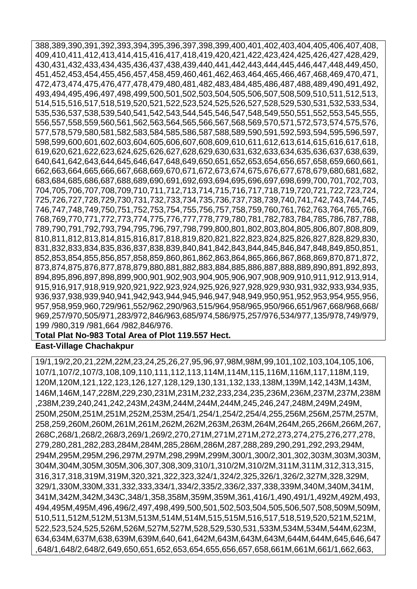388,389,390,391,392,393,394,395,396,397,398,399,400,401,402,403,404,405,406,407,408, 409,410,411,412,413,414,415,416,417,418,419,420,421,422,423,424,425,426,427,428,429, 430,431,432,433,434,435,436,437,438,439,440,441,442,443,444,445,446,447,448,449,450, 451,452,453,454,455,456,457,458,459,460,461,462,463,464,465,466,467,468,469,470,471, 472,473,474,475,476,477,478,479,480,481,482,483,484,485,486,487,488,489,490,491,492, 493,494,495,496,497,498,499,500,501,502,503,504,505,506,507,508,509,510,511,512,513, 514,515,516,517,518,519,520,521,522,523,524,525,526,527,528,529,530,531,532,533,534, 535,536,537,538,539,540,541,542,543,544,545,546,547,548,549,550,551,552,553,545,555, 556,557,558,559,560,561,562,563,564,565,566,567,568,569,570,571,572,573,574,575,576, 577,578,579,580,581,582,583,584,585,586,587,588,589,590,591,592,593,594,595,596,597, 598,599,600,601,602,603,604,605,606,607,608,609,610,611,612,613,614,615,616,617,618, 619,620,621,622,623,624,625,626,627,628,629,630,631,632,633,634,635,636,637,638,639, 640,641,642,643,644,645,646,647,648,649,650,651,652,653,654,656,657,658,659,660,661, 662,663,664,665,666,667,668,669,670,671,672,673,674,675,676,677,678,679,680,681,682, 683,684,685,686,687,688,689,690,691,692,693,694,695,696,697,698,699,700,701,702,703, 704,705,706,707,708,709,710,711,712,713,714,715,716,717,718,719,720,721,722,723,724, 725,726,727,728,729,730,731,732,733,734,735,736,737,738,739,740,741,742,743,744,745, 746,747,748,749,750,751,752,753,754,755,756,757,758,759,760,761,762,763,764,765,766, 768,769,770,771,772,773,774,775,776,777,778,779,780,781,782,783,784,785,786,787,788, 789,790,791,792,793,794,795,796,797,798,799,800,801,802,803,804,805,806,807,808,809, 810,811,812,813,814,815,816,817,818,819,820,821,822,823,824,825,826,827,828,829,830, 831,832,833,834,835,836,837,838,839,840,841,842,843,844,845,846,847,848,849,850,851, 852,853,854,855,856,857,858,859,860,861,862,863,864,865,866,867,868,869,870,871,872, 873,874,875,876,877,878,879,880,881,882,883,884,885,886,887,888,889,890,891,892,893, 894,895,896,897,898,899,900,901,902,903,904,905,906,907,908,909,910,911,912,913,914, 915,916,917,918,919,920,921,922,923,924,925,926,927,928,929,930,931,932,933,934,935, 936,937,938,939,940,941,942,943,944,945,946,947,948,949,950,951,952,953,954,955,956, 957,958,959,960,729/961,552/962,290/963,515/964,958/965,950/966,651/967,668/968,668/ 969,257/970,505/971,283/972,846/963,685/974,586/975,257/976,534/977,135/978,749/979, 199 /980,319 /981,664 /982,846/976.

#### **Total Plat No-983 Total Area of Plot 119.557 Hect.**

#### **East-Village Chachakpur**

19/1,19/2,20,21,22M,22M,23,24,25,26,27,95,96,97,98M,98M,99,101,102,103,104,105,106, 107/1,107/2,107/3,108,109,110,111,112,113,114M,114M,115,116M,116M,117,118M,119, 120M,120M,121,122,123,126,127,128,129,130,131,132,133,138M,139M,142,143M,143M, 146M,146M,147,228M,229,230,231M,231M,232,233,234,235,236M,236M,237M,237M,238M ,238M,239,240,241,242,243M,243M,244M,244M,244M,245,246,247,248M,249M,249M, 250M,250M,251M,251M,252M,253M,254/1,254/1,254/2,254/4,255,256M,256M,257M,257M, 258,259,260M,260M,261M,261M,262M,262M,263M,263M,264M,264M,265,266M,266M,267, 268C,268/1,268/2,268/3,269/1,269/2,270,271M,271M,271M,272,273,274,275,276,277,278, 279,280,281,282,283,284M,284M,285,286M,286M,287,288,289,290,291,292,293,294M, 294M,295M,295M,296,297M,297M,298,299M,299M,300/1,300/2,301,302,303M,303M,303M, 304M,304M,305M,305M,306,307,308,309,310/1,310/2M,310/2M,311M,311M,312,313,315, 316,317,318,319M,319M,320,321,322,323,324/1,324/2,325,326/1,326/2,327M,328,329M, 329/1,330M,330M,331,332,333,334/1,334/2,335/2,336/2,337,338,339M,340M,340M,341M, 341M,342M,342M,343C,348/1,358,358M,359M,359M,361,416/1,490,491/1,492M,492M,493, 494,495M,495M,496,496/2,497,498,499,500,501,502,503,504,505,506,507,508,509M,509M, 510,511,512M,512M,513M,513M,514M,514M,515,515M,516,517,518,519,520,521M,521M, 522,523,524,525,526M,526M,527M,527M,528,529,530,531,533M,534M,534M,544M,623M, 634,634M,637M,638,639M,639M,640,641,642M,643M,643M,643M,644M,644M,645,646,647 ,648/1,648/2,648/2,649,650,651,652,653,654,655,656,657,658,661M,661M,661/1,662,663,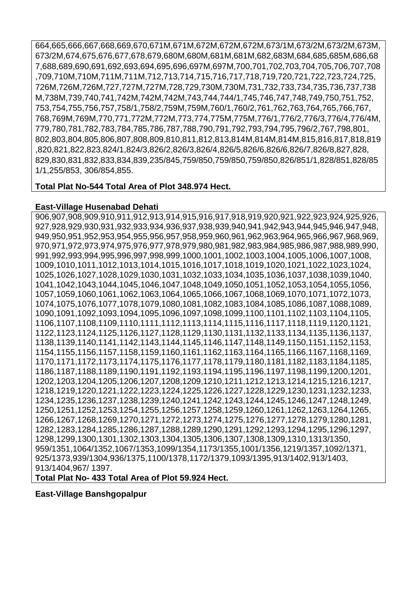664,665,666,667,668,669,670,671M,671M,672M,672M,672M,673/1M,673/2M,673/2M,673M, 673/2M,674,675,676,677,678,679,680M,680M,681M,681M,682,683M,684,685,685M,686,68 7,688,689,690,691,692,693,694,695,696,697M,697M,700,701,702,703,704,705,706,707,708 ,709,710M,710M,711M,711M,712,713,714,715,716,717,718,719,720,721,722,723,724,725, 726M,726M,726M,727,727M,727M,728,729,730M,730M,731,732,733,734,735,736,737,738 M,738M,739,740,741,742M,742M,742M,743,744,744/1,745,746,747,748,749,750,751,752, 753,754,755,756,757,758/1,758/2,759M,759M,760/1,760/2,761,762,763,764,765,766,767, 768,769M,769M,770,771,772M,772M,773,774,775M,775M,776/1,776/2,776/3,776/4,776/4M, 779,780,781,782,783,784,785,786,787,788,790,791,792,793,794,795,796/2,767,798,801, 802,803,804,805,806,807,808,809,810,811,812,813,814M,814M,814M,815,816,817,818,819 ,820,821,822,823,824/1,824/3,826/2,826/3,826/4,826/5,826/6,826/6,826/7,826/8,827,828, 829,830,831,832,833,834,839,235/845,759/850,759/850,759/850,826/851/1,828/851,828/85 1/1,255/853, 306/854,855.

## **Total Plat No-544 Total Area of Plot 348.974 Hect.**

## **East-Village Husenabad Dehati**

906,907,908,909,910,911,912,913,914,915,916,917,918,919,920,921,922,923,924,925,926, 927,928,929,930,931,932,933,934,936,937,938,939,940,941,942,943,944,945,946,947,948, 949,950,951,952,953,954,955,956,957,958,959,960,961,962,963,964,965,966,967,968,969, 970,971,972,973,974,975,976,977,978,979,980,981,982,983,984,985,986,987,988,989,990, 991,992,993,994,995,996,997,998,999,1000,1001,1002,1003,1004,1005,1006,1007,1008, 1009,1010,1011,1012,1013,1014,1015,1016,1017,1018,1019,1020,1021,1022,1023,1024, 1025,1026,1027,1028,1029,1030,1031,1032,1033,1034,1035,1036,1037,1038,1039,1040, 1041,1042,1043,1044,1045,1046,1047,1048,1049,1050,1051,1052,1053,1054,1055,1056, 1057,1059,1060,1061,1062,1063,1064,1065,1066,1067,1068,1069,1070,1071,1072,1073, 1074,1075,1076,1077,1078,1079,1080,1081,1082,1083,1084,1085,1086,1087,1088,1089, 1090,1091,1092,1093,1094,1095,1096,1097,1098,1099,1100,1101,1102,1103,1104,1105, 1106,1107,1108,1109,1110,1111,1112,1113,1114,1115,1116,1117,1118,1119,1120,1121, 1122,1123,1124,1125,1126,1127,1128,1129,1130,1131,1132,1133,1134,1135,1136,1137, 1138,1139,1140,1141,1142,1143,1144,1145,1146,1147,1148,1149,1150,1151,1152,1153, 1154,1155,1156,1157,1158,1159,1160,1161,1162,1163,1164,1165,1166,1167,1168,1169, 1170,1171,1172,1173,1174,1175,1176,1177,1178,1179,1180,1181,1182,1183,1184,1185, 1186,1187,1188,1189,1190,1191,1192,1193,1194,1195,1196,1197,1198,1199,1200,1201, 1202,1203,1204,1205,1206,1207,1208,1209,1210,1211,1212,1213,1214,1215,1216,1217, 1218,1219,1220,1221,1222,1223,1224,1225,1226,1227,1228,1229,1230,1231,1232,1233, 1234,1235,1236,1237,1238,1239,1240,1241,1242,1243,1244,1245,1246,1247,1248,1249, 1250,1251,1252,1253,1254,1255,1256,1257,1258,1259,1260,1261,1262,1263,1264,1265, 1266,1267,1268,1269,1270,1271,1272,1273,1274,1275,1276,1277,1278,1279,1280,1281, 1282,1283,1284,1285,1286,1287,1288,1289,1290,1291,1292,1293,1294,1295,1296,1297, 1298,1299,1300,1301,1302,1303,1304,1305,1306,1307,1308,1309,1310,1313/1350, 959/1351,1064/1352,1067/1353,1099/1354,1173/1355,1001/1356,1219/1357,1092/1371, 925/1373,939/1304,936/1375,1100/1378,1172/1379,1093/1395,913/1402,913/1403, 913/1404,967/ 1397.

**Total Plat No- 433 Total Area of Plot 59.924 Hect.**

# **East-Village Banshgopalpur**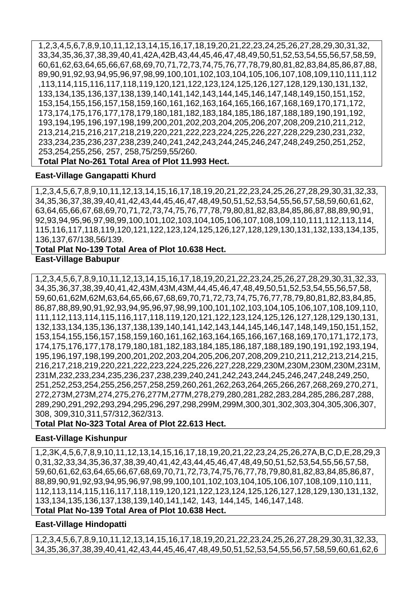1,2,3,4,5,6,7,8,9,10,11,12,13,14,15,16,17,18,19,20,21,22,23,24,25,26,27,28,29,30,31,32, 33,34,35,36,37,38,39,40,41,42A,42B,43,44,45,46,47,48,49,50,51,52,53,54,55,56,57,58,59, 60,61,62,63,64,65,66,67,68,69,70,71,72,73,74,75,76,77,78,79,80,81,82,83,84,85,86,87,88, 89,90,91,92,93,94,95,96,97,98,99,100,101,102,103,104,105,106,107,108,109,110,111,112 ,113,114,115,116,117,118,119,120,121,122,123,124,125,126,127,128,129,130,131,132, 133,134,135,136,137,138,139,140,141,142,143,144,145,146,147,148,149,150,151,152, 153,154,155,156,157,158,159,160,161,162,163,164,165,166,167,168,169,170,171,172, 173,174,175,176,177,178,179,180,181,182,183,184,185,186,187,188,189,190,191,192, 193,194,195,196,197,198,199,200,201,202,203,204,205,206,207,208,209,210,211,212, 213,214,215,216,217,218,219,220,221,222,223,224,225,226,227,228,229,230,231,232, 233,234,235,236,237,238,239,240,241,242,243,244,245,246,247,248,249,250,251,252, 253,254,255,256, 257, 258,75/259,55/260. **Total Plat No-261 Total Area of Plot 11.993 Hect.**

#### **East-Village Gangapatti Khurd**

1,2,3,4,5,6,7,8,9,10,11,12,13,14,15,16,17,18,19,20,21,22,23,24,25,26,27,28,29,30,31,32,33, 34,35,36,37,38,39,40,41,42,43,44,45,46,47,48,49,50,51,52,53,54,55,56,57,58,59,60,61,62, 63,64,65,66,67,68,69,70,71,72,73,74,75,76,77,78,79,80,81,82,83,84,85,86,87,88,89,90,91, 92,93,94,95,96,97,98,99,100,101,102,103,104,105,106,107,108,109,110,111,112,113,114, 115,116,117,118,119,120,121,122,123,124,125,126,127,128,129,130,131,132,133,134,135, 136,137,67/138,56/139.

## **Total Plat No-139 Total Area of Plot 10.638 Hect.**

#### **East-Village Babupur**

1,2,3,4,5,6,7,8,9,10,11,12,13,14,15,16,17,18,19,20,21,22,23,24,25,26,27,28,29,30,31,32,33, 34,35,36,37,38,39,40,41,42,43M,43M,43M,44,45,46,47,48,49,50,51,52,53,54,55,56,57,58, 59,60,61,62M,62M,63,64,65,66,67,68,69,70,71,72,73,74,75,76,77,78,79,80,81,82,83,84,85, 86,87,88,89,90,91,92,93,94,95,96,97,98,99,100,101,102,103,104,105,106,107,108,109,110, 111,112,113,114,115,116,117,118,119,120,121,122,123,124,125,126,127,128,129,130,131, 132,133,134,135,136,137,138,139,140,141,142,143,144,145,146,147,148,149,150,151,152, 153,154,155,156,157,158,159,160,161,162,163,164,165,166,167,168,169,170,171,172,173, 174,175,176,177,178,179,180,181,182,183,184,185,186,187,188,189,190,191,192,193,194, 195,196,197,198,199,200,201,202,203,204,205,206,207,208,209,210,211,212,213,214,215, 216,217,218,219,220,221,222,223,224,225,226,227,228,229,230M,230M,230M,230M,231M, 231M,232,233,234,235,236,237,238,239,240,241,242,243,244,245,246,247,248,249,250, 251,252,253,254,255,256,257,258,259,260,261,262,263,264,265,266,267,268,269,270,271, 272,273M,273M,274,275,276,277M,277M,278,279,280,281,282,283,284,285,286,287,288, 289,290,291,292,293,294,295,296,297,298,299M,299M,300,301,302,303,304,305,306,307, 308, 309,310,311,57/312,362/313.

**Total Plat No-323 Total Area of Plot 22.613 Hect.**

#### **East-Village Kishunpur**

1,2,3K,4,5,6,7,8,9,10,11,12,13,14,15,16,17,18,19,20,21,22,23,24,25,26,27A,B,C,D,E,28,29,3 0,31,32,33,34,35,36,37,38,39,40,41,42,43,44,45,46,47,48,49,50,51,52,53,54,55,56,57,58, 59,60,61,62,63,64,65,66,67,68,69,70,71,72,73,74,75,76,77,78,79,80,81,82,83,84,85,86,87, 88,89,90,91,92,93,94,95,96,97,98,99,100,101,102,103,104,105,106,107,108,109,110,111, 112,113,114,115,116,117,118,119,120,121,122,123,124,125,126,127,128,129,130,131,132, 133,134,135,136,137,138,139,140,141,142, 143, 144,145, 146,147,148.

## **Total Plat No-139 Total Area of Plot 10.638 Hect.**

#### **East-Village Hindopatti**

1,2,3,4,5,6,7,8,9,10,11,12,13,14,15,16,17,18,19,20,21,22,23,24,25,26,27,28,29,30,31,32,33, 34,35,36,37,38,39,40,41,42,43,44,45,46,47,48,49,50,51,52,53,54,55,56,57,58,59,60,61,62,6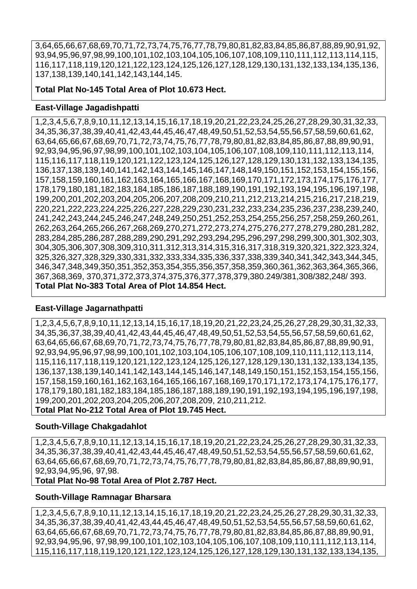3,64,65,66,67,68,69,70,71,72,73,74,75,76,77,78,79,80,81,82,83,84,85,86,87,88,89,90,91,92, 93,94,95,96,97,98,99,100,101,102,103,104,105,106,107,108,109,110,111,112,113,114,115, 116,117,118,119,120,121,122,123,124,125,126,127,128,129,130,131,132,133,134,135,136, 137,138,139,140,141,142,143,144,145.

**Total Plat No-145 Total Area of Plot 10.673 Hect.**

### **East-Village Jagadishpatti**

1,2,3,4,5,6,7,8,9,10,11,12,13,14,15,16,17,18,19,20,21,22,23,24,25,26,27,28,29,30,31,32,33, 34,35,36,37,38,39,40,41,42,43,44,45,46,47,48,49,50,51,52,53,54,55,56,57,58,59,60,61,62, 63,64,65,66,67,68,69,70,71,72,73,74,75,76,77,78,79,80,81,82,83,84,85,86,87,88,89,90,91, 92,93,94,95,96,97,98,99,100,101,102,103,104,105,106,107,108,109,110,111,112,113,114, 115,116,117,118,119,120,121,122,123,124,125,126,127,128,129,130,131,132,133,134,135, 136,137,138,139,140,141,142,143,144,145,146,147,148,149,150,151,152,153,154,155,156, 157,158,159,160,161,162,163,164,165,166,167,168,169,170,171,172,173,174,175,176,177, 178,179,180,181,182,183,184,185,186,187,188,189,190,191,192,193,194,195,196,197,198, 199,200,201,202,203,204,205,206,207,208,209,210,211,212,213,214,215,216,217,218,219, 220,221,222,223,224,225,226,227,228,229,230,231,232,233,234,235,236,237,238,239,240, 241,242,243,244,245,246,247,248,249,250,251,252,253,254,255,256,257,258,259,260,261, 262,263,264,265,266,267,268,269,270,271,272,273,274,275,276,277,278,279,280,281,282, 283,284,285,286,287,288,289,290,291,292,293,294,295,296,297,298,299,300,301,302,303, 304,305,306,307,308,309,310,311,312,313,314,315,316,317,318,319,320,321,322,323,324, 325,326,327,328,329,330,331,332,333,334,335,336,337,338,339,340,341,342,343,344,345, 346,347,348,349,350,351,352,353,354,355,356,357,358,359,360,361,362,363,364,365,366, 367,368,369, 370,371,372,373,374,375,376,377,378,379,380.249/381,308/382,248/ 393. **Total Plat No-383 Total Area of Plot 14.854 Hect.**

# **East-Village Jagarnathpatti**

1,2,3,4,5,6,7,8,9,10,11,12,13,14,15,16,17,18,19,20,21,22,23,24,25,26,27,28,29,30,31,32,33, 34,35,36,37,38,39,40,41,42,43,44,45,46,47,48,49,50,51,52,53,54,55,56,57,58,59,60,61,62, 63,64,65,66,67,68,69,70,71,72,73,74,75,76,77,78,79,80,81,82,83,84,85,86,87,88,89,90,91, 92,93,94,95,96,97,98,99,100,101,102,103,104,105,106,107,108,109,110,111,112,113,114, 115,116,117,118,119,120,121,122,123,124,125,126,127,128,129,130,131,132,133,134,135, 136,137,138,139,140,141,142,143,144,145,146,147,148,149,150,151,152,153,154,155,156, 157,158,159,160,161,162,163,164,165,166,167,168,169,170,171,172,173,174,175,176,177, 178,179,180,181,182,183,184,185,186,187,188,189,190,191,192,193,194,195,196,197,198, 199,200,201,202,203,204,205,206,207,208,209, 210,211,212. **Total Plat No-212 Total Area of Plot 19.745 Hect.**

# **South-Village Chakgadahlot**

1,2,3,4,5,6,7,8,9,10,11,12,13,14,15,16,17,18,19,20,21,22,23,24,25,26,27,28,29,30,31,32,33, 34,35,36,37,38,39,40,41,42,43,44,45,46,47,48,49,50,51,52,53,54,55,56,57,58,59,60,61,62, 63,64,65,66,67,68,69,70,71,72,73,74,75,76,77,78,79,80,81,82,83,84,85,86,87,88,89,90,91, 92,93,94,95,96, 97,98.

**Total Plat No-98 Total Area of Plot 2.787 Hect.**

#### **South-Village Ramnagar Bharsara**

1,2,3,4,5,6,7,8,9,10,11,12,13,14,15,16,17,18,19,20,21,22,23,24,25,26,27,28,29,30,31,32,33, 34,35,36,37,38,39,40,41,42,43,44,45,46,47,48,49,50,51,52,53,54,55,56,57,58,59,60,61,62, 63,64,65,66,67,68,69,70,71,72,73,74,75,76,77,78,79,80,81,82,83,84,85,86,87,88,89,90,91, 92,93,94,95,96, 97,98,99,100,101,102,103,104,105,106,107,108,109,110,111,112,113,114, 115,116,117,118,119,120,121,122,123,124,125,126,127,128,129,130,131,132,133,134,135,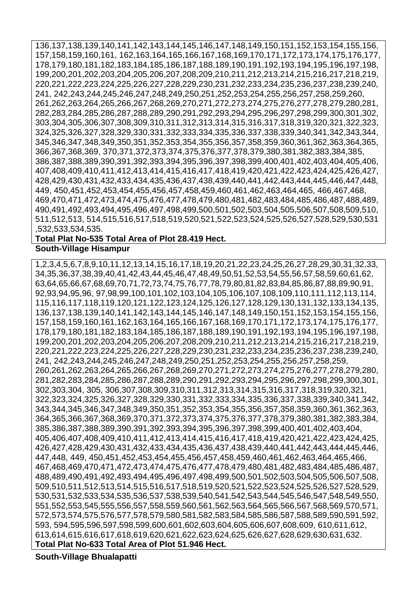136,137,138,139,140,141,142,143,144,145,146,147,148,149,150,151,152,153,154,155,156, 157,158,159,160,161, 162,163,164,165,166,167,168,169,170,171,172,173,174,175,176,177, 178,179,180,181,182,183,184,185,186,187,188,189,190,191,192,193,194,195,196,197,198, 199,200,201,202,203,204,205,206,207,208,209,210,211,212,213,214,215,216,217,218,219, 220,221,222,223,224,225,226,227,228,229,230,231,232,233,234,235,236,237,238,239,240, 241, 242,243,244,245,246,247,248,249,250,251,252,253,254,255,256,257,258,259,260, 261,262,263,264,265,266,267,268,269,270,271,272,273,274,275,276,277,278,279,280,281, 282,283,284,285,286,287,288,289,290,291,292,293,294,295,296,297,298,299,300,301,302, 303,304,305,306,307,308,309,310,311,312,313,314,315,316,317,318,319,320,321,322,323, 324,325,326,327,328,329,330,331,332,333,334,335,336,337,338,339,340,341,342,343,344, 345,346,347,348,349,350,351,352,353,354,355,356,357,358,359,360,361,362,363,364,365, 366,367,368,369, 370,371,372,373,374,375,376,377,378,379,380,381,382,383,384,385, 386,387,388,389,390,391,392,393,394,395,396,397,398,399,400,401,402,403,404,405,406, 407,408,409,410,411,412,413,414,415,416,417,418,419,420,421,422,423,424,425,426,427, 428,429,430,431,432,433,434,435,436,437,438,439,440,441,442,443,444,445,446,447,448, 449, 450,451,452,453,454,455,456,457,458,459,460,461,462,463,464,465, 466,467,468, 469,470,471,472,473,474,475,476,477,478,479,480,481,482,483,484,485,486,487,488,489, 490,491,492,493,494,495,496,497,498,499,500,501,502,503,504,505,506,507,508,509,510, 511,512,513, 514,515,516,517,518,519,520,521,522,523,524,525,526,527,528,529,530,531 ,532,533,534,535.

#### **Total Plat No-535 Total Area of Plot 28.419 Hect. South-Village Hisampur**

1,2,3,4,5,6,7,8,9,10,11,12,13,14,15,16,17,18,19,20,21,22,23,24,25,26,27,28,29,30,31,32,33, 34,35,36,37,38,39,40,41,42,43,44,45,46,47,48,49,50,51,52,53,54,55,56,57,58,59,60,61,62, 63,64,65,66,67,68,69,70,71,72,73,74,75,76,77,78,79,80,81,82,83,84,85,86,87,88,89,90,91, 92,93,94,95,96, 97,98,99,100,101,102,103,104,105,106,107,108,109,110,111,112,113,114, 115,116,117,118,119,120,121,122,123,124,125,126,127,128,129,130,131,132,133,134,135, 136,137,138,139,140,141,142,143,144,145,146,147,148,149,150,151,152,153,154,155,156, 157,158,159,160,161,162,163,164,165,166,167,168,169,170,171,172,173,174,175,176,177, 178,179,180,181,182,183,184,185,186,187,188,189,190,191,192,193,194,195,196,197,198, 199,200,201,202,203,204,205,206,207,208,209,210,211,212,213,214,215,216,217,218,219, 220,221,222,223,224,225,226,227,228,229,230,231,232,233,234,235,236,237,238,239,240, 241, 242,243,244,245,246,247,248,249,250,251,252,253,254,255,256,257,258,259, 260,261,262,263,264,265,266,267,268,269,270,271,272,273,274,275,276,277,278,279,280, 281,282,283,284,285,286,287,288,289,290,291,292,293,294,295,296,297,298,299,300,301, 302,303,304, 305, 306,307,308,309,310,311,312,313,314,315,316,317,318,319,320,321, 322,323,324,325,326,327,328,329,330,331,332,333,334,335,336,337,338,339,340,341,342, 343,344,345,346,347,348,349,350,351,352,353,354,355,356,357,358,359,360,361,362,363, 364,365,366,367,368,369,370,371,372,373,374,375,376,377,378,379,380,381,382,383,384, 385,386,387,388,389,390,391,392,393,394,395,396,397,398,399,400,401,402,403,404, 405,406,407,408,409,410,411,412,413,414,415,416,417,418,419,420,421,422,423,424,425, 426,427,428,429,430,431,432,433,434,435,436,437,438,439,440,441,442,443,444,445,446, 447,448, 449, 450,451,452,453,454,455,456,457,458,459,460,461,462,463,464,465,466, 467,468,469,470,471,472,473,474,475,476,477,478,479,480,481,482,483,484,485,486,487, 488,489,490,491,492,493,494,495,496,497,498,499,500,501,502,503,504,505,506,507,508, 509,510,511,512,513,514,515,516,517,518,519,520,521,522,523,524,525,526,527,528,529, 530,531,532,533,534,535,536,537,538,539,540,541,542,543,544,545,546,547,548,549,550, 551,552,553,545,555,556,557,558,559,560,561,562,563,564,565,566,567,568,569,570,571, 572,573,574,575,576,577,578,579,580,581,582,583,584,585,586,587,588,589,590,591,592, 593, 594,595,596,597,598,599,600,601,602,603,604,605,606,607,608,609, 610,611,612, 613,614,615,616,617,618,619,620,621,622,623,624,625,626,627,628,629,630,631,632. **Total Plat No-633 Total Area of Plot 51.946 Hect.**

**South-Village Bhualapatti**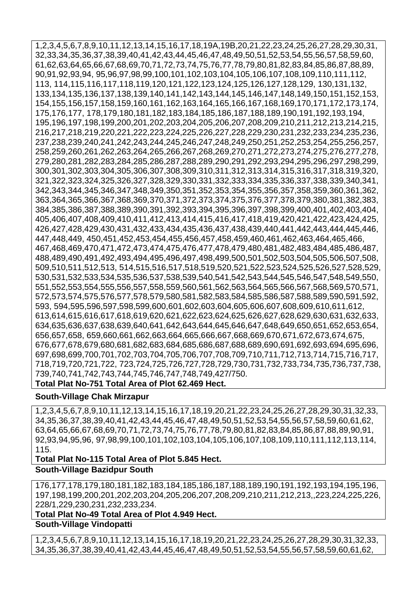1,2,3,4,5,6,7,8,9,10,11,12,13,14,15,16,17,18,19A,19B,20,21,22,23,24,25,26,27,28,29,30,31, 32,33,34,35,36,37,38,39,40,41,42,43,44,45,46,47,48,49,50,51,52,53,54,55,56,57,58,59,60, 61,62,63,64,65,66,67,68,69,70,71,72,73,74,75,76,77,78,79,80,81,82,83,84,85,86,87,88,89, 90,91,92,93,94, 95,96,97,98,99,100,101,102,103,104,105,106,107,108,109,110,111,112, 113, 114,115,116,117,118,119,120,121,122,123,124,125,126,127,128,129, 130,131,132, 133,134,135,136,137,138,139,140,141,142,143,144,145,146,147,148,149,150,151,152,153, 154,155,156,157,158,159,160,161,162,163,164,165,166,167,168,169,170,171,172,173,174, 175,176,177, 178,179,180,181,182,183,184,185,186,187,188,189,190,191,192,193,194, 195,196,197,198,199,200,201,202,203,204,205,206,207,208,209,210,211,212,213,214,215, 216,217,218,219,220,221,222,223,224,225,226,227,228,229,230,231,232,233,234,235,236, 237,238,239,240,241,242,243,244,245,246,247,248,249,250,251,252,253,254,255,256,257, 258,259,260,261,262,263,264,265,266,267,268,269,270,271,272,273,274,275,276,277,278, 279,280,281,282,283,284,285,286,287,288,289,290,291,292,293,294,295,296,297,298,299, 300,301,302,303,304,305,306,307,308,309,310,311,312,313,314,315,316,317,318,319,320, 321,322,323,324,325,326,327,328,329,330,331,332,333,334,335,336,337,338,339,340,341, 342,343,344,345,346,347,348,349,350,351,352,353,354,355,356,357,358,359,360,361,362, 363,364,365,366,367,368,369,370,371,372,373,374,375,376,377,378,379,380,381,382,383, 384,385,386,387,388,389,390,391,392,393,394,395,396,397,398,399,400,401,402,403,404, 405,406,407,408,409,410,411,412,413,414,415,416,417,418,419,420,421,422,423,424,425, 426,427,428,429,430,431,432,433,434,435,436,437,438,439,440,441,442,443,444,445,446, 447,448,449, 450,451,452,453,454,455,456,457,458,459,460,461,462,463,464,465,466, 467,468,469,470,471,472,473,474,475,476,477,478,479,480,481,482,483,484,485,486,487, 488,489,490,491,492,493,494,495,496,497,498,499,500,501,502,503,504,505,506,507,508, 509,510,511,512,513, 514,515,516,517,518,519,520,521,522,523,524,525,526,527,528,529, 530,531,532,533,534,535,536,537,538,539,540,541,542,543,544,545,546,547,548,549,550, 551,552,553,554,555,556,557,558,559,560,561,562,563,564,565,566,567,568,569,570,571, 572,573,574,575,576,577,578,579,580,581,582,583,584,585,586,587,588,589,590,591,592, 593, 594,595,596,597,598,599,600,601,602,603,604,605,606,607,608,609,610,611,612, 613,614,615,616,617,618,619,620,621,622,623,624,625,626,627,628,629,630,631,632,633, 634,635,636,637,638,639,640,641,642,643,644,645,646,647,648,649,650,651,652,653,654, 656,657,658, 659,660,661,662,663,664,665,666,667,668,669,670,671,672,673,674,675, 676,677,678,679,680,681,682,683,684,685,686,687,688,689,690,691,692,693,694,695,696, 697,698,699,700,701,702,703,704,705,706,707,708,709,710,711,712,713,714,715,716,717, 718,719,720,721,722, 723,724,725,726,727,728,729,730,731,732,733,734,735,736,737,738, 739,740,741,742,743,744,745,746,747,748,749,427/750.

# **Total Plat No-751 Total Area of Plot 62.469 Hect.**

#### **South-Village Chak Mirzapur**

1,2,3,4,5,6,7,8,9,10,11,12,13,14,15,16,17,18,19,20,21,22,23,24,25,26,27,28,29,30,31,32,33, 34,35,36,37,38,39,40,41,42,43,44,45,46,47,48,49,50,51,52,53,54,55,56,57,58,59,60,61,62, 63,64,65,66,67,68,69,70,71,72,73,74,75,76,77,78,79,80,81,82,83,84,85,86,87,88,89,90,91, 92,93,94,95,96, 97,98,99,100,101,102,103,104,105,106,107,108,109,110,111,112,113,114, 115.

#### **Total Plat No-115 Total Area of Plot 5.845 Hect.**

#### **South-Village Bazidpur South**

176,177,178,179,180,181,182,183,184,185,186,187,188,189,190,191,192,193,194,195,196, 197,198,199,200,201,202,203,204,205,206,207,208,209,210,211,212,213,,223,224,225,226, 228/1,229,230,231,232,233,234.

**Total Plat No-49 Total Area of Plot 4.949 Hect.**

**South-Village Vindopatti** 

1,2,3,4,5,6,7,8,9,10,11,12,13,14,15,16,17,18,19,20,21,22,23,24,25,26,27,28,29,30,31,32,33, 34,35,36,37,38,39,40,41,42,43,44,45,46,47,48,49,50,51,52,53,54,55,56,57,58,59,60,61,62,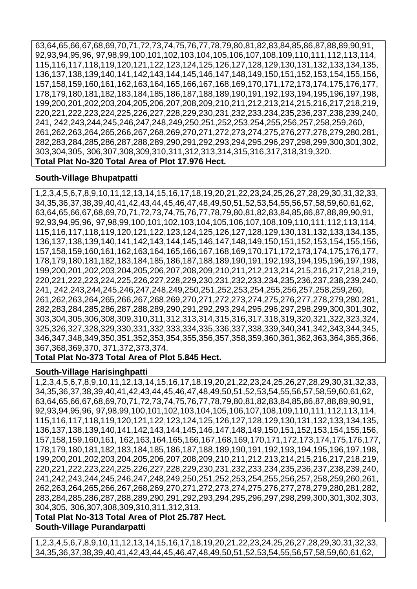63,64,65,66,67,68,69,70,71,72,73,74,75,76,77,78,79,80,81,82,83,84,85,86,87,88,89,90,91, 92,93,94,95,96, 97,98,99,100,101,102,103,104,105,106,107,108,109,110,111,112,113,114, 115,116,117,118,119,120,121,122,123,124,125,126,127,128,129,130,131,132,133,134,135, 136,137,138,139,140,141,142,143,144,145,146,147,148,149,150,151,152,153,154,155,156, 157,158,159,160,161,162,163,164,165,166,167,168,169,170,171,172,173,174,175,176,177, 178,179,180,181,182,183,184,185,186,187,188,189,190,191,192,193,194,195,196,197,198, 199,200,201,202,203,204,205,206,207,208,209,210,211,212,213,214,215,216,217,218,219, 220,221,222,223,224,225,226,227,228,229,230,231,232,233,234,235,236,237,238,239,240, 241, 242,243,244,245,246,247,248,249,250,251,252,253,254,255,256,257,258,259,260, 261,262,263,264,265,266,267,268,269,270,271,272,273,274,275,276,277,278,279,280,281, 282,283,284,285,286,287,288,289,290,291,292,293,294,295,296,297,298,299,300,301,302, 303,304,305, 306,307,308,309,310,311,312,313,314,315,316,317,318,319,320. **Total Plat No-320 Total Area of Plot 17.976 Hect.**

#### **South-Village Bhupatpatti**

1,2,3,4,5,6,7,8,9,10,11,12,13,14,15,16,17,18,19,20,21,22,23,24,25,26,27,28,29,30,31,32,33, 34,35,36,37,38,39,40,41,42,43,44,45,46,47,48,49,50,51,52,53,54,55,56,57,58,59,60,61,62, 63,64,65,66,67,68,69,70,71,72,73,74,75,76,77,78,79,80,81,82,83,84,85,86,87,88,89,90,91, 92,93,94,95,96, 97,98,99,100,101,102,103,104,105,106,107,108,109,110,111,112,113,114, 115,116,117,118,119,120,121,122,123,124,125,126,127,128,129,130,131,132,133,134,135, 136,137,138,139,140,141,142,143,144,145,146,147,148,149,150,151,152,153,154,155,156, 157,158,159,160,161,162,163,164,165,166,167,168,169,170,171,172,173,174,175,176,177, 178,179,180,181,182,183,184,185,186,187,188,189,190,191,192,193,194,195,196,197,198, 199,200,201,202,203,204,205,206,207,208,209,210,211,212,213,214,215,216,217,218,219, 220,221,222,223,224,225,226,227,228,229,230,231,232,233,234,235,236,237,238,239,240, 241, 242,243,244,245,246,247,248,249,250,251,252,253,254,255,256,257,258,259,260, 261,262,263,264,265,266,267,268,269,270,271,272,273,274,275,276,277,278,279,280,281, 282,283,284,285,286,287,288,289,290,291,292,293,294,295,296,297,298,299,300,301,302, 303,304,305,306,308,309,310,311,312,313,314,315,316,317,318,319,320,321,322,323,324, 325,326,327,328,329,330,331,332,333,334,335,336,337,338,339,340,341,342,343,344,345, 346,347,348,349,350,351,352,353,354,355,356,357,358,359,360,361,362,363,364,365,366, 367,368,369,370, 371,372,373,374.

**Total Plat No-373 Total Area of Plot 5.845 Hect.**

#### **South-Village Harisinghpatti**

1,2,3,4,5,6,7,8,9,10,11,12,13,14,15,16,17,18,19,20,21,22,23,24,25,26,27,28,29,30,31,32,33, 34,35,36,37,38,39,40,41,42,43,44,45,46,47,48,49,50,51,52,53,54,55,56,57,58,59,60,61,62, 63,64,65,66,67,68,69,70,71,72,73,74,75,76,77,78,79,80,81,82,83,84,85,86,87,88,89,90,91, 92,93,94,95,96, 97,98,99,100,101,102,103,104,105,106,107,108,109,110,111,112,113,114, 115,116,117,118,119,120,121,122,123,124,125,126,127,128,129,130,131,132,133,134,135, 136,137,138,139,140,141,142,143,144,145,146,147,148,149,150,151,152,153,154,155,156, 157,158,159,160,161, 162,163,164,165,166,167,168,169,170,171,172,173,174,175,176,177, 178,179,180,181,182,183,184,185,186,187,188,189,190,191,192,193,194,195,196,197,198, 199,200,201,202,203,204,205,206,207,208,209,210,211,212,213,214,215,216,217,218,219, 220,221,222,223,224,225,226,227,228,229,230,231,232,233,234,235,236,237,238,239,240, 241,242,243,244,245,246,247,248,249,250,251,252,253,254,255,256,257,258,259,260,261, 262,263,264,265,266,267,268,269,270,271,272,273,274,275,276,277,278,279,280,281,282, 283,284,285,286,287,288,289,290,291,292,293,294,295,296,297,298,299,300,301,302,303, 304,305, 306,307,308,309,310,311,312,313.

**Total Plat No-313 Total Area of Plot 25.787 Hect.**

**South-Village Purandarpatti** 

1,2,3,4,5,6,7,8,9,10,11,12,13,14,15,16,17,18,19,20,21,22,23,24,25,26,27,28,29,30,31,32,33, 34,35,36,37,38,39,40,41,42,43,44,45,46,47,48,49,50,51,52,53,54,55,56,57,58,59,60,61,62,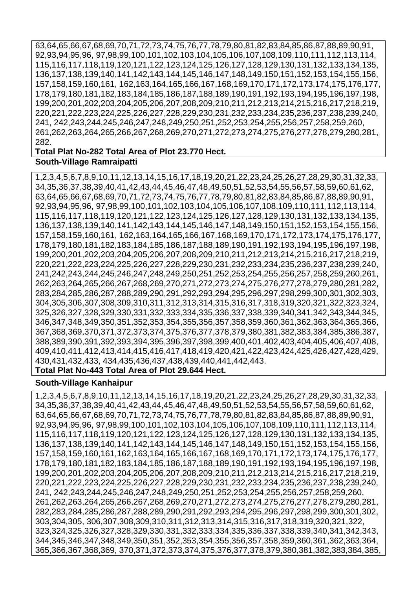63,64,65,66,67,68,69,70,71,72,73,74,75,76,77,78,79,80,81,82,83,84,85,86,87,88,89,90,91, 92,93,94,95,96, 97,98,99,100,101,102,103,104,105,106,107,108,109,110,111,112,113,114, 115,116,117,118,119,120,121,122,123,124,125,126,127,128,129,130,131,132,133,134,135, 136,137,138,139,140,141,142,143,144,145,146,147,148,149,150,151,152,153,154,155,156, 157,158,159,160,161, 162,163,164,165,166,167,168,169,170,171,172,173,174,175,176,177, 178,179,180,181,182,183,184,185,186,187,188,189,190,191,192,193,194,195,196,197,198, 199,200,201,202,203,204,205,206,207,208,209,210,211,212,213,214,215,216,217,218,219, 220,221,222,223,224,225,226,227,228,229,230,231,232,233,234,235,236,237,238,239,240, 241, 242,243,244,245,246,247,248,249,250,251,252,253,254,255,256,257,258,259,260, 261,262,263,264,265,266,267,268,269,270,271,272,273,274,275,276,277,278,279,280,281, 282.

#### **Total Plat No-282 Total Area of Plot 23.770 Hect. South-Village Ramraipatti**

1,2,3,4,5,6,7,8,9,10,11,12,13,14,15,16,17,18,19,20,21,22,23,24,25,26,27,28,29,30,31,32,33, 34,35,36,37,38,39,40,41,42,43,44,45,46,47,48,49,50,51,52,53,54,55,56,57,58,59,60,61,62, 63,64,65,66,67,68,69,70,71,72,73,74,75,76,77,78,79,80,81,82,83,84,85,86,87,88,89,90,91, 92,93,94,95,96, 97,98,99,100,101,102,103,104,105,106,107,108,109,110,111,112,113,114, 115,116,117,118,119,120,121,122,123,124,125,126,127,128,129,130,131,132,133,134,135, 136,137,138,139,140,141,142,143,144,145,146,147,148,149,150,151,152,153,154,155,156, 157,158,159,160,161, 162,163,164,165,166,167,168,169,170,171,172,173,174,175,176,177, 178,179,180,181,182,183,184,185,186,187,188,189,190,191,192,193,194,195,196,197,198, 199,200,201,202,203,204,205,206,207,208,209,210,211,212,213,214,215,216,217,218,219, 220,221,222,223,224,225,226,227,228,229,230,231,232,233,234,235,236,237,238,239,240, 241,242,243,244,245,246,247,248,249,250,251,252,253,254,255,256,257,258,259,260,261, 262,263,264,265,266,267,268,269,270,271,272,273,274,275,276,277,278,279,280,281,282, 283,284,285,286,287,288,289,290,291,292,293,294,295,296,297,298,299,300,301,302,303, 304,305,306,307,308,309,310,311,312,313,314,315,316,317,318,319,320,321,322,323,324, 325,326,327,328,329,330,331,332,333,334,335,336,337,338,339,340,341,342,343,344,345, 346,347,348,349,350,351,352,353,354,355,356,357,358,359,360,361,362,363,364,365,366, 367,368,369,370,371,372,373,374,375,376,377,378,379,380,381,382,383,384,385,386,387, 388,389,390,391,392,393,394,395,396,397,398,399,400,401,402,403,404,405,406,407,408, 409,410,411,412,413,414,415,416,417,418,419,420,421,422,423,424,425,426,427,428,429, 430,431,432,433, 434,435,436,437,438,439,440,441,442,443.

# **Total Plat No-443 Total Area of Plot 29.644 Hect.**

#### **South-Village Kanhaipur**

1,2,3,4,5,6,7,8,9,10,11,12,13,14,15,16,17,18,19,20,21,22,23,24,25,26,27,28,29,30,31,32,33, 34,35,36,37,38,39,40,41,42,43,44,45,46,47,48,49,50,51,52,53,54,55,56,57,58,59,60,61,62, 63,64,65,66,67,68,69,70,71,72,73,74,75,76,77,78,79,80,81,82,83,84,85,86,87,88,89,90,91, 92,93,94,95,96, 97,98,99,100,101,102,103,104,105,106,107,108,109,110,111,112,113,114, 115,116,117,118,119,120,121,122,123,124,125,126,127,128,129,130,131,132,133,134,135, 136,137,138,139,140,141,142,143,144,145,146,147,148,149,150,151,152,153,154,155,156, 157,158,159,160,161,162,163,164,165,166,167,168,169,170,171,172,173,174,175,176,177, 178,179,180,181,182,183,184,185,186,187,188,189,190,191,192,193,194,195,196,197,198, 199,200,201,202,203,204,205,206,207,208,209,210,211,212,213,214,215,216,217,218,219, 220,221,222,223,224,225,226,227,228,229,230,231,232,233,234,235,236,237,238,239,240, 241, 242,243,244,245,246,247,248,249,250,251,252,253,254,255,256,257,258,259,260, 261,262,263,264,265,266,267,268,269,270,271,272,273,274,275,276,277,278,279,280,281, 282,283,284,285,286,287,288,289,290,291,292,293,294,295,296,297,298,299,300,301,302, 303,304,305, 306,307,308,309,310,311,312,313,314,315,316,317,318,319,320,321,322, 323,324,325,326,327,328,329,330,331,332,333,334,335,336,337,338,339,340,341,342,343, 344,345,346,347,348,349,350,351,352,353,354,355,356,357,358,359,360,361,362,363,364, 365,366,367,368,369, 370,371,372,373,374,375,376,377,378,379,380,381,382,383,384,385,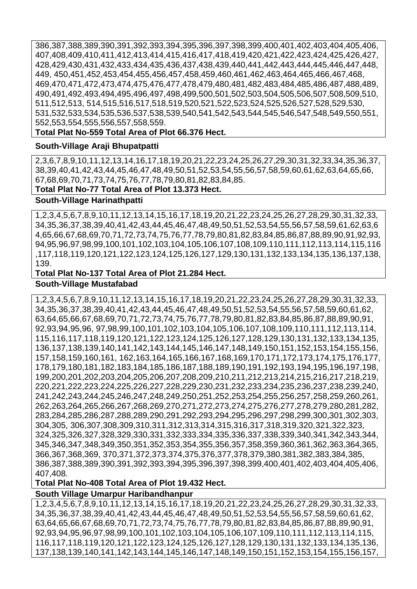386,387,388,389,390,391,392,393,394,395,396,397,398,399,400,401,402,403,404,405,406, 407,408,409,410,411,412,413,414,415,416,417,418,419,420,421,422,423,424,425,426,427, 428,429,430,431,432,433,434,435,436,437,438,439,440,441,442,443,444,445,446,447,448, 449, 450,451,452,453,454,455,456,457,458,459,460,461,462,463,464,465,466,467,468, 469,470,471,472,473,474,475,476,477,478,479,480,481,482,483,484,485,486,487,488,489, 490,491,492,493,494,495,496,497,498,499,500,501,502,503,504,505,506,507,508,509,510, 511,512,513, 514,515,516,517,518,519,520,521,522,523,524,525,526,527,528,529,530, 531,532,533,534,535,536,537,538,539,540,541,542,543,544,545,546,547,548,549,550,551, 552,553,554,555,556,557,558,559.

**Total Plat No-559 Total Area of Plot 66.376 Hect.**

#### **South-Village Araji Bhupatpatti**

2,3,6,7,8,9,10,11,12,13,14,16,17,18,19,20,21,22,23,24,25,26,27,29,30,31,32,33,34,35,36,37, 38,39,40,41,42,43,44,45,46,47,48,49,50,51,52,53,54,55,56,57,58,59,60,61,62,63,64,65,66, 67,68,69,70,71,73,74,75,76,77,78,79,80,81,82,83,84,85.

**Total Plat No-77 Total Area of Plot 13.373 Hect.**

#### **South-Village Harinathpatti**

1,2,3,4,5,6,7,8,9,10,11,12,13,14,15,16,17,18,19,20,21,22,23,24,25,26,27,28,29,30,31,32,33, 34,35,36,37,38,39,40,41,42,43,44,45,46,47,48,49,50,51,52,53,54,55,56,57,58,59,61,62,63,6 4,65,66,67,68,69,70,71,72,73,74,75,76,77,78,79,80,81,82,83,84,85,86,87,88,89,90,91,92,93, 94,95,96,97,98,99,100,101,102,103,104,105,106,107,108,109,110,111,112,113,114,115,116 ,117,118,119,120,121,122,123,124,125,126,127,129,130,131,132,133,134,135,136,137,138, 139.

#### **Total Plat No-137 Total Area of Plot 21.284 Hect. South-Village Mustafabad**

1,2,3,4,5,6,7,8,9,10,11,12,13,14,15,16,17,18,19,20,21,22,23,24,25,26,27,28,29,30,31,32,33, 34,35,36,37,38,39,40,41,42,43,44,45,46,47,48,49,50,51,52,53,54,55,56,57,58,59,60,61,62, 63,64,65,66,67,68,69,70,71,72,73,74,75,76,77,78,79,80,81,82,83,84,85,86,87,88,89,90,91, 92,93,94,95,96, 97,98,99,100,101,102,103,104,105,106,107,108,109,110,111,112,113,114, 115,116,117,118,119,120,121,122,123,124,125,126,127,128,129,130,131,132,133,134,135, 136,137,138,139,140,141,142,143,144,145,146,147,148,149,150,151,152,153,154,155,156, 157,158,159,160,161, 162,163,164,165,166,167,168,169,170,171,172,173,174,175,176,177, 178,179,180,181,182,183,184,185,186,187,188,189,190,191,192,193,194,195,196,197,198, 199,200,201,202,203,204,205,206,207,208,209,210,211,212,213,214,215,216,217,218,219, 220,221,222,223,224,225,226,227,228,229,230,231,232,233,234,235,236,237,238,239,240, 241,242,243,244,245,246,247,248,249,250,251,252,253,254,255,256,257,258,259,260,261, 262,263,264,265,266,267,268,269,270,271,272,273,274,275,276,277,278,279,280,281,282, 283,284,285,286,287,288,289,290,291,292,293,294,295,296,297,298,299,300,301,302,303, 304,305, 306,307,308,309,310,311,312,313,314,315,316,317,318,319,320,321,322,323, 324,325,326,327,328,329,330,331,332,333,334,335,336,337,338,339,340,341,342,343,344, 345,346,347,348,349,350,351,352,353,354,355,356,357,358,359,360,361,362,363,364,365, 366,367,368,369, 370,371,372,373,374,375,376,377,378,379,380,381,382,383,384,385, 386,387,388,389,390,391,392,393,394,395,396,397,398,399,400,401,402,403,404,405,406, 407,408.

# **Total Plat No-408 Total Area of Plot 19.432 Hect.**

#### **South Village Umarpur Haribandhanpur**

1,2,3,4,5,6,7,8,9,10,11,12,13,14,15,16,17,18,19,20,21,22,23,24,25,26,27,28,29,30,31,32,33, 34,35,36,37,38,39,40,41,42,43,44,45,46,47,48,49,50,51,52,53,54,55,56,57,58,59,60,61,62, 63,64,65,66,67,68,69,70,71,72,73,74,75,76,77,78,79,80,81,82,83,84,85,86,87,88,89,90,91, 92,93,94,95,96,97,98,99,100,101,102,103,104,105,106,107,109,110,111,112,113,114,115, 116,117,118,119,120,121,122,123,124,125,126,127,128,129,130,131,132,133,134,135,136, 137,138,139,140,141,142,143,144,145,146,147,148,149,150,151,152,153,154,155,156,157,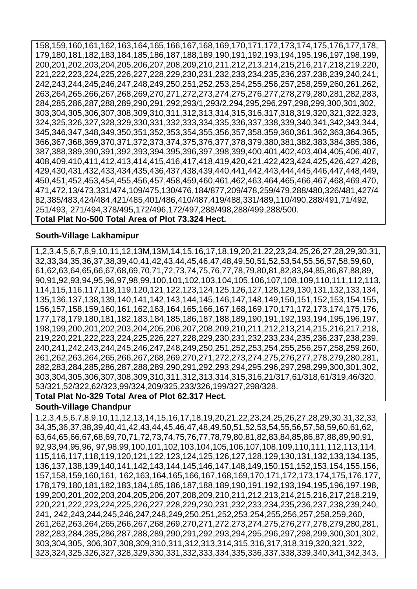158,159,160,161,162,163,164,165,166,167,168,169,170,171,172,173,174,175,176,177,178, 179,180,181,182,183,184,185,186,187,188,189,190,191,192,193,194,195,196,197,198,199, 200,201,202,203,204,205,206,207,208,209,210,211,212,213,214,215,216,217,218,219,220, 221,222,223,224,225,226,227,228,229,230,231,232,233,234,235,236,237,238,239,240,241, 242,243,244,245,246,247,248,249,250,251,252,253,254,255,256,257,258,259,260,261,262, 263,264,265,266,267,268,269,270,271,272,273,274,275,276,277,278,279,280,281,282,283, 284,285,286,287,288,289,290,291,292,293/1,293/2,294,295,296,297,298,299,300,301,302, 303,304,305,306,307,308,309,310,311,312,313,314,315,316,317,318,319,320,321,322,323, 324,325,326,327,328,329,330,331,332,333,334,335,336,337,338,339,340,341,342,343,344, 345,346,347,348,349,350,351,352,353,354,355,356,357,358,359,360,361,362,363,364,365, 366,367,368,369,370,371,372,373,374,375,376,377,378,379,380,381,382,383,384,385,386, 387,388,389,390,391,392,393,394,395,396,397,398,399,400,401,402,403,404,405,406,407, 408,409,410,411,412,413,414,415,416,417,418,419,420,421,422,423,424,425,426,427,428, 429,430,431,432,433,434,435,436,437,438,439,440,441,442,443,444,445,446,447,448,449, 450,451,452,453,454,455,456,457,458,459,460,461,462,463,464,465,466,467,468,469,470, 471,472,13/473,331/474,109/475,130/476,184/877,209/478,259/479,288/480,326/481,427/4 82,385/483,424/484,421/485,401/486,410/487,419/488,331/489,110/490,288/491,71/492, 251/493, 271/494,378/495,172/496,172/497,288/498,288/499,288/500.

#### **Total Plat No-500 Total Area of Plot 73.324 Hect.**

#### **South-Village Lakhamipur**

1,2,3,4,5,6,7,8,9,10,11,12,13M,13M,14,15,16,17,18,19,20,21,22,23,24,25,26,27,28,29,30,31, 32,33,34,35,36,37,38,39,40,41,42,43,44,45,46,47,48,49,50,51,52,53,54,55,56,57,58,59,60, 61,62,63,64,65,66,67,68,69,70,71,72,73,74,75,76,77,78,79,80,81,82,83,84,85,86,87,88,89, 90,91,92,93,94,95,96,97,98,99,100,101,102,103,104,105,106,107,108,109,110,111,112,113, 114,115,116,117,118,119,120,121,122,123,124,125,126,127,128,129,130,131,132,133,134, 135,136,137,138,139,140,141,142,143,144,145,146,147,148,149,150,151,152,153,154,155, 156,157,158,159,160,161,162,163,164,165,166,167,168,169,170,171,172,173,174,175,176, 177,178,179,180,181,182,183,184,185,186,187,188,189,190,191,192,193,194,195,196,197, 198,199,200,201,202,203,204,205,206,207,208,209,210,211,212,213,214,215,216,217,218, 219,220,221,222,223,224,225,226,227,228,229,230,231,232,233,234,235,236,237,238,239, 240,241,242,243,244,245,246,247,248,249,250,251,252,253,254,255,256,257,258,259,260, 261,262,263,264,265,266,267,268,269,270,271,272,273,274,275,276,277,278,279,280,281, 282,283,284,285,286,287,288,289,290,291,292,293,294,295,296,297,298,299,300,301,302, 303,304,305,306,307,308,309,310,311,312,313,314,315,316,21/317,61/318,61/319,46/320, 53/321,52/322,62/323,99/324,209/325,233/326,199/327,298/328.

#### **Total Plat No-329 Total Area of Plot 62.317 Hect.**

#### **South-Village Chandpur**

1,2,3,4,5,6,7,8,9,10,11,12,13,14,15,16,17,18,19,20,21,22,23,24,25,26,27,28,29,30,31,32,33, 34,35,36,37,38,39,40,41,42,43,44,45,46,47,48,49,50,51,52,53,54,55,56,57,58,59,60,61,62, 63,64,65,66,67,68,69,70,71,72,73,74,75,76,77,78,79,80,81,82,83,84,85,86,87,88,89,90,91, 92,93,94,95,96, 97,98,99,100,101,102,103,104,105,106,107,108,109,110,111,112,113,114, 115,116,117,118,119,120,121,122,123,124,125,126,127,128,129,130,131,132,133,134,135, 136,137,138,139,140,141,142,143,144,145,146,147,148,149,150,151,152,153,154,155,156, 157,158,159,160,161, 162,163,164,165,166,167,168,169,170,171,172,173,174,175,176,177, 178,179,180,181,182,183,184,185,186,187,188,189,190,191,192,193,194,195,196,197,198, 199,200,201,202,203,204,205,206,207,208,209,210,211,212,213,214,215,216,217,218,219, 220,221,222,223,224,225,226,227,228,229,230,231,232,233,234,235,236,237,238,239,240, 241, 242,243,244,245,246,247,248,249,250,251,252,253,254,255,256,257,258,259,260, 261,262,263,264,265,266,267,268,269,270,271,272,273,274,275,276,277,278,279,280,281, 282,283,284,285,286,287,288,289,290,291,292,293,294,295,296,297,298,299,300,301,302, 303,304,305, 306,307,308,309,310,311,312,313,314,315,316,317,318,319,320,321,322, 323,324,325,326,327,328,329,330,331,332,333,334,335,336,337,338,339,340,341,342,343,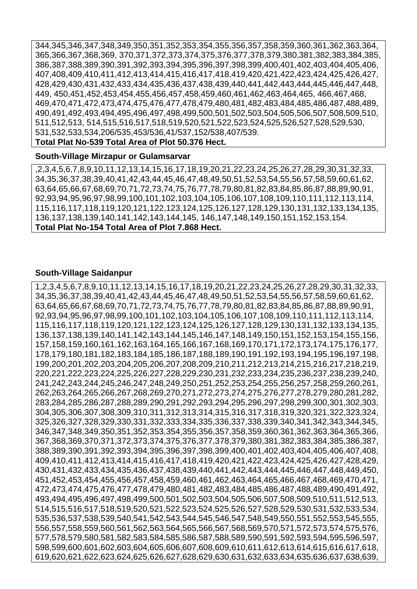344,345,346,347,348,349,350,351,352,353,354,355,356,357,358,359,360,361,362,363,364, 365,366,367,368,369, 370,371,372,373,374,375,376,377,378,379,380,381,382,383,384,385, 386,387,388,389,390,391,392,393,394,395,396,397,398,399,400,401,402,403,404,405,406, 407,408,409,410,411,412,413,414,415,416,417,418,419,420,421,422,423,424,425,426,427, 428,429,430,431,432,433,434,435,436,437,438,439,440,441,442,443,444,445,446,447,448, 449, 450,451,452,453,454,455,456,457,458,459,460,461,462,463,464,465, 466,467,468, 469,470,471,472,473,474,475,476,477,478,479,480,481,482,483,484,485,486,487,488,489, 490,491,492,493,494,495,496,497,498,499,500,501,502,503,504,505,506,507,508,509,510, 511,512,513, 514,515,516,517,518,519,520,521,522,523,524,525,526,527,528,529,530, 531,532,533,534,206/535,453/536,41/537,152/538,407/539.

# **Total Plat No-539 Total Area of Plot 50.376 Hect.**

#### **South-Village Mirzapur or Gulamsarvar**

,2,3,4,5,6,7,8,9,10,11,12,13,14,15,16,17,18,19,20,21,22,23,24,25,26,27,28,29,30,31,32,33, 34,35,36,37,38,39,40,41,42,43,44,45,46,47,48,49,50,51,52,53,54,55,56,57,58,59,60,61,62, 63,64,65,66,67,68,69,70,71,72,73,74,75,76,77,78,79,80,81,82,83,84,85,86,87,88,89,90,91, 92,93,94,95,96,97,98,99,100,101,102,103,104,105,106,107,108,109,110,111,112,113,114, 115,116,117,118,119,120,121,122,123,124,125,126,127,128,129,130,131,132,133,134,135, 136,137,138,139,140,141,142,143,144,145, 146,147,148,149,150,151,152,153,154. **Total Plat No-154 Total Area of Plot 7.868 Hect.**

#### **South-Village Saidanpur**

1,2,3,4,5,6,7,8,9,10,11,12,13,14,15,16,17,18,19,20,21,22,23,24,25,26,27,28,29,30,31,32,33, 34,35,36,37,38,39,40,41,42,43,44,45,46,47,48,49,50,51,52,53,54,55,56,57,58,59,60,61,62, 63,64,65,66,67,68,69,70,71,72,73,74,75,76,77,78,79,80,81,82,83,84,85,86,87,88,89,90,91, 92,93,94,95,96,97,98,99,100,101,102,103,104,105,106,107,108,109,110,111,112,113,114, 115,116,117,118,119,120,121,122,123,124,125,126,127,128,129,130,131,132,133,134,135, 136,137,138,139,140,141,142,143,144,145,146,147,148,149,150,151,152,153,154,155,156, 157,158,159,160,161,162,163,164,165,166,167,168,169,170,171,172,173,174,175,176,177, 178,179,180,181,182,183,184,185,186,187,188,189,190,191,192,193,194,195,196,197,198, 199,200,201,202,203,204,205,206,207,208,209,210,211,212,213,214,215,216,217,218,219, 220,221,222,223,224,225,226,227,228,229,230,231,232,233,234,235,236,237,238,239,240, 241,242,243,244,245,246,247,248,249,250,251,252,253,254,255,256,257,258,259,260,261, 262,263,264,265,266,267,268,269,270,271,272,273,274,275,276,277,278,279,280,281,282, 283,284,285,286,287,288,289,290,291,292,293,294,295,296,297,298,299,300,301,302,303, 304,305,306,307,308,309,310,311,312,313,314,315,316,317,318,319,320,321,322,323,324, 325,326,327,328,329,330,331,332,333,334,335,336,337,338,339,340,341,342,343,344,345, 346,347,348,349,350,351,352,353,354,355,356,357,358,359,360,361,362,363,364,365,366, 367,368,369,370,371,372,373,374,375,376,377,378,379,380,381,382,383,384,385,386,387, 388,389,390,391,392,393,394,395,396,397,398,399,400,401,402,403,404,405,406,407,408, 409,410,411,412,413,414,415,416,417,418,419,420,421,422,423,424,425,426,427,428,429, 430,431,432,433,434,435,436,437,438,439,440,441,442,443,444,445,446,447,448,449,450, 451,452,453,454,455,456,457,458,459,460,461,462,463,464,465,466,467,468,469,470,471, 472,473,474,475,476,477,478,479,480,481,482,483,484,485,486,487,488,489,490,491,492, 493,494,495,496,497,498,499,500,501,502,503,504,505,506,507,508,509,510,511,512,513, 514,515,516,517,518,519,520,521,522,523,524,525,526,527,528,529,530,531,532,533,534, 535,536,537,538,539,540,541,542,543,544,545,546,547,548,549,550,551,552,553,545,555, 556,557,558,559,560,561,562,563,564,565,566,567,568,569,570,571,572,573,574,575,576, 577,578,579,580,581,582,583,584,585,586,587,588,589,590,591,592,593,594,595,596,597, 598,599,600,601,602,603,604,605,606,607,608,609,610,611,612,613,614,615,616,617,618, 619,620,621,622,623,624,625,626,627,628,629,630,631,632,633,634,635,636,637,638,639,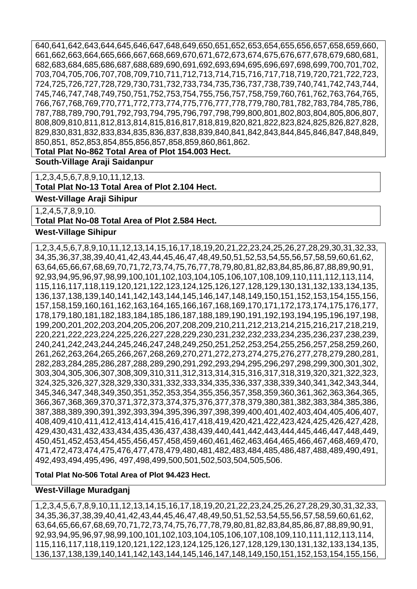640,641,642,643,644,645,646,647,648,649,650,651,652,653,654,655,656,657,658,659,660, 661,662,663,664,665,666,667,668,669,670,671,672,673,674,675,676,677,678,679,680,681, 682,683,684,685,686,687,688,689,690,691,692,693,694,695,696,697,698,699,700,701,702, 703,704,705,706,707,708,709,710,711,712,713,714,715,716,717,718,719,720,721,722,723, 724,725,726,727,728,729,730,731,732,733,734,735,736,737,738,739,740,741,742,743,744, 745,746,747,748,749,750,751,752,753,754,755,756,757,758,759,760,761,762,763,764,765, 766,767,768,769,770,771,772,773,774,775,776,777,778,779,780,781,782,783,784,785,786, 787,788,789,790,791,792,793,794,795,796,797,798,799,800,801,802,803,804,805,806,807, 808,809,810,811,812,813,814,815,816,817,818,819,820,821,822,823,824,825,826,827,828, 829,830,831,832,833,834,835,836,837,838,839,840,841,842,843,844,845,846,847,848,849, 850,851, 852,853,854,855,856,857,858,859,860,861,862.

**Total Plat No-862 Total Area of Plot 154.003 Hect.**

**South-Village Araji Saidanpur** 

1,2,3,4,5,6,7,8,9,10,11,12,13.

**Total Plat No-13 Total Area of Plot 2.104 Hect.**

**West-Village Araji Sihipur** 

1,2,4,5,7,8,9,10.

**Total Plat No-08 Total Area of Plot 2.584 Hect.**

#### **West-Village Sihipur**

1,2,3,4,5,6,7,8,9,10,11,12,13,14,15,16,17,18,19,20,21,22,23,24,25,26,27,28,29,30,31,32,33, 34,35,36,37,38,39,40,41,42,43,44,45,46,47,48,49,50,51,52,53,54,55,56,57,58,59,60,61,62, 63,64,65,66,67,68,69,70,71,72,73,74,75,76,77,78,79,80,81,82,83,84,85,86,87,88,89,90,91, 92,93,94,95,96,97,98,99,100,101,102,103,104,105,106,107,108,109,110,111,112,113,114, 115,116,117,118,119,120,121,122,123,124,125,126,127,128,129,130,131,132,133,134,135, 136,137,138,139,140,141,142,143,144,145,146,147,148,149,150,151,152,153,154,155,156, 157,158,159,160,161,162,163,164,165,166,167,168,169,170,171,172,173,174,175,176,177, 178,179,180,181,182,183,184,185,186,187,188,189,190,191,192,193,194,195,196,197,198, 199,200,201,202,203,204,205,206,207,208,209,210,211,212,213,214,215,216,217,218,219, 220,221,222,223,224,225,226,227,228,229,230,231,232,232,233,234,235,236,237,238,239, 240,241,242,243,244,245,246,247,248,249,250,251,252,253,254,255,256,257,258,259,260, 261,262,263,264,265,266,267,268,269,270,271,272,273,274,275,276,277,278,279,280,281, 282,283,284,285,286,287,288,289,290,291,292,293,294,295,296,297,298,299,300,301,302, 303,304,305,306,307,308,309,310,311,312,313,314,315,316,317,318,319,320,321,322,323, 324,325,326,327,328,329,330,331,332,333,334,335,336,337,338,339,340,341,342,343,344, 345,346,347,348,349,350,351,352,353,354,355,356,357,358,359,360,361,362,363,364,365, 366,367,368,369,370,371,372,373,374,375,376,377,378,379,380,381,382,383,384,385,386, 387,388,389,390,391,392,393,394,395,396,397,398,399,400,401,402,403,404,405,406,407, 408,409,410,411,412,413,414,415,416,417,418,419,420,421,422,423,424,425,426,427,428, 429,430,431,432,433,434,435,436,437,438,439,440,441,442,443,444,445,446,447,448,449, 450,451,452,453,454,455,456,457,458,459,460,461,462,463,464,465,466,467,468,469,470, 471,472,473,474,475,476,477,478,479,480,481,482,483,484,485,486,487,488,489,490,491, 492,493,494,495,496, 497,498,499,500,501,502,503,504,505,506.

**Total Plat No-506 Total Area of Plot 94.423 Hect.**

#### **West-Village Muradganj**

1,2,3,4,5,6,7,8,9,10,11,12,13,14,15,16,17,18,19,20,21,22,23,24,25,26,27,28,29,30,31,32,33, 34,35,36,37,38,39,40,41,42,43,44,45,46,47,48,49,50,51,52,53,54,55,56,57,58,59,60,61,62, 63,64,65,66,67,68,69,70,71,72,73,74,75,76,77,78,79,80,81,82,83,84,85,86,87,88,89,90,91, 92,93,94,95,96,97,98,99,100,101,102,103,104,105,106,107,108,109,110,111,112,113,114, 115,116,117,118,119,120,121,122,123,124,125,126,127,128,129,130,131,132,133,134,135, 136,137,138,139,140,141,142,143,144,145,146,147,148,149,150,151,152,153,154,155,156,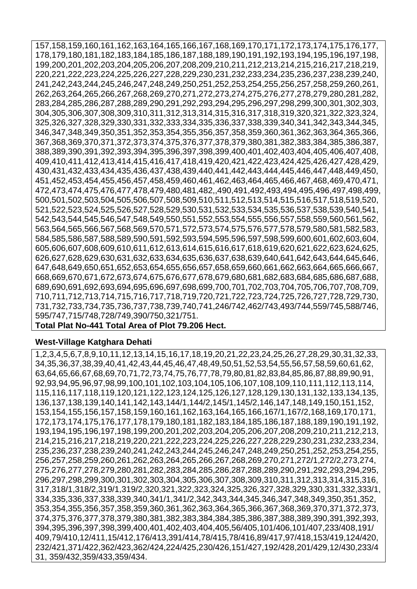157,158,159,160,161,162,163,164,165,166,167,168,169,170,171,172,173,174,175,176,177, 178,179,180,181,182,183,184,185,186,187,188,189,190,191,192,193,194,195,196,197,198, 199,200,201,202,203,204,205,206,207,208,209,210,211,212,213,214,215,216,217,218,219, 220,221,222,223,224,225,226,227,228,229,230,231,232,233,234,235,236,237,238,239,240, 241,242,243,244,245,246,247,248,249,250,251,252,253,254,255,256,257,258,259,260,261, 262,263,264,265,266,267,268,269,270,271,272,273,274,275,276,277,278,279,280,281,282, 283,284,285,286,287,288,289,290,291,292,293,294,295,296,297,298,299,300,301,302,303, 304,305,306,307,308,309,310,311,312,313,314,315,316,317,318,319,320,321,322,323,324, 325,326,327,328,329,330,331,332,333,334,335,336,337,338,339,340,341,342,343,344,345, 346,347,348,349,350,351,352,353,354,355,356,357,358,359,360,361,362,363,364,365,366, 367,368,369,370,371,372,373,374,375,376,377,378,379,380,381,382,383,384,385,386,387, 388,389,390,391,392,393,394,395,396,397,398,399,400,401,402,403,404,405,406,407,408, 409,410,411,412,413,414,415,416,417,418,419,420,421,422,423,424,425,426,427,428,429, 430,431,432,433,434,435,436,437,438,439,440,441,442,443,444,445,446,447,448,449,450, 451,452,453,454,455,456,457,458,459,460,461,462,463,464,465,466,467,468,469,470,471, 472,473,474,475,476,477,478,479,480,481,482,,490,491,492,493,494,495,496,497,498,499, 500,501,502,503,504,505,506,507,508,509,510,511,512,513,514,515,516,517,518,519,520, 521,522,523,524,525,526,527,528,529,530,531,532,533,534,535,536,537,538,539,540,541, 542,543,544,545,546,547,548,549,550,551,552,553,554,555,556,557,558,559,560,561,562, 563,564,565,566,567,568,569,570,571,572,573,574,575,576,577,578,579,580,581,582,583, 584,585,586,587,588,589,590,591,592,593,594,595,596,597,598,599,600,601,602,603,604, 605,606,607,608,609,610,611,612,613,614,615,616,617,618,619,620,621,622,623,624,625, 626,627,628,629,630,631,632,633,634,635,636,637,638,639,640,641,642,643,644,645,646, 647,648,649,650,651,652,653,654,655,656,657,658,659,660,661,662,663,664,665,666,667, 668,669,670,671,672,673,674,675,676,677,678,679,680,681,682,683,684,685,686,687,688, 689,690,691,692,693,694,695,696,697,698,699,700,701,702,703,704,705,706,707,708,709, 710,711,712,713,714,715,716,717,718,719,720,721,722,723,724,725,726,727,728,729,730, 731,732,733,734,735,736,737,738,739,740,741,246/742,462/743,493/744,559/745,588/746, 595/747,715/748,728/749,390/750,321/751.

# **Total Plat No-441 Total Area of Plot 79.206 Hect.**

#### **West-Village Katghara Dehati**

1,2,3,4,5,6,7,8,9,10,11,12,13,14,15,16,17,18,19,20,21,22,23,24,25,26,27,28,29,30,31,32,33, 34,35,36,37,38,39,40,41,42,43,44,45,46,47,48,49,50,51,52,53,54,55,56,57,58,59,60,61,62, 63,64,65,66,67,68,69,70,71,72,73,74,75,76,77,78,79,80,81,82,83,84,85,86,87,88,89,90,91, 92,93,94,95,96,97,98,99,100,101,102,103,104,105,106,107,108,109,110,111,112,113,114, 115,116,117,118,119,120,121,122,123,124,125,126,127,128,129,130,131,132,133,134,135, 136,137,138,139,140,141,142,143,144/1,144/2,145/1,145/2,146,147,148,149,150,151,152, 153,154,155,156,157,158,159,160,161,162,163,164,165,166,167/1,167/2,168,169,170,171, 172,173,174,175,176,177,178,179,180,181,182,183,184,185,186,187,188,189,190,191,192, 193,194,195,196,197,198,199,200,201,202,203,204,205,206,207,208,209,210,211,212,213, 214,215,216,217,218,219,220,221,222,223,224,225,226,227,228,229,230,231,232,233,234, 235,236,237,238,239,240,241,242,243,244,245,246,247,248,249,250,251,252,253,254,255, 256,257,258,259,260,261,262,263,264,265,266,267,268,269,270,271,272/1,272/2,273,274, 275,276,277,278,279,280,281,282,283,284,285,286,287,288,289,290,291,292,293,294,295, 296,297,298,299,300,301,302,303,304,305,306,307,308,309,310,311,312,313,314,315,316, 317,318/1,318/2,319/1,319/2,320,321,322,323,324,325,326,327,328,329,330,331,332,333/1, 334,335,336,337,338,339,340,341/1,341/2,342,343,344,345,346,347,348,349,350,351,352, 353,354,355,356,357,358,359,360,361,362,363,364,365,366,367,368,369,370,371,372,373, 374,375,376,377,378,379,380,381,382,383,384,384,385,386,387,388,389,390,391,392,393, 394,395,396,397,398,399,400,401,402,403,404,405,56/405,101/406,101/407,233/408,191/ 409,79/410,12/411,15/412,176/413,391/414,78/415,78/416,89/417,97/418,153/419,124/420, 232/421,371/422,362/423,362/424,224/425,230/426,151/427,192/428,201/429,12/430,233/4 31, 359/432,359/433,359/434.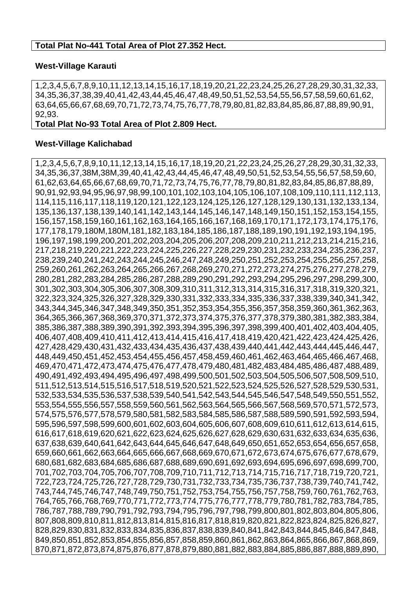#### **Total Plat No-441 Total Area of Plot 27.352 Hect.**

#### **West-Village Karauti**

1,2,3,4,5,6,7,8,9,10,11,12,13,14,15,16,17,18,19,20,21,22,23,24,25,26,27,28,29,30,31,32,33, 34,35,36,37,38,39,40,41,42,43,44,45,46,47,48,49,50,51,52,53,54,55,56,57,58,59,60,61,62, 63,64,65,66,67,68,69,70,71,72,73,74,75,76,77,78,79,80,81,82,83,84,85,86,87,88,89,90,91, 92,93.

#### **Total Plat No-93 Total Area of Plot 2.809 Hect.**

#### **West-Village Kalichabad**

1,2,3,4,5,6,7,8,9,10,11,12,13,14,15,16,17,18,19,20,21,22,23,24,25,26,27,28,29,30,31,32,33, 34,35,36,37,38M,38M,39,40,41,42,43,44,45,46,47,48,49,50,51,52,53,54,55,56,57,58,59,60, 61,62,63,64,65,66,67,68,69,70,71,72,73,74,75,76,77,78,79,80,81,82,83,84,85,86,87,88,89, 90,91,92,93,94,95,96,97,98,99,100,101,102,103,104,105,106,107,108,109,110,111,112,113, 114,115,116,117,118,119,120,121,122,123,124,125,126,127,128,129,130,131,132,133,134, 135,136,137,138,139,140,141,142,143,144,145,146,147,148,149,150,151,152,153,154,155, 156,157,158,159,160,161,162,163,164,165,166,167,168,169,170,171,172,173,174,175,176, 177,178,179,180M,180M,181,182,183,184,185,186,187,188,189,190,191,192,193,194,195, 196,197,198,199,200,201,202,203,204,205,206,207,208,209,210,211,212,213,214,215,216, 217,218,219,220,221,222,223,224,225,226,227,228,229,230,231,232,233,234,235,236,237, 238,239,240,241,242,243,244,245,246,247,248,249,250,251,252,253,254,255,256,257,258, 259,260,261,262,263,264,265,266,267,268,269,270,271,272,273,274,275,276,277,278,279, 280,281,282,283,284,285,286,287,288,289,290,291,292,293,294,295,296,297,298,299,300, 301,302,303,304,305,306,307,308,309,310,311,312,313,314,315,316,317,318,319,320,321, 322,323,324,325,326,327,328,329,330,331,332,333,334,335,336,337,338,339,340,341,342, 343,344,345,346,347,348,349,350,351,352,353,354,355,356,357,358,359,360,361,362,363, 364,365,366,367,368,369,370,371,372,373,374,375,376,377,378,379,380,381,382,383,384, 385,386,387,388,389,390,391,392,393,394,395,396,397,398,399,400,401,402,403,404,405, 406,407,408,409,410,411,412,413,414,415,416,417,418,419,420,421,422,423,424,425,426, 427,428,429,430,431,432,433,434,435,436,437,438,439,440,441,442,443,444,445,446,447, 448,449,450,451,452,453,454,455,456,457,458,459,460,461,462,463,464,465,466,467,468, 469,470,471,472,473,474,475,476,477,478,479,480,481,482,483,484,485,486,487,488,489, 490,491,492,493,494,495,496,497,498,499,500,501,502,503,504,505,506,507,508,509,510, 511,512,513,514,515,516,517,518,519,520,521,522,523,524,525,526,527,528,529,530,531, 532,533,534,535,536,537,538,539,540,541,542,543,544,545,546,547,548,549,550,551,552, 553,554,555,556,557,558,559,560,561,562,563,564,565,566,567,568,569,570,571,572,573, 574,575,576,577,578,579,580,581,582,583,584,585,586,587,588,589,590,591,592,593,594, 595,596,597,598,599,600,601,602,603,604,605,606,607,608,609,610,611,612,613,614,615, 616,617,618,619,620,621,622,623,624,625,626,627,628,629,630,631,632,633,634,635,636, 637,638,639,640,641,642,643,644,645,646,647,648,649,650,651,652,653,654,656,657,658, 659,660,661,662,663,664,665,666,667,668,669,670,671,672,673,674,675,676,677,678,679, 680,681,682,683,684,685,686,687,688,689,690,691,692,693,694,695,696,697,698,699,700, 701,702,703,704,705,706,707,708,709,710,711,712,713,714,715,716,717,718,719,720,721, 722,723,724,725,726,727,728,729,730,731,732,733,734,735,736,737,738,739,740,741,742, 743,744,745,746,747,748,749,750,751,752,753,754,755,756,757,758,759,760,761,762,763, 764,765,766,768,769,770,771,772,773,774,775,776,777,778,779,780,781,782,783,784,785, 786,787,788,789,790,791,792,793,794,795,796,797,798,799,800,801,802,803,804,805,806, 807,808,809,810,811,812,813,814,815,816,817,818,819,820,821,822,823,824,825,826,827, 828,829,830,831,832,833,834,835,836,837,838,839,840,841,842,843,844,845,846,847,848, 849,850,851,852,853,854,855,856,857,858,859,860,861,862,863,864,865,866,867,868,869, 870,871,872,873,874,875,876,877,878,879,880,881,882,883,884,885,886,887,888,889,890,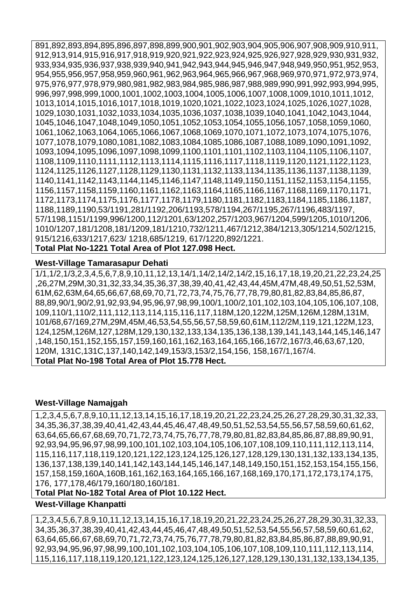891,892,893,894,895,896,897,898,899,900,901,902,903,904,905,906,907,908,909,910,911, 912,913,914,915,916,917,918,919,920,921,922,923,924,925,926,927,928,929,930,931,932, 933,934,935,936,937,938,939,940,941,942,943,944,945,946,947,948,949,950,951,952,953, 954,955,956,957,958,959,960,961,962,963,964,965,966,967,968,969,970,971,972,973,974, 975,976,977,978,979,980,981,982,983,984,985,986,987,988,989,990,991,992,993,994,995, 996,997,998,999,1000,1001,1002,1003,1004,1005,1006,1007,1008,1009,1010,1011,1012, 1013,1014,1015,1016,1017,1018,1019,1020,1021,1022,1023,1024,1025,1026,1027,1028, 1029,1030,1031,1032,1033,1034,1035,1036,1037,1038,1039,1040,1041,1042,1043,1044, 1045,1046,1047,1048,1049,1050,1051,1052,1053,1054,1055,1056,1057,1058,1059,1060, 1061,1062,1063,1064,1065,1066,1067,1068,1069,1070,1071,1072,1073,1074,1075,1076, 1077,1078,1079,1080,1081,1082,1083,1084,1085,1086,1087,1088,1089,1090,1091,1092, 1093,1094,1095,1096,1097,1098,1099,1100,1101,1101,1102,1103,1104,1105,1106,1107, 1108,1109,1110,1111,1112,1113,1114,1115,1116,1117,1118,1119,1120,1121,1122,1123, 1124,1125,1126,1127,1128,1129,1130,1131,1132,1133,1134,1135,1136,1137,1138,1139, 1140,1141,1142,1143,1144,1145,1146,1147,1148,1149,1150,1151,1152,1153,1154,1155, 1156,1157,1158,1159,1160,1161,1162,1163,1164,1165,1166,1167,1168,1169,1170,1171, 1172,1173,1174,1175,1176,1177,1178,1179,1180,1181,1182,1183,1184,1185,1186,1187, 1188,1189,1190,53/1191,281/1192,206/1193,578/1194,267/1195,267/1196,483/1197, 57/1198,1151/1199,996/1200,112/1201,63/1202,257/1203,967/1204,599/1205,1010/1206, 1010/1207,181/1208,181/1209,181/1210,732/1211,467/1212,384/1213,305/1214,502/1215, 915/1216,633/1217,623/ 1218,685/1219, 617/1220,892/1221.

**Total Plat No-1221 Total Area of Plot 127.098 Hect.**

#### **West-Village Tamarasapur Dehati**

1/1,1/2,1/3,2,3,4,5,6,7,8,9,10,11,12,13,14/1,14/2,14/2,14/2,15,16,17,18,19,20,21,22,23,24,25 ,26,27M,29M,30,31,32,33,34,35,36,37,38,39,40,41,42,43,44,45M,47M,48,49,50,51,52,53M, 61M,62,63M,64,65,66,67,68,69,70,71,72,73,74,75,76,77,78,79,80,81,82,83,84,85,86,87, 88,89,90/1,90/2,91,92,93,94,95,96,97,98,99,100/1,100/2,101,102,103,104,105,106,107,108, 109,110/1,110/2,111,112,113,114,115,116,117,118M,120,122M,125M,126M,128M,131M, 101/68,67/169,27M,29M,45M,46,53,54,55,56,57,58,59,60,61M,112/2M,119,121,122M,123, 124,125M,126M,127,128M,129,130,132,133,134,135,136,138,139,141,143,144,145,146,147 ,148,150,151,152,155,157,159,160,161,162,163,164,165,166,167/2,167/3,46,63,67,120, 120M, 131C,131C,137,140,142,149,153/3,153/2,154,156, 158,167/1,167/4. **Total Plat No-198 Total Area of Plot 15.778 Hect.**

#### **West-Village Namajgah**

1,2,3,4,5,6,7,8,9,10,11,12,13,14,15,16,17,18,19,20,21,22,23,24,25,26,27,28,29,30,31,32,33, 34,35,36,37,38,39,40,41,42,43,44,45,46,47,48,49,50,51,52,53,54,55,56,57,58,59,60,61,62, 63,64,65,66,67,68,69,70,71,72,73,74,75,76,77,78,79,80,81,82,83,84,85,86,87,88,89,90,91, 92,93,94,95,96,97,98,99,100,101,102,103,104,105,106,107,108,109,110,111,112,113,114, 115,116,117,118,119,120,121,122,123,124,125,126,127,128,129,130,131,132,133,134,135, 136,137,138,139,140,141,142,143,144,145,146,147,148,149,150,151,152,153,154,155,156, 157,158,159,160A,160B,161,162,163,164,165,166,167,168,169,170,171,172,173,174,175, 176, 177,178,46/179,160/180,160/181.

**Total Plat No-182 Total Area of Plot 10.122 Hect.**

#### **West-Village Khanpatti**

1,2,3,4,5,6,7,8,9,10,11,12,13,14,15,16,17,18,19,20,21,22,23,24,25,26,27,28,29,30,31,32,33, 34,35,36,37,38,39,40,41,42,43,44,45,46,47,48,49,50,51,52,53,54,55,56,57,58,59,60,61,62, 63,64,65,66,67,68,69,70,71,72,73,74,75,76,77,78,79,80,81,82,83,84,85,86,87,88,89,90,91, 92,93,94,95,96,97,98,99,100,101,102,103,104,105,106,107,108,109,110,111,112,113,114, 115,116,117,118,119,120,121,122,123,124,125,126,127,128,129,130,131,132,133,134,135,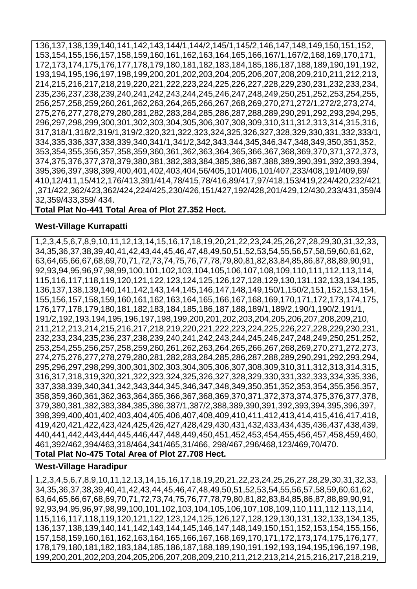136,137,138,139,140,141,142,143,144/1,144/2,145/1,145/2,146,147,148,149,150,151,152, 153,154,155,156,157,158,159,160,161,162,163,164,165,166,167/1,167/2,168,169,170,171, 172,173,174,175,176,177,178,179,180,181,182,183,184,185,186,187,188,189,190,191,192, 193,194,195,196,197,198,199,200,201,202,203,204,205,206,207,208,209,210,211,212,213, 214,215,216,217,218,219,220,221,222,223,224,225,226,227,228,229,230,231,232,233,234, 235,236,237,238,239,240,241,242,243,244,245,246,247,248,249,250,251,252,253,254,255, 256,257,258,259,260,261,262,263,264,265,266,267,268,269,270,271,272/1,272/2,273,274, 275,276,277,278,279,280,281,282,283,284,285,286,287,288,289,290,291,292,293,294,295, 296,297,298,299,300,301,302,303,304,305,306,307,308,309,310,311,312,313,314,315,316, 317,318/1,318/2,319/1,319/2,320,321,322,323,324,325,326,327,328,329,330,331,332,333/1, 334,335,336,337,338,339,340,341/1,341/2,342,343,344,345,346,347,348,349,350,351,352, 353,354,355,356,357,358,359,360,361,362,363,364,365,366,367,368,369,370,371,372,373, 374,375,376,377,378,379,380,381,382,383,384,385,386,387,388,389,390,391,392,393,394, 395,396,397,398,399,400,401,402,403,404,56/405,101/406,101/407,233/408,191/409,69/ 410,12/411,15/412,176/413,391/414,78/415,78/416,89/417,97/418,153/419,224/420,232/421 ,371/422,362/423,362/424,224/425,230/426,151/427,192/428,201/429,12/430,233/431,359/4 32,359/433,359/ 434.

#### **Total Plat No-441 Total Area of Plot 27.352 Hect.**

#### **West-Village Kurrapatti**

1,2,3,4,5,6,7,8,9,10,11,12,13,14,15,16,17,18,19,20,21,22,23,24,25,26,27,28,29,30,31,32,33, 34,35,36,37,38,39,40,41,42,43,44,45,46,47,48,49,50,51,52,53,54,55,56,57,58,59,60,61,62, 63,64,65,66,67,68,69,70,71,72,73,74,75,76,77,78,79,80,81,82,83,84,85,86,87,88,89,90,91, 92,93,94,95,96,97,98,99,100,101,102,103,104,105,106,107,108,109,110,111,112,113,114, 115,116,117,118,119,120,121,122,123,124,125,126,127,128,129,130,131,132,133,134,135, 136,137,138,139,140,141,142,143,144,145,146,147,148,149,150/1,150/2,151,152,153,154, 155,156,157,158,159,160,161,162,163,164,165,166,167,168,169,170,171,172,173,174,175, 176,177,178,179,180,181,182,183,184,185,186,187,188,189/1,189/2,190/1,190/2,191/1, 191/2,192,193,194,195,196,197,198,199,200,201,202,203,204,205,206,207,208,209,210, 211,212,213,214,215,216,217,218,219,220,221,222,223,224,225,226,227,228,229,230,231, 232,233,234,235,236,237,238,239,240,241,242,243,244,245,246,247,248,249,250,251,252, 253,254,255,256,257,258,259,260,261,262,263,264,265,266,267,268,269,270,271,272,273, 274,275,276,277,278,279,280,281,282,283,284,285,286,287,288,289,290,291,292,293,294, 295,296,297,298,299,300,301,302,303,304,305,306,307,308,309,310,311,312,313,314,315, 316,317,318,319,320,321,322,323,324,325,326,327,328,329,330,331,332,333,334,335,336, 337,338,339,340,341,342,343,344,345,346,347,348,349,350,351,352,353,354,355,356,357, 358,359,360,361,362,363,364,365,366,367,368,369,370,371,372,373,374,375,376,377,378, 379,380,381,382,383,384,385,386,387/1,387/2,388,389,390,391,392,393,394,395,396,397, 398,399,400,401,402,403,404,405,406,407,408,409,410,411,412,413,414,415,416,417,418, 419,420,421,422,423,424,425,426,427,428,429,430,431,432,433,434,435,436,437,438,439, 440,441,442,443,444,445,446,447,448,449,450,451,452,453,454,455,456,457,458,459,460, 461,392/462,394/463,318/464,341/465,31/466, 298/467,296/468,123/469,70/470.

**Total Plat No-475 Total Area of Plot 27.708 Hect.**

#### **West-Village Haradipur**

1,2,3,4,5,6,7,8,9,10,11,12,13,14,15,16,17,18,19,20,21,22,23,24,25,26,27,28,29,30,31,32,33, 34,35,36,37,38,39,40,41,42,43,44,45,46,47,48,49,50,51,52,53,54,55,56,57,58,59,60,61,62, 63,64,65,66,67,68,69,70,71,72,73,74,75,76,77,78,79,80,81,82,83,84,85,86,87,88,89,90,91, 92,93,94,95,96,97,98,99,100,101,102,103,104,105,106,107,108,109,110,111,112,113,114, 115,116,117,118,119,120,121,122,123,124,125,126,127,128,129,130,131,132,133,134,135, 136,137,138,139,140,141,142,143,144,145,146,147,148,149,150,151,152,153,154,155,156, 157,158,159,160,161,162,163,164,165,166,167,168,169,170,171,172,173,174,175,176,177, 178,179,180,181,182,183,184,185,186,187,188,189,190,191,192,193,194,195,196,197,198, 199,200,201,202,203,204,205,206,207,208,209,210,211,212,213,214,215,216,217,218,219,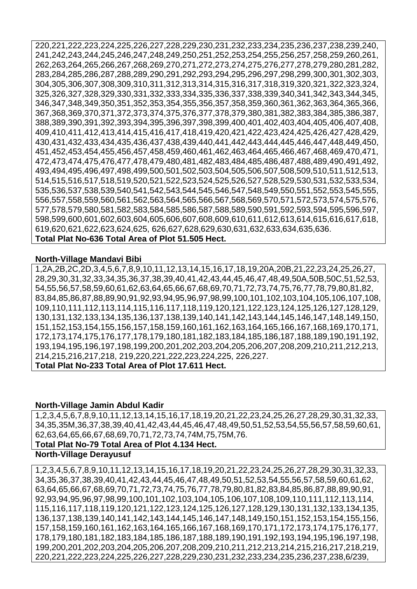220,221,222,223,224,225,226,227,228,229,230,231,232,233,234,235,236,237,238,239,240, 241,242,243,244,245,246,247,248,249,250,251,252,253,254,255,256,257,258,259,260,261, 262,263,264,265,266,267,268,269,270,271,272,273,274,275,276,277,278,279,280,281,282, 283,284,285,286,287,288,289,290,291,292,293,294,295,296,297,298,299,300,301,302,303, 304,305,306,307,308,309,310,311,312,313,314,315,316,317,318,319,320,321,322,323,324, 325,326,327,328,329,330,331,332,333,334,335,336,337,338,339,340,341,342,343,344,345, 346,347,348,349,350,351,352,353,354,355,356,357,358,359,360,361,362,363,364,365,366, 367,368,369,370,371,372,373,374,375,376,377,378,379,380,381,382,383,384,385,386,387, 388,389,390,391,392,393,394,395,396,397,398,399,400,401,402,403,404,405,406,407,408, 409,410,411,412,413,414,415,416,417,418,419,420,421,422,423,424,425,426,427,428,429, 430,431,432,433,434,435,436,437,438,439,440,441,442,443,444,445,446,447,448,449,450, 451,452,453,454,455,456,457,458,459,460,461,462,463,464,465,466,467,468,469,470,471, 472,473,474,475,476,477,478,479,480,481,482,483,484,485,486,487,488,489,490,491,492, 493,494,495,496,497,498,499,500,501,502,503,504,505,506,507,508,509,510,511,512,513, 514,515,516,517,518,519,520,521,522,523,524,525,526,527,528,529,530,531,532,533,534, 535,536,537,538,539,540,541,542,543,544,545,546,547,548,549,550,551,552,553,545,555, 556,557,558,559,560,561,562,563,564,565,566,567,568,569,570,571,572,573,574,575,576, 577,578,579,580,581,582,583,584,585,586,587,588,589,590,591,592,593,594,595,596,597, 598,599,600,601,602,603,604,605,606,607,608,609,610,611,612,613,614,615,616,617,618, 619,620,621,622,623,624,625, 626,627,628,629,630,631,632,633,634,635,636. **Total Plat No-636 Total Area of Plot 51.505 Hect.**

#### **North-Village Mandavi Bibi**

1,2A,2B,2C,2D,3,4,5,6,7,8,9,10,11,12,13,14,15,16,17,18,19,20A,20B,21,22,23,24,25,26,27, 28,29,30,31,32,33,34,35,36,37,38,39,40,41,42,43,44,45,46,47,48,49,50A,50B,50C,51,52,53, 54,55,56,57,58,59,60,61,62,63,64,65,66,67,68,69,70,71,72,73,74,75,76,77,78,79,80,81,82, 83,84,85,86,87,88,89,90,91,92,93,94,95,96,97,98,99,100,101,102,103,104,105,106,107,108, 109,110,111,112,113,114,115,116,117,118,119,120,121,122,123,124,125,126,127,128,129, 130,131,132,133,134,135,136,137,138,139,140,141,142,143,144,145,146,147,148,149,150, 151,152,153,154,155,156,157,158,159,160,161,162,163,164,165,166,167,168,169,170,171, 172,173,174,175,176,177,178,179,180,181,182,183,184,185,186,187,188,189,190,191,192, 193,194,195,196,197,198,199,200,201,202,203,204,205,206,207,208,209,210,211,212,213, 214,215,216,217,218, 219,220,221,222,223,224,225, 226,227. **Total Plat No-233 Total Area of Plot 17.611 Hect.**

#### **North-Village Jamin Abdul Kadir**

1,2,3,4,5,6,7,8,9,10,11,12,13,14,15,16,17,18,19,20,21,22,23,24,25,26,27,28,29,30,31,32,33, 34,35,35M,36,37,38,39,40,41,42,43,44,45,46,47,48,49,50,51,52,53,54,55,56,57,58,59,60,61, 62,63,64,65,66,67,68,69,70,71,72,73,74,74M,75,75M,76.

**Total Plat No-79 Total Area of Plot 4.134 Hect.**

#### **North-Village Derayusuf**

1,2,3,4,5,6,7,8,9,10,11,12,13,14,15,16,17,18,19,20,21,22,23,24,25,26,27,28,29,30,31,32,33, 34,35,36,37,38,39,40,41,42,43,44,45,46,47,48,49,50,51,52,53,54,55,56,57,58,59,60,61,62, 63,64,65,66,67,68,69,70,71,72,73,74,75,76,77,78,79,80,81,82,83,84,85,86,87,88,89,90,91, 92,93,94,95,96,97,98,99,100,101,102,103,104,105,106,107,108,109,110,111,112,113,114, 115,116,117,118,119,120,121,122,123,124,125,126,127,128,129,130,131,132,133,134,135, 136,137,138,139,140,141,142,143,144,145,146,147,148,149,150,151,152,153,154,155,156, 157,158,159,160,161,162,163,164,165,166,167,168,169,170,171,172,173,174,175,176,177, 178,179,180,181,182,183,184,185,186,187,188,189,190,191,192,193,194,195,196,197,198, 199,200,201,202,203,204,205,206,207,208,209,210,211,212,213,214,215,216,217,218,219, 220,221,222,223,224,225,226,227,228,229,230,231,232,233,234,235,236,237,238,6/239,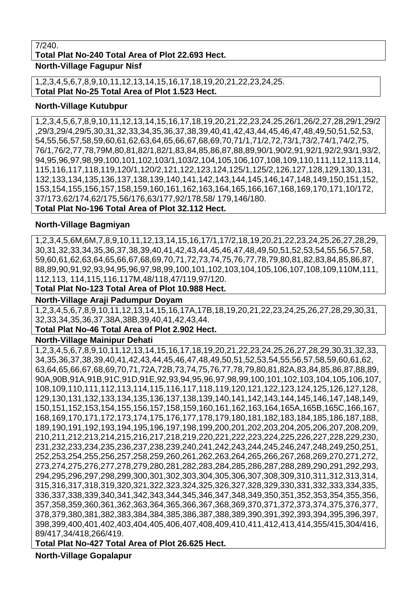#### 7/240.

**Total Plat No-240 Total Area of Plot 22.693 Hect.**

**North-Village Fagupur Nisf** 

1,2,3,4,5,6,7,8,9,10,11,12,13,14,15,16,17,18,19,20,21,22,23,24,25. **Total Plat No-25 Total Area of Plot 1.523 Hect.**

#### **North-Village Kutubpur**

1,2,3,4,5,6,7,8,9,10,11,12,13,14,15,16,17,18,19,20,21,22,23,24,25,26/1,26/2,27,28,29/1,29/2 ,29/3,29/4,29/5,30,31,32,33,34,35,36,37,38,39,40,41,42,43,44,45,46,47,48,49,50,51,52,53, 54,55,56,57,58,59,60,61,62,63,64,65,66,67,68,69,70,71/1,71/2,72,73/1,73/2,74/1,74/2,75, 76/1,76/2,77,78,79M,80,81,82/1,82/1,83,84,85,86,87,88,89,90/1,90/2,91,92/1,92/2,93/1,93/2, 94,95,96,97,98,99,100,101,102,103/1,103/2,104,105,106,107,108,109,110,111,112,113,114, 115,116,117,118,119,120/1,120/2,121,122,123,124,125/1,125/2,126,127,128,129,130,131, 132,133,134,135,136,137,138,139,140,141,142,143,144,145,146,147,148,149,150,151,152, 153,154,155,156,157,158,159,160,161,162,163,164,165,166,167,168,169,170,171,10/172, 37/173,62/174,62/175,56/176,63/177,92/178,58/ 179,146/180.

**Total Plat No-196 Total Area of Plot 32.112 Hect.**

#### **North-Village Bagmiyan**

1,2,3,4,5,6M,6M,7,8,9,10,11,12,13,14,15,16,17/1,17/2,18,19,20,21,22,23,24,25,26,27,28,29, 30,31,32,33,34,35,36,37,38,39,40,41,42,43,44,45,46,47,48,49,50,51,52,53,54,55,56,57,58, 59,60,61,62,63,64,65,66,67,68,69,70,71,72,73,74,75,76,77,78,79,80,81,82,83,84,85,86,87, 88,89,90,91,92,93,94,95,96,97,98,99,100,101,102,103,104,105,106,107,108,109,110M,111, 112,113, 114,115,116,117M,48/118,47/119,97/120.

**Total Plat No-123 Total Area of Plot 10.988 Hect.**

#### **North-Village Araji Padumpur Doyam**

1,2,3,4,5,6,7,8,9,10,11,12,13,14,15,16,17A,17B,18,19,20,21,22,23,24,25,26,27,28,29,30,31, 32,33,34,35,36,37,38A,38B,39,40,41,42,43,44.

#### **Total Plat No-46 Total Area of Plot 2.902 Hect.**

#### **North-Village Mainipur Dehati**

1,2,3,4,5,6,7,8,9,10,11,12,13,14,15,16,17,18,19,20,21,22,23,24,25,26,27,28,29,30,31,32,33, 34,35,36,37,38,39,40,41,42,43,44,45,46,47,48,49,50,51,52,53,54,55,56,57,58,59,60,61,62, 63,64,65,66,67,68,69,70,71,72A,72B,73,74,75,76,77,78,79,80,81,82A,83,84,85,86,87,88,89, 90A,90B,91A,91B,91C,91D,91E,92,93,94,95,96,97,98,99,100,101,102,103,104,105,106,107, 108,109,110,111,112,113,114,115,116,117,118,119,120,121,122,123,124,125,126,127,128, 129,130,131,132,133,134,135,136,137,138,139,140,141,142,143,144,145,146,147,148,149, 150,151,152,153,154,155,156,157,158,159,160,161,162,163,164,165A,165B,165C,166,167, 168,169,170,171,172,173,174,175,176,177,178,179,180,181,182,183,184,185,186,187,188, 189,190,191,192,193,194,195,196,197,198,199,200,201,202,203,204,205,206,207,208,209, 210,211,212,213,214,215,216,217,218,219,220,221,222,223,224,225,226,227,228,229,230, 231,232,233,234,235,236,237,238,239,240,241,242,243,244,245,246,247,248,249,250,251, 252,253,254,255,256,257,258,259,260,261,262,263,264,265,266,267,268,269,270,271,272, 273,274,275,276,277,278,279,280,281,282,283,284,285,286,287,288,289,290,291,292,293, 294,295,296,297,298,299,300,301,302,303,304,305,306,307,308,309,310,311,312,313,314, 315,316,317,318,319,320,321,322,323,324,325,326,327,328,329,330,331,332,333,334,335, 336,337,338,339,340,341,342,343,344,345,346,347,348,349,350,351,352,353,354,355,356, 357,358,359,360,361,362,363,364,365,366,367,368,369,370,371,372,373,374,375,376,377, 378,379,380,381,382,383,384,384,385,386,387,388,389,390,391,392,393,394,395,396,397, 398,399,400,401,402,403,404,405,406,407,408,409,410,411,412,413,414,355/415,304/416, 89/417,34/418,266/419.

# **Total Plat No-427 Total Area of Plot 26.625 Hect.**

**North-Village Gopalapur**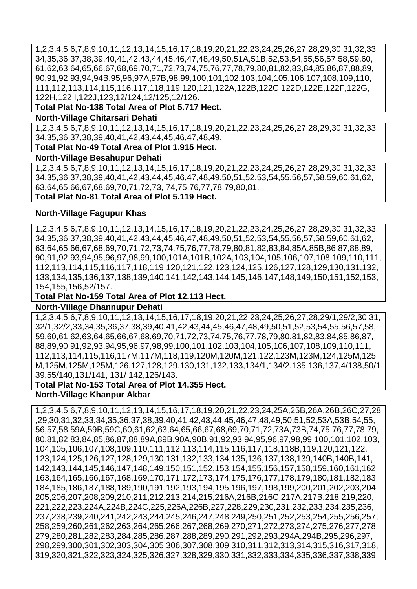1,2,3,4,5,6,7,8,9,10,11,12,13,14,15,16,17,18,19,20,21,22,23,24,25,26,27,28,29,30,31,32,33, 34,35,36,37,38,39,40,41,42,43,44,45,46,47,48,49,50,51A,51B,52,53,54,55,56,57,58,59,60, 61,62,63,64,65,66,67,68,69,70,71,72,73,74,75,76,77,78,79,80,81,82,83,84,85,86,87,88,89, 90,91,92,93,94,94B,95,96,97A,97B,98,99,100,101,102,103,104,105,106,107,108,109,110, 111,112,113,114,115,116,117,118,119,120,121,122A,122B,122C,122D,122E,122F,122G, 122H,122 I,122J,123,12/124,12/125,12/126.

**Total Plat No-138 Total Area of Plot 5.717 Hect.**

#### **North-Village Chitarsari Dehati**

1,2,3,4,5,6,7,8,9,10,11,12,13,14,15,16,17,18,19,20,21,22,23,24,25,26,27,28,29,30,31,32,33, 34,35,36,37,38,39,40,41,42,43,44,45,46,47,48,49.

**Total Plat No-49 Total Area of Plot 1.915 Hect.**

#### **North-Village Besahupur Dehati**

1,2,3,4,5,6,7,8,9,10,11,12,13,14,15,16,17,18,19,20,21,22,23,24,25,26,27,28,29,30,31,32,33, 34,35,36,37,38,39,40,41,42,43,44,45,46,47,48,49,50,51,52,53,54,55,56,57,58,59,60,61,62, 63,64,65,66,67,68,69,70,71,72,73, 74,75,76,77,78,79,80,81. **Total Plat No-81 Total Area of Plot 5.119 Hect.**

#### **North-Village Fagupur Khas**

1,2,3,4,5,6,7,8,9,10,11,12,13,14,15,16,17,18,19,20,21,22,23,24,25,26,27,28,29,30,31,32,33, 34,35,36,37,38,39,40,41,42,43,44,45,46,47,48,49,50,51,52,53,54,55,56,57,58,59,60,61,62, 63,64,65,66,67,68,69,70,71,72,73,74,75,76,77,78,79,80,81,82,83,84,85A,85B,86,87,88,89, 90,91,92,93,94,95,96,97,98,99,100,101A,101B,102A,103,104,105,106,107,108,109,110,111, 112,113,114,115,116,117,118,119,120,121,122,123,124,125,126,127,128,129,130,131,132, 133,134,135,136,137,138,139,140,141,142,143,144,145,146,147,148,149,150,151,152,153, 154,155,156,52/157.

**Total Plat No-159 Total Area of Plot 12.113 Hect.**

#### **North-Village Dhannupur Dehati**

1,2,3,4,5,6,7,8,9,10,11,12,13,14,15,16,17,18,19,20,21,22,23,24,25,26,27,28,29/1,29/2,30,31, 32/1,32/2,33,34,35,36,37,38,39,40,41,42,43,44,45,46,47,48,49,50,51,52,53,54,55,56,57,58, 59,60,61,62,63,64,65,66,67,68,69,70,71,72,73,74,75,76,77,78,79,80,81,82,83,84,85,86,87, 88,89,90,91,92,93,94,95,96,97,98,99,100,101,102,103,104,105,106,107,108,109,110,111, 112,113,114,115,116,117M,117M,118,119,120M,120M,121,122,123M,123M,124,125M,125 M,125M,125M,125M,126,127,128,129,130,131,132,133,134/1,134/2,135,136,137,4/138,50/1 39,55/140,131/141, 131/ 142,126/143.

#### **Total Plat No-153 Total Area of Plot 14.355 Hect.**

#### **North-Village Khanpur Akbar**

1,2,3,4,5,6,7,8,9,10,11,12,13,14,15,16,17,18,19,20,21,22,23,24,25A,25B,26A,26B,26C,27,28 ,29,30,31,32,33,34,35,36,37,38,39,40,41,42,43,44,45,46,47,48,49,50,51,52,53A,53B,54,55, 56,57,58,59A,59B,59C,60,61,62,63,64,65,66,67,68,69,70,71,72,73A,73B,74,75,76,77,78,79, 80,81,82,83,84,85,86,87,88,89A,89B,90A,90B,91,92,93,94,95,96,97,98,99,100,101,102,103, 104,105,106,107,108,109,110,111,112,113,114,115,116,117,118,118B,119,120,121,122, 123,124,125,126,127,128,129,130,131,132,133,134,135,136,137,138,139,140B,140B,141, 142,143,144,145,146,147,148,149,150,151,152,153,154,155,156,157,158,159,160,161,162, 163,164,165,166,167,168,169,170,171,172,173,174,175,176,177,178,179,180,181,182,183, 184,185,186,187,188,189,190,191,192,193,194,195,196,197,198,199,200,201,202,203,204, 205,206,207,208,209,210,211,212,213,214,215,216A,216B,216C,217A,217B,218,219,220, 221,222,223,224A,224B,224C,225,226A,226B,227,228,229,230,231,232,233,234,235,236, 237,238,239,240,241,242,243,244,245,246,247,248,249,250,251,252,253,254,255,256,257, 258,259,260,261,262,263,264,265,266,267,268,269,270,271,272,273,274,275,276,277,278, 279,280,281,282,283,284,285,286,287,288,289,290,291,292,293,294A,294B,295,296,297, 298,299,300,301,302,303,304,305,306,307,308,309,310,311,312,313,314,315,316,317,318, 319,320,321,322,323,324,325,326,327,328,329,330,331,332,333,334,335,336,337,338,339,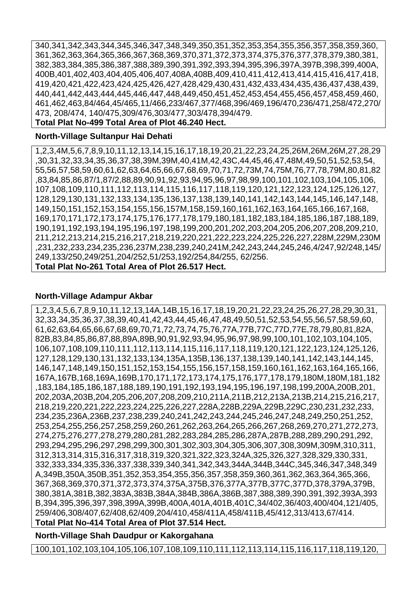340,341,342,343,344,345,346,347,348,349,350,351,352,353,354,355,356,357,358,359,360, 361,362,363,364,365,366,367,368,369,370,371,372,373,374,375,376,377,378,379,380,381, 382,383,384,385,386,387,388,389,390,391,392,393,394,395,396,397A,397B,398,399,400A, 400B,401,402,403,404,405,406,407,408A,408B,409,410,411,412,413,414,415,416,417,418, 419,420,421,422,423,424,425,426,427,428,429,430,431,432,433,434,435,436,437,438,439, 440,441,442,443,444,445,446,447,448,449,450,451,452,453,454,455,456,457,458,459,460, 461,462,463,84/464,45/465,11/466,233/467,377/468,396/469,196/470,236/471,258/472,270/ 473, 208/474, 140/475,309/476,303/477,303/478,394/479.

#### **Total Plat No-499 Total Area of Plot 46.240 Hect.**

#### **North-Village Sultanpur Hai Dehati**

1,2,3,4M,5,6,7,8,9,10,11,12,13,14,15,16,17,18,19,20,21,22,23,24,25,26M,26M,26M,27,28,29 ,30,31,32,33,34,35,36,37,38,39M,39M,40,41M,42,43C,44,45,46,47,48M,49,50,51,52,53,54, 55,56,57,58,59,60,61,62,63,64,65,66,67,68,69,70,71,72,73M,74,75M,76,77,78,79M,80,81,82 ,83,84,85,86,87/1,87/2,88,89,90,91,92,93,94,95,96,97,98,99,100,101,102,103,104,105,106, 107,108,109,110,111,112,113,114,115,116,117,118,119,120,121,122,123,124,125,126,127, 128,129,130,131,132,133,134,135,136,137,138,139,140,141,142,143,144,145,146,147,148, 149,150,151,152,153,154,155,156,157M,158,159,160,161,162,163,164,165,166,167,168, 169,170,171,172,173,174,175,176,177,178,179,180,181,182,183,184,185,186,187,188,189, 190,191,192,193,194,195,196,197,198,199,200,201,202,203,204,205,206,207,208,209,210, 211,212,213,214,215,216,217,218,219,220,221,222,223,224,225,226,227,228M,229M,230M ,231,232,233,234,235,236,237M,238,239,240,241M,242,243,244,245,246,4/247,92/248,145/ 249,133/250,249/251,204/252,51/253,192/254,84/255, 62/256.

#### **Total Plat No-261 Total Area of Plot 26.517 Hect.**

#### **North-Village Adampur Akbar**

1,2,3,4,5,6,7,8,9,10,11,12,13,14A,14B,15,16,17,18,19,20,21,22,23,24,25,26,27,28,29,30,31, 32,33,34,35,36,37,38,39,40,41,42,43,44,45,46,47,48,49,50,51,52,53,54,55,56,57,58,59,60, 61,62,63,64,65,66,67,68,69,70,71,72,73,74,75,76,77A,77B,77C,77D,77E,78,79,80,81,82A, 82B,83,84,85,86,87,88,89A,89B,90,91,92,93,94,95,96,97,98,99,100,101,102,103,104,105, 106,107,108,109,110,111,112,113,114,115,116,117,118,119,120,121,122,123,124,125,126, 127,128,129,130,131,132,133,134,135A,135B,136,137,138,139,140,141,142,143,144,145, 146,147,148,149,150,151,152,153,154,155,156,157,158,159,160,161,162,163,164,165,166, 167A,167B,168,169A,169B,170,171,172,173,174,175,176,177,178,179,180M,180M,181,182 ,183,184,185,186,187,188,189,190,191,192,193,194,195,196,197,198,199,200A,200B,201, 202,203A,203B,204,205,206,207,208,209,210,211A,211B,212,213A,213B,214,215,216,217, 218,219,220,221,222,223,224,225,226,227,228A,228B,229A,229B,229C,230,231,232,233, 234,235,236A,236B,237,238,239,240,241,242,243,244,245,246,247,248,249,250,251,252, 253,254,255,256,257,258,259,260,261,262,263,264,265,266,267,268,269,270,271,272,273, 274,275,276,277,278,279,280,281,282,283,284,285,286,287A,287B,288,289,290,291,292, 293,294,295,296,297,298,299,300,301,302,303,304,305,306,307,308,309M,309M,310,311, 312,313,314,315,316,317,318,319,320,321,322,323,324A,325,326,327,328,329,330,331, 332,333,334,335,336,337,338,339,340,341,342,343,344A,344B,344C,345,346,347,348,349 A,349B,350A,350B,351,352,353,354,355,356,357,358,359,360,361,362,363,364,365,366, 367,368,369,370,371,372,373,374,375A,375B,376,377A,377B,377C,377D,378,379A,379B, 380,381A,381B,382,383A,383B,384A,384B,386A,386B,387,388,389,390,391,392,393A,393 B,394,395,396,397,398,399A,399B,400A,401A,401B,401C,34/402,36/403,400/404,121/405, 259/406,308/407,62/408,62/409,204/410,458/411A,458/411B,45/412,313/413,67/414. **Total Plat No-414 Total Area of Plot 37.514 Hect.**

**North-Village Shah Daudpur or Kakorgahana** 

100,101,102,103,104,105,106,107,108,109,110,111,112,113,114,115,116,117,118,119,120,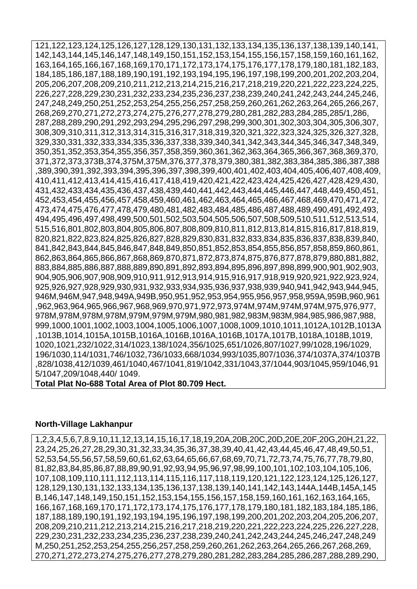121,122,123,124,125,126,127,128,129,130,131,132,133,134,135,136,137,138,139,140,141, 142,143,144,145,146,147,148,149,150,151,152,153,154,155,156,157,158,159,160,161,162, 163,164,165,166,167,168,169,170,171,172,173,174,175,176,177,178,179,180,181,182,183, 184,185,186,187,188,189,190,191,192,193,194,195,196,197,198,199,200,201,202,203,204, 205,206,207,208,209,210,211,212,213,214,215,216,217,218,219,220,221,222,223,224,225, 226,227,228,229,230,231,232,233,234,235,236,237,238,239,240,241,242,243,244,245,246, 247,248,249,250,251,252,253,254,255,256,257,258,259,260,261,262,263,264,265,266,267, 268,269,270,271,272,273,274,275,276,277,278,279,280,281,282,283,284,285,285/1,286, 287,288,289,290,291,292,293,294,295,296,297,298,299,300,301,302,303,304,305,306,307, 308,309,310,311,312,313,314,315,316,317,318,319,320,321,322,323,324,325,326,327,328, 329,330,331,332,333,334,335,336,337,338,339,340,341,342,343,344,345,346,347,348,349, 350,351,352,353,354,355,356,357,358,359,360,361,362,363,364,365,366,367,368,369,370, 371,372,373,373B,374,375M,375M,376,377,378,379,380,381,382,383,384,385,386,387,388 ,389,390,391,392,393,394,395,396,397,398,399,400,401,402,403,404,405,406,407,408,409, 410,411,412,413,414,415,416,417,418,419,420,421,422,423,424,425,426,427,428,429,430, 431,432,433,434,435,436,437,438,439,440,441,442,443,444,445,446,447,448,449,450,451, 452,453,454,455,456,457,458,459,460,461,462,463,464,465,466,467,468,469,470,471,472, 473,474,475,476,477,478,479,480,481,482,483,484,485,486,487,488,489,490,491,492,493, 494,495,496,497,498,499,500,501,502,503,504,505,506,507,508,509,510,511,512,513,514, 515,516,801,802,803,804,805,806,807,808,809,810,811,812,813,814,815,816,817,818,819, 820,821,822,823,824,825,826,827,828,829,830,831,832,833,834,835,836,837,838,839,840, 841,842,843,844,845,846,847,848,849,850,851,852,853,854,855,856,857,858,859,860,861, 862,863,864,865,866,867,868,869,870,871,872,873,874,875,876,877,878,879,880,881,882, 883,884,885,886,887,888,889,890,891,892,893,894,895,896,897,898,899,900,901,902,903, 904,905,906,907,908,909,910,911,912,913,914,915,916,917,918,919,920,921,922,923,924, 925,926,927,928,929,930,931,932,933,934,935,936,937,938,939,940,941,942,943,944,945, 946M,946M,947,948,949A,949B,950,951,952,953,954,955,956,957,958,959A,959B,960,961 ,962,963,964,965,966,967,968,969,970,971,972,973,974M,974M,974M,974M,975,976,977, 978M,978M,978M,978M,979M,979M,979M,980,981,982,983M,983M,984,985,986,987,988, 999,1000,1001,1002,1003,1004,1005,1006,1007,1008,1009,1010,1011,1012A,1012B,1013A ,1013B,1014,1015A,1015B,1016A,1016B,1016A,1016B,1017A,1017B,1018A,1018B,1019, 1020,1021,232/1022,314/1023,138/1024,356/1025,651/1026,807/1027,99/1028,196/1029, 196/1030,114/1031,746/1032,736/1033,668/1034,993/1035,807/1036,374/1037A,374/1037B ,828/1038,412/1039,461/1040,467/1041,819/1042,331/1043,37/1044,903/1045,959/1046,91 5/1047,209/1048,440/ 1049.

#### **Total Plat No-688 Total Area of Plot 80.709 Hect.**

#### **North-Village Lakhanpur**

1,2,3,4,5,6,7,8,9,10,11,12,13,14,15,16,17,18,19,20A,20B,20C,20D,20E,20F,20G,20H,21,22, 23,24,25,26,27,28,29,30,31,32,33,34,35,36,37,38,39,40,41,42,43,44,45,46,47,48,49,50,51, 52,53,54,55,56,57,58,59,60,61,62,63,64,65,66,67,68,69,70,71,72,73,74,75,76,77,78,79,80, 81,82,83,84,85,86,87,88,89,90,91,92,93,94,95,96,97,98,99,100,101,102,103,104,105,106, 107,108,109,110,111,112,113,114,115,116,117,118,119,120,121,122,123,124,125,126,127, 128,129,130,131,132,133,134,135,136,137,138,139,140,141,142,143,144A,144B,145A,145 B,146,147,148,149,150,151,152,153,154,155,156,157,158,159,160,161,162,163,164,165, 166,167,168,169,170,171,172,173,174,175,176,177,178,179,180,181,182,183,184,185,186, 187,188,189,190,191,192,193,194,195,196,197,198,199,200,201,202,203,204,205,206,207, 208,209,210,211,212,213,214,215,216,217,218,219,220,221,222,223,224,225,226,227,228, 229,230,231,232,233,234,235,236,237,238,239,240,241,242,243,244,245,246,247,248,249 M,250,251,252,253,254,255,256,257,258,259,260,261,262,263,264,265,266,267,268,269, 270,271,272,273,274,275,276,277,278,279,280,281,282,283,284,285,286,287,288,289,290,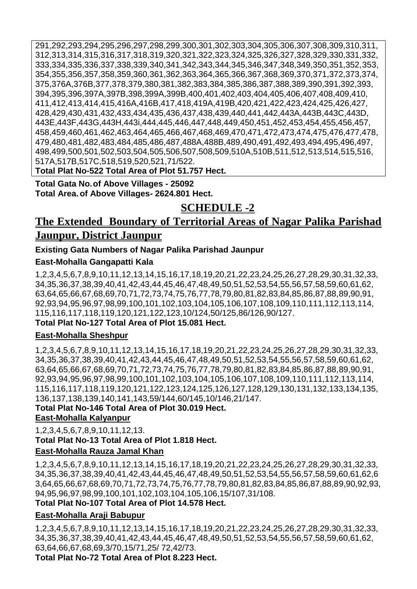291,292,293,294,295,296,297,298,299,300,301,302,303,304,305,306,307,308,309,310,311, 312,313,314,315,316,317,318,319,320,321,322,323,324,325,326,327,328,329,330,331,332, 333,334,335,336,337,338,339,340,341,342,343,344,345,346,347,348,349,350,351,352,353, 354,355,356,357,358,359,360,361,362,363,364,365,366,367,368,369,370,371,372,373,374, 375,376A,376B,377,378,379,380,381,382,383,384,385,386,387,388,389,390,391,392,393, 394,395,396,397A,397B,398,399A,399B,400,401,402,403,404,405,406,407,408,409,410, 411,412,413,414,415,416A,416B,417,418,419A,419B,420,421,422,423,424,425,426,427, 428,429,430,431,432,433,434,435,436,437,438,439,440,441,442,443A,443B,443C,443D, 443E,443F,443G,443H,443i,444,445,446,447,448,449,450,451,452,453,454,455,456,457, 458,459,460,461,462,463,464,465,466,467,468,469,470,471,472,473,474,475,476,477,478, 479,480,481,482,483,484,485,486,487,488A,488B,489,490,491,492,493,494,495,496,497, 498,499,500,501,502,503,504,505,506,507,508,509,510A,510B,511,512,513,514,515,516, 517A,517B,517C,518,519,520,521,71/522.

**Total Plat No-522 Total Area of Plot 51.757 Hect.**

**Total Gata No.of Above Villages - 25092 Total Area.of Above Villages- 2624.801 Hect.**

# **SCHEDULE -2**

# **The Extended Boundary of Territorial Areas of Nagar Palika Parishad Jaunpur, District Jaunpur**

# **Existing Gata Numbers of Nagar Palika Parishad Jaunpur**

# **East-Mohalla Gangapatti Kala**

1,2,3,4,5,6,7,8,9,10,11,12,13,14,15,16,17,18,19,20,21,22,23,24,25,26,27,28,29,30,31,32,33, 34,35,36,37,38,39,40,41,42,43,44,45,46,47,48,49,50,51,52,53,54,55,56,57,58,59,60,61,62, 63,64,65,66,67,68,69,70,71,72,73,74,75,76,77,78,79,80,81,82,83,84,85,86,87,88,89,90,91, 92,93,94,95,96,97,98,99,100,101,102,103,104,105,106,107,108,109,110,111,112,113,114, 115,116,117,118,119,120,121,122,123,10/124,50/125,86/126,90/127.

# **Total Plat No-127 Total Area of Plot 15.081 Hect.**

# **East-Mohalla Sheshpur**

1,2,3,4,5,6,7,8,9,10,11,12,13,14,15,16,17,18,19,20,21,22,23,24,25,26,27,28,29,30,31,32,33, 34,35,36,37,38,39,40,41,42,43,44,45,46,47,48,49,50,51,52,53,54,55,56,57,58,59,60,61,62, 63,64,65,66,67,68,69,70,71,72,73,74,75,76,77,78,79,80,81,82,83,84,85,86,87,88,89,90,91, 92,93,94,95,96,97,98,99,100,101,102,103,104,105,106,107,108,109,110,111,112,113,114, 115,116,117,118,119,120,121,122,123,124,125,126,127,128,129,130,131,132,133,134,135, 136,137,138,139,140,141,143,59/144,60/145,10/146,21/147.

**Total Plat No-146 Total Area of Plot 30.019 Hect. East-Mohalla Kalyanpur**

1,2,3,4,5,6,7,8,9,10,11,12,13. **Total Plat No-13 Total Area of Plot 1.818 Hect. East-Mohalla Rauza Jamal Khan** 

1,2,3,4,5,6,7,8,9,10,11,12,13,14,15,16,17,18,19,20,21,22,23,24,25,26,27,28,29,30,31,32,33, 34,35,36,37,38,39,40,41,42,43,44,45,46,47,48,49,50,51,52,53,54,55,56,57,58,59,60,61,62,6 3,64,65,66,67,68,69,70,71,72,73,74,75,76,77,78,79,80,81,82,83,84,85,86,87,88,89,90,92,93, 94,95,96,97,98,99,100,101,102,103,104,105,106,15/107,31/108.

# **Total Plat No-107 Total Area of Plot 14.578 Hect.**

# **East-Mohalla Araji Babupur**

1,2,3,4,5,6,7,8,9,10,11,12,13,14,15,16,17,18,19,20,21,22,23,24,25,26,27,28,29,30,31,32,33, 34,35,36,37,38,39,40,41,42,43,44,45,46,47,48,49,50,51,52,53,54,55,56,57,58,59,60,61,62, 63,64,66,67,68,69,3/70,15/71,25/ 72,42/73.

**Total Plat No-72 Total Area of Plot 8.223 Hect.**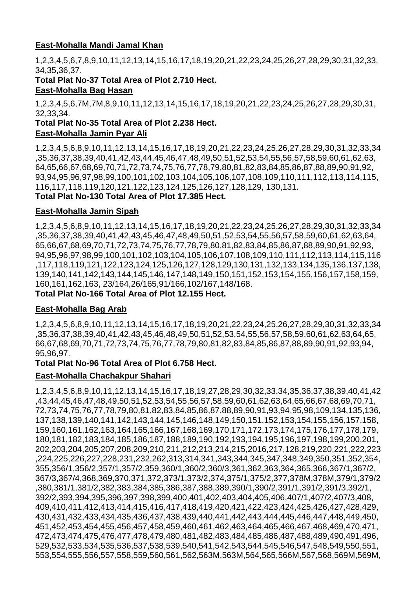# **East-Mohalla Mandi Jamal Khan**

1,2,3,4,5,6,7,8,9,10,11,12,13,14,15,16,17,18,19,20,21,22,23,24,25,26,27,28,29,30,31,32,33, 34,35,36,37.

**Total Plat No-37 Total Area of Plot 2.710 Hect. East-Mohalla Bag Hasan** 

1,2,3,4,5,6,7M,7M,8,9,10,11,12,13,14,15,16,17,18,19,20,21,22,23,24,25,26,27,28,29,30,31, 32,33,34.

#### **Total Plat No-35 Total Area of Plot 2.238 Hect. East-Mohalla Jamin Pyar Ali**

1,2,3,4,5,6,8,9,10,11,12,13,14,15,16,17,18,19,20,21,22,23,24,25,26,27,28,29,30,31,32,33,34 ,35,36,37,38,39,40,41,42,43,44,45,46,47,48,49,50,51,52,53,54,55,56,57,58,59,60,61,62,63, 64,65,66,67,68,69,70,71,72,73,74,75,76,77,78,79,80,81,82,83,84,85,86,87,88,89,90,91,92, 93,94,95,96,97,98,99,100,101,102,103,104,105,106,107,108,109,110,111,112,113,114,115, 116,117,118,119,120,121,122,123,124,125,126,127,128,129, 130,131. **Total Plat No-130 Total Area of Plot 17.385 Hect.**

#### **East-Mohalla Jamin Sipah**

1,2,3,4,5,6,8,9,10,11,12,13,14,15,16,17,18,19,20,21,22,23,24,25,26,27,28,29,30,31,32,33,34 ,35,36,37,38,39,40,41,42,43,45,46,47,48,49,50,51,52,53,54,55,56,57,58,59,60,61,62,63,64, 65,66,67,68,69,70,71,72,73,74,75,76,77,78,79,80,81,82,83,84,85,86,87,88,89,90,91,92,93, 94,95,96,97,98,99,100,101,102,103,104,105,106,107,108,109,110,111,112,113,114,115,116 ,117,118,119,121,122,123,124,125,126,127,128,129,130,131,132,133,134,135,136,137,138, 139,140,141,142,143,144,145,146,147,148,149,150,151,152,153,154,155,156,157,158,159, 160,161,162,163, 23/164,26/165,91/166,102/167,148/168. **Total Plat No-166 Total Area of Plot 12.155 Hect.**

#### **East-Mohalla Bag Arab**

1,2,3,4,5,6,8,9,10,11,12,13,14,15,16,17,18,19,20,21,22,23,24,25,26,27,28,29,30,31,32,33,34 ,35,36,37,38,39,40,41,42,43,45,46,48,49,50,51,52,53,54,55,56,57,58,59,60,61,62,63,64,65, 66,67,68,69,70,71,72,73,74,75,76,77,78,79,80,81,82,83,84,85,86,87,88,89,90,91,92,93,94, 95,96,97.

#### **Total Plat No-96 Total Area of Plot 6.758 Hect.**

#### **East-Mohalla Chachakpur Shahari**

1,2,3,4,5,6,8,9,10,11,12,13,14,15,16,17,18,19,27,28,29,30,32,33,34,35,36,37,38,39,40,41,42 ,43,44,45,46,47,48,49,50,51,52,53,54,55,56,57,58,59,60,61,62,63,64,65,66,67,68,69,70,71, 72,73,74,75,76,77,78,79,80,81,82,83,84,85,86,87,88,89,90,91,93,94,95,98,109,134,135,136, 137,138,139,140,141,142,143,144,145,146,148,149,150,151,152,153,154,155,156,157,158, 159,160,161,162,163,164,165,166,167,168,169,170,171,172,173,174,175,176,177,178,179, 180,181,182,183,184,185,186,187,188,189,190,192,193,194,195,196,197,198,199,200,201, 202,203,204,205,207,208,209,210,211,212,213,214,215,2016,217,128,219,220,221,222,223 ,224,225,226,227,228,231,232,262,313,314,341,343,344,345,347,348,349,350,351,352,354, 355,356/1,356/2,357/1,357/2,359,360/1,360/2,360/3,361,362,363,364,365,366,367/1,367/2, 367/3,367/4,368,369,370,371,372,373/1,373/2,374,375/1,375/2,377,378M,378M,379/1,379/2 ,380,381/1,381/2,382,383,384,385,386,387,388,389,390/1,390/2,391/1,391/2,391/3,392/1, 392/2,393,394,395,396,397,398,399,400,401,402,403,404,405,406,407/1,407/2,407/3,408, 409,410,411,412,413,414,415,416,417,418,419,420,421,422,423,424,425,426,427,428,429, 430,431,432,433,434,435,436,437,438,439,440,441,442,443,444,445,446,447,448,449,450, 451,452,453,454,455,456,457,458,459,460,461,462,463,464,465,466,467,468,469,470,471, 472,473,474,475,476,477,478,479,480,481,482,483,484,485,486,487,488,489,490,491,496, 529,532,533,534,535,536,537,538,539,540,541,542,543,544,545,546,547,548,549,550,551, 553,554,555,556,557,558,559,560,561,562,563M,563M,564,565,566M,567,568,569M,569M,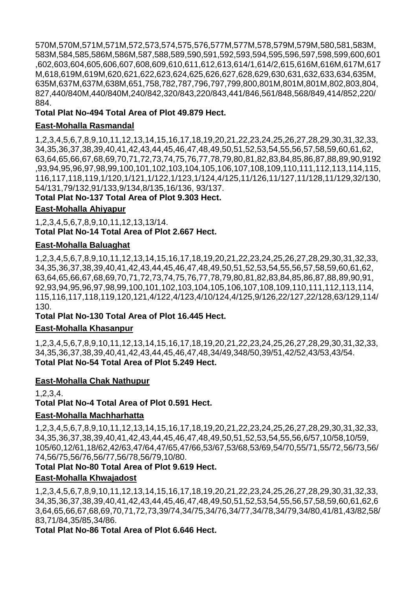570M,570M,571M,571M,572,573,574,575,576,577M,577M,578,579M,579M,580,581,583M, 583M,584,585,586M,586M,587,588,589,590,591,592,593,594,595,596,597,598,599,600,601 ,602,603,604,605,606,607,608,609,610,611,612,613,614/1,614/2,615,616M,616M,617M,617 M,618,619M,619M,620,621,622,623,624,625,626,627,628,629,630,631,632,633,634,635M, 635M,637M,637M,638M,651,758,782,787,796,797,799,800,801M,801M,801M,802,803,804, 827,440/840M,440/840M,240/842,320/843,220/843,441/846,561/848,568/849,414/852,220/ 884.

## **Total Plat No-494 Total Area of Plot 49.879 Hect.**

# **East-Mohalla Rasmandal**

1,2,3,4,5,6,7,8,9,10,11,12,13,14,15,16,17,18,19,20,21,22,23,24,25,26,27,28,29,30,31,32,33, 34,35,36,37,38,39,40,41,42,43,44,45,46,47,48,49,50,51,52,53,54,55,56,57,58,59,60,61,62, 63,64,65,66,67,68,69,70,71,72,73,74,75,76,77,78,79,80,81,82,83,84,85,86,87,88,89,90,9192 ,93,94,95,96,97,98,99,100,101,102,103,104,105,106,107,108,109,110,111,112,113,114,115, 116,117,118,119,1/120,1/121,1/122,1/123,1/124,4/125,11/126,11/127,11/128,11/129,32/130, 54/131,79/132,91/133,9/134,8/135,16/136, 93/137.

**Total Plat No-137 Total Area of Plot 9.303 Hect.**

## **East-Mohalla Ahiyapur**

1,2,3,4,5,6,7,8,9,10,11,12,13,13/14. **Total Plat No-14 Total Area of Plot 2.667 Hect.**

#### **East-Mohalla Baluaghat**

1,2,3,4,5,6,7,8,9,10,11,12,13,14,15,16,17,18,19,20,21,22,23,24,25,26,27,28,29,30,31,32,33, 34,35,36,37,38,39,40,41,42,43,44,45,46,47,48,49,50,51,52,53,54,55,56,57,58,59,60,61,62, 63,64,65,66,67,68,69,70,71,72,73,74,75,76,77,78,79,80,81,82,83,84,85,86,87,88,89,90,91, 92,93,94,95,96,97,98,99,100,101,102,103,104,105,106,107,108,109,110,111,112,113,114, 115,116,117,118,119,120,121,4/122,4/123,4/10/124,4/125,9/126,22/127,22/128,63/129,114/ 130.

**Total Plat No-130 Total Area of Plot 16.445 Hect. East-Mohalla Khasanpur** 

1,2,3,4,5,6,7,8,9,10,11,12,13,14,15,16,17,18,19,20,21,22,23,24,25,26,27,28,29,30,31,32,33, 34,35,36,37,38,39,40,41,42,43,44,45,46,47,48,34/49,348/50,39/51,42/52,43/53,43/54. **Total Plat No-54 Total Area of Plot 5.249 Hect.**

#### **East-Mohalla Chak Nathupur**

1,2,3,4.

**Total Plat No-4 Total Area of Plot 0.591 Hect.**

# **East-Mohalla Machharhatta**

1,2,3,4,5,6,7,8,9,10,11,12,13,14,15,16,17,18,19,20,21,22,23,24,25,26,27,28,29,30,31,32,33, 34,35,36,37,38,39,40,41,42,43,44,45,46,47,48,49,50,51,52,53,54,55,56,6/57,10/58,10/59, 105/60,12/61,18/62,42/63,47/64,47/65,47/66,53/67,53/68,53/69,54/70,55/71,55/72,56/73,56/ 74,56/75,56/76,56/77,56/78,56/79,10/80.

# **Total Plat No-80 Total Area of Plot 9.619 Hect.**

# **East-Mohalla Khwajadost**

1,2,3,4,5,6,7,8,9,10,11,12,13,14,15,16,17,18,19,20,21,22,23,24,25,26,27,28,29,30,31,32,33, 34,35,36,37,38,39,40,41,42,43,44,45,46,47,48,49,50,51,52,53,54,55,56,57,58,59,60,61,62,6 3,64,65,66,67,68,69,70,71,72,73,39/74,34/75,34/76,34/77,34/78,34/79,34/80,41/81,43/82,58/ 83,71/84,35/85,34/86.

**Total Plat No-86 Total Area of Plot 6.646 Hect.**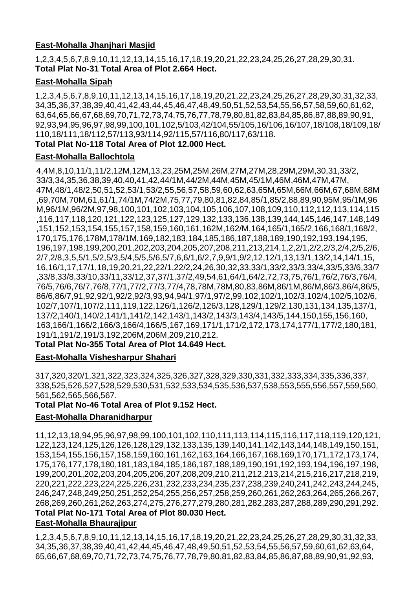# **East-Mohalla Jhanjhari Masjid**

1,2,3,4,5,6,7,8,9,10,11,12,13,14,15,16,17,18,19,20,21,22,23,24,25,26,27,28,29,30,31. **Total Plat No-31 Total Area of Plot 2.664 Hect.**

# **East-Mohalla Sipah**

1,2,3,4,5,6,7,8,9,10,11,12,13,14,15,16,17,18,19,20,21,22,23,24,25,26,27,28,29,30,31,32,33, 34,35,36,37,38,39,40,41,42,43,44,45,46,47,48,49,50,51,52,53,54,55,56,57,58,59,60,61,62, 63,64,65,66,67,68,69,70,71,72,73,74,75,76,77,78,79,80,81,82,83,84,85,86,87,88,89,90,91, 92,93,94,95,96,97,98,99,100,101,102,5/103,42/104,55/105,16/106,16/107,18/108,18/109,18/ 110,18/111,18/112,57/113,93/114,92/115,57/116,80/117,63/118.

## **Total Plat No-118 Total Area of Plot 12.000 Hect.**

# **East-Mohalla Ballochtola**

4,4M,8,10,11/1,11/2,12M,12M,13,23,25M,25M,26M,27M,27M,28,29M,29M,30,31,33/2, 33/3,34,35,36,38,39,40,40,41,42,44/1M,44/2M,44M,45M,45/1M,46M,46M,47M,47M, 47M,48/1,48/2,50,51,52,53/1,53/2,55,56,57,58,59,60,62,63,65M,65M,66M,66M,67,68M,68M ,69,70M,70M,61,61/1,74/1M,74/2M,75,77,79,80,81,82,84,85/1,85/2,88,89,90,95M,95/1M,96 M,96/1M,96/2M,97,98,100,101,102,103,104,105,106,107,108,109,110,112,112,113,114,115 ,116,117,118,120,121,122,123,125,127,129,132,133,136,138,139,144,145,146,147,148,149 ,151,152,153,154,155,157,158,159,160,161,162M,162/M,164,165/1,165/2,166,168/1,168/2, 170,175,176,178M,178/1M,169,182,183,184,185,186,187,188,189,190,192,193,194,195, 196,197,198,199,200,201,202,203,204,205,207,208,211,213,214,1,2,2/1,2/2,2/3,2/4,2/5,2/6, 2/7,2/8,3,5,5/1,5/2,5/3,5/4,5/5,5/6,5/7,6,6/1,6/2,7,9,9/1,9/2,12,12/1,13,13/1,13/2,14,14/1,15, 16,16/1,17,17/1,18,19,20,21,22,22/1,22/2,24,26,30,32,33,33/1,33/2,33/3,33/4,33/5,33/6,33/7 ,33/8,33/8,33/10,33/11,33/12,37,37/1,37/2,49,54,61,64/1,64/2,72,73,75,76/1,76/2,76/3,76/4, 76/5,76/6,76/7,76/8,77/1,77/2,77/3,77/4,78,78M,78M,80,83,86M,86/1M,86/M,86/3,86/4,86/5, 86/6,86/7,91,92,92/1,92/2,92/3,93,94,94/1,97/1,97/2,99,102,102/1,102/3,102/4,102/5,102/6, 102/7,107/1,107/2,111,119,122,126/1,126/2,126/3,128,129/1,129/2,130,131,134,135,137/1, 137/2,140/1,140/2,141/1,141/2,142,143/1,143/2,143/3,143/4,143/5,144,150,155,156,160, 163,166/1,166/2,166/3,166/4,166/5,167,169,171/1,171/2,172,173,174,177/1,177/2,180,181, 191/1,191/2,191/3,192,206M,206M,209,210,212.

**Total Plat No-355 Total Area of Plot 14.649 Hect.**

# **East-Mohalla Vishesharpur Shahari**

317,320,320/1,321,322,323,324,325,326,327,328,329,330,331,332,333,334,335,336,337, 338,525,526,527,528,529,530,531,532,533,534,535,536,537,538,553,555,556,557,559,560, 561,562,565,566,567.

# **Total Plat No-46 Total Area of Plot 9.152 Hect.**

# **East-Mohalla Dharanidharpur**

11,12,13,18,94,95,96,97,98,99,100,101,102,110,111,113,114,115,116,117,118,119,120,121, 122,123,124,125,126,126,128,129,132,133,135,139,140,141,142,143,144,148,149,150,151, 153,154,155,156,157,158,159,160,161,162,163,164,166,167,168,169,170,171,172,173,174, 175,176,177,178,180,181,183,184,185,186,187,188,189,190,191,192,193,194,196,197,198, 199,200,201,202,203,204,205,206,207,208,209,210,211,212,213,214,215,216,217,218,219, 220,221,222,223,224,225,226,231,232,233,234,235,237,238,239,240,241,242,243,244,245, 246,247,248,249,250,251,252,254,255,256,257,258,259,260,261,262,263,264,265,266,267, 268,269,260,261,262,263,274,275,276,277,279,280,281,282,283,287,288,289,290,291,292. **Total Plat No-171 Total Area of Plot 80.030 Hect.**

# **East-Mohalla Bhaurajipur**

1,2,3,4,5,6,7,8,9,10,11,12,13,14,15,16,17,18,19,20,21,22,23,24,25,26,27,28,29,30,31,32,33, 34,35,36,37,38,39,40,41,42,44,45,46,47,48,49,50,51,52,53,54,55,56,57,59,60,61,62,63,64, 65,66,67,68,69,70,71,72,73,74,75,76,77,78,79,80,81,82,83,84,85,86,87,88,89,90,91,92,93,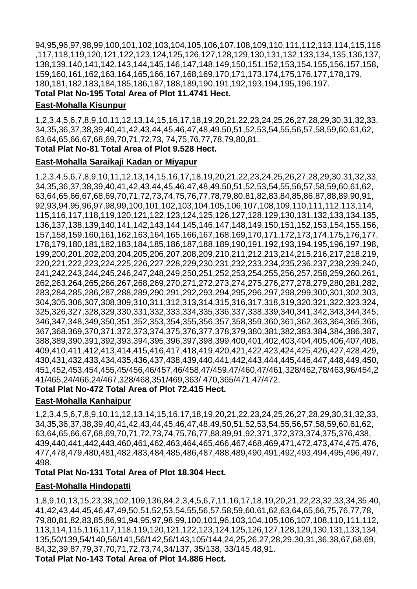94,95,96,97,98,99,100,101,102,103,104,105,106,107,108,109,110,111,112,113,114,115,116 ,117,118,119,120,121,122,123,124,125,126,127,128,129,130,131,132,133,134,135,136,137, 138,139,140,141,142,143,144,145,146,147,148,149,150,151,152,153,154,155,156,157,158, 159,160,161,162,163,164,165,166,167,168,169,170,171,173,174,175,176,177,178,179, 180,181,182,183,184,185,186,187,188,189,190,191,192,193,194,195,196,197.

**Total Plat No-195 Total Area of Plot 11.4741 Hect.**

### **East-Mohalla Kisunpur**

1,2,3,4,5,6,7,8,9,10,11,12,13,14,15,16,17,18,19,20,21,22,23,24,25,26,27,28,29,30,31,32,33, 34,35,36,37,38,39,40,41,42,43,44,45,46,47,48,49,50,51,52,53,54,55,56,57,58,59,60,61,62, 63,64,65,66,67,68,69,70,71,72,73, 74,75,76,77,78,79,80,81.

**Total Plat No-81 Total Area of Plot 9.528 Hect.**

## **East-Mohalla Saraikaji Kadan or Miyapur**

1,2,3,4,5,6,7,8,9,10,11,12,13,14,15,16,17,18,19,20,21,22,23,24,25,26,27,28,29,30,31,32,33, 34,35,36,37,38,39,40,41,42,43,44,45,46,47,48,49,50,51,52,53,54,55,56,57,58,59,60,61,62, 63,64,65,66,67,68,69,70,71,72,73,74,75,76,77,78,79,80,81,82,83,84,85,86,87,88,89,90,91, 92,93,94,95,96,97,98,99,100,101,102,103,104,105,106,107,108,109,110,111,112,113,114, 115,116,117,118,119,120,121,122,123,124,125,126,127,128,129,130,131,132,133,134,135, 136,137,138,139,140,141,142,143,144,145,146,147,148,149,150,151,152,153,154,155,156, 157,158,159,160,161,162,163,164,165,166,167,168,169,170,171,172,173,174,175,176,177, 178,179,180,181,182,183,184,185,186,187,188,189,190,191,192,193,194,195,196,197,198, 199,200,201,202,203,204,205,206,207,208,209,210,211,212,213,214,215,216,217,218,219, 220,221,222,223,224,225,226,227,228,229,230,231,232,233,234,235,236,237,238,239,240, 241,242,243,244,245,246,247,248,249,250,251,252,253,254,255,256,257,258,259,260,261, 262,263,264,265,266,267,268,269,270,271,272,273,274,275,276,277,278,279,280,281,282, 283,284,285,286,287,288,289,290,291,292,293,294,295,296,297,298,299,300,301,302,303, 304,305,306,307,308,309,310,311,312,313,314,315,316,317,318,319,320,321,322,323,324, 325,326,327,328,329,330,331,332,333,334,335,336,337,338,339,340,341,342,343,344,345, 346,347,348,349,350,351,352,353,354,355,356,357,358,359,360,361,362,363,364,365,366, 367,368,369,370,371,372,373,374,375,376,377,378,379,380,381,382,383,384,384,386,387, 388,389,390,391,392,393,394,395,396,397,398,399,400,401,402,403,404,405,406,407,408, 409,410,411,412,413,414,415,416,417,418,419,420,421,422,423,424,425,426,427,428,429, 430,431,432,433,434,435,436,437,438,439,440,441,442,443,444,445,446,447,448,449,450, 451,452,453,454,455,45/456,46/457,46/458,47/459,47/460,47/461,328/462,78/463,96/454,2 41/465,24/466,24/467,328/468,351/469,363/ 470,365/471,47/472.

# **Total Plat No-472 Total Area of Plot 72.415 Hect.**

# **East-Mohalla Kanhaipur**

1,2,3,4,5,6,7,8,9,10,11,12,13,14,15,16,17,18,19,20,21,22,23,24,25,26,27,28,29,30,31,32,33, 34,35,36,37,38,39,40,41,42,43,44,45,46,47,48,49,50,51,52,53,54,55,56,57,58,59,60,61,62, 63,64,65,66,67,68,69,70,71,72,73,74,75,76,77,88,89,91,92,371,372,373,374,375,376,438, 439,440,441,442,443,460,461,462,463,464,465,466,467,468,469,471,472,473,474,475,476, 477,478,479,480,481,482,483,484,485,486,487,488,489,490,491,492,493,494,495,496,497, 498.

# **Total Plat No-131 Total Area of Plot 18.304 Hect.**

# **East-Mohalla Hindopatti**

1,8,9,10,13,15,23,38,102,109,136,84,2,3,4,5,6,7,11,16,17,18,19,20,21,22,23,32,33,34,35,40, 41,42,43,44,45,46,47,49,50,51,52,53,54,55,56,57,58,59,60,61,62,63,64,65,66,75,76,77,78, 79,80,81,82,83,85,86,91,94,95,97,98,99,100,101,96,103,104,105,106,107,108,110,111,112, 113,114,115,116,117,118,119,120,121,122,123,124,125,126,127,128,129,130,131,133,134, 135,50/139,54/140,56/141,56/142,56/143,105/144,24,25,26,27,28,29,30,31,36,38,67,68,69, 84,32,39,87,79,37,70,71,72,73,74,34/137, 35/138, 33/145,48,91.

**Total Plat No-143 Total Area of Plot 14.886 Hect.**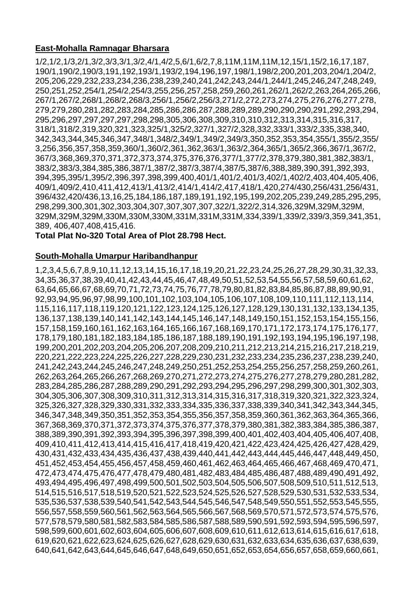# **East-Mohalla Ramnagar Bharsara**

1/2,1/2,1/3,2/1,3/2,3/3,3/1,3/2,4/1,4/2,5,6/1,6/2,7,8,11M,11M,11M,12,15/1,15/2,16,17,187, 190/1,190/2,190/3,191,192,193/1,193/2,194,196,197,198/1,198/2,200,201,203,204/1,204/2, 205,206,229,232,233,234,236,238,239,240,241,242,243,244/1,244/1,245,246,247,248,249, 250,251,252,254/1,254/2,254/3,255,256,257,258,259,260,261,262/1,262/2,263,264,265,266, 267/1,267/2,268/1,268/2,268/3,256/1,256/2,256/3,271/2,272,273,274,275,276,276,277,278, 279,279,280,281,282,283,284,285,286,286,287,288,289,289,290,290,290,291,292,293,294, 295,296,297,297,297,297,298,298,305,306,308,309,310,310,312,313,314,315,316,317, 318/1,318/2,319,320,321,323,325/1,325/2,327/1,327/2,328,332,333/1,333/2,335,338,340, 342,343,344,345,346,347,348/1,348/2,349/1,349/2,349/3,350,352,353,354,355/1,355/2,355/ 3,256,356,357,358,359,360/1,360/2,361,362,363/1,363/2,364,365/1,365/2,366,367/1,367/2, 367/3,368,369,370,371,372,373,374,375,376,376,377/1,377/2,378,379,380,381,382,383/1, 383/2,383/3,384,385,386,387/1,387/2,387/3,387/4,387/5,387/6,388,389,390,391,392,393, 394,395,395/1,395/2,396,397,398,399,400,401/1,401/2,401/3,402/1,402/2,403,404,405,406, 409/1,409/2,410,411,412,413/1,413/2,414/1,414/2,417,418/1,420,274/430,256/431,256/431, 396/432,420/436,13,16,25,184,186,187,189,191,192,195,199,202,205,239,249,285,295,295, 298,299,300,301,302,303,304,307,307,307,307,322/1,322/2,314,326,329M,329M,329M, 329M,329M,329M,330M,330M,330M,331M,331M,331M,334,339/1,339/2,339/3,359,341,351, 389, 406,407,408,415,416.

**Total Plat No-320 Total Area of Plot 28.798 Hect.**

#### **South-Mohalla Umarpur Haribandhanpur**

1,2,3,4,5,6,7,8,9,10,11,12,13,14,15,16,17,18,19,20,21,22,23,24,25,26,27,28,29,30,31,32,33, 34,35,36,37,38,39,40,41,42,43,44,45,46,47,48,49,50,51,52,53,54,55,56,57,58,59,60,61,62, 63,64,65,66,67,68,69,70,71,72,73,74,75,76,77,78,79,80,81,82,83,84,85,86,87,88,89,90,91, 92,93,94,95,96,97,98,99,100,101,102,103,104,105,106,107,108,109,110,111,112,113,114, 115,116,117,118,119,120,121,122,123,124,125,126,127,128,129,130,131,132,133,134,135, 136,137,138,139,140,141,142,143,144,145,146,147,148,149,150,151,152,153,154,155,156, 157,158,159,160,161,162,163,164,165,166,167,168,169,170,171,172,173,174,175,176,177, 178,179,180,181,182,183,184,185,186,187,188,189,190,191,192,193,194,195,196,197,198, 199,200,201,202,203,204,205,206,207,208,209,210,211,212,213,214,215,216,217,218,219, 220,221,222,223,224,225,226,227,228,229,230,231,232,233,234,235,236,237,238,239,240, 241,242,243,244,245,246,247,248,249,250,251,252,253,254,255,256,257,258,259,260,261, 262,263,264,265,266,267,268,269,270,271,272,273,274,275,276,277,278,279,280,281,282, 283,284,285,286,287,288,289,290,291,292,293,294,295,296,297,298,299,300,301,302,303, 304,305,306,307,308,309,310,311,312,313,314,315,316,317,318,319,320,321,322,323,324, 325,326,327,328,329,330,331,332,333,334,335,336,337,338,339,340,341,342,343,344,345, 346,347,348,349,350,351,352,353,354,355,356,357,358,359,360,361,362,363,364,365,366, 367,368,369,370,371,372,373,374,375,376,377,378,379,380,381,382,383,384,385,386,387, 388,389,390,391,392,393,394,395,396,397,398,399,400,401,402,403,404,405,406,407,408, 409,410,411,412,413,414,415,416,417,418,419,420,421,422,423,424,425,426,427,428,429, 430,431,432,433,434,435,436,437,438,439,440,441,442,443,444,445,446,447,448,449,450, 451,452,453,454,455,456,457,458,459,460,461,462,463,464,465,466,467,468,469,470,471, 472,473,474,475,476,477,478,479,480,481,482,483,484,485,486,487,488,489,490,491,492, 493,494,495,496,497,498,499,500,501,502,503,504,505,506,507,508,509,510,511,512,513, 514,515,516,517,518,519,520,521,522,523,524,525,526,527,528,529,530,531,532,533,534, 535,536,537,538,539,540,541,542,543,544,545,546,547,548,549,550,551,552,553,545,555, 556,557,558,559,560,561,562,563,564,565,566,567,568,569,570,571,572,573,574,575,576, 577,578,579,580,581,582,583,584,585,586,587,588,589,590,591,592,593,594,595,596,597, 598,599,600,601,602,603,604,605,606,607,608,609,610,611,612,613,614,615,616,617,618, 619,620,621,622,623,624,625,626,627,628,629,630,631,632,633,634,635,636,637,638,639, 640,641,642,643,644,645,646,647,648,649,650,651,652,653,654,656,657,658,659,660,661,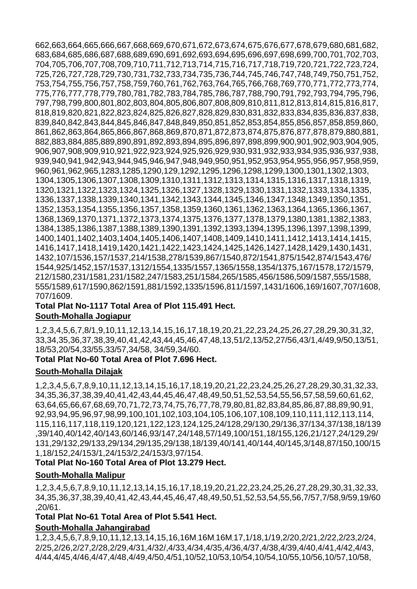662,663,664,665,666,667,668,669,670,671,672,673,674,675,676,677,678,679,680,681,682, 683,684,685,686,687,688,689,690,691,692,693,694,695,696,697,698,699,700,701,702,703, 704,705,706,707,708,709,710,711,712,713,714,715,716,717,718,719,720,721,722,723,724, 725,726,727,728,729,730,731,732,733,734,735,736,744,745,746,747,748,749,750,751,752, 753,754,755,756,757,758,759,760,761,762,763,764,765,766,768,769,770,771,772,773,774, 775,776,777,778,779,780,781,782,783,784,785,786,787,788,790,791,792,793,794,795,796, 797,798,799,800,801,802,803,804,805,806,807,808,809,810,811,812,813,814,815,816,817, 818,819,820,821,822,823,824,825,826,827,828,829,830,831,832,833,834,835,836,837,838, 839,840,842,843,844,845,846,847,848,849,850,851,852,853,854,855,856,857,858,859,860, 861,862,863,864,865,866,867,868,869,870,871,872,873,874,875,876,877,878,879,880,881, 882,883,884,885,889,890,891,892,893,894,895,896,897,898,899,900,901,902,903,904,905, 906,907,908,909,910,921,922,923,924,925,926,929,930,931,932,933,934,935,936,937,938, 939,940,941,942,943,944,945,946,947,948,949,950,951,952,953,954,955,956,957,958,959, 960,961,962,965,1283,1285,1290,129,1292,1295,1296,1298,1299,1300,1301,1302,1303, 1304,1305,1306,1307,1308,1309,1310,1311,1312,1313,1314,1315,1316,1317,1318,1319, 1320,1321,1322,1323,1324,1325,1326,1327,1328,1329,1330,1331,1332,1333,1334,1335, 1336,1337,1338,1339,1340,1341,1342,1343,1344,1345,1346,1347,1348,1349,1350,1351, 1352,1353,1354,1355,1356,1357,1358,1359,1360,1361,1362,1363,1364,1365,1366,1367, 1368,1369,1370,1371,1372,1373,1374,1375,1376,1377,1378,1379,1380,1381,1382,1383, 1384,1385,1386,1387,1388,1389,1390,1391,1392,1393,1394,1395,1396,1397,1398,1399, 1400,1401,1402,1403,1404,1405,1406,1407,1408,1409,1410,1411,1412,1413,1414,1415, 1416,1417,1418,1419,1420,1421,1422,1423,1424,1425,1426,1427,1428,1429,1430,1431, 1432,107/1536,157/1537,214/1538,278/1539,867/1540,872/1541,875/1542,874/1543,476/ 1544,925/1452,157/1537,1312/1554,1335/1557,1365/1558,1354/1375,167/1578,172/1579, 212/1580,231/1581,231/1582,247/1583,251/1584,265/1585,456/1586,509/1587,555/1588, 555/1589,617/1590,862/1591,881/1592,1335/1596,811/1597,1431/1606,169/1607,707/1608, 707/1609.

#### **Total Plat No-1117 Total Area of Plot 115.491 Hect. South-Mohalla Jogiapur**

1,2,3,4,5,6,7,8/1,9,10,11,12,13,14,15,16,17,18,19,20,21,22,23,24,25,26,27,28,29,30,31,32, 33,34,35,36,37,38,39,40,41,42,43,44,45,46,47,48,13,51/2,13/52,27/56,43/1,4/49,9/50,13/51, 18/53,20/54,33/55,33/57,34/58, 34/59,34/60.

# **Total Plat No-60 Total Area of Plot 7.696 Hect.**

# **South-Mohalla Dilajak**

1,2,3,4,5,6,7,8,9,10,11,12,13,14,15,16,17,18,19,20,21,22,23,24,25,26,27,28,29,30,31,32,33, 34,35,36,37,38,39,40,41,42,43,44,45,46,47,48,49,50,51,52,53,54,55,56,57,58,59,60,61,62, 63,64,65,66,67,68,69,70,71,72,73,74,75,76,77,78,79,80,81,82,83,84,85,86,87,88,89,90,91, 92,93,94,95,96,97,98,99,100,101,102,103,104,105,106,107,108,109,110,111,112,113,114, 115,116,117,118,119,120,121,122,123,124,125,24/128,29/130,29/136,37/134,37/138,18/139 ,39/140,40/142,40/143,60/146,93/147,24/148,57/149,100/151,18/155,126,21/127,24/129,29/ 131,29/132,29/133,29/134,29/135,29/138,18/139,40/141,40/144,40/145,3/148,87/150,100/15 1,18/152,24/153/1,24/153/2,24/153/3,97/154.

# **Total Plat No-160 Total Area of Plot 13.279 Hect.**

# **South-Mohalla Malipur**

1,2,3,4,5,6,7,8,9,10,11,12,13,14,15,16,17,18,19,20,21,22,23,24,25,26,27,28,29,30,31,32,33, 34,35,36,37,38,39,40,41,42,43,44,45,46,47,48,49,50,51,52,53,54,55,56,7/57,7/58,9/59,19/60 ,20/61.

#### **Total Plat No-61 Total Area of Plot 5.541 Hect.**

# **South-Mohalla Jahangirabad**

1,2,3,4,5,6,7,8,9,10,11,12,13,14,15,16,16M,16M,16M,17,1/18,1/19,2/20,2/21,2/22,2/23,2/24, 2/25,2/26,2/27,2/28,2/29,4/31,4/32/,4/33,4/34,4/35,4/36,4/37,4/38,4/39,4/40,4/41,4/42,4/43, 4/44,4/45,4/46,4/47,4/48,4/49,4/50,4/51,10/52,10/53,10/54,10/54,10/55,10/56,10/57,10/58,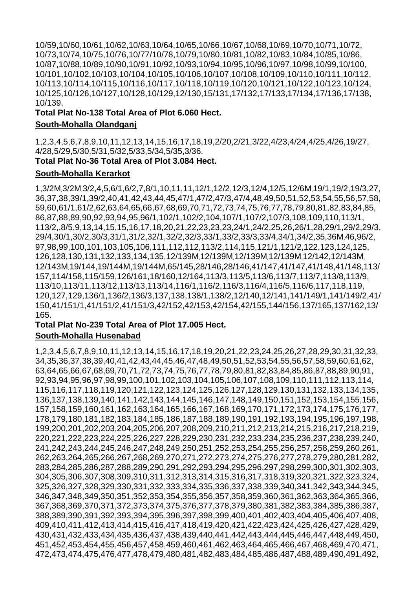10/59,10/60,10/61,10/62,10/63,10/64,10/65,10/66,10/67,10/68,10/69,10/70,10/71,10/72, 10/73,10/74,10/75,10/76,10/77/10/78,10/79,10/80,10/81,10/82,10/83,10/84,10/85,10/86, 10/87,10/88,10/89,10/90,10/91,10/92,10/93,10/94,10/95,10/96,10/97,10/98,10/99,10/100, 10/101,10/102,10/103,10/104,10/105,10/106,10/107,10/108,10/109,10/110,10/111,10/112, 10/113,10/114,10/115,10/116,10/117,10/118,10/119,10/120,10/121,10/122,10/123,10/124, 10/125,10/126,10/127,10/128,10/129,12/130,15/131,17/132,17/133,17/134,17/136,17/138, 10/139.

**Total Plat No-138 Total Area of Plot 6.060 Hect.**

## **South-Mohalla Olandganj**

1,2,3,4,5,6,7,8,9,10,11,12,13,14,15,16,17,18,19,2/20,2/21,3/22,4/23,4/24,4/25,4/26,19/27, 4/28,5/29,5/30,5/31,5/32,5/33,5/34,5/35,3/36. **Total Plat No-36 Total Area of Plot 3.084 Hect.**

# **South-Mohalla Kerarkot**

1,3/2M]3/2M]3/2,4,5,6/1,6/2,7,8/1,10,11,11,12/1,12/2,12/3,12/4,12/5,12/6M]19/1,19/2,19/3,27, 36,37,38,39/1,39/2,40,41,42,43,44,45,47/1,47/2,47/3,47/4,48,49,50,51,52,53,54,55,56,57,58, 59,60,61/1,61/2,62,63,64,65,66,67,68,69,70,71,72,73,74,75,76,77,78,79,80,81,82,83,84,85, 86,87,88,89,90,92,93,94,95,96/1,102/1,102/2,104,107/1,107/2,107/3,108,109,110,113/1, 113/2,,8/5,9,13,14,15,15,16,17,18,20,21,22,23,23,23,24/1,24/2,25,26,26/1,28,29/1,29/2,29/3, 29/4,30/1,30/2,30/3,31/1,31/2,32/1,32/2,32/3,33/1,33/2,33/3,33/4,34/1,34/2,35,36M]46,96/2, 97,98,99,100,101,103,105,106,111,112,112,113/2,114,115,121/1,121/2,122,123,124,125, 126,128,130,131,132,133,134,135,12/139M]12/139M]12/139M]12/139M]12/142,12/143M] 12/143M]19/144,19/144M,19/144M,65/145,28/146,28/146,41/147,41/147,41/148,41/148,113/ 157,114/158,115/159,126/161,18/160,12/164,113/3,113/5,113/6,113/7,113/7,113/8,113/9, 113/10,113/11,113/12,113/13,113/14,116/1,116/2,116/3,116/4,116/5,116/6,117,118,119, 120,127,129,136/1,136/2,136/3,137,138,138/1,138/2,12/140,12/141,141/149/1,141/149/2,41/ 150,41/151/1,41/151/2,41/151/3,42/152,42/153,42/154,42/155,144/156,137/165,137/162,13/ 165.

#### **Total Plat No-239 Total Area of Plot 17.005 Hect. South-Mohalla Husenabad**

1,2,3,4,5,6,7,8,9,10,11,12,13,14,15,16,17,18,19,20,21,22,23,24,25,26,27,28,29,30,31,32,33, 34,35,36,37,38,39,40,41,42,43,44,45,46,47,48,49,50,51,52,53,54,55,56,57,58,59,60,61,62, 63,64,65,66,67,68,69,70,71,72,73,74,75,76,77,78,79,80,81,82,83,84,85,86,87,88,89,90,91, 92,93,94,95,96,97,98,99,100,101,102,103,104,105,106,107,108,109,110,111,112,113,114, 115,116,117,118,119,120,121,122,123,124,125,126,127,128,129,130,131,132,133,134,135, 136,137,138,139,140,141,142,143,144,145,146,147,148,149,150,151,152,153,154,155,156, 157,158,159,160,161,162,163,164,165,166,167,168,169,170,171,172,173,174,175,176,177, 178,179,180,181,182,183,184,185,186,187,188,189,190,191,192,193,194,195,196,197,198, 199,200,201,202,203,204,205,206,207,208,209,210,211,212,213,214,215,216,217,218,219, 220,221,222,223,224,225,226,227,228,229,230,231,232,233,234,235,236,237,238,239,240, 241,242,243,244,245,246,247,248,249,250,251,252,253,254,255,256,257,258,259,260,261, 262,263,264,265,266,267,268,269,270,271,272,273,274,275,276,277,278,279,280,281,282, 283,284,285,286,287,288,289,290,291,292,293,294,295,296,297,298,299,300,301,302,303, 304,305,306,307,308,309,310,311,312,313,314,315,316,317,318,319,320,321,322,323,324, 325,326,327,328,329,330,331,332,333,334,335,336,337,338,339,340,341,342,343,344,345, 346,347,348,349,350,351,352,353,354,355,356,357,358,359,360,361,362,363,364,365,366, 367,368,369,370,371,372,373,374,375,376,377,378,379,380,381,382,383,384,385,386,387, 388,389,390,391,392,393,394,395,396,397,398,399,400,401,402,403,404,405,406,407,408, 409,410,411,412,413,414,415,416,417,418,419,420,421,422,423,424,425,426,427,428,429, 430,431,432,433,434,435,436,437,438,439,440,441,442,443,444,445,446,447,448,449,450, 451,452,453,454,455,456,457,458,459,460,461,462,463,464,465,466,467,468,469,470,471, 472,473,474,475,476,477,478,479,480,481,482,483,484,485,486,487,488,489,490,491,492,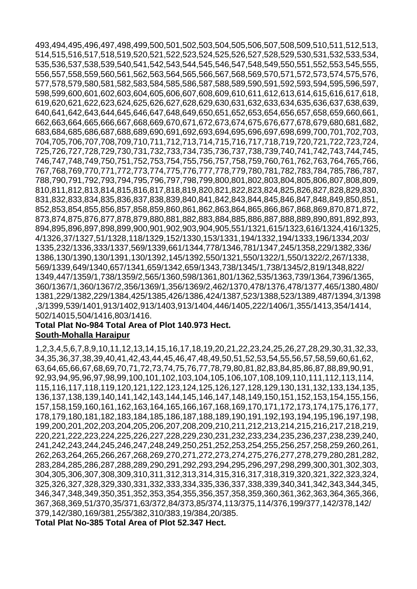493,494,495,496,497,498,499,500,501,502,503,504,505,506,507,508,509,510,511,512,513, 514,515,516,517,518,519,520,521,522,523,524,525,526,527,528,529,530,531,532,533,534, 535,536,537,538,539,540,541,542,543,544,545,546,547,548,549,550,551,552,553,545,555, 556,557,558,559,560,561,562,563,564,565,566,567,568,569,570,571,572,573,574,575,576, 577,578,579,580,581,582,583,584,585,586,587,588,589,590,591,592,593,594,595,596,597, 598,599,600,601,602,603,604,605,606,607,608,609,610,611,612,613,614,615,616,617,618, 619,620,621,622,623,624,625,626,627,628,629,630,631,632,633,634,635,636,637,638,639, 640,641,642,643,644,645,646,647,648,649,650,651,652,653,654,656,657,658,659,660,661, 662,663,664,665,666,667,668,669,670,671,672,673,674,675,676,677,678,679,680,681,682, 683,684,685,686,687,688,689,690,691,692,693,694,695,696,697,698,699,700,701,702,703, 704,705,706,707,708,709,710,711,712,713,714,715,716,717,718,719,720,721,722,723,724, 725,726,727,728,729,730,731,732,733,734,735,736,737,738,739,740,741,742,743,744,745, 746,747,748,749,750,751,752,753,754,755,756,757,758,759,760,761,762,763,764,765,766, 767,768,769,770,771,772,773,774,775,776,777,778,779,780,781,782,783,784,785,786,787, 788,790,791,792,793,794,795,796,797,798,799,800,801,802,803,804,805,806,807,808,809, 810,811,812,813,814,815,816,817,818,819,820,821,822,823,824,825,826,827,828,829,830, 831,832,833,834,835,836,837,838,839,840,841,842,843,844,845,846,847,848,849,850,851, 852,853,854,855,856,857,858,859,860,861,862,863,864,865,866,867,868,869,870,871,872, 873,874,875,876,877,878,879,880,881,882,883,884,885,886,887,888,889,890,891,892,893, 894,895,896,897,898,899,900,901,902,903,904,905,551/1321,615/1323,616/1324,416/1325, 4/1326,37/1327,51/1328,118/1329,152/1330,153/1331,194/1332,194/1333,196/1334,203/ 1335,232/1336,333/1337,569/1339,661/1344,778/1346,781/1347,245/1358,229/1382,336/ 1386,130/1390,130/1391,130/1392,145/1392,550/1321,550/1322/1,550/1322/2,267/1338, 569/1339,649/1340,657/1341,659/1342,659/1343,738/1345/1,738/1345/2,819/1348,822/ 1349,447/1359/1,738/1359/2,565/1360,598/1361,801/1362,535/1363,739/1364,7396/1365, 360/1367/1,360/1367/2,356/1369/1,356/1369/2,462/1370,478/1376,478/1377,465/1380,480/ 1381,229/1382,229/1384,425/1385,426/1386,424/1387,523/1388,523/1389,487/1394,3/1398 ,3/1399,539/1401,913/1402,913/1403,913/1404,446/1405,222/1406/1,355/1413,354/1414, 502/14015,504/1416,803/1416.

#### **Total Plat No-984 Total Area of Plot 140.973 Hect. South-Mohalla Haraipur**

1,2,3,4,5,6,7,8,9,10,11,12,13,14,15,16,17,18,19,20,21,22,23,24,25,26,27,28,29,30,31,32,33, 34,35,36,37,38,39,40,41,42,43,44,45,46,47,48,49,50,51,52,53,54,55,56,57,58,59,60,61,62, 63,64,65,66,67,68,69,70,71,72,73,74,75,76,77,78,79,80,81,82,83,84,85,86,87,88,89,90,91, 92,93,94,95,96,97,98,99,100,101,102,103,104,105,106,107,108,109,110,111,112,113,114, 115,116,117,118,119,120,121,122,123,124,125,126,127,128,129,130,131,132,133,134,135, 136,137,138,139,140,141,142,143,144,145,146,147,148,149,150,151,152,153,154,155,156, 157,158,159,160,161,162,163,164,165,166,167,168,169,170,171,172,173,174,175,176,177, 178,179,180,181,182,183,184,185,186,187,188,189,190,191,192,193,194,195,196,197,198, 199,200,201,202,203,204,205,206,207,208,209,210,211,212,213,214,215,216,217,218,219, 220,221,222,223,224,225,226,227,228,229,230,231,232,233,234,235,236,237,238,239,240, 241,242,243,244,245,246,247,248,249,250,251,252,253,254,255,256,257,258,259,260,261, 262,263,264,265,266,267,268,269,270,271,272,273,274,275,276,277,278,279,280,281,282, 283,284,285,286,287,288,289,290,291,292,293,294,295,296,297,298,299,300,301,302,303, 304,305,306,307,308,309,310,311,312,313,314,315,316,317,318,319,320,321,322,323,324, 325,326,327,328,329,330,331,332,333,334,335,336,337,338,339,340,341,342,343,344,345, 346,347,348,349,350,351,352,353,354,355,356,357,358,359,360,361,362,363,364,365,366, 367,368,369,51/370,35/371,63/372,84/373,85/374,113/375,114/376,199/377,142/378,142/ 379,142/380,169/381,255/382,310/383,19/384,20/385. **Total Plat No-385 Total Area of Plot 52.347 Hect.**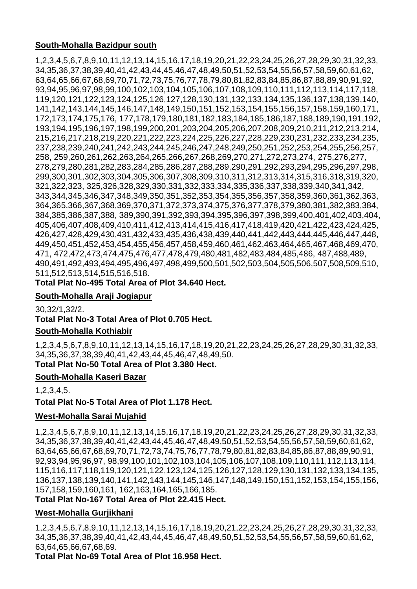# **South-Mohalla Bazidpur south**

1,2,3,4,5,6,7,8,9,10,11,12,13,14,15,16,17,18,19,20,21,22,23,24,25,26,27,28,29,30,31,32,33, 34,35,36,37,38,39,40,41,42,43,44,45,46,47,48,49,50,51,52,53,54,55,56,57,58,59,60,61,62, 63,64,65,66,67,68,69,70,71,72,73,75,76,77,78,79,80,81,82,83,84,85,86,87,88,89,90,91,92, 93,94,95,96,97,98,99,100,102,103,104,105,106,107,108,109,110,111,112,113,114,117,118, 119,120,121,122,123,124,125,126,127,128,130,131,132,133,134,135,136,137,138,139,140, 141,142,143,144,145,146,147,148,149,150,151,152,153,154,155,156,157,158,159,160,171, 172,173,174,175,176, 177,178,179,180,181,182,183,184,185,186,187,188,189,190,191,192, 193,194,195,196,197,198,199,200,201,203,204,205,206,207,208,209,210,211,212,213,214, 215,216,217,218,219,220,221,222,223,224,225,226,227,228,229,230,231,232,233,234,235, 237,238,239,240,241,242,243,244,245,246,247,248,249,250,251,252,253,254,255,256,257, 258, 259,260,261,262,263,264,265,266,267,268,269,270,271,272,273,274, 275,276,277, 278,279,280,281,282,283,284,285,286,287,288,289,290,291,292,293,294,295,296,297,298, 299,300,301,302,303,304,305,306,307,308,309,310,311,312,313,314,315,316,318,319,320, 321,322,323, 325,326,328,329,330,331,332,333,334,335,336,337,338,339,340,341,342, 343,344,345,346,347,348,349,350,351,352,353,354,355,356,357,358,359,360,361,362,363, 364,365,366,367,368,369,370,371,372,373,374,375,376,377,378,379,380,381,382,383,384, 384,385,386,387,388, 389,390,391,392,393,394,395,396,397,398,399,400,401,402,403,404, 405,406,407,408,409,410,411,412,413,414,415,416,417,418,419,420,421,422,423,424,425, 426,427,428,429,430,431,432,433,435,436,438,439,440,441,442,443,444,445,446,447,448, 449,450,451,452,453,454,455,456,457,458,459,460,461,462,463,464,465,467,468,469,470, 471, 472,472,473,474,475,476,477,478,479,480,481,482,483,484,485,486, 487,488,489, 490,491,492,493,494,495,496,497,498,499,500,501,502,503,504,505,506,507,508,509,510, 511,512,513,514,515,516,518.

**Total Plat No-495 Total Area of Plot 34.640 Hect.**

# **South-Mohalla Araji Jogiapur**

30,32/1,32/2. **Total Plat No-3 Total Area of Plot 0.705 Hect.**

# **South-Mohalla Kothiabir**

1,2,3,4,5,6,7,8,9,10,11,12,13,14,15,16,17,18,19,20,21,22,23,24,25,26,27,28,29,30,31,32,33, 34,35,36,37,38,39,40,41,42,43,44,45,46,47,48,49,50.

**Total Plat No-50 Total Area of Plot 3.380 Hect.**

# **South-Mohalla Kaseri Bazar**

1,2,3,4,5.

**Total Plat No-5 Total Area of Plot 1.178 Hect.**

# **West-Mohalla Sarai Mujahid**

1,2,3,4,5,6,7,8,9,10,11,12,13,14,15,16,17,18,19,20,21,22,23,24,25,26,27,28,29,30,31,32,33, 34,35,36,37,38,39,40,41,42,43,44,45,46,47,48,49,50,51,52,53,54,55,56,57,58,59,60,61,62, 63,64,65,66,67,68,69,70,71,72,73,74,75,76,77,78,79,80,81,82,83,84,85,86,87,88,89,90,91, 92,93,94,95,96,97, 98,99,100,101,102,103,104,105,106,107,108,109,110,111,112,113,114, 115,116,117,118,119,120,121,122,123,124,125,126,127,128,129,130,131,132,133,134,135, 136,137,138,139,140,141,142,143,144,145,146,147,148,149,150,151,152,153,154,155,156, 157,158,159,160,161, 162,163,164,165,166,185.

#### **Total Plat No-167 Total Area of Plot 22.415 Hect.**

# **West-Mohalla Gurjikhani**

1,2,3,4,5,6,7,8,9,10,11,12,13,14,15,16,17,18,19,20,21,22,23,24,25,26,27,28,29,30,31,32,33, 34,35,36,37,38,39,40,41,42,43,44,45,46,47,48,49,50,51,52,53,54,55,56,57,58,59,60,61,62, 63,64,65,66,67,68,69.

**Total Plat No-69 Total Area of Plot 16.958 Hect.**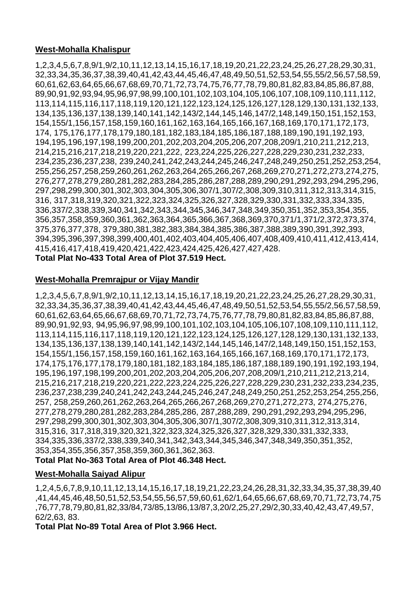## **West-Mohalla Khalispur**

1,2,3,4,5,6,7,8,9/1,9/2,10,11,12,13,14,15,16,17,18,19,20,21,22,23,24,25,26,27,28,29,30,31, 32,33,34,35,36,37,38,39,40,41,42,43,44,45,46,47,48,49,50,51,52,53,54,55,55/2,56,57,58,59, 60,61,62,63,64,65,66,67,68,69,70,71,72,73,74,75,76,77,78,79,80,81,82,83,84,85,86,87,88, 89,90,91,92,93,94,95,96,97,98,99,100,101,102,103,104,105,106,107,108,109,110,111,112, 113,114,115,116,117,118,119,120,121,122,123,124,125,126,127,128,129,130,131,132,133, 134,135,136,137,138,139,140,141,142,143/2,144,145,146,147/2,148,149,150,151,152,153, 154,155/1,156,157,158,159,160,161,162,163,164,165,166,167,168,169,170,171,172,173, 174, 175,176,177,178,179,180,181,182,183,184,185,186,187,188,189,190,191,192,193, 194,195,196,197,198,199,200,201,202,203,204,205,206,207,208,209/1,210,211,212,213, 214,215,216,217,218,219,220,221,222, 223,224,225,226,227,228,229,230,231,232,233, 234,235,236,237,238, 239,240,241,242,243,244,245,246,247,248,249,250,251,252,253,254, 255,256,257,258,259,260,261,262,263,264,265,266,267,268,269,270,271,272,273,274,275, 276,277,278,279,280,281,282,283,284,285,286,287,288,289,290,291,292,293,294,295,296, 297,298,299,300,301,302,303,304,305,306,307/1,307/2,308,309,310,311,312,313,314,315, 316, 317,318,319,320,321,322,323,324,325,326,327,328,329,330,331,332,333,334,335, 336,337/2,338,339,340,341,342,343,344,345,346,347,348,349,350,351,352,353,354,355, 356,357,358,359,360,361,362,363,364,365,366,367,368,369,370,371/1,371/2,372,373,374, 375,376,377,378, 379,380,381,382,383,384,384,385,386,387,388,389,390,391,392,393, 394,395,396,397,398,399,400,401,402,403,404,405,406,407,408,409,410,411,412,413,414, 415,416,417,418,419,420,421,422,423,424,425,426,427,427,428. **Total Plat No-433 Total Area of Plot 37.519 Hect.**

#### **West-Mohalla Premrajpur or Vijay Mandir**

1,2,3,4,5,6,7,8,9/1,9/2,10,11,12,13,14,15,16,17,18,19,20,21,22,23,24,25,26,27,28,29,30,31, 32,33,34,35,36,37,38,39,40,41,42,43,44,45,46,47,48,49,50,51,52,53,54,55,55/2,56,57,58,59, 60,61,62,63,64,65,66,67,68,69,70,71,72,73,74,75,76,77,78,79,80,81,82,83,84,85,86,87,88, 89,90,91,92,93, 94,95,96,97,98,99,100,101,102,103,104,105,106,107,108,109,110,111,112, 113,114,115,116,117,118,119,120,121,122,123,124,125,126,127,128,129,130,131,132,133, 134,135,136,137,138,139,140,141,142,143/2,144,145,146,147/2,148,149,150,151,152,153, 154,155/1,156,157,158,159,160,161,162,163,164,165,166,167,168,169,170,171,172,173, 174,175,176,177,178,179,180,181,182,183,184,185,186,187,188,189,190,191,192,193,194, 195,196,197,198,199,200,201,202,203,204,205,206,207,208,209/1,210,211,212,213,214, 215,216,217,218,219,220,221,222,223,224,225,226,227,228,229,230,231,232,233,234,235, 236,237,238,239,240,241,242,243,244,245,246,247,248,249,250,251,252,253,254,255,256, 257, 258,259,260,261,262,263,264,265,266,267,268,269,270,271,272,273, 274,275,276, 277,278,279,280,281,282,283,284,285,286, 287,288,289, 290,291,292,293,294,295,296, 297,298,299,300,301,302,303,304,305,306,307/1,307/2,308,309,310,311,312,313,314, 315,316, 317,318,319,320,321,322,323,324,325,326,327,328,329,330,331,332,333, 334,335,336,337/2,338,339,340,341,342,343,344,345,346,347,348,349,350,351,352, 353,354,355,356,357,358,359,360,361,362,363.

## **Total Plat No-363 Total Area of Plot 46.348 Hect.**

#### **West-Mohalla Saiyad Alipur**

1,2,4,5,6,7,8,9,10,11,12,13,14,15,16,17,18,19,21,22,23,24,26,28,31,32,33,34,35,37,38,39,40 ,41,44,45,46,48,50,51,52,53,54,55,56,57,59,60,61,62/1,64,65,66,67,68,69,70,71,72,73,74,75 ,76,77,78,79,80,81,82,33/84,73/85,13/86,13/87,3,20/2,25,27,29/2,30,33,40,42,43,47,49,57, 62/2,63, 83.

**Total Plat No-89 Total Area of Plot 3.966 Hect.**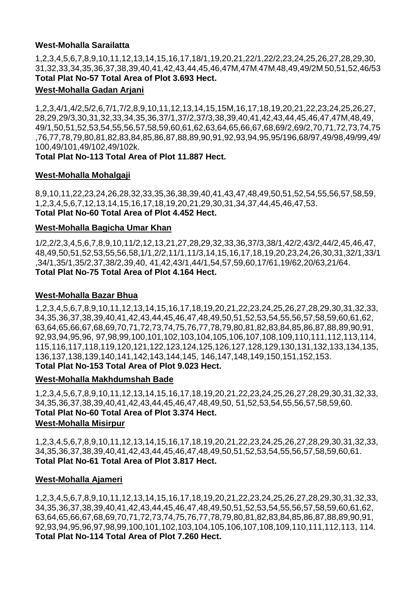## **West-Mohalla Sarailatta**

1,2,3,4,5,6,7,8,9,10,11,12,13,14,15,16,17,18/1,19,20,21,22/1,22/2,23,24,25,26,27,28,29,30, 31,32,33,34,35,36,37,38,39,40,41,42,43,44,45,46,47M,47M]47M]48,49,49/2M]50,51,52,46/53 **Total Plat No-57 Total Area of Plot 3.693 Hect.**

## **West-Mohalla Gadan Arjani**

1,2,3,4/1,4/2,5/2,6,7/1,7/2,8,9,10,11,12,13,14,15,15M,16,17,18,19,20,21,22,23,24,25,26,27, 28,29,29/3,30,31,32,33,34,35,36,37/1,37/2,37/3,38,39,40,41,42,43,44,45,46,47,47M,48,49, 49/1,50,51,52,53,54,55,56,57,58,59,60,61,62,63,64,65,66,67,68,69/2,69/2,70,71,72,73,74,75 ,76,77,78,79,80,81,82,83,84,85,86,87,88,89,90,91,92,93,94,95,95/196,68/97,49/98,49/99,49/ 100,49/101,49/102,49/102k.

## **Total Plat No-113 Total Area of Plot 11.887 Hect.**

## **West-Mohalla Mohalgaji**

8,9,10,11,22,23,24,26,28,32,33,35,36,38,39,40,41,43,47,48,49,50,51,52,54,55,56,57,58,59, 1,2,3,4,5,6,7,12,13,14,15,16,17,18,19,20,21,29,30,31,34,37,44,45,46,47,53. **Total Plat No-60 Total Area of Plot 4.452 Hect.**

## **West-Mohalla Bagicha Umar Khan**

1/2,2/2,3,4,5,6,7,8,9,10,11/2,12,13,21,27,28,29,32,33,36,37/3,38/1,42/2,43/2,44/2,45,46,47, 48,49,50,51,52,53,55,56,58,1/1,2/2,11/1,11/3,14,15,16,17,18,19,20,23,24,26,30,31,32/1,33/1 ,34/1,35/1,35/2,37,38/2,39,40, 41,42,43/1,44/1,54,57,59,60,17/61,19/62,20/63,21/64. **Total Plat No-75 Total Area of Plot 4.164 Hect.**

## **West-Mohalla Bazar Bhua**

1,2,3,4,5,6,7,8,9,10,11,12,13,14,15,16,17,18,19,20,21,22,23,24,25,26,27,28,29,30,31,32,33, 34,35,36,37,38,39,40,41,42,43,44,45,46,47,48,49,50,51,52,53,54,55,56,57,58,59,60,61,62, 63,64,65,66,67,68,69,70,71,72,73,74,75,76,77,78,79,80,81,82,83,84,85,86,87,88,89,90,91, 92,93,94,95,96, 97,98,99,100,101,102,103,104,105,106,107,108,109,110,111,112,113,114, 115,116,117,118,119,120,121,122,123,124,125,126,127,128,129,130,131,132,133,134,135, 136,137,138,139,140,141,142,143,144,145, 146,147,148,149,150,151,152,153. **Total Plat No-153 Total Area of Plot 9.023 Hect.**

## **West-Mohalla Makhdumshah Bade**

1,2,3,4,5,6,7,8,9,10,11,12,13,14,15,16,17,18,19,20,21,22,23,24,25,26,27,28,29,30,31,32,33, 34,35,36,37,38,39,40,41,42,43,44,45,46,47,48,49,50, 51,52,53,54,55,56,57,58,59,60. **Total Plat No-60 Total Area of Plot 3.374 Hect. West-Mohalla Misirpur** 

1,2,3,4,5,6,7,8,9,10,11,12,13,14,15,16,17,18,19,20,21,22,23,24,25,26,27,28,29,30,31,32,33, 34,35,36,37,38,39,40,41,42,43,44,45,46,47,48,49,50,51,52,53,54,55,56,57,58,59,60,61. **Total Plat No-61 Total Area of Plot 3.817 Hect.**

## **West-Mohalla Ajameri**

1,2,3,4,5,6,7,8,9,10,11,12,13,14,15,16,17,18,19,20,21,22,23,24,25,26,27,28,29,30,31,32,33, 34,35,36,37,38,39,40,41,42,43,44,45,46,47,48,49,50,51,52,53,54,55,56,57,58,59,60,61,62, 63,64,65,66,67,68,69,70,71,72,73,74,75,76,77,78,79,80,81,82,83,84,85,86,87,88,89,90,91, 92,93,94,95,96,97,98,99,100,101,102,103,104,105,106,107,108,109,110,111,112,113, 114. **Total Plat No-114 Total Area of Plot 7.260 Hect.**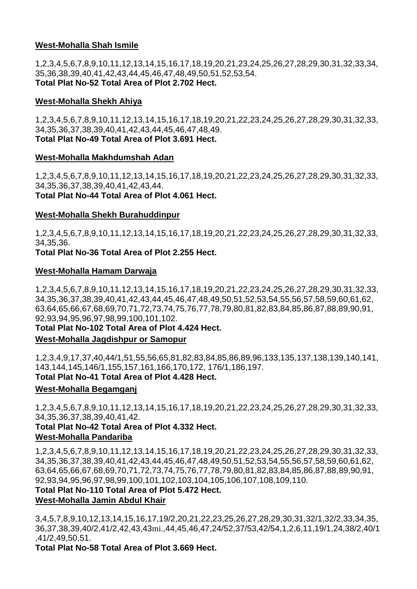## **West-Mohalla Shah Ismile**

1,2,3,4,5,6,7,8,9,10,11,12,13,14,15,16,17,18,19,20,21,23,24,25,26,27,28,29,30,31,32,33,34, 35,36,38,39,40,41,42,43,44,45,46,47,48,49,50,51,52,53,54. **Total Plat No-52 Total Area of Plot 2.702 Hect.**

#### **West-Mohalla Shekh Ahiya**

1,2,3,4,5,6,7,8,9,10,11,12,13,14,15,16,17,18,19,20,21,22,23,24,25,26,27,28,29,30,31,32,33, 34,35,36,37,38,39,40,41,42,43,44,45,46,47,48,49. **Total Plat No-49 Total Area of Plot 3.691 Hect.**

#### **West-Mohalla Makhdumshah Adan**

1,2,3,4,5,6,7,8,9,10,11,12,13,14,15,16,17,18,19,20,21,22,23,24,25,26,27,28,29,30,31,32,33, 34,35,36,37,38,39,40,41,42,43,44. **Total Plat No-44 Total Area of Plot 4.061 Hect.**

#### **West-Mohalla Shekh Burahuddinpur**

1,2,3,4,5,6,7,8,9,10,11,12,13,14,15,16,17,18,19,20,21,22,23,24,25,26,27,28,29,30,31,32,33, 34,35,36.

**Total Plat No-36 Total Area of Plot 2.255 Hect.**

#### **West-Mohalla Hamam Darwaja**

1,2,3,4,5,6,7,8,9,10,11,12,13,14,15,16,17,18,19,20,21,22,23,24,25,26,27,28,29,30,31,32,33, 34,35,36,37,38,39,40,41,42,43,44,45,46,47,48,49,50,51,52,53,54,55,56,57,58,59,60,61,62, 63,64,65,66,67,68,69,70,71,72,73,74,75,76,77,78,79,80,81,82,83,84,85,86,87,88,89,90,91, 92,93,94,95,96,97,98,99,100,101,102.

## **Total Plat No-102 Total Area of Plot 4.424 Hect.**

## **West-Mohalla Jagdishpur or Samopur**

1,2,3,4,9,17,37,40,44/1,51,55,56,65,81,82,83,84,85,86,89,96,133,135,137,138,139,140,141, 143,144,145,146/1,155,157,161,166,170,172, 176/1,186,197. **Total Plat No-41 Total Area of Plot 4.428 Hect.**

## **West-Mohalla Begamganj**

1,2,3,4,5,6,7,8,9,10,11,12,13,14,15,16,17,18,19,20,21,22,23,24,25,26,27,28,29,30,31,32,33, 34,35,36,37,38,39,40,41,42.

# **Total Plat No-42 Total Area of Plot 4.332 Hect.**

## **West-Mohalla Pandariba**

1,2,3,4,5,6,7,8,9,10,11,12,13,14,15,16,17,18,19,20,21,22,23,24,25,26,27,28,29,30,31,32,33, 34,35,36,37,38,39,40,41,42,43,44,45,46,47,48,49,50,51,52,53,54,55,56,57,58,59,60,61,62, 63,64,65,66,67,68,69,70,71,72,73,74,75,76,77,78,79,80,81,82,83,84,85,86,87,88,89,90,91, 92,93,94,95,96,97,98,99,100,101,102,103,104,105,106,107,108,109,110.

## **Total Plat No-110 Total Area of Plot 5.472 Hect.**

## **West-Mohalla Jamin Abdul Khair**

3,4,5,7,8,9,10,12,13,14,15,16,17,19/2,20,21,22,23,25,26,27,28,29,30,31,32/1,32/2,33,34,35, 36,37,38,39,40/2,41/2,42,43,43mi.,44,45,46,47,24/52,37/53,42/54,1,2,6,11,19/1,24,38/2,40/1 ,41/2,49,50,51.

**Total Plat No-58 Total Area of Plot 3.669 Hect.**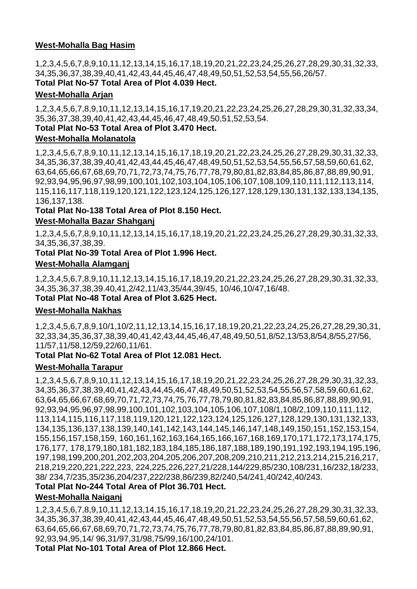## **West-Mohalla Bag Hasim**

1,2,3,4,5,6,7,8,9,10,11,12,13,14,15,16,17,18,19,20,21,22,23,24,25,26,27,28,29,30,31,32,33, 34,35,36,37,38,39,40,41,42,43,44,45,46,47,48,49,50,51,52,53,54,55,56,26/57.

## **Total Plat No-57 Total Area of Plot 4.039 Hect.**

## **West-Mohalla Arjan**

1,2,3,4,5,6,7,8,9,10,11,12,13,14,15,16,17,19,20,21,22,23,24,25,26,27,28,29,30,31,32,33,34, 35,36,37,38,39,40,41,42,43,44,45,46,47,48,49,50,51,52,53,54.

## **Total Plat No-53 Total Area of Plot 3.470 Hect.**

## **West-Mohalla Molanatola**

1,2,3,4,5,6,7,8,9,10,11,12,13,14,15,16,17,18,19,20,21,22,23,24,25,26,27,28,29,30,31,32,33, 34,35,36,37,38,39,40,41,42,43,44,45,46,47,48,49,50,51,52,53,54,55,56,57,58,59,60,61,62, 63,64,65,66,67,68,69,70,71,72,73,74,75,76,77,78,79,80,81,82,83,84,85,86,87,88,89,90,91, 92,93,94,95,96,97,98,99,100,101,102,103,104,105,106,107,108,109,110,111,112,113,114, 115,116,117,118,119,120,121,122,123,124,125,126,127,128,129,130,131,132,133,134,135, 136,137,138.

**Total Plat No-138 Total Area of Plot 8.150 Hect.**

## **West-Mohalla Bazar Shahganj**

1,2,3,4,5,6,7,8,9,10,11,12,13,14,15,16,17,18,19,20,21,22,23,24,25,26,27,28,29,30,31,32,33, 34,35,36,37,38,39.

**Total Plat No-39 Total Area of Plot 1.996 Hect.**

## **West-Mohalla Alamganj**

1,2,3,4,5,6,7,8,9,10,11,12,13,14,15,16,17,18,19,20,21,22,23,24,25,26,27,28,29,30,31,32,33, 34,35,36,37,38,39.40,41,2/42,11/43,35/44,39/45, 10/46,10/47,16/48. **Total Plat No-48 Total Area of Plot 3.625 Hect.**

## **West-Mohalla Nakhas**

1,2,3,4,5,6,7,8,9,10/1,10/2,11,12,13,14,15,16,17,18,19,20,21,22,23,24,25,26,27,28,29,30,31, 32,33,34,35,36,37,38,39,40,41,42,43,44,45,46,47,48,49,50,51,8/52,13/53,8/54,8/55,27/56, 11/57,11/58,12/59,22/60,11/61.

## **Total Plat No-62 Total Area of Plot 12.081 Hect.**

## **West-Mohalla Tarapur**

1,2,3,4,5,6,7,8,9,10,11,12,13,14,15,16,17,18,19,20,21,22,23,24,25,26,27,28,29,30,31,32,33, 34,35,36,37,38,39,40,41,42,43,44,45,46,47,48,49,50,51,52,53,54,55,56,57,58,59,60,61,62, 63,64,65,66,67,68,69,70,71,72,73,74,75,76,77,78,79,80,81,82,83,84,85,86,87,88,89,90,91, 92,93,94,95,96,97,98,99,100,101,102,103,104,105,106,107,108/1,108/2,109,110,111,112, 113,114,115,116,117,118,119,120,121,122,123,124,125,126,127,128,129,130,131,132,133, 134,135,136,137,138,139,140,141,142,143,144,145,146,147,148,149,150,151,152,153,154, 155,156,157,158,159, 160,161,162,163,164,165,166,167,168,169,170,171,172,173,174,175, 176,177, 178,179,180,181,182,183,184,185,186,187,188,189,190,191,192,193,194,195,196, 197,198,199,200,201,202,203,204,205,206,207,208,209,210,211,212,213,214,215,216,217, 218,219,220,221,222,223, 224,225,226,227,21/228,144/229,85/230,108/231,16/232,18/233, 38/ 234,7/235,35/236,204/237,222/238,86/239,82/240,54/241,40/242,40/243.

## **Total Plat No-244 Total Area of Plot 36.701 Hect.**

## **West-Mohalla Naiganj**

1,2,3,4,5,6,7,8,9,10,11,12,13,14,15,16,17,18,19,20,21,22,23,24,25,26,27,28,29,30,31,32,33, 34,35,36,37,38,39,40,41,42,43,44,45,46,47,48,49,50,51,52,53,54,55,56,57,58,59,60,61,62, 63,64,65,66,67,68,69,70,71,72,73,74,75,76,77,78,79,80,81,82,83,84,85,86,87,88,89,90,91, 92,93,94,95,14/ 96,31/97,31/98,75/99,16/100,24/101.

**Total Plat No-101 Total Area of Plot 12.866 Hect.**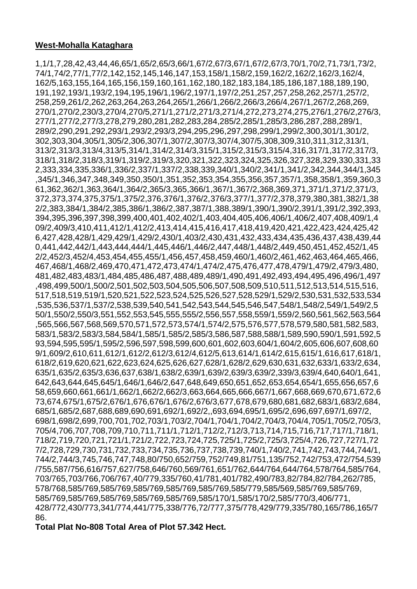## **West-Mohalla Kataghara**

1,1/1,7,28,42,43,44,46,65/1,65/2,65/3,66/1,67/2,67/3,67/1,67/2,67/3,70/1,70/2,71,73/1,73/2, 74/1,74/2,77/1,77/2,142,152,145,146,147,153,158/1,158/2,159,162/2,162/2,162/3,162/4, 162/5,163,155,164,165,156,159,160,161,162,180,182,183,184,185,186,187,188,189,190, 191,192,193/1,193/2,194,195,196/1,196/2,197/1,197/2,251,257,257,258,262,257/1,257/2, 258,259,261/2,262,263,264,263,264,265/1,266/1,266/2,266/3,266/4,267/1,267/2,268,269, 270/1,270/2,230/3,270/4,270/5,271/1,271/2,271/3,271/4,272,273,274,275,276/1,276/2,276/3, 277/1,277/2,277/3,278,279,280,281,282,283,284,285/2,285/1,285/3,286,287,288,289/1, 289/2,290,291,292,293/1,293/2,293/3,294,295,296,297,298,299/1,299/2,300,301/1,301/2, 302,303,304,305/1,305/2,306,307/1,307/2,307/3,307/4,307/5,308,309,310,311,312,313/1, 313/2,313/3,313/4,313/5,314/1,314/2,314/3,315/1,315/2,315/3,315/4,316,317/1,317/2,317/3, 318/1,318/2,318/3,319/1,319/2,319/3,320,321,322,323,324,325,326,327,328,329,330,331,33 2,333,334,335,336/1,336/2,337/1,337/2,338,339,340/1,340/2,341/1,341/2,342,344,344/1,345 ,345/1,346,347,348,349,350,350/1,351,352,353,354,355,356,357,357/1,358,358/1,359,360,3 61,362,362/1,363,364/1,364/2,365/3,365,366/1,367/1,367/2,368,369,371,371/1,371/2,371/3, 372,373,374,375,375/1,375/2,376,376/1,376/2,376/3,377/1,377/2,378,379,380,381,382/1,38 2/2,383,384/1,384/2,385,386/1,386/2,387,387/1,388,389/1,390/1,390/2,391/1,391/2,392,393, 394,395,396,397,398,399,400,401,402,402/1,403,404,405,406,406/1,406/2,407,408,409/1,4 09/2,409/3,410,411,412/1,412/2,413,414,415,416,417,418,419,420,421,422,423,424,425,42 6,427,428,428/1,429,429/1,429/2,430/1,403/2,430,431,432,433,434,435,436,437,438,439,44 0,441,442,442/1,443,444,444/1,445,446/1,446/2,447,448/1,448/2,449,450,451,452,452/1,45 2/2,452/3,452/4,453,454,455,455/1,456,457,458,459,460/1,460/2,461,462,463,464,465,466, 467,468/1,468/2,469,470,471,472,473,474/1,474/2,475,476,477,478,479/1,479/2,479/3,480, 481,482,483,483/1,484,485,486,487,488,489,489/1,490,491,492,493,494,495,496,496/1,497 ,498,499,500/1,500/2,501,502,503,504,505,506,507,508,509,510,511,512,513,514,515,516, 517,518,519,519/1,520,521,522,523,524,525,526,527,528,529/1,529/2,530,531,532,533,534 ,535,536,537/1,537/2,538,539,540,541,542,543,544,545,546,547,548/1,548/2,549/1,549/2,5 50/1,550/2,550/3,551,552,553,545,555,555/2,556,557,558,559/1,559/2,560,561,562,563,564 ,565,566,567,568,569,570,571,572,573,574/1,574/2,575,576,577,578,579,580,581,582,583, 583/1,583/2,583/3,584,584/1,585/1,585/2,585/3,586,587,588,588/1,589,590,590/1,591,592,5 93,594,595,595/1,595/2,596,597,598,599,600,601,602,603,604/1,604/2,605,606,607,608,60 9/1,609/2,610,611,612/1,612/2,612/3,612/4,612/5,613,614/1,614/2,615,615/1,616,617,618/1, 618/2,619,620,621,622,623,624,625,626,627,628/1,628/2,629,630,631,632,633/1,633/2,634, 635/1,635/2,635/3,636,637,638/1,638/2,639/1,639/2,639/3,639/2,339/3,639/4,640,640/1,641, 642,643,644,645,645/1,646/1,646/2,647,648,649,650,651,652,653,654,654/1,655,656,657,6 58,659,660,661,661/1,662/1,662/2,662/3,663,664,665,666,667/1,667,668,669,670,671,672,6 73,674,675/1,675/2,676/1,676,676/1,676/2,676/3,677,678,679,680,681,682,683/1,683/2,684, 685/1,685/2,687,688,689,690,691,692/1,692/2,,693,694,695/1,695/2,696,697,697/1,697/2, 698/1,698/2,699,700,701,702,703/1,703/2,704/1,704/1,704/2,704/3,704/4,705/1,705/2,705/3, 705/4,706,707,708,709,710,711,711/1,712/1,712/2,712/3,713,714,715,716,717,717/1,718/1, 718/2,719,720,721,721/1,721/2,722,723,724,725,725/1,725/2,725/3,725/4,726,727,727/1,72 7/2,728,729,730,731,732,733,734,735,736,737,738,739,740/1,740/2,741,742,743,744,744/1, 744/2,744/3,745,746,747,748,80/750,652/759,752/749,81/751,135/752,742/753,472/754,539 /755,587/756,616/757,627/758,646/760,569/761,651/762,644/764,644/764,578/764,585/764, 703/765,703/766,706/767,40/779,335/760,41/781,401/782,490/783,82/784,82/784,262/785, 578/768,585/769,585/769,585/769,585/769,585/769,585/779,585/569,585/769,585/769, 585/769,585/769,585/769,585/769,585/769,585/170/1,585/170/2,585/770/3,406/771, 428/772,430/773,341/774,441/775,338/776,72/777,375/778,429/779,335/780,165/786,165/7 86.

**Total Plat No-808 Total Area of Plot 57.342 Hect.**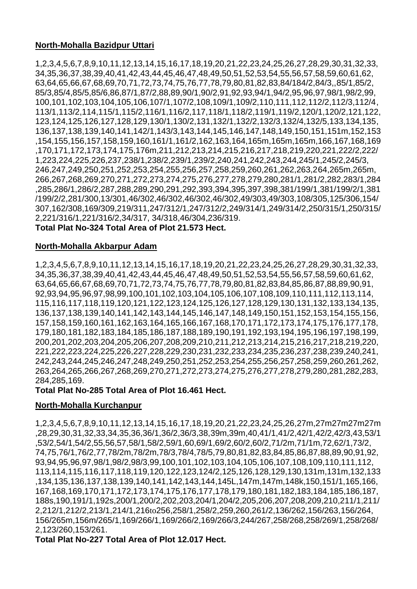## **North-Mohalla Bazidpur Uttari**

1,2,3,4,5,6,7,8,9,10,11,12,13,14,15,16,17,18,19,20,21,22,23,24,25,26,27,28,29,30,31,32,33, 34,35,36,37,38,39,40,41,42,43,44,45,46,47,48,49,50,51,52,53,54,55,56,57,58,59,60,61,62, 63,64,65,66,67,68,69,70,71,72,73,74,75,76,77,78,79,80,81,82,83,84/184/2,84/3,,85/1,85/2, 85/3,85/4,85/5,85/6,86,87/1,87/2,88,89,90/1,90/2,91,92,93,94/1,94/2,95,96,97,98/1,98/2,99, 100,101,102,103,104,105,106,107/1,107/2,108,109/1,109/2,110,111,112,112/2,112/3,112/4, 113/1,113/2,114,115/1,115/2,116/1,116/2,117,118/1,118/2,119/1,119/2,120/1,120/2,121,122, 123,124,125,126,127,128,129,130/1,130/2,131,132/1,132/2,132/3,132/4,132/5,133,134,135, 136,137,138,139,140,141,142/1,143/3,143,144,145,146,147,148,149,150,151,151m,152,153 ,154,155,156,157,158,159,160,161/1,161/2,162,163,164,165m,165m,165m,166,167,168,169 ,170,171,172,173,174,175,176m,211,212,213,214,215,216,217,218,219,220,221,222/2,222/ 1,223,224,225,226,237,238/1,238/2,239/1,239/2,240,241,242,243,244,245/1,245/2,245/3, 246,247,249,250,251,252,253,254,255,256,257,258,259,260,261,262,263,264,265m,265m, 266,267,268,269,270,271,272,273,274,275,276,277,278,279,280,281/1,281/2,282,283/1,284 ,285,286/1,286/2,287,288,289,290,291,292,393,394,395,397,398,381/199/1,381/199/2/1,381 /199/2/2,281/300,13/301,46/302,46/302,46/302,46/302,49/303,49/303,108/305,125/306,154/ 307,162/308,169/309,219/311,247/312/1,247/312/2,249/314/1,249/314/2,250/315/1,250/315/ 2,221/316/1,221/316/2,34/317, 34/318,46/304,236/319.

**Total Plat No-324 Total Area of Plot 21.573 Hect.**

## **North-Mohalla Akbarpur Adam**

1,2,3,4,5,6,7,8,9,10,11,12,13,14,15,16,17,18,19,20,21,22,23,24,25,26,27,28,29,30,31,32,33, 34,35,36,37,38,39,40,41,42,43,44,45,46,47,48,49,50,51,52,53,54,55,56,57,58,59,60,61,62, 63,64,65,66,67,68,69,70,71,72,73,74,75,76,77,78,79,80,81,82,83,84,85,86,87,88,89,90,91, 92,93,94,95,96,97,98,99,100,101,102,103,104,105,106,107,108,109,110,111,112,113,114, 115,116,117,118,119,120,121,122,123,124,125,126,127,128,129,130,131,132,133,134,135, 136,137,138,139,140,141,142,143,144,145,146,147,148,149,150,151,152,153,154,155,156, 157,158,159,160,161,162,163,164,165,166,167,168,170,171,172,173,174,175,176,177,178, 179,180,181,182,183,184,185,186,187,188,189,190,191,192,193,194,195,196,197,198,199, 200,201,202,203,204,205,206,207,208,209,210,211,212,213,214,215,216,217,218,219,220, 221,222,223,224,225,226,227,228,229,230,231,232,233,234,235,236,237,238,239,240,241, 242,243,244,245,246,247,248,249,250,251,252,253,254,255,256,257,258,259,260,261,262, 263,264,265,266,267,268,269,270,271,272,273,274,275,276,277,278,279,280,281,282,283, 284,285,169.

## **Total Plat No-285 Total Area of Plot 16.461 Hect.**

## **North-Mohalla Kurchanpur**

1,2,3,4,5,6,7,8,9,10,11,12,13,14,15,16,17,18,19,20,21,22,23,24,25,26,27m,27m27m27m27m ,28,29,30,31,32,33,34,35,36,36/1,36/2,36/3,38,39m,39m,40,41/1,41/2,42/1,42/2,42/3,43,53/1 ,53/2,54/1,54/2,55,56,57,58/1,58/2,59/1,60,69/1,69/2,60/2,60/2,71/2m,71/1m,72,62/1,73/2, 74,75,76/1,76/2,77,78/2m,78/2m,78/3,78/4,78/5,79,80,81,82,83,84,85,86,87,88,89,90,91,92, 93,94,95,96,97,98/1,98/2,98/3,99,100,101,102,103,104,105,106,107,108,109,110,111,112, 113,114,115,116,117,118,119,120,122,123,124/2,125,126,128,129,130,131m,131m,132,133 ,134,135,136,137,138,139,140,141,142,143,144,145L,147m,147m,148k,150,151/1,165,166, 167,168,169,170,171,172,173,174,175,176,177,178,179,180,181,182,183,184,185,186,187, 188s,190,191/1,192s,200/1,200/2,202,203,204/1,204/2,205,206,207,208,209,210,211/1,211/ 2,212/1,212/2,213/1,214/1,216to256,258/1,258/2,259,260,261/2,136/262,156/263,156/264, 156/265m,156m/265/1,169/266/1,169/266/2,169/266/3,244/267,258/268,258/269/1,258/268/ 2,123/260,153/261.

**Total Plat No-227 Total Area of Plot 12.017 Hect.**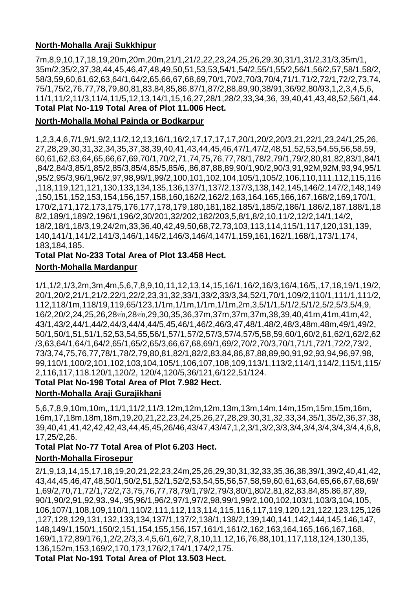# **North-Mohalla Araji Sukkhipur**

7m,8,9,10,17,18,19,20m,20m,20m,21/1,21/2,22,23,24,25,26,29,30,31/1,31/2,31/3,35m/1, 35m/2,35/2,37,38,44,45,46,47,48,49,50,51,53,53,54/1,54/2,55/1,55/2,56/1,56/2,57,58/1,58/2, 58/3,59,60,61,62,63,64/1,64/2,65,66,67,68,69,70/1,70/2,70/3,70/4,71/1,71/2,72/1,72/2,73,74, 75/1,75/2,76,77,78,79,80,81,83,84,85,86,87/1,87/2,88,89,90,38/91,36/92,80/93,1,2,3,4,5,6, 11/1,11/2,11/3,11/4,11/5,12,13,14/1,15,16,27,28/1,28/2,33,34,36, 39,40,41,43,48,52,56/1,44. **Total Plat No-119 Total Area of Plot 11.006 Hect.**

## **North-Mohalla Mohal Painda or Bodkarpur**

1,2,3,4,6,7/1,9/1,9/2,11/2,12,13,16/1,16/2,17,17,17,17,20/1,20/2,20/3,21,22/1,23,24/1,25,26, 27,28,29,30,31,32,34,35,37,38,39,40,41,43,44,45,46,47/1,47/2,48,51,52,53,54,55,56,58,59, 60,61,62,63,64,65,66,67,69,70/1,70/2,71,74,75,76,77,78/1,78/2,79/1,79/2,80,81,82,83/1,84/1 ,84/2,84/3,85/1,85/2,85/3,85/4,85/5,85/6,,86,87,88,89,90/1,90/2,90/3,91,92M,92M,93,94,95/1 ,95/2,95/3,96/1,96/2,97,98,99/1,99/2,100,101,102,104,105/1,105/2,106,110,111,112,115,116 ,118,119,121,121,130,133,134,135,136,137/1,137/2,137/3,138,142,145,146/2,147/2,148,149 ,150,151,152,153,154,156,157,158,160,162/2,162/2,163,164,165,166,167,168/2,169,170/1, 170/2,171,172,173,175,176,177,178,179,180,181,182,185/1,185/2,186/1,186/2,187,188/1,18 8/2,189/1,189/2,196/1,196/2,30/201,32/202,182/203,5,8/1,8/2,10,11/2,12/2,14/1,14/2, 18/2,18/1,18/3,19,24/2m,33,36,40,42,49,50,68,72,73,103,113,114,115/1,117,120,131,139, 140,141/1,141/2,141/3,146/1,146/2,146/3,146/4,147/1,159,161,162/1,168/1,173/1,174, 183,184,185.

# **Total Plat No-233 Total Area of Plot 13.458 Hect.**

## **North-Mohalla Mardanpur**

1/1,1/2,1/3,2m,3m,4m,5,6,7,8,9,10,11,12,13,14,15,16/1,16/2,16/3,16/4,16/5,,17,18,19/1,19/2, 20/1,20/2,21/1,21/2,22/1,22/2,23,31,32,33/1,33/2,33/3,34,52/1,70/1,109/2,110/1,111/1,111/2, 112,118/1m,118/19,119,65/123,1/1m,1/1m,1/1m,1/1m,2m,3,5/1/1,5/1/2,5/1/2,5/2,5/3,5/4,9, 16/2,20/2,24,25,26,28 $\text{H0},$ 28 $\text{H0},$ 29,30,35,36,37m,37m,37m,37m,38,39,40,41m,41m,41m,42, 43/1,43/2,44/1,44/2,44/3,44/4,44/5,45,46/1,46/2,46/3,47,48/1,48/2,48/3,48m,48m,49/1,49/2, 50/1,50/1,51,51/1,52,53,54,55,56/1,57/1,57/2,57/3,57/4,57/5,58,59,60/1,60/2,61,62/1,62/2,62 /3,63,64/1,64/1,64/2,65/1,65/2,65/3,66,67,68,69/1,69/2,70/2,70/3,70/1,71/1,72/1,72/2,73/2, 73/3,74,75,76,77,78/1,78/2,79,80,81,82/1,82/2,83,84,86,87,88,89,90,91,92,93,94,96,97,98, 99,110/1,100/2,101,102,103,104,105/1,106,107,108,109,113/1,113/2,114/1,114/2,115/1,115/ 2,116,117,118.120/1,120/2, 120/4,120/5,36/121,6/122,51/124.

# **Total Plat No-198 Total Area of Plot 7.982 Hect.**

## **North-Mohalla Araji Gurajikhani**

5,6,7,8,9,10m,10m,,11/1,11/2,11/3,12m,12m,12m,13m,13m,14m,14m,15m,15m,15m,16m, 16m,17,18m,18m,18m,19,20,21,22,23,24,25,26,27,28,29,30,31,32,33,34,35/1,35/2,36,37,38, 39,40,41,41,42,42,42,43,44,45,45,26/46,43/47,43/47,1,2,3/1,3/2,3/3,3/4,3/4,3/4,3/4,3/4,4,6,8, 17,25/2,26.

## **Total Plat No-77 Total Area of Plot 6.203 Hect. North-Mohalla Firosepur**

2/1,9,13,14,15,17,18,19,20,21,22,23,24m,25,26,29,30,31,32,33,35,36,38,39/1,39/2,40,41,42, 43,44,45,46,47,48,50/1,50/2,51,52/1,52/2,53,54,55,56,57,58,59,60,61,63,64,65,66,67,68,69/ 1,69/2,70,71,72/1,72/2,73,75,76,77,78,79/1,79/2,79/3,80/1,80/2,81,82,83,84,85.86,87,89, 90/1,90/2,91,92,93.,94,.95,96/1,96/2,97/1,97/2,98,99/1,99/2,100,102,103/1,103/3,104,105, 106,107/1,108,109,110/1,110/2,111,112,113,114,115,116,117,119,120,121,122,123,125,126 ,127,128,129,131,132,133,134,137/1,137/2,138/1,138/2,139,140,141,142,144,145,146,147, 148,149/1,150/1,150/2,151,154,155,156,157,161/1,161/2,162,163,164,165,166,167,168, 169/1,172,89/176,1,2/2,2/3,3.4,5,6/1,6/2,7,8,10,11,12,16,76,88,101,117,118,124,130,135, 136,152m,153,169/2,170,173,176/2,174/1,174/2,175.

**Total Plat No-191 Total Area of Plot 13.503 Hect.**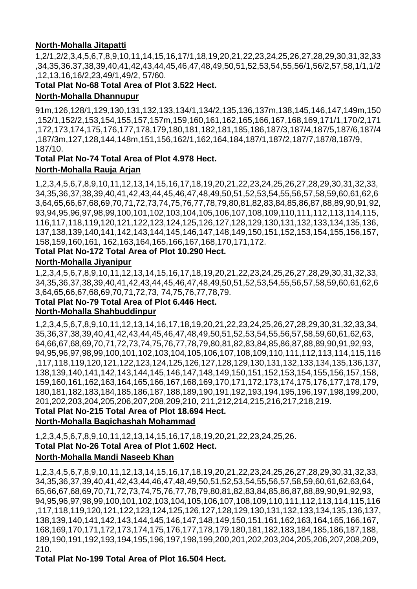## **North-Mohalla Jitapatti**

1,2/1,2/2,3,4,5,6,7,8,9,10,11,14,15,16,17/1,18,19,20,21,22,23,24,25,26,27,28,29,30,31,32,33 ,34,35,36.37,38,39,40,41,42,43,44,45,46,47,48,49,50,51,52,53,54,55,56/1,56/2,57,58,1/1,1/2 ,12,13,16,16/2,23,49/1,49/2, 57/60.

# **Total Plat No-68 Total Area of Plot 3.522 Hect.**

## **North-Mohalla Dhannupur**

91m,126,128/1,129,130,131,132,133,134/1,134/2,135,136,137m,138,145,146,147,149m,150 ,152/1,152/2,153,154,155,157,157m,159,160,161,162,165,166,167,168,169,171/1,170/2,171 ,172,173,174,175,176,177,178,179,180,181,182,181,185,186,187/3,187/4,187/5,187/6,187/4 ,187/3m,127,128,144,148m,151,156,162/1,162,164,184,187/1,187/2,187/7,187/8,187/9, 187/10.

## **Total Plat No-74 Total Area of Plot 4.978 Hect. North-Mohalla Rauja Arjan**

1,2,3,4,5,6,7,8,9,10,11,12,13,14,15,16,17,18,19,20,21,22,23,24,25,26,27,28,29,30,31,32,33, 34,35,36,37,38,39,40,41,42,43,44,45,46,47,48,49,50,51,52,53,54,55,56,57,58,59,60,61,62,6 3,64,65,66,67,68,69,70,71,72,73,74,75,76,77,78,79,80,81,82,83,84,85,86,87,88,89,90,91,92, 93,94,95,96,97,98,99,100,101,102,103,104,105,106,107,108,109,110,111,112,113,114,115, 116,117,118,119,120,121,122,123,124,125,126,127,128,129,130,131,132,133,134,135,136, 137,138,139,140,141,142,143,144,145,146,147,148,149,150,151,152,153,154,155,156,157, 158,159,160,161, 162,163,164,165,166,167,168,170,171,172.

## **Total Plat No-172 Total Area of Plot 10.290 Hect.**

## **North-Mohalla Jiyanipur**

1,2,3,4,5,6,7,8,9,10,11,12,13,14,15,16,17,18,19,20,21,22,23,24,25,26,27,28,29,30,31,32,33, 34,35,36,37,38,39,40,41,42,43,44,45,46,47,48,49,50,51,52,53,54,55,56,57,58,59,60,61,62,6 3,64,65,66,67,68,69,70,71,72,73, 74,75,76,77,78,79.

## **Total Plat No-79 Total Area of Plot 6.446 Hect.**

## **North-Mohalla Shahbuddinpur**

1,2,3,4,5,6,7,8,9,10,11,12,13,14,16,17,18,19,20,21,22,23,24,25,26,27,28,29,30,31,32,33,34, 35,36,37,38,39,40,41,42,43,44,45,46,47,48,49,50,51,52,53,54,55,56,57,58,59,60,61,62,63, 64,66,67,68,69,70,71,72,73,74,75,76,77,78,79,80,81,82,83,84,85,86,87,88,89,90,91,92,93, 94,95,96,97,98,99,100,101,102,103,104,105,106,107,108,109,110,111,112,113,114,115,116 ,117,118,119,120,121,122,123,124,125,126,127,128,129,130,131,132,133,134,135,136,137, 138,139,140,141,142,143,144,145,146,147,148,149,150,151,152,153,154,155,156,157,158, 159,160,161,162,163,164,165,166,167,168,169,170,171,172,173,174,175,176,177,178,179, 180,181,182,183,184,185,186,187,188,189,190,191,192,193,194,195,196,197,198,199,200, 201,202,203,204,205,206,207,208,209,210, 211,212,214,215,216,217,218,219.

## **Total Plat No-215 Total Area of Plot 18.694 Hect.**

## **North-Mohalla Bagichashah Mohammad**

1,2,3,4,5,6,7,8,9,10,11,12,13,14,15,16,17,18,19,20,21,22,23,24,25,26. **Total Plat No-26 Total Area of Plot 1.602 Hect.**

## **North-Mohalla Mandi Naseeb Khan**

1,2,3,4,5,6,7,8,9,10,11,12,13,14,15,16,17,18,19,20,21,22,23,24,25,26,27,28,29,30,31,32,33, 34,35,36,37,39,40,41,42,43,44,46,47,48,49,50,51,52,53,54,55,56,57,58,59,60,61,62,63,64, 65,66,67,68,69,70,71,72,73,74,75,76,77,78,79,80,81,82,83,84,85,86,87,88,89,90,91,92,93, 94,95,96,97,98,99,100,101,102,103,104,105,106,107,108,109,110,111,112,113,114,115,116 ,117,118,119,120,121,122,123,124,125,126,127,128,129,130,131,132,133,134,135,136,137, 138,139,140,141,142,143,144,145,146,147,148,149,150,151,161,162,163,164,165,166,167, 168,169,170,171,172,173,174,175,176,177,178,179,180,181,182,183,184,185,186,187,188, 189,190,191,192,193,194,195,196,197,198,199,200,201,202,203,204,205,206,207,208,209, 210.

## **Total Plat No-199 Total Area of Plot 16.504 Hect.**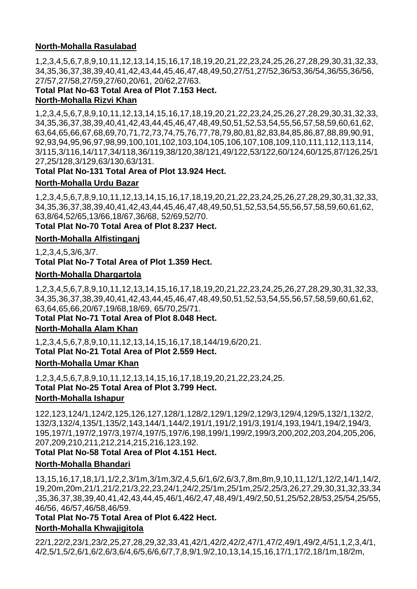## **North-Mohalla Rasulabad**

1,2,3,4,5,6,7,8,9,10,11,12,13,14,15,16,17,18,19,20,21,22,23,24,25,26,27,28,29,30,31,32,33, 34,35,36,37,38,39,40,41,42,43,44,45,46,47,48,49,50,27/51,27/52,36/53,36/54,36/55,36/56, 27/57,27/58,27/59,27/60,20/61, 20/62,27/63.

## **Total Plat No-63 Total Area of Plot 7.153 Hect. North-Mohalla Rizvi Khan**

1,2,3,4,5,6,7,8,9,10,11,12,13,14,15,16,17,18,19,20,21,22,23,24,25,26,27,28,29,30,31,32,33, 34,35,36,37,38,39,40,41,42,43,44,45,46,47,48,49,50,51,52,53,54,55,56,57,58,59,60,61,62, 63,64,65,66,67,68,69,70,71,72,73,74,75,76,77,78,79,80,81,82,83,84,85,86,87,88,89,90,91, 92,93,94,95,96,97,98,99,100,101,102,103,104,105,106,107,108,109,110,111,112,113,114, 3/115,3/116,14/117,34/118,36/119,38/120,38/121,49/122,53/122,60/124,60/125,87/126,25/1 27,25/128,3/129,63/130,63/131.

## **Total Plat No-131 Total Area of Plot 13.924 Hect.**

## **North-Mohalla Urdu Bazar**

1,2,3,4,5,6,7,8,9,10,11,12,13,14,15,16,17,18,19,20,21,22,23,24,25,26,27,28,29,30,31,32,33, 34,35,36,37,38,39,40,41,42,43,44,45,46,47,48,49,50,51,52,53,54,55,56,57,58,59,60,61,62, 63,8/64,52/65,13/66,18/67,36/68, 52/69,52/70.

**Total Plat No-70 Total Area of Plot 8.237 Hect.**

## **North-Mohalla Alfistinganj**

1,2,3,4,5,3/6,3/7.

**Total Plat No-7 Total Area of Plot 1.359 Hect.**

## **North-Mohalla Dhargartola**

1,2,3,4,5,6,7,8,9,10,11,12,13,14,15,16,17,18,19,20,21,22,23,24,25,26,27,28,29,30,31,32,33, 34,35,36,37,38,39,40,41,42,43,44,45,46,47,48,49,50,51,52,53,54,55,56,57,58,59,60,61,62, 63,64,65,66,20/67,19/68,18/69, 65/70,25/71.

**Total Plat No-71 Total Area of Plot 8.048 Hect.**

**North-Mohalla Alam Khan** 

1,2,3,4,5,6,7,8,9,10,11,12,13,14,15,16,17,18,144/19,6/20,21. **Total Plat No-21 Total Area of Plot 2.559 Hect.**

## **North-Mohalla Umar Khan**

1,2,3,4,5,6,7,8,9,10,11,12,13,14,15,16,17,18,19,20,21,22,23,24,25. **Total Plat No-25 Total Area of Plot 3.799 Hect. North-Mohalla Ishapur** 

122,123,124/1,124/2,125,126,127,128/1,128/2,129/1,129/2,129/3,129/4,129/5,132/1,132/2, 132/3,132/4,135/1,135/2,143,144/1,144/2,191/1,191/2,191/3,191/4,193,194/1,194/2,194/3, 195,197/1,197/2,197/3,197/4,197/5,197/6,198,199/1,199/2,199/3,200,202,203,204,205,206, 207,209,210,211,212,214,215,216,123,192.

## **Total Plat No-58 Total Area of Plot 4.151 Hect.**

## **North-Mohalla Bhandari**

13,15,16,17,18,1/1,1/2,2,3/1m,3/1m,3/2,4,5,6/1,6/2,6/3,7,8m,8m,9,10,11,12/1,12/2,14/1,14/2, 19,20m,20m,21/1,21/2,21/3,22,23,24/1,24/2,25/1m,25/1m,25/2,25/3,26,27,29,30,31,32,33,34 ,35,36,37,38,39,40,41,42,43,44,45,46/1,46/2,47,48,49/1,49/2,50,51,25/52,28/53,25/54,25/55, 46/56, 46/57,46/58,46/59.

**Total Plat No-75 Total Area of Plot 6.422 Hect. North-Mohalla Khwajigitola** 

22/1,22/2,23/1,23/2,25,27,28,29,32,33,41,42/1,42/2,42/2,47/1,47/2,49/1,49/2,4/51,1,2,3,4/1, 4/2,5/1,5/2,6/1,6/2,6/3,6/4,6/5,6/6,6/7,7,8,9/1,9/2,10,13,14,15,16,17/1,17/2,18/1m,18/2m,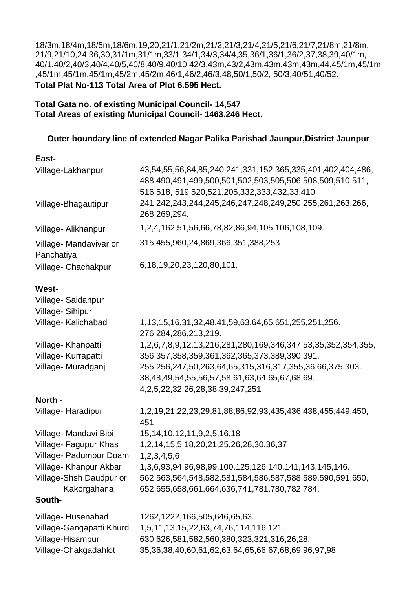18/3m,18/4m,18/5m,18/6m,19,20,21/1,21/2m,21/2,21/3,21/4,21/5,21/6,21/7,21/8m,21/8m, 21/9,21/10,24,36,30,31/1m,31/1m,33/1,34/1,34/3,34/4,35,36/1,36/1,36/2,37,38,39,40/1m, 40/1,40/2,40/3,40/4,40/5,40/8,40/9,40/10,42/3,43m,43/2,43m,43m,43m,43m,44,45/1m,45/1m ,45/1m,45/1m,45/1m,45/2m,45/2m,46/1,46/2,46/3,48,50/1,50/2, 50/3,40/51,40/52. **Total Plat No-113 Total Area of Plot 6.595 Hect.**

**Total Gata no. of existing Municipal Council- 14,547 Total Areas of existing Municipal Council- 1463.246 Hect.**

## **Outer boundary line of extended Nagar Palika Parishad Jaunpur,District Jaunpur**

| East-                                |                                                                                                                          |
|--------------------------------------|--------------------------------------------------------------------------------------------------------------------------|
| Village-Lakhanpur                    | 43,54,55,56,84,85,240,241,331,152,365,335,401,402,404,486,<br>488,490,491,499,500,501,502,503,505,506,508,509,510,511,   |
| Village-Bhagautipur                  | 516,518, 519,520,521,205,332,333,432,33,410.<br>241,242,243,244,245,246,247,248,249,250,255,261,263,266,<br>268,269,294. |
| Village- Alikhanpur                  | 1,2,4,162,51,56,66,78,82,86,94,105,106,108,109.                                                                          |
| Village- Mandavivar or<br>Panchatiya | 315,455,960,24,869,366,351,388,253                                                                                       |
| Village- Chachakpur                  | 6, 18, 19, 20, 23, 120, 80, 101.                                                                                         |
| <b>West-</b>                         |                                                                                                                          |
| Village-Saidanpur<br>Village-Sihipur |                                                                                                                          |
| Village- Kalichabad                  | 1, 13, 15, 16, 31, 32, 48, 41, 59, 63, 64, 65, 651, 255, 251, 256.<br>276,284,286,213,219.                               |
| Village- Khanpatti                   | 1, 2, 6, 7, 8, 9, 12, 13, 216, 281, 280, 169, 346, 347, 53, 35, 352, 354, 355,                                           |
| Village- Kurrapatti                  | 356,357,358,359,361,362,365,373,389,390,391.                                                                             |
| Village-Muradganj                    | 255,256,247,50,263,64,65,315,316,317,355,36,66,375,303.                                                                  |
|                                      | 38,48,49,54,55,56,57,58,61,63,64,65,67,68,69.                                                                            |
|                                      | 4, 2, 5, 22, 32, 26, 28, 38, 39, 247, 251                                                                                |
| North -                              |                                                                                                                          |
| Village-Haradipur                    | 1, 2, 19, 21, 22, 23, 29, 81, 88, 86, 92, 93, 435, 436, 438, 455, 449, 450,<br>451.                                      |
| Village- Mandavi Bibi                | 15, 14, 10, 12, 11, 9, 2, 5, 16, 18                                                                                      |
| Village- Fagupur Khas                | 1, 2, 14, 15, 5, 18, 20, 21, 25, 26, 28, 30, 36, 37                                                                      |
| Village- Padumpur Doam               | 1,2,3,4,5,6                                                                                                              |
| Village- Khanpur Akbar               | 1,3,6,93,94,96,98,99,100,125,126,140,141,143,145,146.                                                                    |
| Village-Shsh Daudpur or              | 562,563,564,548,582,581,584,586,587,588,589,590,591,650,                                                                 |
| Kakorgahana                          | 652,655,658,661,664,636,741,781,780,782,784.                                                                             |
| South-                               |                                                                                                                          |
| Village-Husenabad                    | 1262, 1222, 166, 505, 646, 65, 63.                                                                                       |
| Village-Gangapatti Khurd             | 1,5,11,13,15,22,63,74,76,114,116,121.                                                                                    |
| Village-Hisampur                     | 630,626,581,582,560,380,323,321,316,26,28.                                                                               |
| Village-Chakgadahlot                 | 35, 36, 38, 40, 60, 61, 62, 63, 64, 65, 66, 67, 68, 69, 96, 97, 98                                                       |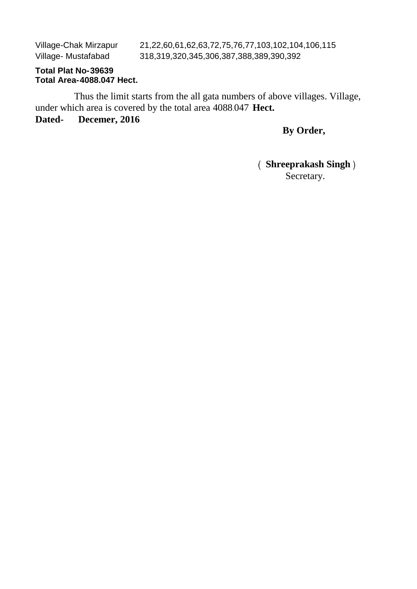Village-Chak Mirzapur Village- Mustafabad

21,22,60,61,62,63,72,75,76,77,103,102,104,106,115 318,319,320,345,306,387,388,389,390,392

# **Total Plat No-39639 Total Area-4088.047 Hect.**

Thus the limit starts from the all gata numbers of above villages. Village, under which area is covered by the total area 4088-047 **Hect.**

# **Dated- Decemer, 2016**

# **By Order,**

# **Shreeprakash Singh**  Secretary.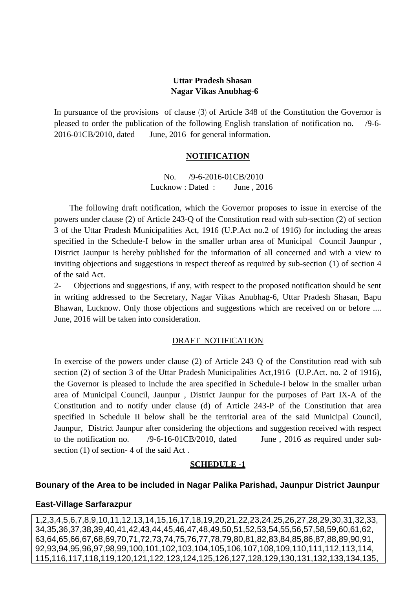## **Uttar Pradesh Shasan Nagar Vikas Anubhag-6**

In pursuance of the provisions of clause  $(3)$  of Article 348 of the Constitution the Governor is pleased to order the publication of the following English translation of notification no. /9-6- 2016-01CB/2010, dated June, 2016 for general information.

#### **NOTIFICATION**

 No. /9-6-2016-01CB/2010 Lucknow : Dated : June, 2016

 The following draft notification, which the Governor proposes to issue in exercise of the powers under clause (2) of Article 243-Q of the Constitution read with sub-section (2) of section 3 of the Uttar Pradesh Municipalities Act, 1916 (U.P.Act no.2 of 1916) for including the areas specified in the Schedule-I below in the smaller urban area of Municipal Council Jaunpur , District Jaunpur is hereby published for the information of all concerned and with a view to inviting objections and suggestions in respect thereof as required by sub-section (1) of section 4 of the said Act.

2- Objections and suggestions, if any, with respect to the proposed notification should be sent in writing addressed to the Secretary, Nagar Vikas Anubhag-6, Uttar Pradesh Shasan, Bapu Bhawan, Lucknow. Only those objections and suggestions which are received on or before .... June, 2016 will be taken into consideration.

#### DRAFT NOTIFICATION

In exercise of the powers under clause (2) of Article 243 Q of the Constitution read with sub section (2) of section 3 of the Uttar Pradesh Municipalities Act,1916 (U.P.Act. no. 2 of 1916), the Governor is pleased to include the area specified in Schedule-I below in the smaller urban area of Municipal Council, Jaunpur , District Jaunpur for the purposes of Part IX-A of the Constitution and to notify under clause (d) of Article 243-P of the Constitution that area specified in Schedule II below shall be the territorial area of the said Municipal Council, Jaunpur, District Jaunpur after considering the objections and suggestion received with respect to the notification no. /9-6-16-01CB/2010, dated June , 2016 as required under subsection (1) of section- 4 of the said Act .

## **SCHEDULE -1**

## **Bounary of the Area to be included in Nagar Palika Parishad, Jaunpur District Jaunpur**

#### **East-Village Sarfarazpur**

1,2,3,4,5,6,7,8,9,10,11,12,13,14,15,16,17,18,19,20,21,22,23,24,25,26,27,28,29,30,31,32,33, 34,35,36,37,38,39,40,41,42,43,44,45,46,47,48,49,50,51,52,53,54,55,56,57,58,59,60,61,62, 63,64,65,66,67,68,69,70,71,72,73,74,75,76,77,78,79,80,81,82,83,84,85,86,87,88,89,90,91, 92,93,94,95,96,97,98,99,100,101,102,103,104,105,106,107,108,109,110,111,112,113,114, 115,116,117,118,119,120,121,122,123,124,125,126,127,128,129,130,131,132,133,134,135,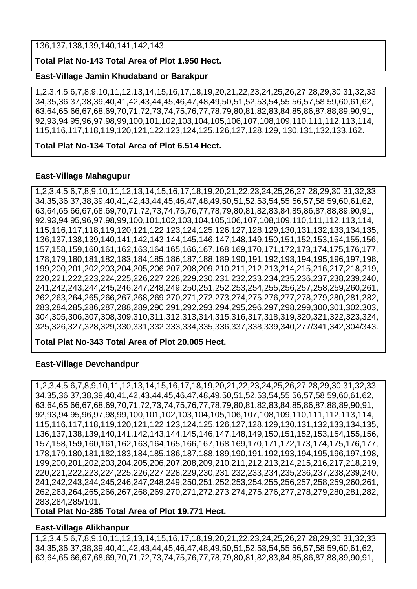136,137,138,139,140,141,142,143.

## **Total Plat No-143 Total Area of Plot 1.950 Hect.**

#### **East-Village Jamin Khudaband or Barakpur**

1,2,3,4,5,6,7,8,9,10,11,12,13,14,15,16,17,18,19,20,21,22,23,24,25,26,27,28,29,30,31,32,33, 34,35,36,37,38,39,40,41,42,43,44,45,46,47,48,49,50,51,52,53,54,55,56,57,58,59,60,61,62, 63,64,65,66,67,68,69,70,71,72,73,74,75,76,77,78,79,80,81,82,83,84,85,86,87,88,89,90,91, 92,93,94,95,96,97,98,99,100,101,102,103,104,105,106,107,108,109,110,111,112,113,114, 115,116,117,118,119,120,121,122,123,124,125,126,127,128,129, 130,131,132,133,162.

## **Total Plat No-134 Total Area of Plot 6.514 Hect.**

#### **East-Village Mahagupur**

1,2,3,4,5,6,7,8,9,10,11,12,13,14,15,16,17,18,19,20,21,22,23,24,25,26,27,28,29,30,31,32,33, 34,35,36,37,38,39,40,41,42,43,44,45,46,47,48,49,50,51,52,53,54,55,56,57,58,59,60,61,62, 63,64,65,66,67,68,69,70,71,72,73,74,75,76,77,78,79,80,81,82,83,84,85,86,87,88,89,90,91, 92,93,94,95,96,97,98,99,100,101,102,103,104,105,106,107,108,109,110,111,112,113,114, 115,116,117,118,119,120,121,122,123,124,125,126,127,128,129,130,131,132,133,134,135, 136,137,138,139,140,141,142,143,144,145,146,147,148,149,150,151,152,153,154,155,156, 157,158,159,160,161,162,163,164,165,166,167,168,169,170,171,172,173,174,175,176,177, 178,179,180,181,182,183,184,185,186,187,188,189,190,191,192,193,194,195,196,197,198, 199,200,201,202,203,204,205,206,207,208,209,210,211,212,213,214,215,216,217,218,219, 220,221,222,223,224,225,226,227,228,229,230,231,232,233,234,235,236,237,238,239,240, 241,242,243,244,245,246,247,248,249,250,251,252,253,254,255,256,257,258,259,260,261, 262,263,264,265,266,267,268,269,270,271,272,273,274,275,276,277,278,279,280,281,282, 283,284,285,286,287,288,289,290,291,292,293,294,295,296,297,298,299,300,301,302,303, 304,305,306,307,308,309,310,311,312,313,314,315,316,317,318,319,320,321,322,323,324, 325,326,327,328,329,330,331,332,333,334,335,336,337,338,339,340,277/341,342,304/343.

**Total Plat No-343 Total Area of Plot 20.005 Hect.**

#### **East-Village Devchandpur**

1,2,3,4,5,6,7,8,9,10,11,12,13,14,15,16,17,18,19,20,21,22,23,24,25,26,27,28,29,30,31,32,33, 34,35,36,37,38,39,40,41,42,43,44,45,46,47,48,49,50,51,52,53,54,55,56,57,58,59,60,61,62, 63,64,65,66,67,68,69,70,71,72,73,74,75,76,77,78,79,80,81,82,83,84,85,86,87,88,89,90,91, 92,93,94,95,96,97,98,99,100,101,102,103,104,105,106,107,108,109,110,111,112,113,114, 115,116,117,118,119,120,121,122,123,124,125,126,127,128,129,130,131,132,133,134,135, 136,137,138,139,140,141,142,143,144,145,146,147,148,149,150,151,152,153,154,155,156, 157,158,159,160,161,162,163,164,165,166,167,168,169,170,171,172,173,174,175,176,177, 178,179,180,181,182,183,184,185,186,187,188,189,190,191,192,193,194,195,196,197,198, 199,200,201,202,203,204,205,206,207,208,209,210,211,212,213,214,215,216,217,218,219, 220,221,222,223,224,225,226,227,228,229,230,231,232,233,234,235,236,237,238,239,240, 241,242,243,244,245,246,247,248,249,250,251,252,253,254,255,256,257,258,259,260,261, 262,263,264,265,266,267,268,269,270,271,272,273,274,275,276,277,278,279,280,281,282, 283,284,285/101.

**Total Plat No-285 Total Area of Plot 19.771 Hect.**

#### **East-Village Alikhanpur**

1,2,3,4,5,6,7,8,9,10,11,12,13,14,15,16,17,18,19,20,21,22,23,24,25,26,27,28,29,30,31,32,33, 34,35,36,37,38,39,40,41,42,43,44,45,46,47,48,49,50,51,52,53,54,55,56,57,58,59,60,61,62, 63,64,65,66,67,68,69,70,71,72,73,74,75,76,77,78,79,80,81,82,83,84,85,86,87,88,89,90,91,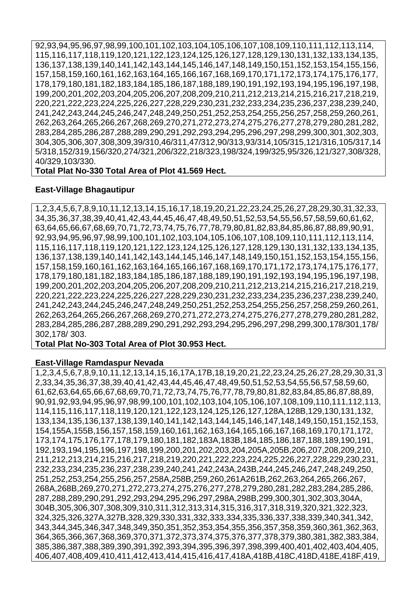92,93,94,95,96,97,98,99,100,101,102,103,104,105,106,107,108,109,110,111,112,113,114, 115,116,117,118,119,120,121,122,123,124,125,126,127,128,129,130,131,132,133,134,135, 136,137,138,139,140,141,142,143,144,145,146,147,148,149,150,151,152,153,154,155,156, 157,158,159,160,161,162,163,164,165,166,167,168,169,170,171,172,173,174,175,176,177, 178,179,180,181,182,183,184,185,186,187,188,189,190,191,192,193,194,195,196,197,198, 199,200,201,202,203,204,205,206,207,208,209,210,211,212,213,214,215,216,217,218,219, 220,221,222,223,224,225,226,227,228,229,230,231,232,233,234,235,236,237,238,239,240, 241,242,243,244,245,246,247,248,249,250,251,252,253,254,255,256,257,258,259,260,261, 262,263,264,265,266,267,268,269,270,271,272,273,274,275,276,277,278,279,280,281,282, 283,284,285,286,287,288,289,290,291,292,293,294,295,296,297,298,299,300,301,302,303, 304,305,306,307,308,309,39/310,46/311,47/312,90/313,93/314,105/315,121/316,105/317,14 5/318,152/319,156/320,274/321,206/322,218/323,198/324,199/325,95/326,121/327,308/328, 40/329,103/330.

#### **Total Plat No-330 Total Area of Plot 41.569 Hect.**

#### **East-Village Bhagautipur**

1,2,3,4,5,6,7,8,9,10,11,12,13,14,15,16,17,18,19,20,21,22,23,24,25,26,27,28,29,30,31,32,33, 34,35,36,37,38,39,40,41,42,43,44,45,46,47,48,49,50,51,52,53,54,55,56,57,58,59,60,61,62, 63,64,65,66,67,68,69,70,71,72,73,74,75,76,77,78,79,80,81,82,83,84,85,86,87,88,89,90,91, 92,93,94,95,96,97,98,99,100,101,102,103,104,105,106,107,108,109,110,111,112,113,114, 115,116,117,118,119,120,121,122,123,124,125,126,127,128,129,130,131,132,133,134,135, 136,137,138,139,140,141,142,143,144,145,146,147,148,149,150,151,152,153,154,155,156, 157,158,159,160,161,162,163,164,165,166,167,168,169,170,171,172,173,174,175,176,177, 178,179,180,181,182,183,184,185,186,187,188,189,190,191,192,193,194,195,196,197,198, 199,200,201,202,203,204,205,206,207,208,209,210,211,212,213,214,215,216,217,218,219, 220,221,222,223,224,225,226,227,228,229,230,231,232,233,234,235,236,237,238,239,240, 241,242,243,244,245,246,247,248,249,250,251,252,253,254,255,256,257,258,259,260,261, 262,263,264,265,266,267,268,269,270,271,272,273,274,275,276,277,278,279,280,281,282, 283,284,285,286,287,288,289,290,291,292,293,294,295,296,297,298,299,300,178/301,178/ 302,178/ 303.

**Total Plat No-303 Total Area of Plot 30.953 Hect.**

#### **East-Village Ramdaspur Nevada**

1,2,3,4,5,6,7,8,9,10,11,12,13,14,15,16,17A,17B,18,19,20,21,22,23,24,25,26,27,28,29,30,31,3 2,33,34,35,36,37,38,39,40,41,42,43,44,45,46,47,48,49,50,51,52,53,54,55,56,57,58,59,60, 61,62,63,64,65,66,67,68,69,70,71,72,73,74,75,76,77,78,79,80,81,82,83,84,85,86,87,88,89, 90,91,92,93,94,95,96,97,98,99,100,101,102,103,104,105,106,107,108,109,110,111,112,113, 114,115,116,117,118,119,120,121,122,123,124,125,126,127,128A,128B,129,130,131,132, 133,134,135,136,137,138,139,140,141,142,143,144,145,146,147,148,149,150,151,152,153, 154,155A,155B,156,157,158,159,160,161,162,163,164,165,166,167,168,169,170,171,172, 173,174,175,176,177,178,179,180,181,182,183A,183B,184,185,186,187,188,189,190,191, 192,193,194,195,196,197,198,199,200,201,202,203,204,205A,205B,206,207,208,209,210, 211,212,213,214,215,216,217,218,219,220,221,222,223,224,225,226,227,228,229,230,231, 232,233,234,235,236,237,238,239,240,241,242,243A,243B,244,245,246,247,248,249,250, 251,252,253,254,255,256,257,258A,258B,259,260,261A261B,262,263,264,265,266,267, 268A,268B,269,270,271,272,273,274,275,276,277,278,279,280,281,282,283,284,285,286, 287,288,289,290,291,292,293,294,295,296,297,298A,298B,299,300,301,302,303,304A, 304B,305,306,307,308,309,310,311,312,313,314,315,316,317,318,319,320,321,322,323, 324,325,326,327A,327B,328,329,330,331,332,333,334,335,336,337,338,339,340,341,342, 343,344,345,346,347,348,349,350,351,352,353,354,355,356,357,358,359,360,361,362,363, 364,365,366,367,368,369,370,371,372,373,374,375,376,377,378,379,380,381,382,383,384, 385,386,387,388,389,390,391,392,393,394,395,396,397,398,399,400,401,402,403,404,405, 406,407,408,409,410,411,412,413,414,415,416,417,418A,418B,418C,418D,418E,418F,419,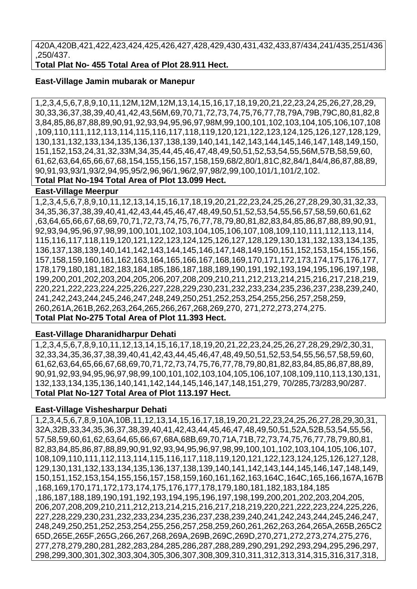420A,420B,421,422,423,424,425,426,427,428,429,430,431,432,433,87/434,241/435,251/436 ,250/437.

**Total Plat No- 455 Total Area of Plot 28.911 Hect.**

## **East-Village Jamin mubarak or Manepur**

1,2,3,4,5,6,7,8,9,10,11,12M,12M,12M,13,14,15,16,17,18,19,20,21,22,23,24,25,26,27,28,29, 30,33,36,37,38,39,40,41,42,43,56M,69,70,71,72,73,74,75,76,77,78,79A,79B,79C,80,81,82,8 3,84,85,86,87,88,89,90,91,92,93,94,95,96,97,98M,99,100,101,102,103,104,105,106,107,108 ,109,110,111,112,113,114,115,116,117,118,119,120,121,122,123,124,125,126,127,128,129, 130,131,132,133,134,135,136,137,138,139,140,141,142,143,144,145,146,147,148,149,150, 151,152,153,24,31,32,33M,34,35,44,45,46,47,48,49,50,51,52,53,54,55,56M,57B,58,59,60, 61,62,63,64,65,66,67,68,154,155,156,157,158,159,68/2,80/1,81C,82,84/1,84/4,86,87,88,89, 90,91,93,93/1,93/2,94,95,95/2,96,96/1,96/2,97,98/2,99,100,101/1,101/2,102.

**Total Plat No-194 Total Area of Plot 13.099 Hect.**

## **East-Village Meerpur**

1,2,3,4,5,6,7,8,9,10,11,12,13,14,15,16,17,18,19,20,21,22,23,24,25,26,27,28,29,30,31,32,33, 34,35,36,37,38,39,40,41,42,43,44,45,46,47,48,49,50,51,52,53,54,55,56,57,58,59,60,61,62 ,63,64,65,66,67,68,69,70,71,72,73,74,75,76,77,78,79,80,81,82,83,84,85,86,87,88,89,90,91, 92,93,94,95,96,97,98,99,100,101,102,103,104,105,106,107,108,109,110,111,112,113,114, 115,116,117,118,119,120,121,122,123,124,125,126,127,128,129,130,131,132,133,134,135, 136,137,138,139,140,141,142,143,144,145,146,147,148,149,150,151,152,153,154,155,156, 157,158,159,160,161,162,163,164,165,166,167,168,169,170,171,172,173,174,175,176,177, 178,179,180,181,182,183,184,185,186,187,188,189,190,191,192,193,194,195,196,197,198, 199,200,201,202,203,204,205,206,207,208,209,210,211,212,213,214,215,216,217,218,219, 220,221,222,223,224,225,226,227,228,229,230,231,232,233,234,235,236,237,238,239,240, 241,242,243,244,245,246,247,248,249,250,251,252,253,254,255,256,257,258,259, 260,261A,261B,262,263,264,265,266,267,268,269,270, 271,272,273,274,275. **Total Plat No-275 Total Area of Plot 11.393 Hect.**

## **East-Village Dharanidharpur Dehati**

1,2,3,4,5,6,7,8,9,10,11,12,13,14,15,16,17,18,19,20,21,22,23,24,25,26,27,28,29,29/2,30,31, 32,33,34,35,36,37,38,39,40,41,42,43,44,45,46,47,48,49,50,51,52,53,54,55,56,57,58,59,60, 61,62,63,64,65,66,67,68,69,70,71,72,73,74,75,76,77,78,79,80,81,82,83,84,85,86,87,88,89, 90,91,92,93,94,95,96,97,98,99,100,101,102,103,104,105,106,107,108,109,110,113,130,131, 132,133,134,135,136,140,141,142,144,145,146,147,148,151,279, 70/285,73/283,90/287. **Total Plat No-127 Total Area of Plot 113.197 Hect.**

## **East-Village Vishesharpur Dehati**

1,2,3,4,5,6,7,8,9,10A,10B,11,12,13,14,15,16,17,18,19,20,21,22,23,24,25,26,27,28,29,30,31, 32A,32B,33,34,35,36,37,38,39,40,41,42,43,44,45,46,47,48,49,50,51,52A,52B,53,54,55,56, 57,58,59,60,61,62,63,64,65,66,67,68A,68B,69,70,71A,71B,72,73,74,75,76,77,78,79,80,81, 82,83,84,85,86,87,88,89,90,91,92,93,94,95,96,97,98,99,100,101,102,103,104,105,106,107, 108,109,110,111,112,113,114,115,116,117,118,119,120,121,122,123,124,125,126,127,128, 129,130,131,132,133,134,135,136,137,138,139,140,141,142,143,144,145,146,147,148,149, 150,151,152,153,154,155,156,157,158,159,160,161,162,163,164C,164C,165,166,167A,167B ,168,169,170,171,172,173,174,175,176,177,178,179,180,181,182,183,184,185 ,186,187,188,189,190,191,192,193,194,195,196,197,198,199,200,201,202,203,204,205, 206,207,208,209,210,211,212,213,214,215,216,217,218,219,220,221,222,223,224,225,226, 227,228,229,230,231,232,233,234,235,236,237,238,239,240,241,242,243,244,245,246,247, 248,249,250,251,252,253,254,255,256,257,258,259,260,261,262,263,264,265A,265B,265C2 65D,265E,265F,265G,266,267,268,269A,269B,269C,269D,270,271,272,273,274,275,276, 277,278,279,280,281,282,283,284,285,286,287,288,289,290,291,292,293,294,295,296,297, 298,299,300,301,302,303,304,305,306,307,308,309,310,311,312,313,314,315,316,317,318,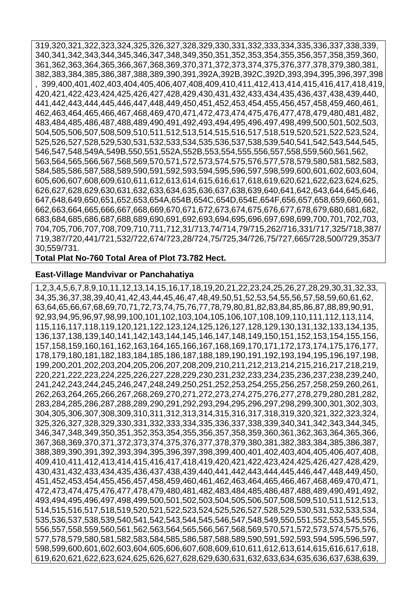319,320,321,322,323,324,325,326,327,328,329,330,331,332,333,334,335,336,337,338,339, 340,341,342,343,344,345,346,347,348,349,350,351,352,353,354,355,356,357,358,359,360, 361,362,363,364,365,366,367,368,369,370,371,372,373,374,375,376,377,378,379,380,381, 382,383,384,385,386,387,388,389,390,391,392A,392B,392C,392D,393,394,395,396,397,398 , 399,400,401,402,403,404,405,406,407,408,409,410,411,412,413,414,415,416,417,418,419, 420,421,422,423,424,425,426,427,428,429,430,431,432,433,434,435,436,437,438,439,440, 441,442,443,444,445,446,447,448,449,450,451,452,453,454,455,456,457,458,459,460,461, 462,463,464,465,466,467,468,469,470,471,472,473,474,475,476,477,478,479,480,481,482, 483,484,485,486,487,488,489,490,491,492,493,494,495,496,497,498,499,500,501,502,503, 504,505,506,507,508,509,510,511,512,513,514,515,516,517,518,519,520,521,522,523,524, 525,526,527,528,529,530,531,532,533,534,535,536,537,538,539,540,541,542,543,544,545, 546,547,548,549A,549B,550,551,552A,552B,553,554,555,556,557,558,559,560,561,562, 563,564,565,566,567,568,569,570,571,572,573,574,575,576,577,578,579,580,581,582,583, 584,585,586,587,588,589,590,591,592,593,594,595,596,597,598,599,600,601,602,603,604, 605,606,607,608,609,610,611,612,613,614,615,616,617,618,619,620,621,622,623,624,625, 626,627,628,629,630,631,632,633,634,635,636,637,638,639,640,641,642,643,644,645,646, 647,648,649,650,651,652,653,654A,654B,654C,654D,654E,654F,656,657,658,659,660,661, 662,663,664,665,666,667,668,669,670,671,672,673,674,675,676,677,678,679,680,681,682, 683,684,685,686,687,688,689,690,691,692,693,694,695,696,697,698,699,700,701,702,703, 704,705,706,707,708,709,710,711,712,31/713,74/714,79/715,262/716,331/717,325/718,387/ 719,387/720,441/721,532/722,674/723,28/724,75/725,34/726,75/727,665/728,500/729,353/7 30,559/731.

**Total Plat No-760 Total Area of Plot 73.782 Hect.**

#### **East-Village Mandvivar or Panchahatiya**

1,2,3,4,5,6,7,8,9,10,11,12,13,14,15,16,17,18,19,20,21,22,23,24,25,26,27,28,29,30,31,32,33, 34,35,36,37,38,39,40,41,42,43,44,45,46,47,48,49,50,51,52,53,54,55,56,57,58,59,60,61,62, 63,64,65,66,67,68,69,70,71,72,73,74,75,76,77,78,79,80,81,82,83,84,85,86,87,88,89,90,91, 92,93,94,95,96,97,98,99,100,101,102,103,104,105,106,107,108,109,110,111,112,113,114, 115,116,117,118,119,120,121,122,123,124,125,126,127,128,129,130,131,132,133,134,135, 136,137,138,139,140,141,142,143,144,145,146,147,148,149,150,151,152,153,154,155,156, 157,158,159,160,161,162,163,164,165,166,167,168,169,170,171,172,173,174,175,176,177, 178,179,180,181,182,183,184,185,186,187,188,189,190,191,192,193,194,195,196,197,198, 199,200,201,202,203,204,205,206,207,208,209,210,211,212,213,214,215,216,217,218,219, 220,221,222,223,224,225,226,227,228,229,230,231,232,233,234,235,236,237,238,239,240, 241,242,243,244,245,246,247,248,249,250,251,252,253,254,255,256,257,258,259,260,261, 262,263,264,265,266,267,268,269,270,271,272,273,274,275,276,277,278,279,280,281,282, 283,284,285,286,287,288,289,290,291,292,293,294,295,296,297,298,299,300,301,302,303, 304,305,306,307,308,309,310,311,312,313,314,315,316,317,318,319,320,321,322,323,324, 325,326,327,328,329,330,331,332,333,334,335,336,337,338,339,340,341,342,343,344,345, 346,347,348,349,350,351,352,353,354,355,356,357,358,359,360,361,362,363,364,365,366, 367,368,369,370,371,372,373,374,375,376,377,378,379,380,381,382,383,384,385,386,387, 388,389,390,391,392,393,394,395,396,397,398,399,400,401,402,403,404,405,406,407,408, 409,410,411,412,413,414,415,416,417,418,419,420,421,422,423,424,425,426,427,428,429, 430,431,432,433,434,435,436,437,438,439,440,441,442,443,444,445,446,447,448,449,450, 451,452,453,454,455,456,457,458,459,460,461,462,463,464,465,466,467,468,469,470,471, 472,473,474,475,476,477,478,479,480,481,482,483,484,485,486,487,488,489,490,491,492, 493,494,495,496,497,498,499,500,501,502,503,504,505,506,507,508,509,510,511,512,513, 514,515,516,517,518,519,520,521,522,523,524,525,526,527,528,529,530,531,532,533,534, 535,536,537,538,539,540,541,542,543,544,545,546,547,548,549,550,551,552,553,545,555, 556,557,558,559,560,561,562,563,564,565,566,567,568,569,570,571,572,573,574,575,576, 577,578,579,580,581,582,583,584,585,586,587,588,589,590,591,592,593,594,595,596,597, 598,599,600,601,602,603,604,605,606,607,608,609,610,611,612,613,614,615,616,617,618, 619,620,621,622,623,624,625,626,627,628,629,630,631,632,633,634,635,636,637,638,639,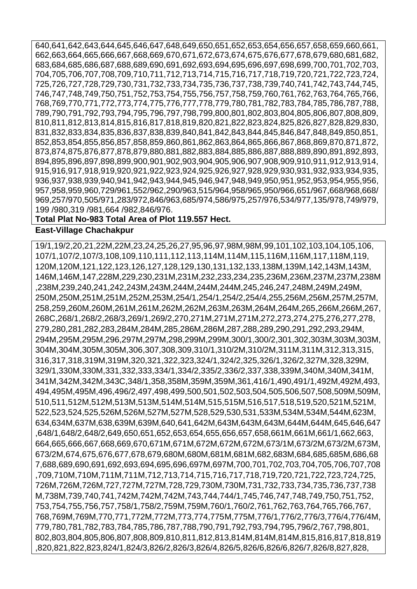640,641,642,643,644,645,646,647,648,649,650,651,652,653,654,656,657,658,659,660,661, 662,663,664,665,666,667,668,669,670,671,672,673,674,675,676,677,678,679,680,681,682, 683,684,685,686,687,688,689,690,691,692,693,694,695,696,697,698,699,700,701,702,703, 704,705,706,707,708,709,710,711,712,713,714,715,716,717,718,719,720,721,722,723,724, 725,726,727,728,729,730,731,732,733,734,735,736,737,738,739,740,741,742,743,744,745, 746,747,748,749,750,751,752,753,754,755,756,757,758,759,760,761,762,763,764,765,766, 768,769,770,771,772,773,774,775,776,777,778,779,780,781,782,783,784,785,786,787,788, 789,790,791,792,793,794,795,796,797,798,799,800,801,802,803,804,805,806,807,808,809, 810,811,812,813,814,815,816,817,818,819,820,821,822,823,824,825,826,827,828,829,830, 831,832,833,834,835,836,837,838,839,840,841,842,843,844,845,846,847,848,849,850,851, 852,853,854,855,856,857,858,859,860,861,862,863,864,865,866,867,868,869,870,871,872, 873,874,875,876,877,878,879,880,881,882,883,884,885,886,887,888,889,890,891,892,893, 894,895,896,897,898,899,900,901,902,903,904,905,906,907,908,909,910,911,912,913,914, 915,916,917,918,919,920,921,922,923,924,925,926,927,928,929,930,931,932,933,934,935, 936,937,938,939,940,941,942,943,944,945,946,947,948,949,950,951,952,953,954,955,956, 957,958,959,960,729/961,552/962,290/963,515/964,958/965,950/966,651/967,668/968,668/ 969,257/970,505/971,283/972,846/963,685/974,586/975,257/976,534/977,135/978,749/979, 199 /980,319 /981,664 /982,846/976.

#### **Total Plat No-983 Total Area of Plot 119.557 Hect. East-Village Chachakpur**

19/1,19/2,20,21,22M,22M,23,24,25,26,27,95,96,97,98M,98M,99,101,102,103,104,105,106, 107/1,107/2,107/3,108,109,110,111,112,113,114M,114M,115,116M,116M,117,118M,119, 120M,120M,121,122,123,126,127,128,129,130,131,132,133,138M,139M,142,143M,143M, 146M,146M,147,228M,229,230,231M,231M,232,233,234,235,236M,236M,237M,237M,238M ,238M,239,240,241,242,243M,243M,244M,244M,244M,245,246,247,248M,249M,249M, 250M,250M,251M,251M,252M,253M,254/1,254/1,254/2,254/4,255,256M,256M,257M,257M, 258,259,260M,260M,261M,261M,262M,262M,263M,263M,264M,264M,265,266M,266M,267, 268C,268/1,268/2,268/3,269/1,269/2,270,271M,271M,271M,272,273,274,275,276,277,278, 279,280,281,282,283,284M,284M,285,286M,286M,287,288,289,290,291,292,293,294M, 294M,295M,295M,296,297M,297M,298,299M,299M,300/1,300/2,301,302,303M,303M,303M, 304M,304M,305M,305M,306,307,308,309,310/1,310/2M,310/2M,311M,311M,312,313,315, 316,317,318,319M,319M,320,321,322,323,324/1,324/2,325,326/1,326/2,327M,328,329M, 329/1,330M,330M,331,332,333,334/1,334/2,335/2,336/2,337,338,339M,340M,340M,341M, 341M,342M,342M,343C,348/1,358,358M,359M,359M,361,416/1,490,491/1,492M,492M,493, 494,495M,495M,496,496/2,497,498,499,500,501,502,503,504,505,506,507,508,509M,509M, 510,511,512M,512M,513M,513M,514M,514M,515,515M,516,517,518,519,520,521M,521M, 522,523,524,525,526M,526M,527M,527M,528,529,530,531,533M,534M,534M,544M,623M, 634,634M,637M,638,639M,639M,640,641,642M,643M,643M,643M,644M,644M,645,646,647 ,648/1,648/2,648/2,649,650,651,652,653,654,655,656,657,658,661M,661M,661/1,662,663, 664,665,666,667,668,669,670,671M,671M,672M,672M,672M,673/1M,673/2M,673/2M,673M, 673/2M,674,675,676,677,678,679,680M,680M,681M,681M,682,683M,684,685,685M,686,68 7,688,689,690,691,692,693,694,695,696,697M,697M,700,701,702,703,704,705,706,707,708 ,709,710M,710M,711M,711M,712,713,714,715,716,717,718,719,720,721,722,723,724,725, 726M,726M,726M,727,727M,727M,728,729,730M,730M,731,732,733,734,735,736,737,738 M,738M,739,740,741,742M,742M,742M,743,744,744/1,745,746,747,748,749,750,751,752, 753,754,755,756,757,758/1,758/2,759M,759M,760/1,760/2,761,762,763,764,765,766,767, 768,769M,769M,770,771,772M,772M,773,774,775M,775M,776/1,776/2,776/3,776/4,776/4M, 779,780,781,782,783,784,785,786,787,788,790,791,792,793,794,795,796/2,767,798,801, 802,803,804,805,806,807,808,809,810,811,812,813,814M,814M,814M,815,816,817,818,819 ,820,821,822,823,824/1,824/3,826/2,826/3,826/4,826/5,826/6,826/6,826/7,826/8,827,828,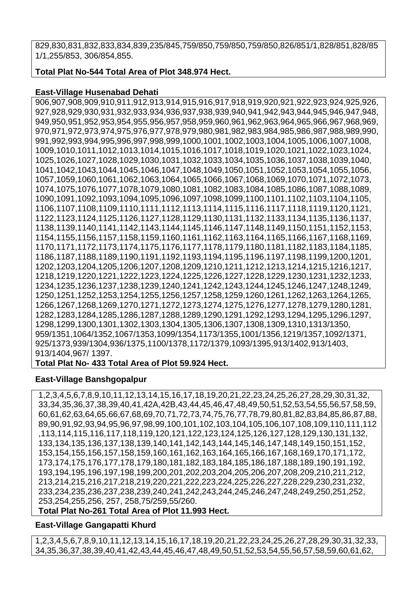829,830,831,832,833,834,839,235/845,759/850,759/850,759/850,826/851/1,828/851,828/85 1/1,255/853, 306/854,855.

**Total Plat No-544 Total Area of Plot 348.974 Hect.**

## **East-Village Husenabad Dehati**

906,907,908,909,910,911,912,913,914,915,916,917,918,919,920,921,922,923,924,925,926, 927,928,929,930,931,932,933,934,936,937,938,939,940,941,942,943,944,945,946,947,948, 949,950,951,952,953,954,955,956,957,958,959,960,961,962,963,964,965,966,967,968,969, 970,971,972,973,974,975,976,977,978,979,980,981,982,983,984,985,986,987,988,989,990, 991,992,993,994,995,996,997,998,999,1000,1001,1002,1003,1004,1005,1006,1007,1008, 1009,1010,1011,1012,1013,1014,1015,1016,1017,1018,1019,1020,1021,1022,1023,1024, 1025,1026,1027,1028,1029,1030,1031,1032,1033,1034,1035,1036,1037,1038,1039,1040, 1041,1042,1043,1044,1045,1046,1047,1048,1049,1050,1051,1052,1053,1054,1055,1056, 1057,1059,1060,1061,1062,1063,1064,1065,1066,1067,1068,1069,1070,1071,1072,1073, 1074,1075,1076,1077,1078,1079,1080,1081,1082,1083,1084,1085,1086,1087,1088,1089, 1090,1091,1092,1093,1094,1095,1096,1097,1098,1099,1100,1101,1102,1103,1104,1105, 1106,1107,1108,1109,1110,1111,1112,1113,1114,1115,1116,1117,1118,1119,1120,1121, 1122,1123,1124,1125,1126,1127,1128,1129,1130,1131,1132,1133,1134,1135,1136,1137, 1138,1139,1140,1141,1142,1143,1144,1145,1146,1147,1148,1149,1150,1151,1152,1153, 1154,1155,1156,1157,1158,1159,1160,1161,1162,1163,1164,1165,1166,1167,1168,1169, 1170,1171,1172,1173,1174,1175,1176,1177,1178,1179,1180,1181,1182,1183,1184,1185, 1186,1187,1188,1189,1190,1191,1192,1193,1194,1195,1196,1197,1198,1199,1200,1201, 1202,1203,1204,1205,1206,1207,1208,1209,1210,1211,1212,1213,1214,1215,1216,1217, 1218,1219,1220,1221,1222,1223,1224,1225,1226,1227,1228,1229,1230,1231,1232,1233, 1234,1235,1236,1237,1238,1239,1240,1241,1242,1243,1244,1245,1246,1247,1248,1249, 1250,1251,1252,1253,1254,1255,1256,1257,1258,1259,1260,1261,1262,1263,1264,1265, 1266,1267,1268,1269,1270,1271,1272,1273,1274,1275,1276,1277,1278,1279,1280,1281, 1282,1283,1284,1285,1286,1287,1288,1289,1290,1291,1292,1293,1294,1295,1296,1297, 1298,1299,1300,1301,1302,1303,1304,1305,1306,1307,1308,1309,1310,1313/1350, 959/1351,1064/1352,1067/1353,1099/1354,1173/1355,1001/1356,1219/1357,1092/1371, 925/1373,939/1304,936/1375,1100/1378,1172/1379,1093/1395,913/1402,913/1403, 913/1404,967/ 1397.

**Total Plat No- 433 Total Area of Plot 59.924 Hect.**

## **East-Village Banshgopalpur**

1,2,3,4,5,6,7,8,9,10,11,12,13,14,15,16,17,18,19,20,21,22,23,24,25,26,27,28,29,30,31,32, 33,34,35,36,37,38,39,40,41,42A,42B,43,44,45,46,47,48,49,50,51,52,53,54,55,56,57,58,59, 60,61,62,63,64,65,66,67,68,69,70,71,72,73,74,75,76,77,78,79,80,81,82,83,84,85,86,87,88, 89,90,91,92,93,94,95,96,97,98,99,100,101,102,103,104,105,106,107,108,109,110,111,112 ,113,114,115,116,117,118,119,120,121,122,123,124,125,126,127,128,129,130,131,132, 133,134,135,136,137,138,139,140,141,142,143,144,145,146,147,148,149,150,151,152, 153,154,155,156,157,158,159,160,161,162,163,164,165,166,167,168,169,170,171,172, 173,174,175,176,177,178,179,180,181,182,183,184,185,186,187,188,189,190,191,192, 193,194,195,196,197,198,199,200,201,202,203,204,205,206,207,208,209,210,211,212, 213,214,215,216,217,218,219,220,221,222,223,224,225,226,227,228,229,230,231,232, 233,234,235,236,237,238,239,240,241,242,243,244,245,246,247,248,249,250,251,252, 253,254,255,256, 257, 258,75/259,55/260.

**Total Plat No-261 Total Area of Plot 11.993 Hect.**

## **East-Village Gangapatti Khurd**

1,2,3,4,5,6,7,8,9,10,11,12,13,14,15,16,17,18,19,20,21,22,23,24,25,26,27,28,29,30,31,32,33, 34,35,36,37,38,39,40,41,42,43,44,45,46,47,48,49,50,51,52,53,54,55,56,57,58,59,60,61,62,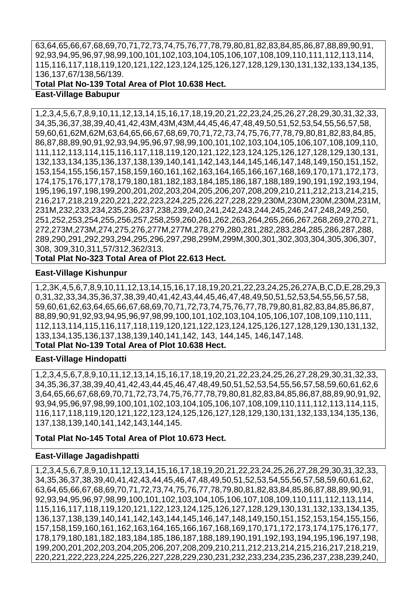63,64,65,66,67,68,69,70,71,72,73,74,75,76,77,78,79,80,81,82,83,84,85,86,87,88,89,90,91, 92,93,94,95,96,97,98,99,100,101,102,103,104,105,106,107,108,109,110,111,112,113,114, 115,116,117,118,119,120,121,122,123,124,125,126,127,128,129,130,131,132,133,134,135, 136,137,67/138,56/139.

### **Total Plat No-139 Total Area of Plot 10.638 Hect. East-Village Babupur**

1,2,3,4,5,6,7,8,9,10,11,12,13,14,15,16,17,18,19,20,21,22,23,24,25,26,27,28,29,30,31,32,33, 34,35,36,37,38,39,40,41,42,43M,43M,43M,44,45,46,47,48,49,50,51,52,53,54,55,56,57,58, 59,60,61,62M,62M,63,64,65,66,67,68,69,70,71,72,73,74,75,76,77,78,79,80,81,82,83,84,85, 86,87,88,89,90,91,92,93,94,95,96,97,98,99,100,101,102,103,104,105,106,107,108,109,110, 111,112,113,114,115,116,117,118,119,120,121,122,123,124,125,126,127,128,129,130,131, 132,133,134,135,136,137,138,139,140,141,142,143,144,145,146,147,148,149,150,151,152, 153,154,155,156,157,158,159,160,161,162,163,164,165,166,167,168,169,170,171,172,173, 174,175,176,177,178,179,180,181,182,183,184,185,186,187,188,189,190,191,192,193,194, 195,196,197,198,199,200,201,202,203,204,205,206,207,208,209,210,211,212,213,214,215, 216,217,218,219,220,221,222,223,224,225,226,227,228,229,230M,230M,230M,230M,231M, 231M,232,233,234,235,236,237,238,239,240,241,242,243,244,245,246,247,248,249,250, 251,252,253,254,255,256,257,258,259,260,261,262,263,264,265,266,267,268,269,270,271, 272,273M,273M,274,275,276,277M,277M,278,279,280,281,282,283,284,285,286,287,288, 289,290,291,292,293,294,295,296,297,298,299M,299M,300,301,302,303,304,305,306,307, 308, 309,310,311,57/312,362/313.

## **Total Plat No-323 Total Area of Plot 22.613 Hect.**

## **East-Village Kishunpur**

1,2,3K,4,5,6,7,8,9,10,11,12,13,14,15,16,17,18,19,20,21,22,23,24,25,26,27A,B,C,D,E,28,29,3 0,31,32,33,34,35,36,37,38,39,40,41,42,43,44,45,46,47,48,49,50,51,52,53,54,55,56,57,58, 59,60,61,62,63,64,65,66,67,68,69,70,71,72,73,74,75,76,77,78,79,80,81,82,83,84,85,86,87, 88,89,90,91,92,93,94,95,96,97,98,99,100,101,102,103,104,105,106,107,108,109,110,111, 112,113,114,115,116,117,118,119,120,121,122,123,124,125,126,127,128,129,130,131,132, 133,134,135,136,137,138,139,140,141,142, 143, 144,145, 146,147,148. **Total Plat No-139 Total Area of Plot 10.638 Hect.**

## **East-Village Hindopatti**

1,2,3,4,5,6,7,8,9,10,11,12,13,14,15,16,17,18,19,20,21,22,23,24,25,26,27,28,29,30,31,32,33, 34,35,36,37,38,39,40,41,42,43,44,45,46,47,48,49,50,51,52,53,54,55,56,57,58,59,60,61,62,6 3,64,65,66,67,68,69,70,71,72,73,74,75,76,77,78,79,80,81,82,83,84,85,86,87,88,89,90,91,92, 93,94,95,96,97,98,99,100,101,102,103,104,105,106,107,108,109,110,111,112,113,114,115, 116,117,118,119,120,121,122,123,124,125,126,127,128,129,130,131,132,133,134,135,136, 137,138,139,140,141,142,143,144,145.

## **Total Plat No-145 Total Area of Plot 10.673 Hect.**

## **East-Village Jagadishpatti**

1,2,3,4,5,6,7,8,9,10,11,12,13,14,15,16,17,18,19,20,21,22,23,24,25,26,27,28,29,30,31,32,33, 34,35,36,37,38,39,40,41,42,43,44,45,46,47,48,49,50,51,52,53,54,55,56,57,58,59,60,61,62, 63,64,65,66,67,68,69,70,71,72,73,74,75,76,77,78,79,80,81,82,83,84,85,86,87,88,89,90,91, 92,93,94,95,96,97,98,99,100,101,102,103,104,105,106,107,108,109,110,111,112,113,114, 115,116,117,118,119,120,121,122,123,124,125,126,127,128,129,130,131,132,133,134,135, 136,137,138,139,140,141,142,143,144,145,146,147,148,149,150,151,152,153,154,155,156, 157,158,159,160,161,162,163,164,165,166,167,168,169,170,171,172,173,174,175,176,177, 178,179,180,181,182,183,184,185,186,187,188,189,190,191,192,193,194,195,196,197,198, 199,200,201,202,203,204,205,206,207,208,209,210,211,212,213,214,215,216,217,218,219, 220,221,222,223,224,225,226,227,228,229,230,231,232,233,234,235,236,237,238,239,240,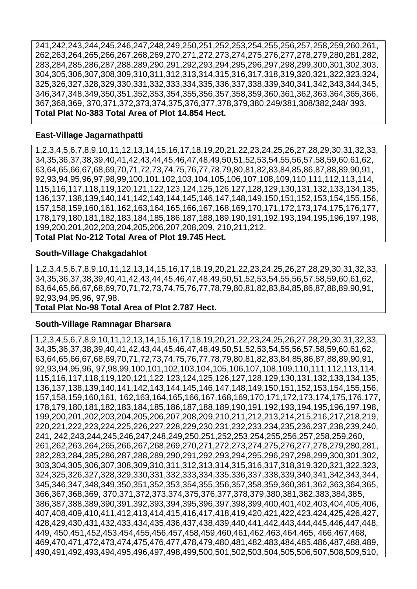241,242,243,244,245,246,247,248,249,250,251,252,253,254,255,256,257,258,259,260,261, 262,263,264,265,266,267,268,269,270,271,272,273,274,275,276,277,278,279,280,281,282, 283,284,285,286,287,288,289,290,291,292,293,294,295,296,297,298,299,300,301,302,303, 304,305,306,307,308,309,310,311,312,313,314,315,316,317,318,319,320,321,322,323,324, 325,326,327,328,329,330,331,332,333,334,335,336,337,338,339,340,341,342,343,344,345, 346,347,348,349,350,351,352,353,354,355,356,357,358,359,360,361,362,363,364,365,366, 367,368,369, 370,371,372,373,374,375,376,377,378,379,380.249/381,308/382,248/ 393. **Total Plat No-383 Total Area of Plot 14.854 Hect.**

#### **East-Village Jagarnathpatti**

1,2,3,4,5,6,7,8,9,10,11,12,13,14,15,16,17,18,19,20,21,22,23,24,25,26,27,28,29,30,31,32,33, 34,35,36,37,38,39,40,41,42,43,44,45,46,47,48,49,50,51,52,53,54,55,56,57,58,59,60,61,62, 63,64,65,66,67,68,69,70,71,72,73,74,75,76,77,78,79,80,81,82,83,84,85,86,87,88,89,90,91, 92,93,94,95,96,97,98,99,100,101,102,103,104,105,106,107,108,109,110,111,112,113,114, 115,116,117,118,119,120,121,122,123,124,125,126,127,128,129,130,131,132,133,134,135, 136,137,138,139,140,141,142,143,144,145,146,147,148,149,150,151,152,153,154,155,156, 157,158,159,160,161,162,163,164,165,166,167,168,169,170,171,172,173,174,175,176,177, 178,179,180,181,182,183,184,185,186,187,188,189,190,191,192,193,194,195,196,197,198, 199,200,201,202,203,204,205,206,207,208,209, 210,211,212.

#### **Total Plat No-212 Total Area of Plot 19.745 Hect.**

#### **South-Village Chakgadahlot**

1,2,3,4,5,6,7,8,9,10,11,12,13,14,15,16,17,18,19,20,21,22,23,24,25,26,27,28,29,30,31,32,33, 34,35,36,37,38,39,40,41,42,43,44,45,46,47,48,49,50,51,52,53,54,55,56,57,58,59,60,61,62, 63,64,65,66,67,68,69,70,71,72,73,74,75,76,77,78,79,80,81,82,83,84,85,86,87,88,89,90,91, 92,93,94,95,96, 97,98.

#### **Total Plat No-98 Total Area of Plot 2.787 Hect.**

#### **South-Village Ramnagar Bharsara**

1,2,3,4,5,6,7,8,9,10,11,12,13,14,15,16,17,18,19,20,21,22,23,24,25,26,27,28,29,30,31,32,33, 34,35,36,37,38,39,40,41,42,43,44,45,46,47,48,49,50,51,52,53,54,55,56,57,58,59,60,61,62, 63,64,65,66,67,68,69,70,71,72,73,74,75,76,77,78,79,80,81,82,83,84,85,86,87,88,89,90,91, 92,93,94,95,96, 97,98,99,100,101,102,103,104,105,106,107,108,109,110,111,112,113,114, 115,116,117,118,119,120,121,122,123,124,125,126,127,128,129,130,131,132,133,134,135, 136,137,138,139,140,141,142,143,144,145,146,147,148,149,150,151,152,153,154,155,156, 157,158,159,160,161, 162,163,164,165,166,167,168,169,170,171,172,173,174,175,176,177, 178,179,180,181,182,183,184,185,186,187,188,189,190,191,192,193,194,195,196,197,198, 199,200,201,202,203,204,205,206,207,208,209,210,211,212,213,214,215,216,217,218,219, 220,221,222,223,224,225,226,227,228,229,230,231,232,233,234,235,236,237,238,239,240, 241, 242,243,244,245,246,247,248,249,250,251,252,253,254,255,256,257,258,259,260, 261,262,263,264,265,266,267,268,269,270,271,272,273,274,275,276,277,278,279,280,281, 282,283,284,285,286,287,288,289,290,291,292,293,294,295,296,297,298,299,300,301,302, 303,304,305,306,307,308,309,310,311,312,313,314,315,316,317,318,319,320,321,322,323, 324,325,326,327,328,329,330,331,332,333,334,335,336,337,338,339,340,341,342,343,344, 345,346,347,348,349,350,351,352,353,354,355,356,357,358,359,360,361,362,363,364,365, 366,367,368,369, 370,371,372,373,374,375,376,377,378,379,380,381,382,383,384,385, 386,387,388,389,390,391,392,393,394,395,396,397,398,399,400,401,402,403,404,405,406, 407,408,409,410,411,412,413,414,415,416,417,418,419,420,421,422,423,424,425,426,427, 428,429,430,431,432,433,434,435,436,437,438,439,440,441,442,443,444,445,446,447,448, 449, 450,451,452,453,454,455,456,457,458,459,460,461,462,463,464,465, 466,467,468, 469,470,471,472,473,474,475,476,477,478,479,480,481,482,483,484,485,486,487,488,489, 490,491,492,493,494,495,496,497,498,499,500,501,502,503,504,505,506,507,508,509,510,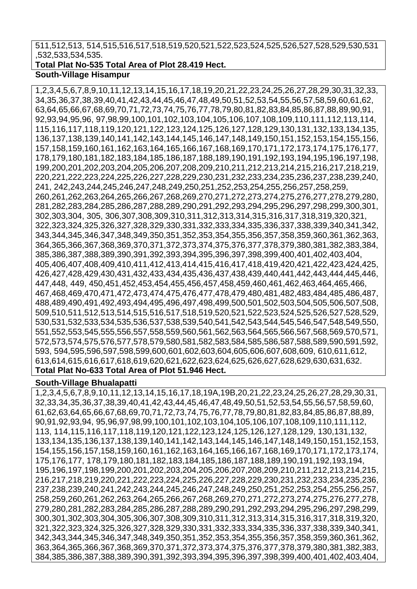## 511,512,513, 514,515,516,517,518,519,520,521,522,523,524,525,526,527,528,529,530,531 ,532,533,534,535.

## **Total Plat No-535 Total Area of Plot 28.419 Hect.**

#### **South-Village Hisampur**

1,2,3,4,5,6,7,8,9,10,11,12,13,14,15,16,17,18,19,20,21,22,23,24,25,26,27,28,29,30,31,32,33, 34,35,36,37,38,39,40,41,42,43,44,45,46,47,48,49,50,51,52,53,54,55,56,57,58,59,60,61,62, 63,64,65,66,67,68,69,70,71,72,73,74,75,76,77,78,79,80,81,82,83,84,85,86,87,88,89,90,91, 92,93,94,95,96, 97,98,99,100,101,102,103,104,105,106,107,108,109,110,111,112,113,114, 115,116,117,118,119,120,121,122,123,124,125,126,127,128,129,130,131,132,133,134,135, 136,137,138,139,140,141,142,143,144,145,146,147,148,149,150,151,152,153,154,155,156, 157,158,159,160,161,162,163,164,165,166,167,168,169,170,171,172,173,174,175,176,177, 178,179,180,181,182,183,184,185,186,187,188,189,190,191,192,193,194,195,196,197,198, 199,200,201,202,203,204,205,206,207,208,209,210,211,212,213,214,215,216,217,218,219, 220,221,222,223,224,225,226,227,228,229,230,231,232,233,234,235,236,237,238,239,240, 241, 242,243,244,245,246,247,248,249,250,251,252,253,254,255,256,257,258,259, 260,261,262,263,264,265,266,267,268,269,270,271,272,273,274,275,276,277,278,279,280, 281,282,283,284,285,286,287,288,289,290,291,292,293,294,295,296,297,298,299,300,301, 302,303,304, 305, 306,307,308,309,310,311,312,313,314,315,316,317,318,319,320,321, 322,323,324,325,326,327,328,329,330,331,332,333,334,335,336,337,338,339,340,341,342, 343,344,345,346,347,348,349,350,351,352,353,354,355,356,357,358,359,360,361,362,363, 364,365,366,367,368,369,370,371,372,373,374,375,376,377,378,379,380,381,382,383,384, 385,386,387,388,389,390,391,392,393,394,395,396,397,398,399,400,401,402,403,404, 405,406,407,408,409,410,411,412,413,414,415,416,417,418,419,420,421,422,423,424,425, 426,427,428,429,430,431,432,433,434,435,436,437,438,439,440,441,442,443,444,445,446, 447,448, 449, 450,451,452,453,454,455,456,457,458,459,460,461,462,463,464,465,466, 467,468,469,470,471,472,473,474,475,476,477,478,479,480,481,482,483,484,485,486,487, 488,489,490,491,492,493,494,495,496,497,498,499,500,501,502,503,504,505,506,507,508, 509,510,511,512,513,514,515,516,517,518,519,520,521,522,523,524,525,526,527,528,529, 530,531,532,533,534,535,536,537,538,539,540,541,542,543,544,545,546,547,548,549,550, 551,552,553,545,555,556,557,558,559,560,561,562,563,564,565,566,567,568,569,570,571, 572,573,574,575,576,577,578,579,580,581,582,583,584,585,586,587,588,589,590,591,592, 593, 594,595,596,597,598,599,600,601,602,603,604,605,606,607,608,609, 610,611,612, 613,614,615,616,617,618,619,620,621,622,623,624,625,626,627,628,629,630,631,632. **Total Plat No-633 Total Area of Plot 51.946 Hect.**

## **South-Village Bhualapatti**

1,2,3,4,5,6,7,8,9,10,11,12,13,14,15,16,17,18,19A,19B,20,21,22,23,24,25,26,27,28,29,30,31, 32,33,34,35,36,37,38,39,40,41,42,43,44,45,46,47,48,49,50,51,52,53,54,55,56,57,58,59,60, 61,62,63,64,65,66,67,68,69,70,71,72,73,74,75,76,77,78,79,80,81,82,83,84,85,86,87,88,89, 90,91,92,93,94, 95,96,97,98,99,100,101,102,103,104,105,106,107,108,109,110,111,112, 113, 114,115,116,117,118,119,120,121,122,123,124,125,126,127,128,129, 130,131,132, 133,134,135,136,137,138,139,140,141,142,143,144,145,146,147,148,149,150,151,152,153, 154,155,156,157,158,159,160,161,162,163,164,165,166,167,168,169,170,171,172,173,174, 175,176,177, 178,179,180,181,182,183,184,185,186,187,188,189,190,191,192,193,194, 195,196,197,198,199,200,201,202,203,204,205,206,207,208,209,210,211,212,213,214,215, 216,217,218,219,220,221,222,223,224,225,226,227,228,229,230,231,232,233,234,235,236, 237,238,239,240,241,242,243,244,245,246,247,248,249,250,251,252,253,254,255,256,257, 258,259,260,261,262,263,264,265,266,267,268,269,270,271,272,273,274,275,276,277,278, 279,280,281,282,283,284,285,286,287,288,289,290,291,292,293,294,295,296,297,298,299, 300,301,302,303,304,305,306,307,308,309,310,311,312,313,314,315,316,317,318,319,320, 321,322,323,324,325,326,327,328,329,330,331,332,333,334,335,336,337,338,339,340,341, 342,343,344,345,346,347,348,349,350,351,352,353,354,355,356,357,358,359,360,361,362, 363,364,365,366,367,368,369,370,371,372,373,374,375,376,377,378,379,380,381,382,383, 384,385,386,387,388,389,390,391,392,393,394,395,396,397,398,399,400,401,402,403,404,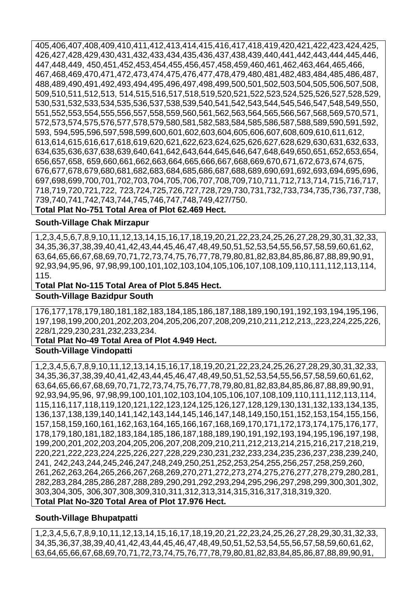405,406,407,408,409,410,411,412,413,414,415,416,417,418,419,420,421,422,423,424,425, 426,427,428,429,430,431,432,433,434,435,436,437,438,439,440,441,442,443,444,445,446, 447,448,449, 450,451,452,453,454,455,456,457,458,459,460,461,462,463,464,465,466, 467,468,469,470,471,472,473,474,475,476,477,478,479,480,481,482,483,484,485,486,487, 488,489,490,491,492,493,494,495,496,497,498,499,500,501,502,503,504,505,506,507,508, 509,510,511,512,513, 514,515,516,517,518,519,520,521,522,523,524,525,526,527,528,529, 530,531,532,533,534,535,536,537,538,539,540,541,542,543,544,545,546,547,548,549,550, 551,552,553,554,555,556,557,558,559,560,561,562,563,564,565,566,567,568,569,570,571, 572,573,574,575,576,577,578,579,580,581,582,583,584,585,586,587,588,589,590,591,592, 593, 594,595,596,597,598,599,600,601,602,603,604,605,606,607,608,609,610,611,612, 613,614,615,616,617,618,619,620,621,622,623,624,625,626,627,628,629,630,631,632,633, 634,635,636,637,638,639,640,641,642,643,644,645,646,647,648,649,650,651,652,653,654, 656,657,658, 659,660,661,662,663,664,665,666,667,668,669,670,671,672,673,674,675, 676,677,678,679,680,681,682,683,684,685,686,687,688,689,690,691,692,693,694,695,696, 697,698,699,700,701,702,703,704,705,706,707,708,709,710,711,712,713,714,715,716,717, 718,719,720,721,722, 723,724,725,726,727,728,729,730,731,732,733,734,735,736,737,738, 739,740,741,742,743,744,745,746,747,748,749,427/750. **Total Plat No-751 Total Area of Plot 62.469 Hect.**

### **South-Village Chak Mirzapur**

1,2,3,4,5,6,7,8,9,10,11,12,13,14,15,16,17,18,19,20,21,22,23,24,25,26,27,28,29,30,31,32,33, 34,35,36,37,38,39,40,41,42,43,44,45,46,47,48,49,50,51,52,53,54,55,56,57,58,59,60,61,62, 63,64,65,66,67,68,69,70,71,72,73,74,75,76,77,78,79,80,81,82,83,84,85,86,87,88,89,90,91, 92,93,94,95,96, 97,98,99,100,101,102,103,104,105,106,107,108,109,110,111,112,113,114, 115.

#### **Total Plat No-115 Total Area of Plot 5.845 Hect.**

#### **South-Village Bazidpur South**

176,177,178,179,180,181,182,183,184,185,186,187,188,189,190,191,192,193,194,195,196, 197,198,199,200,201,202,203,204,205,206,207,208,209,210,211,212,213,,223,224,225,226, 228/1,229,230,231,232,233,234.

#### **Total Plat No-49 Total Area of Plot 4.949 Hect.**

## **South-Village Vindopatti**

1,2,3,4,5,6,7,8,9,10,11,12,13,14,15,16,17,18,19,20,21,22,23,24,25,26,27,28,29,30,31,32,33, 34,35,36,37,38,39,40,41,42,43,44,45,46,47,48,49,50,51,52,53,54,55,56,57,58,59,60,61,62, 63,64,65,66,67,68,69,70,71,72,73,74,75,76,77,78,79,80,81,82,83,84,85,86,87,88,89,90,91, 92,93,94,95,96, 97,98,99,100,101,102,103,104,105,106,107,108,109,110,111,112,113,114, 115,116,117,118,119,120,121,122,123,124,125,126,127,128,129,130,131,132,133,134,135, 136,137,138,139,140,141,142,143,144,145,146,147,148,149,150,151,152,153,154,155,156, 157,158,159,160,161,162,163,164,165,166,167,168,169,170,171,172,173,174,175,176,177, 178,179,180,181,182,183,184,185,186,187,188,189,190,191,192,193,194,195,196,197,198, 199,200,201,202,203,204,205,206,207,208,209,210,211,212,213,214,215,216,217,218,219, 220,221,222,223,224,225,226,227,228,229,230,231,232,233,234,235,236,237,238,239,240, 241, 242,243,244,245,246,247,248,249,250,251,252,253,254,255,256,257,258,259,260, 261,262,263,264,265,266,267,268,269,270,271,272,273,274,275,276,277,278,279,280,281, 282,283,284,285,286,287,288,289,290,291,292,293,294,295,296,297,298,299,300,301,302, 303,304,305, 306,307,308,309,310,311,312,313,314,315,316,317,318,319,320. **Total Plat No-320 Total Area of Plot 17.976 Hect.**

## **South-Village Bhupatpatti**

1,2,3,4,5,6,7,8,9,10,11,12,13,14,15,16,17,18,19,20,21,22,23,24,25,26,27,28,29,30,31,32,33, 34,35,36,37,38,39,40,41,42,43,44,45,46,47,48,49,50,51,52,53,54,55,56,57,58,59,60,61,62, 63,64,65,66,67,68,69,70,71,72,73,74,75,76,77,78,79,80,81,82,83,84,85,86,87,88,89,90,91,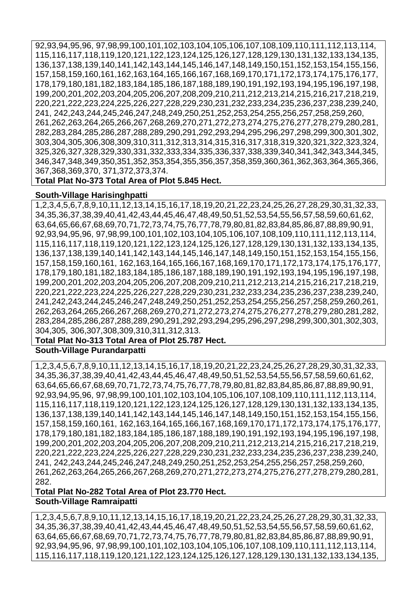92,93,94,95,96, 97,98,99,100,101,102,103,104,105,106,107,108,109,110,111,112,113,114, 115,116,117,118,119,120,121,122,123,124,125,126,127,128,129,130,131,132,133,134,135, 136,137,138,139,140,141,142,143,144,145,146,147,148,149,150,151,152,153,154,155,156, 157,158,159,160,161,162,163,164,165,166,167,168,169,170,171,172,173,174,175,176,177, 178,179,180,181,182,183,184,185,186,187,188,189,190,191,192,193,194,195,196,197,198, 199,200,201,202,203,204,205,206,207,208,209,210,211,212,213,214,215,216,217,218,219, 220,221,222,223,224,225,226,227,228,229,230,231,232,233,234,235,236,237,238,239,240, 241, 242,243,244,245,246,247,248,249,250,251,252,253,254,255,256,257,258,259,260, 261,262,263,264,265,266,267,268,269,270,271,272,273,274,275,276,277,278,279,280,281, 282,283,284,285,286,287,288,289,290,291,292,293,294,295,296,297,298,299,300,301,302, 303,304,305,306,308,309,310,311,312,313,314,315,316,317,318,319,320,321,322,323,324, 325,326,327,328,329,330,331,332,333,334,335,336,337,338,339,340,341,342,343,344,345, 346,347,348,349,350,351,352,353,354,355,356,357,358,359,360,361,362,363,364,365,366, 367,368,369,370, 371,372,373,374.

**Total Plat No-373 Total Area of Plot 5.845 Hect.**

## **South-Village Harisinghpatti**

1,2,3,4,5,6,7,8,9,10,11,12,13,14,15,16,17,18,19,20,21,22,23,24,25,26,27,28,29,30,31,32,33, 34,35,36,37,38,39,40,41,42,43,44,45,46,47,48,49,50,51,52,53,54,55,56,57,58,59,60,61,62, 63,64,65,66,67,68,69,70,71,72,73,74,75,76,77,78,79,80,81,82,83,84,85,86,87,88,89,90,91, 92,93,94,95,96, 97,98,99,100,101,102,103,104,105,106,107,108,109,110,111,112,113,114, 115,116,117,118,119,120,121,122,123,124,125,126,127,128,129,130,131,132,133,134,135, 136,137,138,139,140,141,142,143,144,145,146,147,148,149,150,151,152,153,154,155,156, 157,158,159,160,161, 162,163,164,165,166,167,168,169,170,171,172,173,174,175,176,177, 178,179,180,181,182,183,184,185,186,187,188,189,190,191,192,193,194,195,196,197,198, 199,200,201,202,203,204,205,206,207,208,209,210,211,212,213,214,215,216,217,218,219, 220,221,222,223,224,225,226,227,228,229,230,231,232,233,234,235,236,237,238,239,240, 241,242,243,244,245,246,247,248,249,250,251,252,253,254,255,256,257,258,259,260,261, 262,263,264,265,266,267,268,269,270,271,272,273,274,275,276,277,278,279,280,281,282, 283,284,285,286,287,288,289,290,291,292,293,294,295,296,297,298,299,300,301,302,303, 304,305, 306,307,308,309,310,311,312,313.

#### **Total Plat No-313 Total Area of Plot 25.787 Hect.**

**South-Village Purandarpatti** 

1,2,3,4,5,6,7,8,9,10,11,12,13,14,15,16,17,18,19,20,21,22,23,24,25,26,27,28,29,30,31,32,33, 34,35,36,37,38,39,40,41,42,43,44,45,46,47,48,49,50,51,52,53,54,55,56,57,58,59,60,61,62, 63,64,65,66,67,68,69,70,71,72,73,74,75,76,77,78,79,80,81,82,83,84,85,86,87,88,89,90,91, 92,93,94,95,96, 97,98,99,100,101,102,103,104,105,106,107,108,109,110,111,112,113,114, 115,116,117,118,119,120,121,122,123,124,125,126,127,128,129,130,131,132,133,134,135, 136,137,138,139,140,141,142,143,144,145,146,147,148,149,150,151,152,153,154,155,156, 157,158,159,160,161, 162,163,164,165,166,167,168,169,170,171,172,173,174,175,176,177, 178,179,180,181,182,183,184,185,186,187,188,189,190,191,192,193,194,195,196,197,198, 199,200,201,202,203,204,205,206,207,208,209,210,211,212,213,214,215,216,217,218,219, 220,221,222,223,224,225,226,227,228,229,230,231,232,233,234,235,236,237,238,239,240, 241, 242,243,244,245,246,247,248,249,250,251,252,253,254,255,256,257,258,259,260, 261,262,263,264,265,266,267,268,269,270,271,272,273,274,275,276,277,278,279,280,281, 282.

**Total Plat No-282 Total Area of Plot 23.770 Hect. South-Village Ramraipatti** 

1,2,3,4,5,6,7,8,9,10,11,12,13,14,15,16,17,18,19,20,21,22,23,24,25,26,27,28,29,30,31,32,33, 34,35,36,37,38,39,40,41,42,43,44,45,46,47,48,49,50,51,52,53,54,55,56,57,58,59,60,61,62, 63,64,65,66,67,68,69,70,71,72,73,74,75,76,77,78,79,80,81,82,83,84,85,86,87,88,89,90,91, 92,93,94,95,96, 97,98,99,100,101,102,103,104,105,106,107,108,109,110,111,112,113,114, 115,116,117,118,119,120,121,122,123,124,125,126,127,128,129,130,131,132,133,134,135,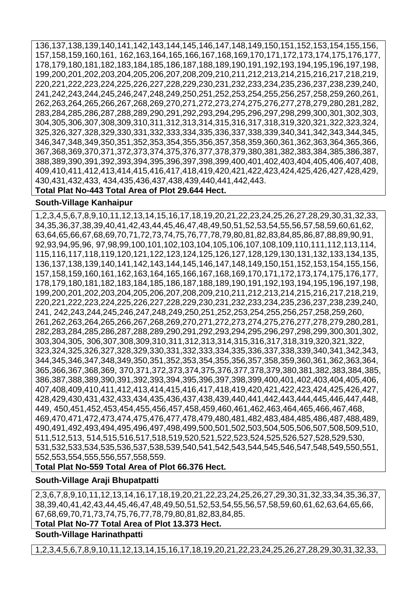136,137,138,139,140,141,142,143,144,145,146,147,148,149,150,151,152,153,154,155,156, 157,158,159,160,161, 162,163,164,165,166,167,168,169,170,171,172,173,174,175,176,177, 178,179,180,181,182,183,184,185,186,187,188,189,190,191,192,193,194,195,196,197,198, 199,200,201,202,203,204,205,206,207,208,209,210,211,212,213,214,215,216,217,218,219, 220,221,222,223,224,225,226,227,228,229,230,231,232,233,234,235,236,237,238,239,240, 241,242,243,244,245,246,247,248,249,250,251,252,253,254,255,256,257,258,259,260,261, 262,263,264,265,266,267,268,269,270,271,272,273,274,275,276,277,278,279,280,281,282, 283,284,285,286,287,288,289,290,291,292,293,294,295,296,297,298,299,300,301,302,303, 304,305,306,307,308,309,310,311,312,313,314,315,316,317,318,319,320,321,322,323,324, 325,326,327,328,329,330,331,332,333,334,335,336,337,338,339,340,341,342,343,344,345, 346,347,348,349,350,351,352,353,354,355,356,357,358,359,360,361,362,363,364,365,366, 367,368,369,370,371,372,373,374,375,376,377,378,379,380,381,382,383,384,385,386,387, 388,389,390,391,392,393,394,395,396,397,398,399,400,401,402,403,404,405,406,407,408, 409,410,411,412,413,414,415,416,417,418,419,420,421,422,423,424,425,426,427,428,429, 430,431,432,433, 434,435,436,437,438,439,440,441,442,443.

## **Total Plat No-443 Total Area of Plot 29.644 Hect.**

## **South-Village Kanhaipur**

1,2,3,4,5,6,7,8,9,10,11,12,13,14,15,16,17,18,19,20,21,22,23,24,25,26,27,28,29,30,31,32,33, 34,35,36,37,38,39,40,41,42,43,44,45,46,47,48,49,50,51,52,53,54,55,56,57,58,59,60,61,62, 63,64,65,66,67,68,69,70,71,72,73,74,75,76,77,78,79,80,81,82,83,84,85,86,87,88,89,90,91, 92,93,94,95,96, 97,98,99,100,101,102,103,104,105,106,107,108,109,110,111,112,113,114, 115,116,117,118,119,120,121,122,123,124,125,126,127,128,129,130,131,132,133,134,135, 136,137,138,139,140,141,142,143,144,145,146,147,148,149,150,151,152,153,154,155,156, 157,158,159,160,161,162,163,164,165,166,167,168,169,170,171,172,173,174,175,176,177, 178,179,180,181,182,183,184,185,186,187,188,189,190,191,192,193,194,195,196,197,198, 199,200,201,202,203,204,205,206,207,208,209,210,211,212,213,214,215,216,217,218,219, 220,221,222,223,224,225,226,227,228,229,230,231,232,233,234,235,236,237,238,239,240, 241, 242,243,244,245,246,247,248,249,250,251,252,253,254,255,256,257,258,259,260, 261,262,263,264,265,266,267,268,269,270,271,272,273,274,275,276,277,278,279,280,281, 282,283,284,285,286,287,288,289,290,291,292,293,294,295,296,297,298,299,300,301,302, 303,304,305, 306,307,308,309,310,311,312,313,314,315,316,317,318,319,320,321,322, 323,324,325,326,327,328,329,330,331,332,333,334,335,336,337,338,339,340,341,342,343, 344,345,346,347,348,349,350,351,352,353,354,355,356,357,358,359,360,361,362,363,364, 365,366,367,368,369, 370,371,372,373,374,375,376,377,378,379,380,381,382,383,384,385, 386,387,388,389,390,391,392,393,394,395,396,397,398,399,400,401,402,403,404,405,406, 407,408,409,410,411,412,413,414,415,416,417,418,419,420,421,422,423,424,425,426,427, 428,429,430,431,432,433,434,435,436,437,438,439,440,441,442,443,444,445,446,447,448, 449, 450,451,452,453,454,455,456,457,458,459,460,461,462,463,464,465,466,467,468, 469,470,471,472,473,474,475,476,477,478,479,480,481,482,483,484,485,486,487,488,489, 490,491,492,493,494,495,496,497,498,499,500,501,502,503,504,505,506,507,508,509,510, 511,512,513, 514,515,516,517,518,519,520,521,522,523,524,525,526,527,528,529,530, 531,532,533,534,535,536,537,538,539,540,541,542,543,544,545,546,547,548,549,550,551, 552,553,554,555,556,557,558,559.

**Total Plat No-559 Total Area of Plot 66.376 Hect.**

## **South-Village Araji Bhupatpatti**

2,3,6,7,8,9,10,11,12,13,14,16,17,18,19,20,21,22,23,24,25,26,27,29,30,31,32,33,34,35,36,37, 38,39,40,41,42,43,44,45,46,47,48,49,50,51,52,53,54,55,56,57,58,59,60,61,62,63,64,65,66, 67,68,69,70,71,73,74,75,76,77,78,79,80,81,82,83,84,85.

## **Total Plat No-77 Total Area of Plot 13.373 Hect.**

**South-Village Harinathpatti** 

1,2,3,4,5,6,7,8,9,10,11,12,13,14,15,16,17,18,19,20,21,22,23,24,25,26,27,28,29,30,31,32,33,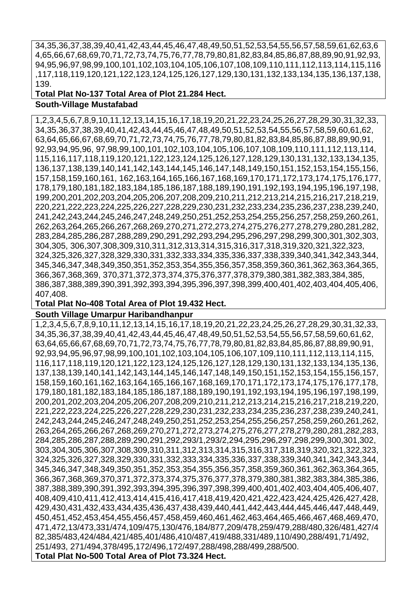34,35,36,37,38,39,40,41,42,43,44,45,46,47,48,49,50,51,52,53,54,55,56,57,58,59,61,62,63,6 4,65,66,67,68,69,70,71,72,73,74,75,76,77,78,79,80,81,82,83,84,85,86,87,88,89,90,91,92,93, 94,95,96,97,98,99,100,101,102,103,104,105,106,107,108,109,110,111,112,113,114,115,116 ,117,118,119,120,121,122,123,124,125,126,127,129,130,131,132,133,134,135,136,137,138, 139.

**Total Plat No-137 Total Area of Plot 21.284 Hect.**

## **South-Village Mustafabad**

1,2,3,4,5,6,7,8,9,10,11,12,13,14,15,16,17,18,19,20,21,22,23,24,25,26,27,28,29,30,31,32,33, 34,35,36,37,38,39,40,41,42,43,44,45,46,47,48,49,50,51,52,53,54,55,56,57,58,59,60,61,62, 63,64,65,66,67,68,69,70,71,72,73,74,75,76,77,78,79,80,81,82,83,84,85,86,87,88,89,90,91, 92,93,94,95,96, 97,98,99,100,101,102,103,104,105,106,107,108,109,110,111,112,113,114, 115,116,117,118,119,120,121,122,123,124,125,126,127,128,129,130,131,132,133,134,135, 136,137,138,139,140,141,142,143,144,145,146,147,148,149,150,151,152,153,154,155,156, 157,158,159,160,161, 162,163,164,165,166,167,168,169,170,171,172,173,174,175,176,177, 178,179,180,181,182,183,184,185,186,187,188,189,190,191,192,193,194,195,196,197,198, 199,200,201,202,203,204,205,206,207,208,209,210,211,212,213,214,215,216,217,218,219, 220,221,222,223,224,225,226,227,228,229,230,231,232,233,234,235,236,237,238,239,240, 241,242,243,244,245,246,247,248,249,250,251,252,253,254,255,256,257,258,259,260,261, 262,263,264,265,266,267,268,269,270,271,272,273,274,275,276,277,278,279,280,281,282, 283,284,285,286,287,288,289,290,291,292,293,294,295,296,297,298,299,300,301,302,303, 304,305, 306,307,308,309,310,311,312,313,314,315,316,317,318,319,320,321,322,323, 324,325,326,327,328,329,330,331,332,333,334,335,336,337,338,339,340,341,342,343,344, 345,346,347,348,349,350,351,352,353,354,355,356,357,358,359,360,361,362,363,364,365, 366,367,368,369, 370,371,372,373,374,375,376,377,378,379,380,381,382,383,384,385, 386,387,388,389,390,391,392,393,394,395,396,397,398,399,400,401,402,403,404,405,406, 407,408.

#### **Total Plat No-408 Total Area of Plot 19.432 Hect.**

#### **South Village Umarpur Haribandhanpur**

1,2,3,4,5,6,7,8,9,10,11,12,13,14,15,16,17,18,19,20,21,22,23,24,25,26,27,28,29,30,31,32,33, 34,35,36,37,38,39,40,41,42,43,44,45,46,47,48,49,50,51,52,53,54,55,56,57,58,59,60,61,62, 63,64,65,66,67,68,69,70,71,72,73,74,75,76,77,78,79,80,81,82,83,84,85,86,87,88,89,90,91, 92,93,94,95,96,97,98,99,100,101,102,103,104,105,106,107,109,110,111,112,113,114,115, 116,117,118,119,120,121,122,123,124,125,126,127,128,129,130,131,132,133,134,135,136, 137,138,139,140,141,142,143,144,145,146,147,148,149,150,151,152,153,154,155,156,157, 158,159,160,161,162,163,164,165,166,167,168,169,170,171,172,173,174,175,176,177,178, 179,180,181,182,183,184,185,186,187,188,189,190,191,192,193,194,195,196,197,198,199, 200,201,202,203,204,205,206,207,208,209,210,211,212,213,214,215,216,217,218,219,220, 221,222,223,224,225,226,227,228,229,230,231,232,233,234,235,236,237,238,239,240,241, 242,243,244,245,246,247,248,249,250,251,252,253,254,255,256,257,258,259,260,261,262, 263,264,265,266,267,268,269,270,271,272,273,274,275,276,277,278,279,280,281,282,283, 284,285,286,287,288,289,290,291,292,293/1,293/2,294,295,296,297,298,299,300,301,302, 303,304,305,306,307,308,309,310,311,312,313,314,315,316,317,318,319,320,321,322,323, 324,325,326,327,328,329,330,331,332,333,334,335,336,337,338,339,340,341,342,343,344, 345,346,347,348,349,350,351,352,353,354,355,356,357,358,359,360,361,362,363,364,365, 366,367,368,369,370,371,372,373,374,375,376,377,378,379,380,381,382,383,384,385,386, 387,388,389,390,391,392,393,394,395,396,397,398,399,400,401,402,403,404,405,406,407, 408,409,410,411,412,413,414,415,416,417,418,419,420,421,422,423,424,425,426,427,428, 429,430,431,432,433,434,435,436,437,438,439,440,441,442,443,444,445,446,447,448,449, 450,451,452,453,454,455,456,457,458,459,460,461,462,463,464,465,466,467,468,469,470, 471,472,13/473,331/474,109/475,130/476,184/877,209/478,259/479,288/480,326/481,427/4 82,385/483,424/484,421/485,401/486,410/487,419/488,331/489,110/490,288/491,71/492, 251/493, 271/494,378/495,172/496,172/497,288/498,288/499,288/500. **Total Plat No-500 Total Area of Plot 73.324 Hect.**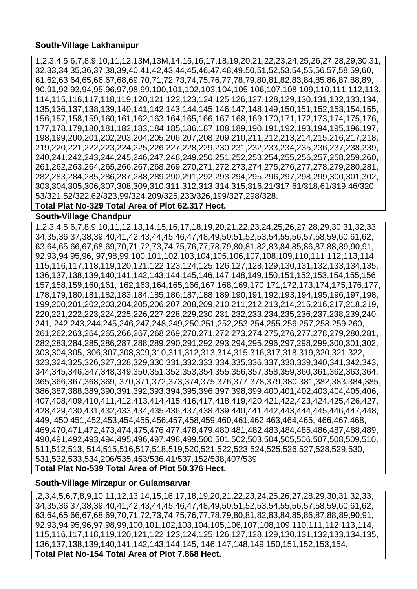#### **South-Village Lakhamipur**

1,2,3,4,5,6,7,8,9,10,11,12,13M,13M,14,15,16,17,18,19,20,21,22,23,24,25,26,27,28,29,30,31, 32,33,34,35,36,37,38,39,40,41,42,43,44,45,46,47,48,49,50,51,52,53,54,55,56,57,58,59,60, 61,62,63,64,65,66,67,68,69,70,71,72,73,74,75,76,77,78,79,80,81,82,83,84,85,86,87,88,89, 90,91,92,93,94,95,96,97,98,99,100,101,102,103,104,105,106,107,108,109,110,111,112,113, 114,115,116,117,118,119,120,121,122,123,124,125,126,127,128,129,130,131,132,133,134, 135,136,137,138,139,140,141,142,143,144,145,146,147,148,149,150,151,152,153,154,155, 156,157,158,159,160,161,162,163,164,165,166,167,168,169,170,171,172,173,174,175,176, 177,178,179,180,181,182,183,184,185,186,187,188,189,190,191,192,193,194,195,196,197, 198,199,200,201,202,203,204,205,206,207,208,209,210,211,212,213,214,215,216,217,218, 219,220,221,222,223,224,225,226,227,228,229,230,231,232,233,234,235,236,237,238,239, 240,241,242,243,244,245,246,247,248,249,250,251,252,253,254,255,256,257,258,259,260, 261,262,263,264,265,266,267,268,269,270,271,272,273,274,275,276,277,278,279,280,281, 282,283,284,285,286,287,288,289,290,291,292,293,294,295,296,297,298,299,300,301,302, 303,304,305,306,307,308,309,310,311,312,313,314,315,316,21/317,61/318,61/319,46/320, 53/321,52/322,62/323,99/324,209/325,233/326,199/327,298/328.

#### **Total Plat No-329 Total Area of Plot 62.317 Hect.**

#### **South-Village Chandpur**

1,2,3,4,5,6,7,8,9,10,11,12,13,14,15,16,17,18,19,20,21,22,23,24,25,26,27,28,29,30,31,32,33, 34,35,36,37,38,39,40,41,42,43,44,45,46,47,48,49,50,51,52,53,54,55,56,57,58,59,60,61,62, 63,64,65,66,67,68,69,70,71,72,73,74,75,76,77,78,79,80,81,82,83,84,85,86,87,88,89,90,91, 92,93,94,95,96, 97,98,99,100,101,102,103,104,105,106,107,108,109,110,111,112,113,114, 115,116,117,118,119,120,121,122,123,124,125,126,127,128,129,130,131,132,133,134,135, 136,137,138,139,140,141,142,143,144,145,146,147,148,149,150,151,152,153,154,155,156, 157,158,159,160,161, 162,163,164,165,166,167,168,169,170,171,172,173,174,175,176,177, 178,179,180,181,182,183,184,185,186,187,188,189,190,191,192,193,194,195,196,197,198, 199,200,201,202,203,204,205,206,207,208,209,210,211,212,213,214,215,216,217,218,219, 220,221,222,223,224,225,226,227,228,229,230,231,232,233,234,235,236,237,238,239,240, 241, 242,243,244,245,246,247,248,249,250,251,252,253,254,255,256,257,258,259,260, 261,262,263,264,265,266,267,268,269,270,271,272,273,274,275,276,277,278,279,280,281, 282,283,284,285,286,287,288,289,290,291,292,293,294,295,296,297,298,299,300,301,302, 303,304,305, 306,307,308,309,310,311,312,313,314,315,316,317,318,319,320,321,322, 323,324,325,326,327,328,329,330,331,332,333,334,335,336,337,338,339,340,341,342,343, 344,345,346,347,348,349,350,351,352,353,354,355,356,357,358,359,360,361,362,363,364, 365,366,367,368,369, 370,371,372,373,374,375,376,377,378,379,380,381,382,383,384,385, 386,387,388,389,390,391,392,393,394,395,396,397,398,399,400,401,402,403,404,405,406, 407,408,409,410,411,412,413,414,415,416,417,418,419,420,421,422,423,424,425,426,427, 428,429,430,431,432,433,434,435,436,437,438,439,440,441,442,443,444,445,446,447,448, 449, 450,451,452,453,454,455,456,457,458,459,460,461,462,463,464,465, 466,467,468, 469,470,471,472,473,474,475,476,477,478,479,480,481,482,483,484,485,486,487,488,489, 490,491,492,493,494,495,496,497,498,499,500,501,502,503,504,505,506,507,508,509,510, 511,512,513, 514,515,516,517,518,519,520,521,522,523,524,525,526,527,528,529,530, 531,532,533,534,206/535,453/536,41/537,152/538,407/539. **Total Plat No-539 Total Area of Plot 50.376 Hect.**

## **South-Village Mirzapur or Gulamsarvar**

,2,3,4,5,6,7,8,9,10,11,12,13,14,15,16,17,18,19,20,21,22,23,24,25,26,27,28,29,30,31,32,33, 34,35,36,37,38,39,40,41,42,43,44,45,46,47,48,49,50,51,52,53,54,55,56,57,58,59,60,61,62, 63,64,65,66,67,68,69,70,71,72,73,74,75,76,77,78,79,80,81,82,83,84,85,86,87,88,89,90,91, 92,93,94,95,96,97,98,99,100,101,102,103,104,105,106,107,108,109,110,111,112,113,114, 115,116,117,118,119,120,121,122,123,124,125,126,127,128,129,130,131,132,133,134,135, 136,137,138,139,140,141,142,143,144,145, 146,147,148,149,150,151,152,153,154. **Total Plat No-154 Total Area of Plot 7.868 Hect.**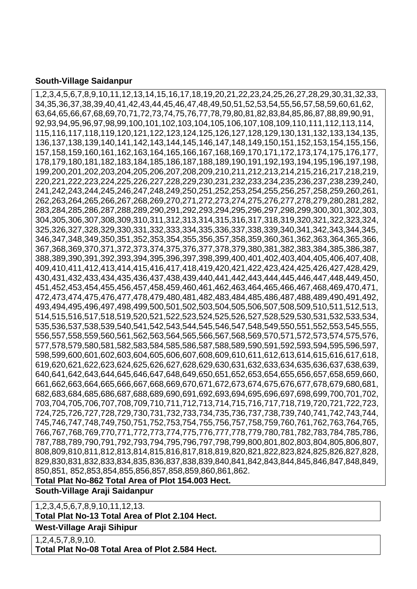#### **South-Village Saidanpur**

1,2,3,4,5,6,7,8,9,10,11,12,13,14,15,16,17,18,19,20,21,22,23,24,25,26,27,28,29,30,31,32,33, 34,35,36,37,38,39,40,41,42,43,44,45,46,47,48,49,50,51,52,53,54,55,56,57,58,59,60,61,62, 63,64,65,66,67,68,69,70,71,72,73,74,75,76,77,78,79,80,81,82,83,84,85,86,87,88,89,90,91, 92,93,94,95,96,97,98,99,100,101,102,103,104,105,106,107,108,109,110,111,112,113,114, 115,116,117,118,119,120,121,122,123,124,125,126,127,128,129,130,131,132,133,134,135, 136,137,138,139,140,141,142,143,144,145,146,147,148,149,150,151,152,153,154,155,156, 157,158,159,160,161,162,163,164,165,166,167,168,169,170,171,172,173,174,175,176,177, 178,179,180,181,182,183,184,185,186,187,188,189,190,191,192,193,194,195,196,197,198, 199,200,201,202,203,204,205,206,207,208,209,210,211,212,213,214,215,216,217,218,219, 220,221,222,223,224,225,226,227,228,229,230,231,232,233,234,235,236,237,238,239,240, 241,242,243,244,245,246,247,248,249,250,251,252,253,254,255,256,257,258,259,260,261, 262,263,264,265,266,267,268,269,270,271,272,273,274,275,276,277,278,279,280,281,282, 283,284,285,286,287,288,289,290,291,292,293,294,295,296,297,298,299,300,301,302,303, 304,305,306,307,308,309,310,311,312,313,314,315,316,317,318,319,320,321,322,323,324, 325,326,327,328,329,330,331,332,333,334,335,336,337,338,339,340,341,342,343,344,345, 346,347,348,349,350,351,352,353,354,355,356,357,358,359,360,361,362,363,364,365,366, 367,368,369,370,371,372,373,374,375,376,377,378,379,380,381,382,383,384,385,386,387, 388,389,390,391,392,393,394,395,396,397,398,399,400,401,402,403,404,405,406,407,408, 409,410,411,412,413,414,415,416,417,418,419,420,421,422,423,424,425,426,427,428,429, 430,431,432,433,434,435,436,437,438,439,440,441,442,443,444,445,446,447,448,449,450, 451,452,453,454,455,456,457,458,459,460,461,462,463,464,465,466,467,468,469,470,471, 472,473,474,475,476,477,478,479,480,481,482,483,484,485,486,487,488,489,490,491,492, 493,494,495,496,497,498,499,500,501,502,503,504,505,506,507,508,509,510,511,512,513, 514,515,516,517,518,519,520,521,522,523,524,525,526,527,528,529,530,531,532,533,534, 535,536,537,538,539,540,541,542,543,544,545,546,547,548,549,550,551,552,553,545,555, 556,557,558,559,560,561,562,563,564,565,566,567,568,569,570,571,572,573,574,575,576, 577,578,579,580,581,582,583,584,585,586,587,588,589,590,591,592,593,594,595,596,597, 598,599,600,601,602,603,604,605,606,607,608,609,610,611,612,613,614,615,616,617,618, 619,620,621,622,623,624,625,626,627,628,629,630,631,632,633,634,635,636,637,638,639, 640,641,642,643,644,645,646,647,648,649,650,651,652,653,654,655,656,657,658,659,660, 661,662,663,664,665,666,667,668,669,670,671,672,673,674,675,676,677,678,679,680,681, 682,683,684,685,686,687,688,689,690,691,692,693,694,695,696,697,698,699,700,701,702, 703,704,705,706,707,708,709,710,711,712,713,714,715,716,717,718,719,720,721,722,723, 724,725,726,727,728,729,730,731,732,733,734,735,736,737,738,739,740,741,742,743,744, 745,746,747,748,749,750,751,752,753,754,755,756,757,758,759,760,761,762,763,764,765, 766,767,768,769,770,771,772,773,774,775,776,777,778,779,780,781,782,783,784,785,786, 787,788,789,790,791,792,793,794,795,796,797,798,799,800,801,802,803,804,805,806,807, 808,809,810,811,812,813,814,815,816,817,818,819,820,821,822,823,824,825,826,827,828, 829,830,831,832,833,834,835,836,837,838,839,840,841,842,843,844,845,846,847,848,849, 850,851, 852,853,854,855,856,857,858,859,860,861,862.

**Total Plat No-862 Total Area of Plot 154.003 Hect.**

**South-Village Araji Saidanpur** 

1,2,3,4,5,6,7,8,9,10,11,12,13.

**Total Plat No-13 Total Area of Plot 2.104 Hect.**

**West-Village Araji Sihipur** 

1,2,4,5,7,8,9,10. **Total Plat No-08 Total Area of Plot 2.584 Hect.**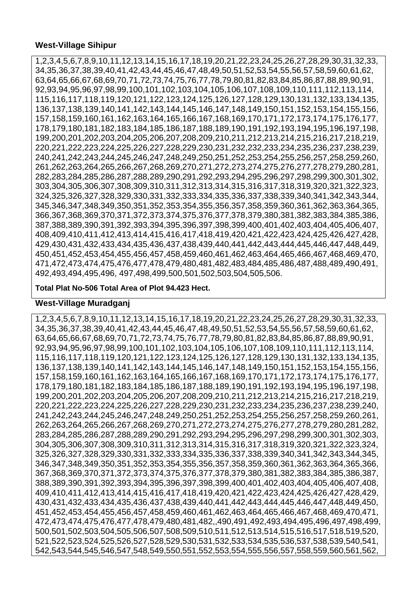1,2,3,4,5,6,7,8,9,10,11,12,13,14,15,16,17,18,19,20,21,22,23,24,25,26,27,28,29,30,31,32,33, 34,35,36,37,38,39,40,41,42,43,44,45,46,47,48,49,50,51,52,53,54,55,56,57,58,59,60,61,62, 63,64,65,66,67,68,69,70,71,72,73,74,75,76,77,78,79,80,81,82,83,84,85,86,87,88,89,90,91, 92,93,94,95,96,97,98,99,100,101,102,103,104,105,106,107,108,109,110,111,112,113,114, 115,116,117,118,119,120,121,122,123,124,125,126,127,128,129,130,131,132,133,134,135, 136,137,138,139,140,141,142,143,144,145,146,147,148,149,150,151,152,153,154,155,156, 157,158,159,160,161,162,163,164,165,166,167,168,169,170,171,172,173,174,175,176,177, 178,179,180,181,182,183,184,185,186,187,188,189,190,191,192,193,194,195,196,197,198, 199,200,201,202,203,204,205,206,207,208,209,210,211,212,213,214,215,216,217,218,219, 220,221,222,223,224,225,226,227,228,229,230,231,232,232,233,234,235,236,237,238,239, 240,241,242,243,244,245,246,247,248,249,250,251,252,253,254,255,256,257,258,259,260, 261,262,263,264,265,266,267,268,269,270,271,272,273,274,275,276,277,278,279,280,281, 282,283,284,285,286,287,288,289,290,291,292,293,294,295,296,297,298,299,300,301,302, 303,304,305,306,307,308,309,310,311,312,313,314,315,316,317,318,319,320,321,322,323, 324,325,326,327,328,329,330,331,332,333,334,335,336,337,338,339,340,341,342,343,344, 345,346,347,348,349,350,351,352,353,354,355,356,357,358,359,360,361,362,363,364,365, 366,367,368,369,370,371,372,373,374,375,376,377,378,379,380,381,382,383,384,385,386, 387,388,389,390,391,392,393,394,395,396,397,398,399,400,401,402,403,404,405,406,407, 408,409,410,411,412,413,414,415,416,417,418,419,420,421,422,423,424,425,426,427,428, 429,430,431,432,433,434,435,436,437,438,439,440,441,442,443,444,445,446,447,448,449, 450,451,452,453,454,455,456,457,458,459,460,461,462,463,464,465,466,467,468,469,470, 471,472,473,474,475,476,477,478,479,480,481,482,483,484,485,486,487,488,489,490,491, 492,493,494,495,496, 497,498,499,500,501,502,503,504,505,506.

#### **Total Plat No-506 Total Area of Plot 94.423 Hect.**

## **West-Village Muradganj**

1,2,3,4,5,6,7,8,9,10,11,12,13,14,15,16,17,18,19,20,21,22,23,24,25,26,27,28,29,30,31,32,33, 34,35,36,37,38,39,40,41,42,43,44,45,46,47,48,49,50,51,52,53,54,55,56,57,58,59,60,61,62, 63,64,65,66,67,68,69,70,71,72,73,74,75,76,77,78,79,80,81,82,83,84,85,86,87,88,89,90,91, 92,93,94,95,96,97,98,99,100,101,102,103,104,105,106,107,108,109,110,111,112,113,114, 115,116,117,118,119,120,121,122,123,124,125,126,127,128,129,130,131,132,133,134,135, 136,137,138,139,140,141,142,143,144,145,146,147,148,149,150,151,152,153,154,155,156, 157,158,159,160,161,162,163,164,165,166,167,168,169,170,171,172,173,174,175,176,177, 178,179,180,181,182,183,184,185,186,187,188,189,190,191,192,193,194,195,196,197,198, 199,200,201,202,203,204,205,206,207,208,209,210,211,212,213,214,215,216,217,218,219, 220,221,222,223,224,225,226,227,228,229,230,231,232,233,234,235,236,237,238,239,240, 241,242,243,244,245,246,247,248,249,250,251,252,253,254,255,256,257,258,259,260,261, 262,263,264,265,266,267,268,269,270,271,272,273,274,275,276,277,278,279,280,281,282, 283,284,285,286,287,288,289,290,291,292,293,294,295,296,297,298,299,300,301,302,303, 304,305,306,307,308,309,310,311,312,313,314,315,316,317,318,319,320,321,322,323,324, 325,326,327,328,329,330,331,332,333,334,335,336,337,338,339,340,341,342,343,344,345, 346,347,348,349,350,351,352,353,354,355,356,357,358,359,360,361,362,363,364,365,366, 367,368,369,370,371,372,373,374,375,376,377,378,379,380,381,382,383,384,385,386,387, 388,389,390,391,392,393,394,395,396,397,398,399,400,401,402,403,404,405,406,407,408, 409,410,411,412,413,414,415,416,417,418,419,420,421,422,423,424,425,426,427,428,429, 430,431,432,433,434,435,436,437,438,439,440,441,442,443,444,445,446,447,448,449,450, 451,452,453,454,455,456,457,458,459,460,461,462,463,464,465,466,467,468,469,470,471, 472,473,474,475,476,477,478,479,480,481,482,,490,491,492,493,494,495,496,497,498,499, 500,501,502,503,504,505,506,507,508,509,510,511,512,513,514,515,516,517,518,519,520, 521,522,523,524,525,526,527,528,529,530,531,532,533,534,535,536,537,538,539,540,541, 542,543,544,545,546,547,548,549,550,551,552,553,554,555,556,557,558,559,560,561,562,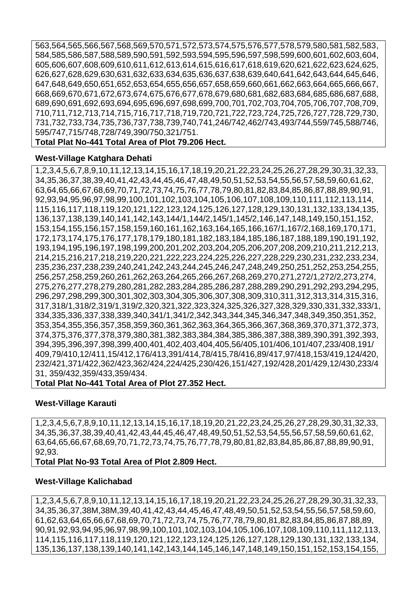563,564,565,566,567,568,569,570,571,572,573,574,575,576,577,578,579,580,581,582,583, 584,585,586,587,588,589,590,591,592,593,594,595,596,597,598,599,600,601,602,603,604, 605,606,607,608,609,610,611,612,613,614,615,616,617,618,619,620,621,622,623,624,625, 626,627,628,629,630,631,632,633,634,635,636,637,638,639,640,641,642,643,644,645,646, 647,648,649,650,651,652,653,654,655,656,657,658,659,660,661,662,663,664,665,666,667, 668,669,670,671,672,673,674,675,676,677,678,679,680,681,682,683,684,685,686,687,688, 689,690,691,692,693,694,695,696,697,698,699,700,701,702,703,704,705,706,707,708,709, 710,711,712,713,714,715,716,717,718,719,720,721,722,723,724,725,726,727,728,729,730, 731,732,733,734,735,736,737,738,739,740,741,246/742,462/743,493/744,559/745,588/746, 595/747,715/748,728/749,390/750,321/751.

**Total Plat No-441 Total Area of Plot 79.206 Hect.**

#### **West-Village Katghara Dehati**

1,2,3,4,5,6,7,8,9,10,11,12,13,14,15,16,17,18,19,20,21,22,23,24,25,26,27,28,29,30,31,32,33, 34,35,36,37,38,39,40,41,42,43,44,45,46,47,48,49,50,51,52,53,54,55,56,57,58,59,60,61,62, 63,64,65,66,67,68,69,70,71,72,73,74,75,76,77,78,79,80,81,82,83,84,85,86,87,88,89,90,91, 92,93,94,95,96,97,98,99,100,101,102,103,104,105,106,107,108,109,110,111,112,113,114, 115,116,117,118,119,120,121,122,123,124,125,126,127,128,129,130,131,132,133,134,135, 136,137,138,139,140,141,142,143,144/1,144/2,145/1,145/2,146,147,148,149,150,151,152, 153,154,155,156,157,158,159,160,161,162,163,164,165,166,167/1,167/2,168,169,170,171, 172,173,174,175,176,177,178,179,180,181,182,183,184,185,186,187,188,189,190,191,192, 193,194,195,196,197,198,199,200,201,202,203,204,205,206,207,208,209,210,211,212,213, 214,215,216,217,218,219,220,221,222,223,224,225,226,227,228,229,230,231,232,233,234, 235,236,237,238,239,240,241,242,243,244,245,246,247,248,249,250,251,252,253,254,255, 256,257,258,259,260,261,262,263,264,265,266,267,268,269,270,271,272/1,272/2,273,274, 275,276,277,278,279,280,281,282,283,284,285,286,287,288,289,290,291,292,293,294,295, 296,297,298,299,300,301,302,303,304,305,306,307,308,309,310,311,312,313,314,315,316, 317,318/1,318/2,319/1,319/2,320,321,322,323,324,325,326,327,328,329,330,331,332,333/1, 334,335,336,337,338,339,340,341/1,341/2,342,343,344,345,346,347,348,349,350,351,352, 353,354,355,356,357,358,359,360,361,362,363,364,365,366,367,368,369,370,371,372,373, 374,375,376,377,378,379,380,381,382,383,384,384,385,386,387,388,389,390,391,392,393, 394,395,396,397,398,399,400,401,402,403,404,405,56/405,101/406,101/407,233/408,191/ 409,79/410,12/411,15/412,176/413,391/414,78/415,78/416,89/417,97/418,153/419,124/420, 232/421,371/422,362/423,362/424,224/425,230/426,151/427,192/428,201/429,12/430,233/4 31, 359/432,359/433,359/434.

**Total Plat No-441 Total Area of Plot 27.352 Hect.**

## **West-Village Karauti**

1,2,3,4,5,6,7,8,9,10,11,12,13,14,15,16,17,18,19,20,21,22,23,24,25,26,27,28,29,30,31,32,33, 34,35,36,37,38,39,40,41,42,43,44,45,46,47,48,49,50,51,52,53,54,55,56,57,58,59,60,61,62, 63,64,65,66,67,68,69,70,71,72,73,74,75,76,77,78,79,80,81,82,83,84,85,86,87,88,89,90,91, 92,93.

**Total Plat No-93 Total Area of Plot 2.809 Hect.**

## **West-Village Kalichabad**

1,2,3,4,5,6,7,8,9,10,11,12,13,14,15,16,17,18,19,20,21,22,23,24,25,26,27,28,29,30,31,32,33, 34,35,36,37,38M,38M,39,40,41,42,43,44,45,46,47,48,49,50,51,52,53,54,55,56,57,58,59,60, 61,62,63,64,65,66,67,68,69,70,71,72,73,74,75,76,77,78,79,80,81,82,83,84,85,86,87,88,89, 90,91,92,93,94,95,96,97,98,99,100,101,102,103,104,105,106,107,108,109,110,111,112,113, 114,115,116,117,118,119,120,121,122,123,124,125,126,127,128,129,130,131,132,133,134, 135,136,137,138,139,140,141,142,143,144,145,146,147,148,149,150,151,152,153,154,155,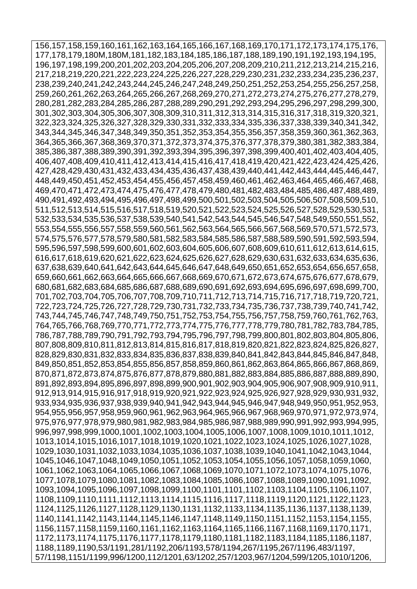156,157,158,159,160,161,162,163,164,165,166,167,168,169,170,171,172,173,174,175,176, 177,178,179,180M,180M,181,182,183,184,185,186,187,188,189,190,191,192,193,194,195, 196,197,198,199,200,201,202,203,204,205,206,207,208,209,210,211,212,213,214,215,216, 217,218,219,220,221,222,223,224,225,226,227,228,229,230,231,232,233,234,235,236,237, 238,239,240,241,242,243,244,245,246,247,248,249,250,251,252,253,254,255,256,257,258, 259,260,261,262,263,264,265,266,267,268,269,270,271,272,273,274,275,276,277,278,279, 280,281,282,283,284,285,286,287,288,289,290,291,292,293,294,295,296,297,298,299,300, 301,302,303,304,305,306,307,308,309,310,311,312,313,314,315,316,317,318,319,320,321, 322,323,324,325,326,327,328,329,330,331,332,333,334,335,336,337,338,339,340,341,342, 343,344,345,346,347,348,349,350,351,352,353,354,355,356,357,358,359,360,361,362,363, 364,365,366,367,368,369,370,371,372,373,374,375,376,377,378,379,380,381,382,383,384, 385,386,387,388,389,390,391,392,393,394,395,396,397,398,399,400,401,402,403,404,405, 406,407,408,409,410,411,412,413,414,415,416,417,418,419,420,421,422,423,424,425,426, 427,428,429,430,431,432,433,434,435,436,437,438,439,440,441,442,443,444,445,446,447, 448,449,450,451,452,453,454,455,456,457,458,459,460,461,462,463,464,465,466,467,468, 469,470,471,472,473,474,475,476,477,478,479,480,481,482,483,484,485,486,487,488,489, 490,491,492,493,494,495,496,497,498,499,500,501,502,503,504,505,506,507,508,509,510, 511,512,513,514,515,516,517,518,519,520,521,522,523,524,525,526,527,528,529,530,531, 532,533,534,535,536,537,538,539,540,541,542,543,544,545,546,547,548,549,550,551,552, 553,554,555,556,557,558,559,560,561,562,563,564,565,566,567,568,569,570,571,572,573, 574,575,576,577,578,579,580,581,582,583,584,585,586,587,588,589,590,591,592,593,594, 595,596,597,598,599,600,601,602,603,604,605,606,607,608,609,610,611,612,613,614,615, 616,617,618,619,620,621,622,623,624,625,626,627,628,629,630,631,632,633,634,635,636, 637,638,639,640,641,642,643,644,645,646,647,648,649,650,651,652,653,654,656,657,658, 659,660,661,662,663,664,665,666,667,668,669,670,671,672,673,674,675,676,677,678,679, 680,681,682,683,684,685,686,687,688,689,690,691,692,693,694,695,696,697,698,699,700, 701,702,703,704,705,706,707,708,709,710,711,712,713,714,715,716,717,718,719,720,721, 722,723,724,725,726,727,728,729,730,731,732,733,734,735,736,737,738,739,740,741,742, 743,744,745,746,747,748,749,750,751,752,753,754,755,756,757,758,759,760,761,762,763, 764,765,766,768,769,770,771,772,773,774,775,776,777,778,779,780,781,782,783,784,785, 786,787,788,789,790,791,792,793,794,795,796,797,798,799,800,801,802,803,804,805,806, 807,808,809,810,811,812,813,814,815,816,817,818,819,820,821,822,823,824,825,826,827, 828,829,830,831,832,833,834,835,836,837,838,839,840,841,842,843,844,845,846,847,848, 849,850,851,852,853,854,855,856,857,858,859,860,861,862,863,864,865,866,867,868,869, 870,871,872,873,874,875,876,877,878,879,880,881,882,883,884,885,886,887,888,889,890, 891,892,893,894,895,896,897,898,899,900,901,902,903,904,905,906,907,908,909,910,911, 912,913,914,915,916,917,918,919,920,921,922,923,924,925,926,927,928,929,930,931,932, 933,934,935,936,937,938,939,940,941,942,943,944,945,946,947,948,949,950,951,952,953, 954,955,956,957,958,959,960,961,962,963,964,965,966,967,968,969,970,971,972,973,974, 975,976,977,978,979,980,981,982,983,984,985,986,987,988,989,990,991,992,993,994,995, 996,997,998,999,1000,1001,1002,1003,1004,1005,1006,1007,1008,1009,1010,1011,1012, 1013,1014,1015,1016,1017,1018,1019,1020,1021,1022,1023,1024,1025,1026,1027,1028, 1029,1030,1031,1032,1033,1034,1035,1036,1037,1038,1039,1040,1041,1042,1043,1044, 1045,1046,1047,1048,1049,1050,1051,1052,1053,1054,1055,1056,1057,1058,1059,1060, 1061,1062,1063,1064,1065,1066,1067,1068,1069,1070,1071,1072,1073,1074,1075,1076, 1077,1078,1079,1080,1081,1082,1083,1084,1085,1086,1087,1088,1089,1090,1091,1092, 1093,1094,1095,1096,1097,1098,1099,1100,1101,1101,1102,1103,1104,1105,1106,1107, 1108,1109,1110,1111,1112,1113,1114,1115,1116,1117,1118,1119,1120,1121,1122,1123, 1124,1125,1126,1127,1128,1129,1130,1131,1132,1133,1134,1135,1136,1137,1138,1139, 1140,1141,1142,1143,1144,1145,1146,1147,1148,1149,1150,1151,1152,1153,1154,1155, 1156,1157,1158,1159,1160,1161,1162,1163,1164,1165,1166,1167,1168,1169,1170,1171, 1172,1173,1174,1175,1176,1177,1178,1179,1180,1181,1182,1183,1184,1185,1186,1187, 1188,1189,1190,53/1191,281/1192,206/1193,578/1194,267/1195,267/1196,483/1197, 57/1198,1151/1199,996/1200,112/1201,63/1202,257/1203,967/1204,599/1205,1010/1206,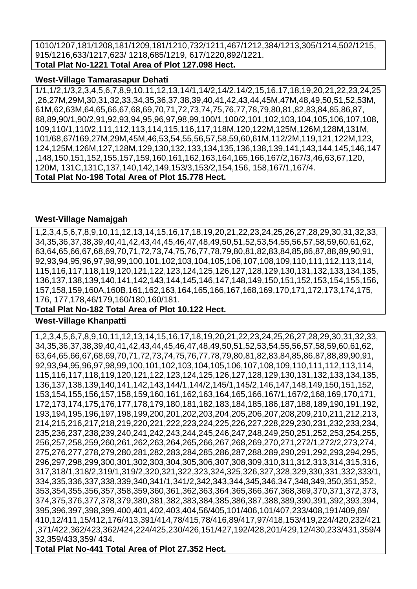1010/1207,181/1208,181/1209,181/1210,732/1211,467/1212,384/1213,305/1214,502/1215, 915/1216,633/1217,623/ 1218,685/1219, 617/1220,892/1221. **Total Plat No-1221 Total Area of Plot 127.098 Hect.**

#### **West-Village Tamarasapur Dehati**

1/1,1/2,1/3,2,3,4,5,6,7,8,9,10,11,12,13,14/1,14/2,14/2,14/2,15,16,17,18,19,20,21,22,23,24,25 ,26,27M,29M,30,31,32,33,34,35,36,37,38,39,40,41,42,43,44,45M,47M,48,49,50,51,52,53M, 61M,62,63M,64,65,66,67,68,69,70,71,72,73,74,75,76,77,78,79,80,81,82,83,84,85,86,87, 88,89,90/1,90/2,91,92,93,94,95,96,97,98,99,100/1,100/2,101,102,103,104,105,106,107,108, 109,110/1,110/2,111,112,113,114,115,116,117,118M,120,122M,125M,126M,128M,131M, 101/68,67/169,27M,29M,45M,46,53,54,55,56,57,58,59,60,61M,112/2M,119,121,122M,123, 124,125M,126M,127,128M,129,130,132,133,134,135,136,138,139,141,143,144,145,146,147 ,148,150,151,152,155,157,159,160,161,162,163,164,165,166,167/2,167/3,46,63,67,120, 120M, 131C,131C,137,140,142,149,153/3,153/2,154,156, 158,167/1,167/4. **Total Plat No-198 Total Area of Plot 15.778 Hect.**

#### **West-Village Namajgah**

1,2,3,4,5,6,7,8,9,10,11,12,13,14,15,16,17,18,19,20,21,22,23,24,25,26,27,28,29,30,31,32,33, 34,35,36,37,38,39,40,41,42,43,44,45,46,47,48,49,50,51,52,53,54,55,56,57,58,59,60,61,62, 63,64,65,66,67,68,69,70,71,72,73,74,75,76,77,78,79,80,81,82,83,84,85,86,87,88,89,90,91, 92,93,94,95,96,97,98,99,100,101,102,103,104,105,106,107,108,109,110,111,112,113,114, 115,116,117,118,119,120,121,122,123,124,125,126,127,128,129,130,131,132,133,134,135, 136,137,138,139,140,141,142,143,144,145,146,147,148,149,150,151,152,153,154,155,156, 157,158,159,160A,160B,161,162,163,164,165,166,167,168,169,170,171,172,173,174,175, 176, 177,178,46/179,160/180,160/181.

## **Total Plat No-182 Total Area of Plot 10.122 Hect.**

## **West-Village Khanpatti**

1,2,3,4,5,6,7,8,9,10,11,12,13,14,15,16,17,18,19,20,21,22,23,24,25,26,27,28,29,30,31,32,33, 34,35,36,37,38,39,40,41,42,43,44,45,46,47,48,49,50,51,52,53,54,55,56,57,58,59,60,61,62, 63,64,65,66,67,68,69,70,71,72,73,74,75,76,77,78,79,80,81,82,83,84,85,86,87,88,89,90,91, 92,93,94,95,96,97,98,99,100,101,102,103,104,105,106,107,108,109,110,111,112,113,114, 115,116,117,118,119,120,121,122,123,124,125,126,127,128,129,130,131,132,133,134,135, 136,137,138,139,140,141,142,143,144/1,144/2,145/1,145/2,146,147,148,149,150,151,152, 153,154,155,156,157,158,159,160,161,162,163,164,165,166,167/1,167/2,168,169,170,171, 172,173,174,175,176,177,178,179,180,181,182,183,184,185,186,187,188,189,190,191,192, 193,194,195,196,197,198,199,200,201,202,203,204,205,206,207,208,209,210,211,212,213, 214,215,216,217,218,219,220,221,222,223,224,225,226,227,228,229,230,231,232,233,234, 235,236,237,238,239,240,241,242,243,244,245,246,247,248,249,250,251,252,253,254,255, 256,257,258,259,260,261,262,263,264,265,266,267,268,269,270,271,272/1,272/2,273,274, 275,276,277,278,279,280,281,282,283,284,285,286,287,288,289,290,291,292,293,294,295, 296,297,298,299,300,301,302,303,304,305,306,307,308,309,310,311,312,313,314,315,316, 317,318/1,318/2,319/1,319/2,320,321,322,323,324,325,326,327,328,329,330,331,332,333/1, 334,335,336,337,338,339,340,341/1,341/2,342,343,344,345,346,347,348,349,350,351,352, 353,354,355,356,357,358,359,360,361,362,363,364,365,366,367,368,369,370,371,372,373, 374,375,376,377,378,379,380,381,382,383,384,385,386,387,388,389,390,391,392,393,394, 395,396,397,398,399,400,401,402,403,404,56/405,101/406,101/407,233/408,191/409,69/ 410,12/411,15/412,176/413,391/414,78/415,78/416,89/417,97/418,153/419,224/420,232/421 ,371/422,362/423,362/424,224/425,230/426,151/427,192/428,201/429,12/430,233/431,359/4 32,359/433,359/ 434.

**Total Plat No-441 Total Area of Plot 27.352 Hect.**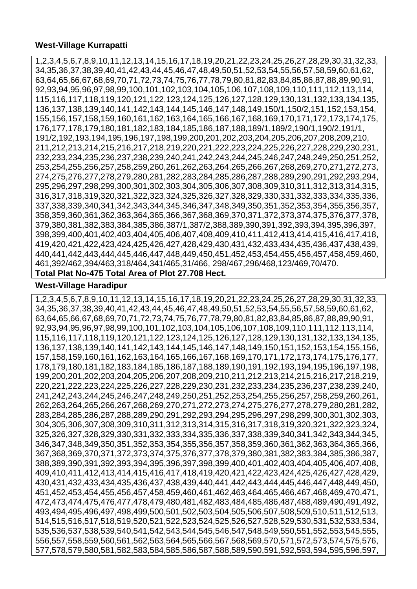#### **West-Village Kurrapatti**

1,2,3,4,5,6,7,8,9,10,11,12,13,14,15,16,17,18,19,20,21,22,23,24,25,26,27,28,29,30,31,32,33, 34,35,36,37,38,39,40,41,42,43,44,45,46,47,48,49,50,51,52,53,54,55,56,57,58,59,60,61,62, 63,64,65,66,67,68,69,70,71,72,73,74,75,76,77,78,79,80,81,82,83,84,85,86,87,88,89,90,91, 92,93,94,95,96,97,98,99,100,101,102,103,104,105,106,107,108,109,110,111,112,113,114, 115,116,117,118,119,120,121,122,123,124,125,126,127,128,129,130,131,132,133,134,135, 136,137,138,139,140,141,142,143,144,145,146,147,148,149,150/1,150/2,151,152,153,154, 155,156,157,158,159,160,161,162,163,164,165,166,167,168,169,170,171,172,173,174,175, 176,177,178,179,180,181,182,183,184,185,186,187,188,189/1,189/2,190/1,190/2,191/1, 191/2,192,193,194,195,196,197,198,199,200,201,202,203,204,205,206,207,208,209,210, 211,212,213,214,215,216,217,218,219,220,221,222,223,224,225,226,227,228,229,230,231, 232,233,234,235,236,237,238,239,240,241,242,243,244,245,246,247,248,249,250,251,252, 253,254,255,256,257,258,259,260,261,262,263,264,265,266,267,268,269,270,271,272,273, 274,275,276,277,278,279,280,281,282,283,284,285,286,287,288,289,290,291,292,293,294, 295,296,297,298,299,300,301,302,303,304,305,306,307,308,309,310,311,312,313,314,315, 316,317,318,319,320,321,322,323,324,325,326,327,328,329,330,331,332,333,334,335,336, 337,338,339,340,341,342,343,344,345,346,347,348,349,350,351,352,353,354,355,356,357, 358,359,360,361,362,363,364,365,366,367,368,369,370,371,372,373,374,375,376,377,378, 379,380,381,382,383,384,385,386,387/1,387/2,388,389,390,391,392,393,394,395,396,397, 398,399,400,401,402,403,404,405,406,407,408,409,410,411,412,413,414,415,416,417,418, 419,420,421,422,423,424,425,426,427,428,429,430,431,432,433,434,435,436,437,438,439, 440,441,442,443,444,445,446,447,448,449,450,451,452,453,454,455,456,457,458,459,460, 461,392/462,394/463,318/464,341/465,31/466, 298/467,296/468,123/469,70/470.

#### **Total Plat No-475 Total Area of Plot 27.708 Hect.**

#### **West-Village Haradipur**

1,2,3,4,5,6,7,8,9,10,11,12,13,14,15,16,17,18,19,20,21,22,23,24,25,26,27,28,29,30,31,32,33, 34,35,36,37,38,39,40,41,42,43,44,45,46,47,48,49,50,51,52,53,54,55,56,57,58,59,60,61,62, 63,64,65,66,67,68,69,70,71,72,73,74,75,76,77,78,79,80,81,82,83,84,85,86,87,88,89,90,91, 92,93,94,95,96,97,98,99,100,101,102,103,104,105,106,107,108,109,110,111,112,113,114, 115,116,117,118,119,120,121,122,123,124,125,126,127,128,129,130,131,132,133,134,135, 136,137,138,139,140,141,142,143,144,145,146,147,148,149,150,151,152,153,154,155,156, 157,158,159,160,161,162,163,164,165,166,167,168,169,170,171,172,173,174,175,176,177, 178,179,180,181,182,183,184,185,186,187,188,189,190,191,192,193,194,195,196,197,198, 199,200,201,202,203,204,205,206,207,208,209,210,211,212,213,214,215,216,217,218,219, 220,221,222,223,224,225,226,227,228,229,230,231,232,233,234,235,236,237,238,239,240, 241,242,243,244,245,246,247,248,249,250,251,252,253,254,255,256,257,258,259,260,261, 262,263,264,265,266,267,268,269,270,271,272,273,274,275,276,277,278,279,280,281,282, 283,284,285,286,287,288,289,290,291,292,293,294,295,296,297,298,299,300,301,302,303, 304,305,306,307,308,309,310,311,312,313,314,315,316,317,318,319,320,321,322,323,324, 325,326,327,328,329,330,331,332,333,334,335,336,337,338,339,340,341,342,343,344,345, 346,347,348,349,350,351,352,353,354,355,356,357,358,359,360,361,362,363,364,365,366, 367,368,369,370,371,372,373,374,375,376,377,378,379,380,381,382,383,384,385,386,387, 388,389,390,391,392,393,394,395,396,397,398,399,400,401,402,403,404,405,406,407,408, 409,410,411,412,413,414,415,416,417,418,419,420,421,422,423,424,425,426,427,428,429, 430,431,432,433,434,435,436,437,438,439,440,441,442,443,444,445,446,447,448,449,450, 451,452,453,454,455,456,457,458,459,460,461,462,463,464,465,466,467,468,469,470,471, 472,473,474,475,476,477,478,479,480,481,482,483,484,485,486,487,488,489,490,491,492, 493,494,495,496,497,498,499,500,501,502,503,504,505,506,507,508,509,510,511,512,513, 514,515,516,517,518,519,520,521,522,523,524,525,526,527,528,529,530,531,532,533,534, 535,536,537,538,539,540,541,542,543,544,545,546,547,548,549,550,551,552,553,545,555, 556,557,558,559,560,561,562,563,564,565,566,567,568,569,570,571,572,573,574,575,576, 577,578,579,580,581,582,583,584,585,586,587,588,589,590,591,592,593,594,595,596,597,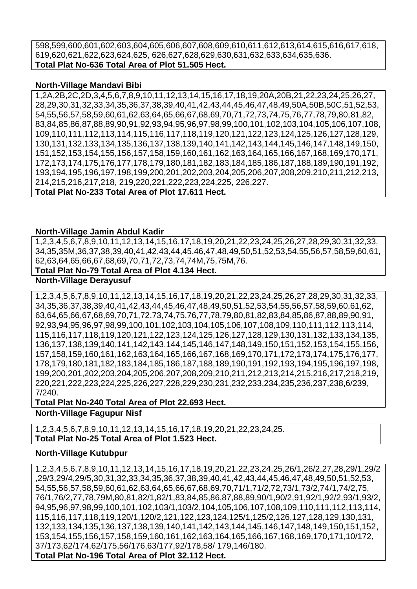598,599,600,601,602,603,604,605,606,607,608,609,610,611,612,613,614,615,616,617,618, 619,620,621,622,623,624,625, 626,627,628,629,630,631,632,633,634,635,636. **Total Plat No-636 Total Area of Plot 51.505 Hect.**

#### **North-Village Mandavi Bibi**

1,2A,2B,2C,2D,3,4,5,6,7,8,9,10,11,12,13,14,15,16,17,18,19,20A,20B,21,22,23,24,25,26,27, 28,29,30,31,32,33,34,35,36,37,38,39,40,41,42,43,44,45,46,47,48,49,50A,50B,50C,51,52,53, 54,55,56,57,58,59,60,61,62,63,64,65,66,67,68,69,70,71,72,73,74,75,76,77,78,79,80,81,82, 83,84,85,86,87,88,89,90,91,92,93,94,95,96,97,98,99,100,101,102,103,104,105,106,107,108, 109,110,111,112,113,114,115,116,117,118,119,120,121,122,123,124,125,126,127,128,129, 130,131,132,133,134,135,136,137,138,139,140,141,142,143,144,145,146,147,148,149,150, 151,152,153,154,155,156,157,158,159,160,161,162,163,164,165,166,167,168,169,170,171, 172,173,174,175,176,177,178,179,180,181,182,183,184,185,186,187,188,189,190,191,192, 193,194,195,196,197,198,199,200,201,202,203,204,205,206,207,208,209,210,211,212,213, 214,215,216,217,218, 219,220,221,222,223,224,225, 226,227. **Total Plat No-233 Total Area of Plot 17.611 Hect.**

#### **North-Village Jamin Abdul Kadir**

1,2,3,4,5,6,7,8,9,10,11,12,13,14,15,16,17,18,19,20,21,22,23,24,25,26,27,28,29,30,31,32,33, 34,35,35M,36,37,38,39,40,41,42,43,44,45,46,47,48,49,50,51,52,53,54,55,56,57,58,59,60,61, 62,63,64,65,66,67,68,69,70,71,72,73,74,74M,75,75M,76.

**Total Plat No-79 Total Area of Plot 4.134 Hect.**

### **North-Village Derayusuf**

1,2,3,4,5,6,7,8,9,10,11,12,13,14,15,16,17,18,19,20,21,22,23,24,25,26,27,28,29,30,31,32,33, 34,35,36,37,38,39,40,41,42,43,44,45,46,47,48,49,50,51,52,53,54,55,56,57,58,59,60,61,62, 63,64,65,66,67,68,69,70,71,72,73,74,75,76,77,78,79,80,81,82,83,84,85,86,87,88,89,90,91, 92,93,94,95,96,97,98,99,100,101,102,103,104,105,106,107,108,109,110,111,112,113,114, 115,116,117,118,119,120,121,122,123,124,125,126,127,128,129,130,131,132,133,134,135, 136,137,138,139,140,141,142,143,144,145,146,147,148,149,150,151,152,153,154,155,156, 157,158,159,160,161,162,163,164,165,166,167,168,169,170,171,172,173,174,175,176,177, 178,179,180,181,182,183,184,185,186,187,188,189,190,191,192,193,194,195,196,197,198, 199,200,201,202,203,204,205,206,207,208,209,210,211,212,213,214,215,216,217,218,219, 220,221,222,223,224,225,226,227,228,229,230,231,232,233,234,235,236,237,238,6/239, 7/240.

**Total Plat No-240 Total Area of Plot 22.693 Hect. North-Village Fagupur Nisf** 

1,2,3,4,5,6,7,8,9,10,11,12,13,14,15,16,17,18,19,20,21,22,23,24,25. **Total Plat No-25 Total Area of Plot 1.523 Hect.**

#### **North-Village Kutubpur**

1,2,3,4,5,6,7,8,9,10,11,12,13,14,15,16,17,18,19,20,21,22,23,24,25,26/1,26/2,27,28,29/1,29/2 ,29/3,29/4,29/5,30,31,32,33,34,35,36,37,38,39,40,41,42,43,44,45,46,47,48,49,50,51,52,53, 54,55,56,57,58,59,60,61,62,63,64,65,66,67,68,69,70,71/1,71/2,72,73/1,73/2,74/1,74/2,75, 76/1,76/2,77,78,79M,80,81,82/1,82/1,83,84,85,86,87,88,89,90/1,90/2,91,92/1,92/2,93/1,93/2, 94,95,96,97,98,99,100,101,102,103/1,103/2,104,105,106,107,108,109,110,111,112,113,114, 115,116,117,118,119,120/1,120/2,121,122,123,124,125/1,125/2,126,127,128,129,130,131, 132,133,134,135,136,137,138,139,140,141,142,143,144,145,146,147,148,149,150,151,152, 153,154,155,156,157,158,159,160,161,162,163,164,165,166,167,168,169,170,171,10/172, 37/173,62/174,62/175,56/176,63/177,92/178,58/ 179,146/180. **Total Plat No-196 Total Area of Plot 32.112 Hect.**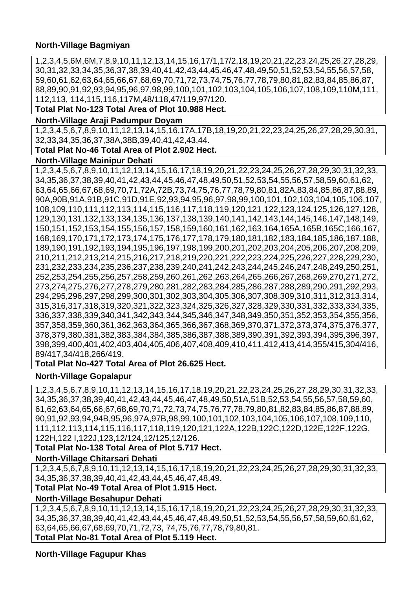## **North-Village Bagmiyan**

1,2,3,4,5,6M,6M,7,8,9,10,11,12,13,14,15,16,17/1,17/2,18,19,20,21,22,23,24,25,26,27,28,29, 30,31,32,33,34,35,36,37,38,39,40,41,42,43,44,45,46,47,48,49,50,51,52,53,54,55,56,57,58, 59,60,61,62,63,64,65,66,67,68,69,70,71,72,73,74,75,76,77,78,79,80,81,82,83,84,85,86,87, 88,89,90,91,92,93,94,95,96,97,98,99,100,101,102,103,104,105,106,107,108,109,110M,111, 112,113, 114,115,116,117M,48/118,47/119,97/120.

**Total Plat No-123 Total Area of Plot 10.988 Hect.**

## **North-Village Araji Padumpur Doyam**

1,2,3,4,5,6,7,8,9,10,11,12,13,14,15,16,17A,17B,18,19,20,21,22,23,24,25,26,27,28,29,30,31, 32,33,34,35,36,37,38A,38B,39,40,41,42,43,44.

## **Total Plat No-46 Total Area of Plot 2.902 Hect.**

#### **North-Village Mainipur Dehati**

1,2,3,4,5,6,7,8,9,10,11,12,13,14,15,16,17,18,19,20,21,22,23,24,25,26,27,28,29,30,31,32,33, 34,35,36,37,38,39,40,41,42,43,44,45,46,47,48,49,50,51,52,53,54,55,56,57,58,59,60,61,62, 63,64,65,66,67,68,69,70,71,72A,72B,73,74,75,76,77,78,79,80,81,82A,83,84,85,86,87,88,89, 90A,90B,91A,91B,91C,91D,91E,92,93,94,95,96,97,98,99,100,101,102,103,104,105,106,107, 108,109,110,111,112,113,114,115,116,117,118,119,120,121,122,123,124,125,126,127,128, 129,130,131,132,133,134,135,136,137,138,139,140,141,142,143,144,145,146,147,148,149, 150,151,152,153,154,155,156,157,158,159,160,161,162,163,164,165A,165B,165C,166,167, 168,169,170,171,172,173,174,175,176,177,178,179,180,181,182,183,184,185,186,187,188, 189,190,191,192,193,194,195,196,197,198,199,200,201,202,203,204,205,206,207,208,209, 210,211,212,213,214,215,216,217,218,219,220,221,222,223,224,225,226,227,228,229,230, 231,232,233,234,235,236,237,238,239,240,241,242,243,244,245,246,247,248,249,250,251, 252,253,254,255,256,257,258,259,260,261,262,263,264,265,266,267,268,269,270,271,272, 273,274,275,276,277,278,279,280,281,282,283,284,285,286,287,288,289,290,291,292,293, 294,295,296,297,298,299,300,301,302,303,304,305,306,307,308,309,310,311,312,313,314, 315,316,317,318,319,320,321,322,323,324,325,326,327,328,329,330,331,332,333,334,335, 336,337,338,339,340,341,342,343,344,345,346,347,348,349,350,351,352,353,354,355,356, 357,358,359,360,361,362,363,364,365,366,367,368,369,370,371,372,373,374,375,376,377, 378,379,380,381,382,383,384,384,385,386,387,388,389,390,391,392,393,394,395,396,397, 398,399,400,401,402,403,404,405,406,407,408,409,410,411,412,413,414,355/415,304/416, 89/417,34/418,266/419.

#### **Total Plat No-427 Total Area of Plot 26.625 Hect.**

#### **North-Village Gopalapur**

1,2,3,4,5,6,7,8,9,10,11,12,13,14,15,16,17,18,19,20,21,22,23,24,25,26,27,28,29,30,31,32,33, 34,35,36,37,38,39,40,41,42,43,44,45,46,47,48,49,50,51A,51B,52,53,54,55,56,57,58,59,60, 61,62,63,64,65,66,67,68,69,70,71,72,73,74,75,76,77,78,79,80,81,82,83,84,85,86,87,88,89, 90,91,92,93,94,94B,95,96,97A,97B,98,99,100,101,102,103,104,105,106,107,108,109,110, 111,112,113,114,115,116,117,118,119,120,121,122A,122B,122C,122D,122E,122F,122G, 122H,122 I,122J,123,12/124,12/125,12/126.

## **Total Plat No-138 Total Area of Plot 5.717 Hect.**

## **North-Village Chitarsari Dehati**

1,2,3,4,5,6,7,8,9,10,11,12,13,14,15,16,17,18,19,20,21,22,23,24,25,26,27,28,29,30,31,32,33, 34,35,36,37,38,39,40,41,42,43,44,45,46,47,48,49.

## **Total Plat No-49 Total Area of Plot 1.915 Hect.**

**North-Village Besahupur Dehati** 

1,2,3,4,5,6,7,8,9,10,11,12,13,14,15,16,17,18,19,20,21,22,23,24,25,26,27,28,29,30,31,32,33, 34,35,36,37,38,39,40,41,42,43,44,45,46,47,48,49,50,51,52,53,54,55,56,57,58,59,60,61,62, 63,64,65,66,67,68,69,70,71,72,73, 74,75,76,77,78,79,80,81. **Total Plat No-81 Total Area of Plot 5.119 Hect.**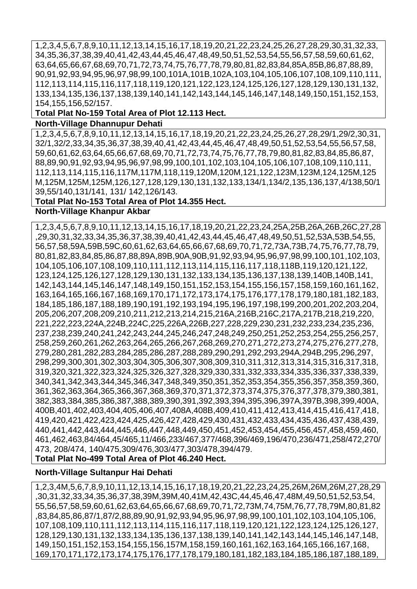1,2,3,4,5,6,7,8,9,10,11,12,13,14,15,16,17,18,19,20,21,22,23,24,25,26,27,28,29,30,31,32,33, 34,35,36,37,38,39,40,41,42,43,44,45,46,47,48,49,50,51,52,53,54,55,56,57,58,59,60,61,62, 63,64,65,66,67,68,69,70,71,72,73,74,75,76,77,78,79,80,81,82,83,84,85A,85B,86,87,88,89, 90,91,92,93,94,95,96,97,98,99,100,101A,101B,102A,103,104,105,106,107,108,109,110,111, 112,113,114,115,116,117,118,119,120,121,122,123,124,125,126,127,128,129,130,131,132, 133,134,135,136,137,138,139,140,141,142,143,144,145,146,147,148,149,150,151,152,153, 154,155,156,52/157.

**Total Plat No-159 Total Area of Plot 12.113 Hect.**

#### **North-Village Dhannupur Dehati**

1,2,3,4,5,6,7,8,9,10,11,12,13,14,15,16,17,18,19,20,21,22,23,24,25,26,27,28,29/1,29/2,30,31, 32/1,32/2,33,34,35,36,37,38,39,40,41,42,43,44,45,46,47,48,49,50,51,52,53,54,55,56,57,58, 59,60,61,62,63,64,65,66,67,68,69,70,71,72,73,74,75,76,77,78,79,80,81,82,83,84,85,86,87, 88,89,90,91,92,93,94,95,96,97,98,99,100,101,102,103,104,105,106,107,108,109,110,111, 112,113,114,115,116,117M,117M,118,119,120M,120M,121,122,123M,123M,124,125M,125 M,125M,125M,125M,126,127,128,129,130,131,132,133,134/1,134/2,135,136,137,4/138,50/1 39,55/140,131/141, 131/ 142,126/143.

#### **Total Plat No-153 Total Area of Plot 14.355 Hect.**

#### **North-Village Khanpur Akbar**

1,2,3,4,5,6,7,8,9,10,11,12,13,14,15,16,17,18,19,20,21,22,23,24,25A,25B,26A,26B,26C,27,28 ,29,30,31,32,33,34,35,36,37,38,39,40,41,42,43,44,45,46,47,48,49,50,51,52,53A,53B,54,55, 56,57,58,59A,59B,59C,60,61,62,63,64,65,66,67,68,69,70,71,72,73A,73B,74,75,76,77,78,79, 80,81,82,83,84,85,86,87,88,89A,89B,90A,90B,91,92,93,94,95,96,97,98,99,100,101,102,103, 104,105,106,107,108,109,110,111,112,113,114,115,116,117,118,118B,119,120,121,122, 123,124,125,126,127,128,129,130,131,132,133,134,135,136,137,138,139,140B,140B,141, 142,143,144,145,146,147,148,149,150,151,152,153,154,155,156,157,158,159,160,161,162, 163,164,165,166,167,168,169,170,171,172,173,174,175,176,177,178,179,180,181,182,183, 184,185,186,187,188,189,190,191,192,193,194,195,196,197,198,199,200,201,202,203,204, 205,206,207,208,209,210,211,212,213,214,215,216A,216B,216C,217A,217B,218,219,220, 221,222,223,224A,224B,224C,225,226A,226B,227,228,229,230,231,232,233,234,235,236, 237,238,239,240,241,242,243,244,245,246,247,248,249,250,251,252,253,254,255,256,257, 258,259,260,261,262,263,264,265,266,267,268,269,270,271,272,273,274,275,276,277,278, 279,280,281,282,283,284,285,286,287,288,289,290,291,292,293,294A,294B,295,296,297, 298,299,300,301,302,303,304,305,306,307,308,309,310,311,312,313,314,315,316,317,318, 319,320,321,322,323,324,325,326,327,328,329,330,331,332,333,334,335,336,337,338,339, 340,341,342,343,344,345,346,347,348,349,350,351,352,353,354,355,356,357,358,359,360, 361,362,363,364,365,366,367,368,369,370,371,372,373,374,375,376,377,378,379,380,381, 382,383,384,385,386,387,388,389,390,391,392,393,394,395,396,397A,397B,398,399,400A, 400B,401,402,403,404,405,406,407,408A,408B,409,410,411,412,413,414,415,416,417,418, 419,420,421,422,423,424,425,426,427,428,429,430,431,432,433,434,435,436,437,438,439, 440,441,442,443,444,445,446,447,448,449,450,451,452,453,454,455,456,457,458,459,460, 461,462,463,84/464,45/465,11/466,233/467,377/468,396/469,196/470,236/471,258/472,270/ 473, 208/474, 140/475,309/476,303/477,303/478,394/479. **Total Plat No-499 Total Area of Plot 46.240 Hect.**

#### **North-Village Sultanpur Hai Dehati**

1,2,3,4M,5,6,7,8,9,10,11,12,13,14,15,16,17,18,19,20,21,22,23,24,25,26M,26M,26M,27,28,29 ,30,31,32,33,34,35,36,37,38,39M,39M,40,41M,42,43C,44,45,46,47,48M,49,50,51,52,53,54, 55,56,57,58,59,60,61,62,63,64,65,66,67,68,69,70,71,72,73M,74,75M,76,77,78,79M,80,81,82 ,83,84,85,86,87/1,87/2,88,89,90,91,92,93,94,95,96,97,98,99,100,101,102,103,104,105,106, 107,108,109,110,111,112,113,114,115,116,117,118,119,120,121,122,123,124,125,126,127, 128,129,130,131,132,133,134,135,136,137,138,139,140,141,142,143,144,145,146,147,148, 149,150,151,152,153,154,155,156,157M,158,159,160,161,162,163,164,165,166,167,168, 169,170,171,172,173,174,175,176,177,178,179,180,181,182,183,184,185,186,187,188,189,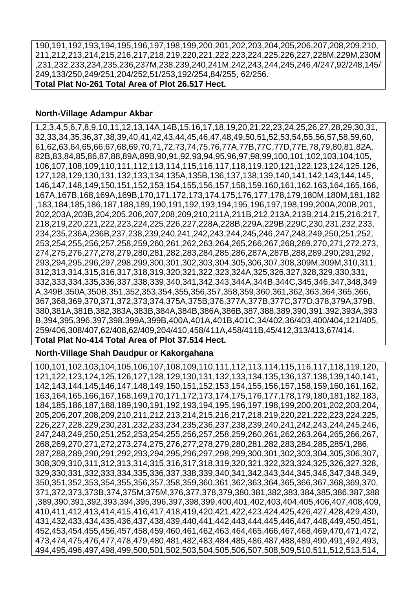190,191,192,193,194,195,196,197,198,199,200,201,202,203,204,205,206,207,208,209,210, 211,212,213,214,215,216,217,218,219,220,221,222,223,224,225,226,227,228M,229M,230M ,231,232,233,234,235,236,237M,238,239,240,241M,242,243,244,245,246,4/247,92/248,145/ 249,133/250,249/251,204/252,51/253,192/254,84/255, 62/256. **Total Plat No-261 Total Area of Plot 26.517 Hect.**

#### **North-Village Adampur Akbar**

1,2,3,4,5,6,7,8,9,10,11,12,13,14A,14B,15,16,17,18,19,20,21,22,23,24,25,26,27,28,29,30,31, 32,33,34,35,36,37,38,39,40,41,42,43,44,45,46,47,48,49,50,51,52,53,54,55,56,57,58,59,60, 61,62,63,64,65,66,67,68,69,70,71,72,73,74,75,76,77A,77B,77C,77D,77E,78,79,80,81,82A, 82B,83,84,85,86,87,88,89A,89B,90,91,92,93,94,95,96,97,98,99,100,101,102,103,104,105, 106,107,108,109,110,111,112,113,114,115,116,117,118,119,120,121,122,123,124,125,126, 127,128,129,130,131,132,133,134,135A,135B,136,137,138,139,140,141,142,143,144,145, 146,147,148,149,150,151,152,153,154,155,156,157,158,159,160,161,162,163,164,165,166, 167A,167B,168,169A,169B,170,171,172,173,174,175,176,177,178,179,180M,180M,181,182 ,183,184,185,186,187,188,189,190,191,192,193,194,195,196,197,198,199,200A,200B,201, 202,203A,203B,204,205,206,207,208,209,210,211A,211B,212,213A,213B,214,215,216,217, 218,219,220,221,222,223,224,225,226,227,228A,228B,229A,229B,229C,230,231,232,233, 234,235,236A,236B,237,238,239,240,241,242,243,244,245,246,247,248,249,250,251,252, 253,254,255,256,257,258,259,260,261,262,263,264,265,266,267,268,269,270,271,272,273, 274,275,276,277,278,279,280,281,282,283,284,285,286,287A,287B,288,289,290,291,292, 293,294,295,296,297,298,299,300,301,302,303,304,305,306,307,308,309M,309M,310,311, 312,313,314,315,316,317,318,319,320,321,322,323,324A,325,326,327,328,329,330,331, 332,333,334,335,336,337,338,339,340,341,342,343,344A,344B,344C,345,346,347,348,349 A,349B,350A,350B,351,352,353,354,355,356,357,358,359,360,361,362,363,364,365,366, 367,368,369,370,371,372,373,374,375A,375B,376,377A,377B,377C,377D,378,379A,379B, 380,381A,381B,382,383A,383B,384A,384B,386A,386B,387,388,389,390,391,392,393A,393 B,394,395,396,397,398,399A,399B,400A,401A,401B,401C,34/402,36/403,400/404,121/405, 259/406,308/407,62/408,62/409,204/410,458/411A,458/411B,45/412,313/413,67/414.

#### **Total Plat No-414 Total Area of Plot 37.514 Hect.**

#### **North-Village Shah Daudpur or Kakorgahana**

100,101,102,103,104,105,106,107,108,109,110,111,112,113,114,115,116,117,118,119,120, 121,122,123,124,125,126,127,128,129,130,131,132,133,134,135,136,137,138,139,140,141, 142,143,144,145,146,147,148,149,150,151,152,153,154,155,156,157,158,159,160,161,162, 163,164,165,166,167,168,169,170,171,172,173,174,175,176,177,178,179,180,181,182,183, 184,185,186,187,188,189,190,191,192,193,194,195,196,197,198,199,200,201,202,203,204, 205,206,207,208,209,210,211,212,213,214,215,216,217,218,219,220,221,222,223,224,225, 226,227,228,229,230,231,232,233,234,235,236,237,238,239,240,241,242,243,244,245,246, 247,248,249,250,251,252,253,254,255,256,257,258,259,260,261,262,263,264,265,266,267, 268,269,270,271,272,273,274,275,276,277,278,279,280,281,282,283,284,285,285/1,286, 287,288,289,290,291,292,293,294,295,296,297,298,299,300,301,302,303,304,305,306,307, 308,309,310,311,312,313,314,315,316,317,318,319,320,321,322,323,324,325,326,327,328, 329,330,331,332,333,334,335,336,337,338,339,340,341,342,343,344,345,346,347,348,349, 350,351,352,353,354,355,356,357,358,359,360,361,362,363,364,365,366,367,368,369,370, 371,372,373,373B,374,375M,375M,376,377,378,379,380,381,382,383,384,385,386,387,388 ,389,390,391,392,393,394,395,396,397,398,399,400,401,402,403,404,405,406,407,408,409, 410,411,412,413,414,415,416,417,418,419,420,421,422,423,424,425,426,427,428,429,430, 431,432,433,434,435,436,437,438,439,440,441,442,443,444,445,446,447,448,449,450,451, 452,453,454,455,456,457,458,459,460,461,462,463,464,465,466,467,468,469,470,471,472, 473,474,475,476,477,478,479,480,481,482,483,484,485,486,487,488,489,490,491,492,493, 494,495,496,497,498,499,500,501,502,503,504,505,506,507,508,509,510,511,512,513,514,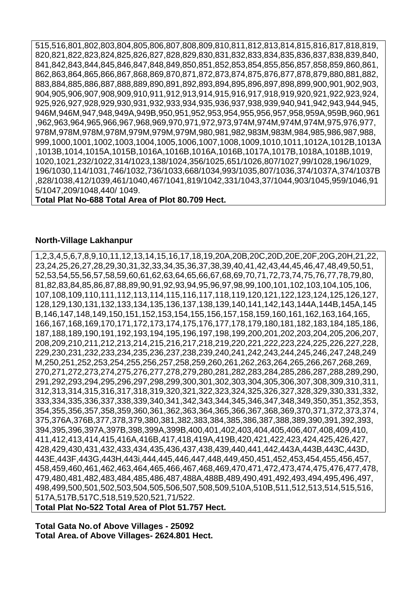515,516,801,802,803,804,805,806,807,808,809,810,811,812,813,814,815,816,817,818,819, 820,821,822,823,824,825,826,827,828,829,830,831,832,833,834,835,836,837,838,839,840, 841,842,843,844,845,846,847,848,849,850,851,852,853,854,855,856,857,858,859,860,861, 862,863,864,865,866,867,868,869,870,871,872,873,874,875,876,877,878,879,880,881,882, 883,884,885,886,887,888,889,890,891,892,893,894,895,896,897,898,899,900,901,902,903, 904,905,906,907,908,909,910,911,912,913,914,915,916,917,918,919,920,921,922,923,924, 925,926,927,928,929,930,931,932,933,934,935,936,937,938,939,940,941,942,943,944,945, 946M,946M,947,948,949A,949B,950,951,952,953,954,955,956,957,958,959A,959B,960,961 ,962,963,964,965,966,967,968,969,970,971,972,973,974M,974M,974M,974M,975,976,977, 978M,978M,978M,978M,979M,979M,979M,980,981,982,983M,983M,984,985,986,987,988, 999,1000,1001,1002,1003,1004,1005,1006,1007,1008,1009,1010,1011,1012A,1012B,1013A ,1013B,1014,1015A,1015B,1016A,1016B,1016A,1016B,1017A,1017B,1018A,1018B,1019, 1020,1021,232/1022,314/1023,138/1024,356/1025,651/1026,807/1027,99/1028,196/1029, 196/1030,114/1031,746/1032,736/1033,668/1034,993/1035,807/1036,374/1037A,374/1037B ,828/1038,412/1039,461/1040,467/1041,819/1042,331/1043,37/1044,903/1045,959/1046,91 5/1047,209/1048,440/ 1049.

**Total Plat No-688 Total Area of Plot 80.709 Hect.**

#### **North-Village Lakhanpur**

1,2,3,4,5,6,7,8,9,10,11,12,13,14,15,16,17,18,19,20A,20B,20C,20D,20E,20F,20G,20H,21,22, 23,24,25,26,27,28,29,30,31,32,33,34,35,36,37,38,39,40,41,42,43,44,45,46,47,48,49,50,51, 52,53,54,55,56,57,58,59,60,61,62,63,64,65,66,67,68,69,70,71,72,73,74,75,76,77,78,79,80, 81,82,83,84,85,86,87,88,89,90,91,92,93,94,95,96,97,98,99,100,101,102,103,104,105,106, 107,108,109,110,111,112,113,114,115,116,117,118,119,120,121,122,123,124,125,126,127, 128,129,130,131,132,133,134,135,136,137,138,139,140,141,142,143,144A,144B,145A,145 B,146,147,148,149,150,151,152,153,154,155,156,157,158,159,160,161,162,163,164,165, 166,167,168,169,170,171,172,173,174,175,176,177,178,179,180,181,182,183,184,185,186, 187,188,189,190,191,192,193,194,195,196,197,198,199,200,201,202,203,204,205,206,207, 208,209,210,211,212,213,214,215,216,217,218,219,220,221,222,223,224,225,226,227,228, 229,230,231,232,233,234,235,236,237,238,239,240,241,242,243,244,245,246,247,248,249 M,250,251,252,253,254,255,256,257,258,259,260,261,262,263,264,265,266,267,268,269, 270,271,272,273,274,275,276,277,278,279,280,281,282,283,284,285,286,287,288,289,290, 291,292,293,294,295,296,297,298,299,300,301,302,303,304,305,306,307,308,309,310,311, 312,313,314,315,316,317,318,319,320,321,322,323,324,325,326,327,328,329,330,331,332, 333,334,335,336,337,338,339,340,341,342,343,344,345,346,347,348,349,350,351,352,353, 354,355,356,357,358,359,360,361,362,363,364,365,366,367,368,369,370,371,372,373,374, 375,376A,376B,377,378,379,380,381,382,383,384,385,386,387,388,389,390,391,392,393, 394,395,396,397A,397B,398,399A,399B,400,401,402,403,404,405,406,407,408,409,410, 411,412,413,414,415,416A,416B,417,418,419A,419B,420,421,422,423,424,425,426,427, 428,429,430,431,432,433,434,435,436,437,438,439,440,441,442,443A,443B,443C,443D, 443E,443F,443G,443H,443i,444,445,446,447,448,449,450,451,452,453,454,455,456,457, 458,459,460,461,462,463,464,465,466,467,468,469,470,471,472,473,474,475,476,477,478, 479,480,481,482,483,484,485,486,487,488A,488B,489,490,491,492,493,494,495,496,497, 498,499,500,501,502,503,504,505,506,507,508,509,510A,510B,511,512,513,514,515,516, 517A,517B,517C,518,519,520,521,71/522.

**Total Plat No-522 Total Area of Plot 51.757 Hect.**

**Total Gata No.of Above Villages - 25092 Total Area.of Above Villages- 2624.801 Hect.**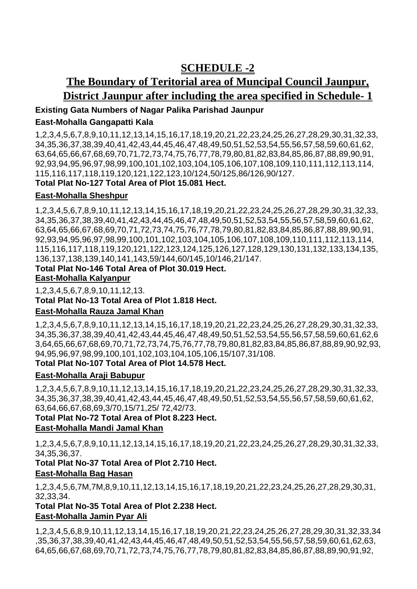# **SCHEDULE -2**

# **The Boundary of Teritorial area of Muncipal Council Jaunpur, District Jaunpur after including the area specified in Schedule- 1**

# **Existing Gata Numbers of Nagar Palika Parishad Jaunpur East-Mohalla Gangapatti Kala**

1,2,3,4,5,6,7,8,9,10,11,12,13,14,15,16,17,18,19,20,21,22,23,24,25,26,27,28,29,30,31,32,33, 34,35,36,37,38,39,40,41,42,43,44,45,46,47,48,49,50,51,52,53,54,55,56,57,58,59,60,61,62, 63,64,65,66,67,68,69,70,71,72,73,74,75,76,77,78,79,80,81,82,83,84,85,86,87,88,89,90,91, 92,93,94,95,96,97,98,99,100,101,102,103,104,105,106,107,108,109,110,111,112,113,114, 115,116,117,118,119,120,121,122,123,10/124,50/125,86/126,90/127.

# **Total Plat No-127 Total Area of Plot 15.081 Hect.**

# **East-Mohalla Sheshpur**

1,2,3,4,5,6,7,8,9,10,11,12,13,14,15,16,17,18,19,20,21,22,23,24,25,26,27,28,29,30,31,32,33, 34,35,36,37,38,39,40,41,42,43,44,45,46,47,48,49,50,51,52,53,54,55,56,57,58,59,60,61,62, 63,64,65,66,67,68,69,70,71,72,73,74,75,76,77,78,79,80,81,82,83,84,85,86,87,88,89,90,91, 92,93,94,95,96,97,98,99,100,101,102,103,104,105,106,107,108,109,110,111,112,113,114, 115,116,117,118,119,120,121,122,123,124,125,126,127,128,129,130,131,132,133,134,135, 136,137,138,139,140,141,143,59/144,60/145,10/146,21/147.

# **Total Plat No-146 Total Area of Plot 30.019 Hect.**

#### **East-Mohalla Kalyanpur**

1,2,3,4,5,6,7,8,9,10,11,12,13. **Total Plat No-13 Total Area of Plot 1.818 Hect.**

# **East-Mohalla Rauza Jamal Khan**

1,2,3,4,5,6,7,8,9,10,11,12,13,14,15,16,17,18,19,20,21,22,23,24,25,26,27,28,29,30,31,32,33, 34,35,36,37,38,39,40,41,42,43,44,45,46,47,48,49,50,51,52,53,54,55,56,57,58,59,60,61,62,6 3,64,65,66,67,68,69,70,71,72,73,74,75,76,77,78,79,80,81,82,83,84,85,86,87,88,89,90,92,93, 94,95,96,97,98,99,100,101,102,103,104,105,106,15/107,31/108.

# **Total Plat No-107 Total Area of Plot 14.578 Hect.**

# **East-Mohalla Araji Babupur**

1,2,3,4,5,6,7,8,9,10,11,12,13,14,15,16,17,18,19,20,21,22,23,24,25,26,27,28,29,30,31,32,33, 34,35,36,37,38,39,40,41,42,43,44,45,46,47,48,49,50,51,52,53,54,55,56,57,58,59,60,61,62, 63,64,66,67,68,69,3/70,15/71,25/ 72,42/73.

# **Total Plat No-72 Total Area of Plot 8.223 Hect.**

#### **East-Mohalla Mandi Jamal Khan**

1,2,3,4,5,6,7,8,9,10,11,12,13,14,15,16,17,18,19,20,21,22,23,24,25,26,27,28,29,30,31,32,33, 34,35,36,37.

**Total Plat No-37 Total Area of Plot 2.710 Hect. East-Mohalla Bag Hasan** 

#### 1,2,3,4,5,6,7M,7M,8,9,10,11,12,13,14,15,16,17,18,19,20,21,22,23,24,25,26,27,28,29,30,31, 32,33,34.

# **Total Plat No-35 Total Area of Plot 2.238 Hect. East-Mohalla Jamin Pyar Ali**

1,2,3,4,5,6,8,9,10,11,12,13,14,15,16,17,18,19,20,21,22,23,24,25,26,27,28,29,30,31,32,33,34 ,35,36,37,38,39,40,41,42,43,44,45,46,47,48,49,50,51,52,53,54,55,56,57,58,59,60,61,62,63, 64,65,66,67,68,69,70,71,72,73,74,75,76,77,78,79,80,81,82,83,84,85,86,87,88,89,90,91,92,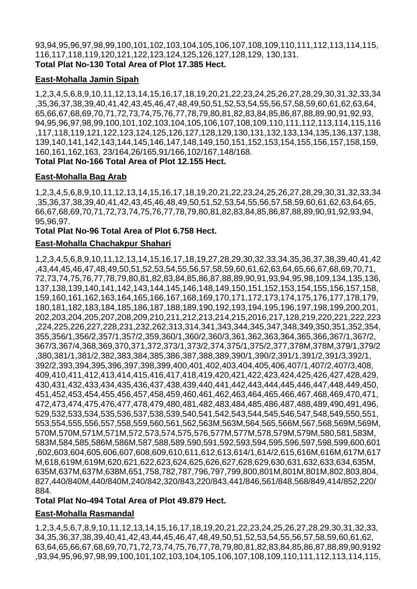93,94,95,96,97,98,99,100,101,102,103,104,105,106,107,108,109,110,111,112,113,114,115, 116,117,118,119,120,121,122,123,124,125,126,127,128,129, 130,131. **Total Plat No-130 Total Area of Plot 17.385 Hect.**

# **East-Mohalla Jamin Sipah**

1,2,3,4,5,6,8,9,10,11,12,13,14,15,16,17,18,19,20,21,22,23,24,25,26,27,28,29,30,31,32,33,34 ,35,36,37,38,39,40,41,42,43,45,46,47,48,49,50,51,52,53,54,55,56,57,58,59,60,61,62,63,64, 65,66,67,68,69,70,71,72,73,74,75,76,77,78,79,80,81,82,83,84,85,86,87,88,89,90,91,92,93, 94,95,96,97,98,99,100,101,102,103,104,105,106,107,108,109,110,111,112,113,114,115,116 ,117,118,119,121,122,123,124,125,126,127,128,129,130,131,132,133,134,135,136,137,138, 139,140,141,142,143,144,145,146,147,148,149,150,151,152,153,154,155,156,157,158,159, 160,161,162,163, 23/164,26/165,91/166,102/167,148/168.

**Total Plat No-166 Total Area of Plot 12.155 Hect.**

# **East-Mohalla Bag Arab**

1,2,3,4,5,6,8,9,10,11,12,13,14,15,16,17,18,19,20,21,22,23,24,25,26,27,28,29,30,31,32,33,34 ,35,36,37,38,39,40,41,42,43,45,46,48,49,50,51,52,53,54,55,56,57,58,59,60,61,62,63,64,65, 66,67,68,69,70,71,72,73,74,75,76,77,78,79,80,81,82,83,84,85,86,87,88,89,90,91,92,93,94, 95,96,97.

#### **Total Plat No-96 Total Area of Plot 6.758 Hect.**

#### **East-Mohalla Chachakpur Shahari**

1,2,3,4,5,6,8,9,10,11,12,13,14,15,16,17,18,19,27,28,29,30,32,33,34,35,36,37,38,39,40,41,42 ,43,44,45,46,47,48,49,50,51,52,53,54,55,56,57,58,59,60,61,62,63,64,65,66,67,68,69,70,71, 72,73,74,75,76,77,78,79,80,81,82,83,84,85,86,87,88,89,90,91,93,94,95,98,109,134,135,136, 137,138,139,140,141,142,143,144,145,146,148,149,150,151,152,153,154,155,156,157,158, 159,160,161,162,163,164,165,166,167,168,169,170,171,172,173,174,175,176,177,178,179, 180,181,182,183,184,185,186,187,188,189,190,192,193,194,195,196,197,198,199,200,201, 202,203,204,205,207,208,209,210,211,212,213,214,215,2016,217,128,219,220,221,222,223 ,224,225,226,227,228,231,232,262,313,314,341,343,344,345,347,348,349,350,351,352,354, 355,356/1,356/2,357/1,357/2,359,360/1,360/2,360/3,361,362,363,364,365,366,367/1,367/2, 367/3,367/4,368,369,370,371,372,373/1,373/2,374,375/1,375/2,377,378M,378M,379/1,379/2 ,380,381/1,381/2,382,383,384,385,386,387,388,389,390/1,390/2,391/1,391/2,391/3,392/1, 392/2,393,394,395,396,397,398,399,400,401,402,403,404,405,406,407/1,407/2,407/3,408, 409,410,411,412,413,414,415,416,417,418,419,420,421,422,423,424,425,426,427,428,429, 430,431,432,433,434,435,436,437,438,439,440,441,442,443,444,445,446,447,448,449,450, 451,452,453,454,455,456,457,458,459,460,461,462,463,464,465,466,467,468,469,470,471, 472,473,474,475,476,477,478,479,480,481,482,483,484,485,486,487,488,489,490,491,496, 529,532,533,534,535,536,537,538,539,540,541,542,543,544,545,546,547,548,549,550,551, 553,554,555,556,557,558,559,560,561,562,563M,563M,564,565,566M,567,568,569M,569M, 570M,570M,571M,571M,572,573,574,575,576,577M,577M,578,579M,579M,580,581,583M, 583M,584,585,586M,586M,587,588,589,590,591,592,593,594,595,596,597,598,599,600,601 ,602,603,604,605,606,607,608,609,610,611,612,613,614/1,614/2,615,616M,616M,617M,617 M,618,619M,619M,620,621,622,623,624,625,626,627,628,629,630,631,632,633,634,635M, 635M,637M,637M,638M,651,758,782,787,796,797,799,800,801M,801M,801M,802,803,804, 827,440/840M,440/840M,240/842,320/843,220/843,441/846,561/848,568/849,414/852,220/ 884.

#### **Total Plat No-494 Total Area of Plot 49.879 Hect.**

#### **East-Mohalla Rasmandal**

1,2,3,4,5,6,7,8,9,10,11,12,13,14,15,16,17,18,19,20,21,22,23,24,25,26,27,28,29,30,31,32,33, 34,35,36,37,38,39,40,41,42,43,44,45,46,47,48,49,50,51,52,53,54,55,56,57,58,59,60,61,62, 63,64,65,66,67,68,69,70,71,72,73,74,75,76,77,78,79,80,81,82,83,84,85,86,87,88,89,90,9192 ,93,94,95,96,97,98,99,100,101,102,103,104,105,106,107,108,109,110,111,112,113,114,115,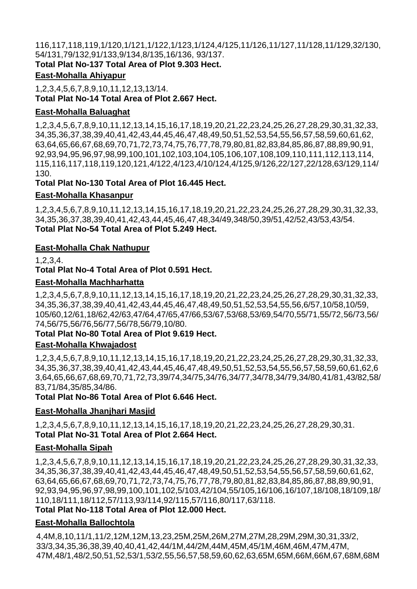116,117,118,119,1/120,1/121,1/122,1/123,1/124,4/125,11/126,11/127,11/128,11/129,32/130, 54/131,79/132,91/133,9/134,8/135,16/136, 93/137.

**Total Plat No-137 Total Area of Plot 9.303 Hect.**

# **East-Mohalla Ahiyapur**

1,2,3,4,5,6,7,8,9,10,11,12,13,13/14. **Total Plat No-14 Total Area of Plot 2.667 Hect.**

# **East-Mohalla Baluaghat**

1,2,3,4,5,6,7,8,9,10,11,12,13,14,15,16,17,18,19,20,21,22,23,24,25,26,27,28,29,30,31,32,33, 34,35,36,37,38,39,40,41,42,43,44,45,46,47,48,49,50,51,52,53,54,55,56,57,58,59,60,61,62, 63,64,65,66,67,68,69,70,71,72,73,74,75,76,77,78,79,80,81,82,83,84,85,86,87,88,89,90,91, 92,93,94,95,96,97,98,99,100,101,102,103,104,105,106,107,108,109,110,111,112,113,114, 115,116,117,118,119,120,121,4/122,4/123,4/10/124,4/125,9/126,22/127,22/128,63/129,114/ 130.

# **Total Plat No-130 Total Area of Plot 16.445 Hect.**

# **East-Mohalla Khasanpur**

1,2,3,4,5,6,7,8,9,10,11,12,13,14,15,16,17,18,19,20,21,22,23,24,25,26,27,28,29,30,31,32,33, 34,35,36,37,38,39,40,41,42,43,44,45,46,47,48,34/49,348/50,39/51,42/52,43/53,43/54. **Total Plat No-54 Total Area of Plot 5.249 Hect.**

# **East-Mohalla Chak Nathupur**

1,2,3,4.

**Total Plat No-4 Total Area of Plot 0.591 Hect.**

# **East-Mohalla Machharhatta**

1,2,3,4,5,6,7,8,9,10,11,12,13,14,15,16,17,18,19,20,21,22,23,24,25,26,27,28,29,30,31,32,33, 34,35,36,37,38,39,40,41,42,43,44,45,46,47,48,49,50,51,52,53,54,55,56,6/57,10/58,10/59, 105/60,12/61,18/62,42/63,47/64,47/65,47/66,53/67,53/68,53/69,54/70,55/71,55/72,56/73,56/ 74,56/75,56/76,56/77,56/78,56/79,10/80.

# **Total Plat No-80 Total Area of Plot 9.619 Hect.**

# **East-Mohalla Khwajadost**

1,2,3,4,5,6,7,8,9,10,11,12,13,14,15,16,17,18,19,20,21,22,23,24,25,26,27,28,29,30,31,32,33, 34,35,36,37,38,39,40,41,42,43,44,45,46,47,48,49,50,51,52,53,54,55,56,57,58,59,60,61,62,6 3,64,65,66,67,68,69,70,71,72,73,39/74,34/75,34/76,34/77,34/78,34/79,34/80,41/81,43/82,58/ 83,71/84,35/85,34/86.

**Total Plat No-86 Total Area of Plot 6.646 Hect.**

# **East-Mohalla Jhanjhari Masjid**

1,2,3,4,5,6,7,8,9,10,11,12,13,14,15,16,17,18,19,20,21,22,23,24,25,26,27,28,29,30,31. **Total Plat No-31 Total Area of Plot 2.664 Hect.**

# **East-Mohalla Sipah**

1,2,3,4,5,6,7,8,9,10,11,12,13,14,15,16,17,18,19,20,21,22,23,24,25,26,27,28,29,30,31,32,33, 34,35,36,37,38,39,40,41,42,43,44,45,46,47,48,49,50,51,52,53,54,55,56,57,58,59,60,61,62, 63,64,65,66,67,68,69,70,71,72,73,74,75,76,77,78,79,80,81,82,83,84,85,86,87,88,89,90,91, 92,93,94,95,96,97,98,99,100,101,102,5/103,42/104,55/105,16/106,16/107,18/108,18/109,18/ 110,18/111,18/112,57/113,93/114,92/115,57/116,80/117,63/118.

# **Total Plat No-118 Total Area of Plot 12.000 Hect.**

# **East-Mohalla Ballochtola**

4,4M,8,10,11/1,11/2,12M,12M,13,23,25M,25M,26M,27M,27M,28,29M,29M,30,31,33/2, 33/3,34,35,36,38,39,40,40,41,42,44/1M,44/2M,44M,45M,45/1M,46M,46M,47M,47M, 47M,48/1,48/2,50,51,52,53/1,53/2,55,56,57,58,59,60,62,63,65M,65M,66M,66M,67,68M,68M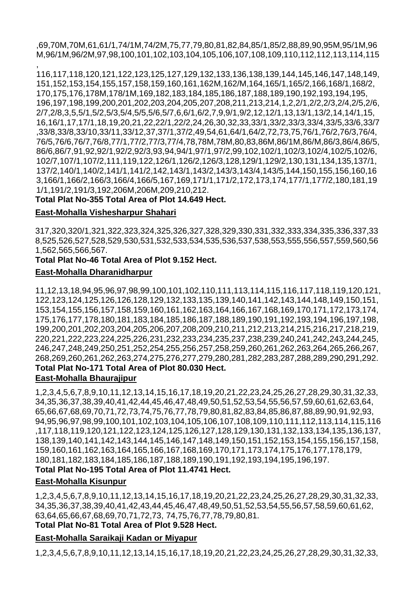,69,70M,70M,61,61/1,74/1M,74/2M,75,77,79,80,81,82,84,85/1,85/2,88,89,90,95M,95/1M,96 M,96/1M,96/2M,97,98,100,101,102,103,104,105,106,107,108,109,110,112,112,113,114,115

, 116,117,118,120,121,122,123,125,127,129,132,133,136,138,139,144,145,146,147,148,149, 151,152,153,154,155,157,158,159,160,161,162M,162/M,164,165/1,165/2,166,168/1,168/2, 170,175,176,178M,178/1M,169,182,183,184,185,186,187,188,189,190,192,193,194,195, 196,197,198,199,200,201,202,203,204,205,207,208,211,213,214,1,2,2/1,2/2,2/3,2/4,2/5,2/6, 2/7,2/8,3,5,5/1,5/2,5/3,5/4,5/5,5/6,5/7,6,6/1,6/2,7,9,9/1,9/2,12,12/1,13,13/1,13/2,14,14/1,15, 16,16/1,17,17/1,18,19,20,21,22,22/1,22/2,24,26,30,32,33,33/1,33/2,33/3,33/4,33/5,33/6,33/7 ,33/8,33/8,33/10,33/11,33/12,37,37/1,37/2,49,54,61,64/1,64/2,72,73,75,76/1,76/2,76/3,76/4, 76/5,76/6,76/7,76/8,77/1,77/2,77/3,77/4,78,78M,78M,80,83,86M,86/1M,86/M,86/3,86/4,86/5, 86/6,86/7,91,92,92/1,92/2,92/3,93,94,94/1,97/1,97/2,99,102,102/1,102/3,102/4,102/5,102/6, 102/7,107/1,107/2,111,119,122,126/1,126/2,126/3,128,129/1,129/2,130,131,134,135,137/1, 137/2,140/1,140/2,141/1,141/2,142,143/1,143/2,143/3,143/4,143/5,144,150,155,156,160,16 3,166/1,166/2,166/3,166/4,166/5,167,169,171/1,171/2,172,173,174,177/1,177/2,180,181,19 1/1,191/2,191/3,192,206M,206M,209,210,212.

**Total Plat No-355 Total Area of Plot 14.649 Hect.**

#### **East-Mohalla Vishesharpur Shahari**

317,320,320/1,321,322,323,324,325,326,327,328,329,330,331,332,333,334,335,336,337,33 8,525,526,527,528,529,530,531,532,533,534,535,536,537,538,553,555,556,557,559,560,56 1,562,565,566,567.

# **Total Plat No-46 Total Area of Plot 9.152 Hect.**

#### **East-Mohalla Dharanidharpur**

11,12,13,18,94,95,96,97,98,99,100,101,102,110,111,113,114,115,116,117,118,119,120,121, 122,123,124,125,126,126,128,129,132,133,135,139,140,141,142,143,144,148,149,150,151, 153,154,155,156,157,158,159,160,161,162,163,164,166,167,168,169,170,171,172,173,174, 175,176,177,178,180,181,183,184,185,186,187,188,189,190,191,192,193,194,196,197,198, 199,200,201,202,203,204,205,206,207,208,209,210,211,212,213,214,215,216,217,218,219, 220,221,222,223,224,225,226,231,232,233,234,235,237,238,239,240,241,242,243,244,245, 246,247,248,249,250,251,252,254,255,256,257,258,259,260,261,262,263,264,265,266,267, 268,269,260,261,262,263,274,275,276,277,279,280,281,282,283,287,288,289,290,291,292. **Total Plat No-171 Total Area of Plot 80.030 Hect.**

#### **East-Mohalla Bhaurajipur**

1,2,3,4,5,6,7,8,9,10,11,12,13,14,15,16,17,18,19,20,21,22,23,24,25,26,27,28,29,30,31,32,33, 34,35,36,37,38,39,40,41,42,44,45,46,47,48,49,50,51,52,53,54,55,56,57,59,60,61,62,63,64, 65,66,67,68,69,70,71,72,73,74,75,76,77,78,79,80,81,82,83,84,85,86,87,88,89,90,91,92,93, 94,95,96,97,98,99,100,101,102,103,104,105,106,107,108,109,110,111,112,113,114,115,116 ,117,118,119,120,121,122,123,124,125,126,127,128,129,130,131,132,133,134,135,136,137, 138,139,140,141,142,143,144,145,146,147,148,149,150,151,152,153,154,155,156,157,158, 159,160,161,162,163,164,165,166,167,168,169,170,171,173,174,175,176,177,178,179, 180,181,182,183,184,185,186,187,188,189,190,191,192,193,194,195,196,197.

#### **Total Plat No-195 Total Area of Plot 11.4741 Hect.**

# **East-Mohalla Kisunpur**

1,2,3,4,5,6,7,8,9,10,11,12,13,14,15,16,17,18,19,20,21,22,23,24,25,26,27,28,29,30,31,32,33, 34,35,36,37,38,39,40,41,42,43,44,45,46,47,48,49,50,51,52,53,54,55,56,57,58,59,60,61,62, 63,64,65,66,67,68,69,70,71,72,73, 74,75,76,77,78,79,80,81.

# **Total Plat No-81 Total Area of Plot 9.528 Hect.**

# **East-Mohalla Saraikaji Kadan or Miyapur**

1,2,3,4,5,6,7,8,9,10,11,12,13,14,15,16,17,18,19,20,21,22,23,24,25,26,27,28,29,30,31,32,33,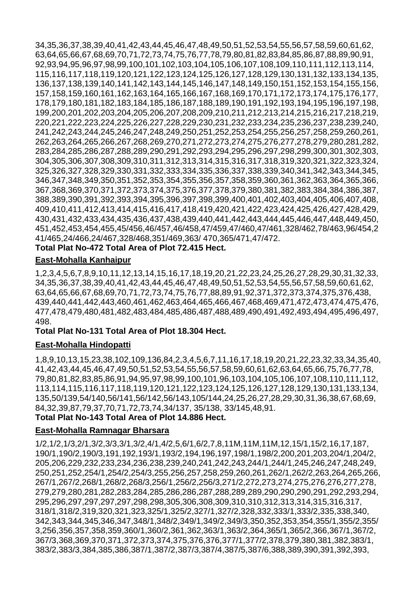34,35,36,37,38,39,40,41,42,43,44,45,46,47,48,49,50,51,52,53,54,55,56,57,58,59,60,61,62, 63,64,65,66,67,68,69,70,71,72,73,74,75,76,77,78,79,80,81,82,83,84,85,86,87,88,89,90,91, 92,93,94,95,96,97,98,99,100,101,102,103,104,105,106,107,108,109,110,111,112,113,114, 115,116,117,118,119,120,121,122,123,124,125,126,127,128,129,130,131,132,133,134,135, 136,137,138,139,140,141,142,143,144,145,146,147,148,149,150,151,152,153,154,155,156, 157,158,159,160,161,162,163,164,165,166,167,168,169,170,171,172,173,174,175,176,177, 178,179,180,181,182,183,184,185,186,187,188,189,190,191,192,193,194,195,196,197,198, 199,200,201,202,203,204,205,206,207,208,209,210,211,212,213,214,215,216,217,218,219, 220,221,222,223,224,225,226,227,228,229,230,231,232,233,234,235,236,237,238,239,240, 241,242,243,244,245,246,247,248,249,250,251,252,253,254,255,256,257,258,259,260,261, 262,263,264,265,266,267,268,269,270,271,272,273,274,275,276,277,278,279,280,281,282, 283,284,285,286,287,288,289,290,291,292,293,294,295,296,297,298,299,300,301,302,303, 304,305,306,307,308,309,310,311,312,313,314,315,316,317,318,319,320,321,322,323,324, 325,326,327,328,329,330,331,332,333,334,335,336,337,338,339,340,341,342,343,344,345, 346,347,348,349,350,351,352,353,354,355,356,357,358,359,360,361,362,363,364,365,366, 367,368,369,370,371,372,373,374,375,376,377,378,379,380,381,382,383,384,384,386,387, 388,389,390,391,392,393,394,395,396,397,398,399,400,401,402,403,404,405,406,407,408, 409,410,411,412,413,414,415,416,417,418,419,420,421,422,423,424,425,426,427,428,429, 430,431,432,433,434,435,436,437,438,439,440,441,442,443,444,445,446,447,448,449,450, 451,452,453,454,455,45/456,46/457,46/458,47/459,47/460,47/461,328/462,78/463,96/454,2 41/465,24/466,24/467,328/468,351/469,363/ 470,365/471,47/472.

#### **Total Plat No-472 Total Area of Plot 72.415 Hect.**

### **East-Mohalla Kanhaipur**

1,2,3,4,5,6,7,8,9,10,11,12,13,14,15,16,17,18,19,20,21,22,23,24,25,26,27,28,29,30,31,32,33, 34,35,36,37,38,39,40,41,42,43,44,45,46,47,48,49,50,51,52,53,54,55,56,57,58,59,60,61,62, 63,64,65,66,67,68,69,70,71,72,73,74,75,76,77,88,89,91,92,371,372,373,374,375,376,438, 439,440,441,442,443,460,461,462,463,464,465,466,467,468,469,471,472,473,474,475,476, 477,478,479,480,481,482,483,484,485,486,487,488,489,490,491,492,493,494,495,496,497, 498.

#### **Total Plat No-131 Total Area of Plot 18.304 Hect.**

#### **East-Mohalla Hindopatti**

1,8,9,10,13,15,23,38,102,109,136,84,2,3,4,5,6,7,11,16,17,18,19,20,21,22,23,32,33,34,35,40, 41,42,43,44,45,46,47,49,50,51,52,53,54,55,56,57,58,59,60,61,62,63,64,65,66,75,76,77,78, 79,80,81,82,83,85,86,91,94,95,97,98,99,100,101,96,103,104,105,106,107,108,110,111,112, 113,114,115,116,117,118,119,120,121,122,123,124,125,126,127,128,129,130,131,133,134, 135,50/139,54/140,56/141,56/142,56/143,105/144,24,25,26,27,28,29,30,31,36,38,67,68,69, 84,32,39,87,79,37,70,71,72,73,74,34/137, 35/138, 33/145,48,91.

#### **Total Plat No-143 Total Area of Plot 14.886 Hect.**

# **East-Mohalla Ramnagar Bharsara**

1/2,1/2,1/3,2/1,3/2,3/3,3/1,3/2,4/1,4/2,5,6/1,6/2,7,8,11M,11M,11M,12,15/1,15/2,16,17,187, 190/1,190/2,190/3,191,192,193/1,193/2,194,196,197,198/1,198/2,200,201,203,204/1,204/2, 205,206,229,232,233,234,236,238,239,240,241,242,243,244/1,244/1,245,246,247,248,249, 250,251,252,254/1,254/2,254/3,255,256,257,258,259,260,261,262/1,262/2,263,264,265,266, 267/1,267/2,268/1,268/2,268/3,256/1,256/2,256/3,271/2,272,273,274,275,276,276,277,278, 279,279,280,281,282,283,284,285,286,286,287,288,289,289,290,290,290,291,292,293,294, 295,296,297,297,297,297,298,298,305,306,308,309,310,310,312,313,314,315,316,317, 318/1,318/2,319,320,321,323,325/1,325/2,327/1,327/2,328,332,333/1,333/2,335,338,340, 342,343,344,345,346,347,348/1,348/2,349/1,349/2,349/3,350,352,353,354,355/1,355/2,355/ 3,256,356,357,358,359,360/1,360/2,361,362,363/1,363/2,364,365/1,365/2,366,367/1,367/2, 367/3,368,369,370,371,372,373,374,375,376,376,377/1,377/2,378,379,380,381,382,383/1, 383/2,383/3,384,385,386,387/1,387/2,387/3,387/4,387/5,387/6,388,389,390,391,392,393,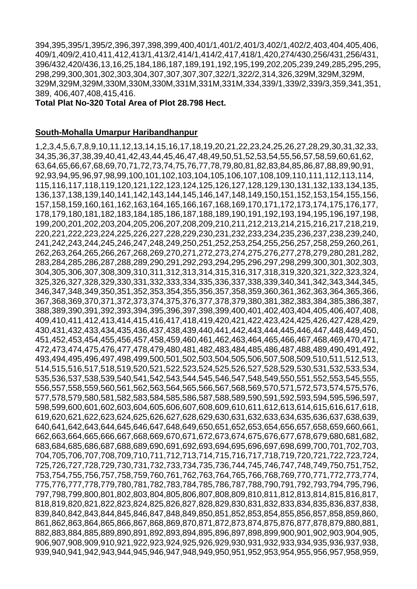394,395,395/1,395/2,396,397,398,399,400,401/1,401/2,401/3,402/1,402/2,403,404,405,406, 409/1,409/2,410,411,412,413/1,413/2,414/1,414/2,417,418/1,420,274/430,256/431,256/431, 396/432,420/436,13,16,25,184,186,187,189,191,192,195,199,202,205,239,249,285,295,295, 298,299,300,301,302,303,304,307,307,307,307,322/1,322/2,314,326,329M,329M,329M, 329M,329M,329M,330M,330M,330M,331M,331M,331M,334,339/1,339/2,339/3,359,341,351, 389, 406,407,408,415,416.

#### **Total Plat No-320 Total Area of Plot 28.798 Hect.**

#### **South-Mohalla Umarpur Haribandhanpur**

1,2,3,4,5,6,7,8,9,10,11,12,13,14,15,16,17,18,19,20,21,22,23,24,25,26,27,28,29,30,31,32,33, 34,35,36,37,38,39,40,41,42,43,44,45,46,47,48,49,50,51,52,53,54,55,56,57,58,59,60,61,62, 63,64,65,66,67,68,69,70,71,72,73,74,75,76,77,78,79,80,81,82,83,84,85,86,87,88,89,90,91, 92,93,94,95,96,97,98,99,100,101,102,103,104,105,106,107,108,109,110,111,112,113,114, 115,116,117,118,119,120,121,122,123,124,125,126,127,128,129,130,131,132,133,134,135, 136,137,138,139,140,141,142,143,144,145,146,147,148,149,150,151,152,153,154,155,156, 157,158,159,160,161,162,163,164,165,166,167,168,169,170,171,172,173,174,175,176,177, 178,179,180,181,182,183,184,185,186,187,188,189,190,191,192,193,194,195,196,197,198, 199,200,201,202,203,204,205,206,207,208,209,210,211,212,213,214,215,216,217,218,219, 220,221,222,223,224,225,226,227,228,229,230,231,232,233,234,235,236,237,238,239,240, 241,242,243,244,245,246,247,248,249,250,251,252,253,254,255,256,257,258,259,260,261, 262,263,264,265,266,267,268,269,270,271,272,273,274,275,276,277,278,279,280,281,282, 283,284,285,286,287,288,289,290,291,292,293,294,295,296,297,298,299,300,301,302,303, 304,305,306,307,308,309,310,311,312,313,314,315,316,317,318,319,320,321,322,323,324, 325,326,327,328,329,330,331,332,333,334,335,336,337,338,339,340,341,342,343,344,345, 346,347,348,349,350,351,352,353,354,355,356,357,358,359,360,361,362,363,364,365,366, 367,368,369,370,371,372,373,374,375,376,377,378,379,380,381,382,383,384,385,386,387, 388,389,390,391,392,393,394,395,396,397,398,399,400,401,402,403,404,405,406,407,408, 409,410,411,412,413,414,415,416,417,418,419,420,421,422,423,424,425,426,427,428,429, 430,431,432,433,434,435,436,437,438,439,440,441,442,443,444,445,446,447,448,449,450, 451,452,453,454,455,456,457,458,459,460,461,462,463,464,465,466,467,468,469,470,471, 472,473,474,475,476,477,478,479,480,481,482,483,484,485,486,487,488,489,490,491,492, 493,494,495,496,497,498,499,500,501,502,503,504,505,506,507,508,509,510,511,512,513, 514,515,516,517,518,519,520,521,522,523,524,525,526,527,528,529,530,531,532,533,534, 535,536,537,538,539,540,541,542,543,544,545,546,547,548,549,550,551,552,553,545,555, 556,557,558,559,560,561,562,563,564,565,566,567,568,569,570,571,572,573,574,575,576, 577,578,579,580,581,582,583,584,585,586,587,588,589,590,591,592,593,594,595,596,597, 598,599,600,601,602,603,604,605,606,607,608,609,610,611,612,613,614,615,616,617,618, 619,620,621,622,623,624,625,626,627,628,629,630,631,632,633,634,635,636,637,638,639, 640,641,642,643,644,645,646,647,648,649,650,651,652,653,654,656,657,658,659,660,661, 662,663,664,665,666,667,668,669,670,671,672,673,674,675,676,677,678,679,680,681,682, 683,684,685,686,687,688,689,690,691,692,693,694,695,696,697,698,699,700,701,702,703, 704,705,706,707,708,709,710,711,712,713,714,715,716,717,718,719,720,721,722,723,724, 725,726,727,728,729,730,731,732,733,734,735,736,744,745,746,747,748,749,750,751,752, 753,754,755,756,757,758,759,760,761,762,763,764,765,766,768,769,770,771,772,773,774, 775,776,777,778,779,780,781,782,783,784,785,786,787,788,790,791,792,793,794,795,796, 797,798,799,800,801,802,803,804,805,806,807,808,809,810,811,812,813,814,815,816,817, 818,819,820,821,822,823,824,825,826,827,828,829,830,831,832,833,834,835,836,837,838, 839,840,842,843,844,845,846,847,848,849,850,851,852,853,854,855,856,857,858,859,860, 861,862,863,864,865,866,867,868,869,870,871,872,873,874,875,876,877,878,879,880,881, 882,883,884,885,889,890,891,892,893,894,895,896,897,898,899,900,901,902,903,904,905, 906,907,908,909,910,921,922,923,924,925,926,929,930,931,932,933,934,935,936,937,938, 939,940,941,942,943,944,945,946,947,948,949,950,951,952,953,954,955,956,957,958,959,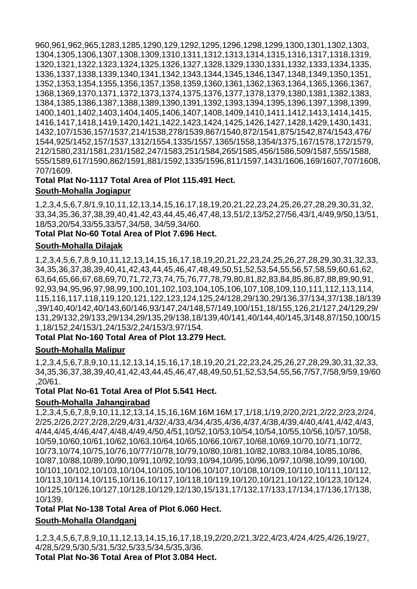960,961,962,965,1283,1285,1290,129,1292,1295,1296,1298,1299,1300,1301,1302,1303, 1304,1305,1306,1307,1308,1309,1310,1311,1312,1313,1314,1315,1316,1317,1318,1319, 1320,1321,1322,1323,1324,1325,1326,1327,1328,1329,1330,1331,1332,1333,1334,1335, 1336,1337,1338,1339,1340,1341,1342,1343,1344,1345,1346,1347,1348,1349,1350,1351, 1352,1353,1354,1355,1356,1357,1358,1359,1360,1361,1362,1363,1364,1365,1366,1367, 1368,1369,1370,1371,1372,1373,1374,1375,1376,1377,1378,1379,1380,1381,1382,1383, 1384,1385,1386,1387,1388,1389,1390,1391,1392,1393,1394,1395,1396,1397,1398,1399, 1400,1401,1402,1403,1404,1405,1406,1407,1408,1409,1410,1411,1412,1413,1414,1415, 1416,1417,1418,1419,1420,1421,1422,1423,1424,1425,1426,1427,1428,1429,1430,1431, 1432,107/1536,157/1537,214/1538,278/1539,867/1540,872/1541,875/1542,874/1543,476/ 1544,925/1452,157/1537,1312/1554,1335/1557,1365/1558,1354/1375,167/1578,172/1579, 212/1580,231/1581,231/1582,247/1583,251/1584,265/1585,456/1586,509/1587,555/1588, 555/1589,617/1590,862/1591,881/1592,1335/1596,811/1597,1431/1606,169/1607,707/1608, 707/1609.

### **Total Plat No-1117 Total Area of Plot 115.491 Hect. South-Mohalla Jogiapur**

1,2,3,4,5,6,7,8/1,9,10,11,12,13,14,15,16,17,18,19,20,21,22,23,24,25,26,27,28,29,30,31,32, 33,34,35,36,37,38,39,40,41,42,43,44,45,46,47,48,13,51/2,13/52,27/56,43/1,4/49,9/50,13/51, 18/53,20/54,33/55,33/57,34/58, 34/59,34/60.

# **Total Plat No-60 Total Area of Plot 7.696 Hect.**

#### **South-Mohalla Dilajak**

1,2,3,4,5,6,7,8,9,10,11,12,13,14,15,16,17,18,19,20,21,22,23,24,25,26,27,28,29,30,31,32,33, 34,35,36,37,38,39,40,41,42,43,44,45,46,47,48,49,50,51,52,53,54,55,56,57,58,59,60,61,62, 63,64,65,66,67,68,69,70,71,72,73,74,75,76,77,78,79,80,81,82,83,84,85,86,87,88,89,90,91, 92,93,94,95,96,97,98,99,100,101,102,103,104,105,106,107,108,109,110,111,112,113,114, 115,116,117,118,119,120,121,122,123,124,125,24/128,29/130,29/136,37/134,37/138,18/139 ,39/140,40/142,40/143,60/146,93/147,24/148,57/149,100/151,18/155,126,21/127,24/129,29/ 131,29/132,29/133,29/134,29/135,29/138,18/139,40/141,40/144,40/145,3/148,87/150,100/15 1,18/152,24/153/1,24/153/2,24/153/3,97/154.

#### **Total Plat No-160 Total Area of Plot 13.279 Hect.**

#### **South-Mohalla Malipur**

1,2,3,4,5,6,7,8,9,10,11,12,13,14,15,16,17,18,19,20,21,22,23,24,25,26,27,28,29,30,31,32,33, 34,35,36,37,38,39,40,41,42,43,44,45,46,47,48,49,50,51,52,53,54,55,56,7/57,7/58,9/59,19/60 ,20/61.

#### **Total Plat No-61 Total Area of Plot 5.541 Hect.**

#### **South-Mohalla Jahangirabad**

1,2,3,4,5,6,7,8,9,10,11,12,13,14,15,16,16M]16M]16M]17,1/18,1/19,2/20,2/21,2/22,2/23,2/24, 2/25,2/26,2/27,2/28,2/29,4/31,4/32/,4/33,4/34,4/35,4/36,4/37,4/38,4/39,4/40,4/41,4/42,4/43, 4/44,4/45,4/46,4/47,4/48,4/49,4/50,4/51,10/52,10/53,10/54,10/54,10/55,10/56,10/57,10/58, 10/59,10/60,10/61,10/62,10/63,10/64,10/65,10/66,10/67,10/68,10/69,10/70,10/71,10/72, 10/73,10/74,10/75,10/76,10/77/10/78,10/79,10/80,10/81,10/82,10/83,10/84,10/85,10/86, 10/87,10/88,10/89,10/90,10/91,10/92,10/93,10/94,10/95,10/96,10/97,10/98,10/99,10/100, 10/101,10/102,10/103,10/104,10/105,10/106,10/107,10/108,10/109,10/110,10/111,10/112, 10/113,10/114,10/115,10/116,10/117,10/118,10/119,10/120,10/121,10/122,10/123,10/124, 10/125,10/126,10/127,10/128,10/129,12/130,15/131,17/132,17/133,17/134,17/136,17/138, 10/139.

#### **Total Plat No-138 Total Area of Plot 6.060 Hect.**

# **South-Mohalla Olandganj**

1,2,3,4,5,6,7,8,9,10,11,12,13,14,15,16,17,18,19,2/20,2/21,3/22,4/23,4/24,4/25,4/26,19/27, 4/28,5/29,5/30,5/31,5/32,5/33,5/34,5/35,3/36.

**Total Plat No-36 Total Area of Plot 3.084 Hect.**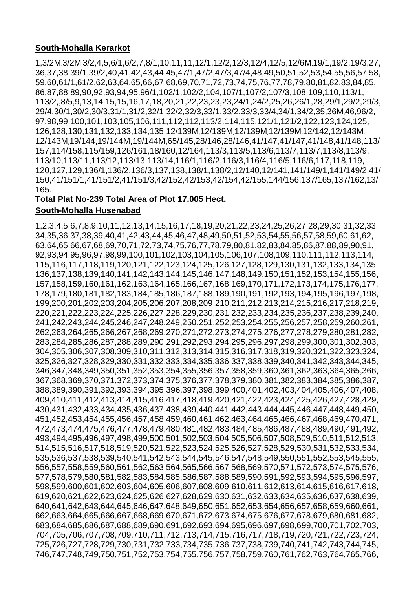#### **South-Mohalla Kerarkot**

1,3/2M]3/2M]3/2,4,5,6/1,6/2,7,8/1,10,11,11,12/1,12/2,12/3,12/4,12/5,12/6M]19/1,19/2,19/3,27, 36,37,38,39/1,39/2,40,41,42,43,44,45,47/1,47/2,47/3,47/4,48,49,50,51,52,53,54,55,56,57,58, 59,60,61/1,61/2,62,63,64,65,66,67,68,69,70,71,72,73,74,75,76,77,78,79,80,81,82,83,84,85, 86,87,88,89,90,92,93,94,95,96/1,102/1,102/2,104,107/1,107/2,107/3,108,109,110,113/1, 113/2,,8/5,9,13,14,15,15,16,17,18,20,21,22,23,23,23,24/1,24/2,25,26,26/1,28,29/1,29/2,29/3, 29/4,30/1,30/2,30/3,31/1,31/2,32/1,32/2,32/3,33/1,33/2,33/3,33/4,34/1,34/2,35,36M]46,96/2, 97,98,99,100,101,103,105,106,111,112,112,113/2,114,115,121/1,121/2,122,123,124,125, 126,128,130,131,132,133,134,135,12/139M]12/139M]12/139M]12/139M]12/142,12/143M] 12/143M]19/144,19/144M,19/144M,65/145,28/146,28/146,41/147,41/147,41/148,41/148,113/ 157,114/158,115/159,126/161,18/160,12/164,113/3,113/5,113/6,113/7,113/7,113/8,113/9, 113/10,113/11,113/12,113/13,113/14,116/1,116/2,116/3,116/4,116/5,116/6,117,118,119, 120,127,129,136/1,136/2,136/3,137,138,138/1,138/2,12/140,12/141,141/149/1,141/149/2,41/ 150,41/151/1,41/151/2,41/151/3,42/152,42/153,42/154,42/155,144/156,137/165,137/162,13/ 165.

# **Total Plat No-239 Total Area of Plot 17.005 Hect.**

#### **South-Mohalla Husenabad**

1,2,3,4,5,6,7,8,9,10,11,12,13,14,15,16,17,18,19,20,21,22,23,24,25,26,27,28,29,30,31,32,33, 34,35,36,37,38,39,40,41,42,43,44,45,46,47,48,49,50,51,52,53,54,55,56,57,58,59,60,61,62, 63,64,65,66,67,68,69,70,71,72,73,74,75,76,77,78,79,80,81,82,83,84,85,86,87,88,89,90,91, 92,93,94,95,96,97,98,99,100,101,102,103,104,105,106,107,108,109,110,111,112,113,114, 115,116,117,118,119,120,121,122,123,124,125,126,127,128,129,130,131,132,133,134,135, 136,137,138,139,140,141,142,143,144,145,146,147,148,149,150,151,152,153,154,155,156, 157,158,159,160,161,162,163,164,165,166,167,168,169,170,171,172,173,174,175,176,177, 178,179,180,181,182,183,184,185,186,187,188,189,190,191,192,193,194,195,196,197,198, 199,200,201,202,203,204,205,206,207,208,209,210,211,212,213,214,215,216,217,218,219, 220,221,222,223,224,225,226,227,228,229,230,231,232,233,234,235,236,237,238,239,240, 241,242,243,244,245,246,247,248,249,250,251,252,253,254,255,256,257,258,259,260,261, 262,263,264,265,266,267,268,269,270,271,272,273,274,275,276,277,278,279,280,281,282, 283,284,285,286,287,288,289,290,291,292,293,294,295,296,297,298,299,300,301,302,303, 304,305,306,307,308,309,310,311,312,313,314,315,316,317,318,319,320,321,322,323,324, 325,326,327,328,329,330,331,332,333,334,335,336,337,338,339,340,341,342,343,344,345, 346,347,348,349,350,351,352,353,354,355,356,357,358,359,360,361,362,363,364,365,366, 367,368,369,370,371,372,373,374,375,376,377,378,379,380,381,382,383,384,385,386,387, 388,389,390,391,392,393,394,395,396,397,398,399,400,401,402,403,404,405,406,407,408, 409,410,411,412,413,414,415,416,417,418,419,420,421,422,423,424,425,426,427,428,429, 430,431,432,433,434,435,436,437,438,439,440,441,442,443,444,445,446,447,448,449,450, 451,452,453,454,455,456,457,458,459,460,461,462,463,464,465,466,467,468,469,470,471, 472,473,474,475,476,477,478,479,480,481,482,483,484,485,486,487,488,489,490,491,492, 493,494,495,496,497,498,499,500,501,502,503,504,505,506,507,508,509,510,511,512,513, 514,515,516,517,518,519,520,521,522,523,524,525,526,527,528,529,530,531,532,533,534, 535,536,537,538,539,540,541,542,543,544,545,546,547,548,549,550,551,552,553,545,555, 556,557,558,559,560,561,562,563,564,565,566,567,568,569,570,571,572,573,574,575,576, 577,578,579,580,581,582,583,584,585,586,587,588,589,590,591,592,593,594,595,596,597, 598,599,600,601,602,603,604,605,606,607,608,609,610,611,612,613,614,615,616,617,618, 619,620,621,622,623,624,625,626,627,628,629,630,631,632,633,634,635,636,637,638,639, 640,641,642,643,644,645,646,647,648,649,650,651,652,653,654,656,657,658,659,660,661, 662,663,664,665,666,667,668,669,670,671,672,673,674,675,676,677,678,679,680,681,682, 683,684,685,686,687,688,689,690,691,692,693,694,695,696,697,698,699,700,701,702,703, 704,705,706,707,708,709,710,711,712,713,714,715,716,717,718,719,720,721,722,723,724, 725,726,727,728,729,730,731,732,733,734,735,736,737,738,739,740,741,742,743,744,745, 746,747,748,749,750,751,752,753,754,755,756,757,758,759,760,761,762,763,764,765,766,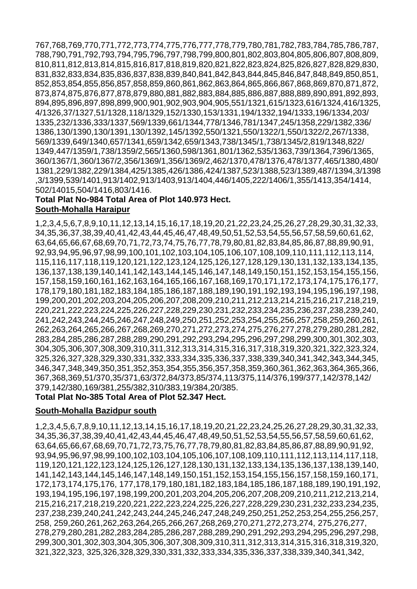767,768,769,770,771,772,773,774,775,776,777,778,779,780,781,782,783,784,785,786,787, 788,790,791,792,793,794,795,796,797,798,799,800,801,802,803,804,805,806,807,808,809, 810,811,812,813,814,815,816,817,818,819,820,821,822,823,824,825,826,827,828,829,830, 831,832,833,834,835,836,837,838,839,840,841,842,843,844,845,846,847,848,849,850,851, 852,853,854,855,856,857,858,859,860,861,862,863,864,865,866,867,868,869,870,871,872, 873,874,875,876,877,878,879,880,881,882,883,884,885,886,887,888,889,890,891,892,893, 894,895,896,897,898,899,900,901,902,903,904,905,551/1321,615/1323,616/1324,416/1325, 4/1326,37/1327,51/1328,118/1329,152/1330,153/1331,194/1332,194/1333,196/1334,203/ 1335,232/1336,333/1337,569/1339,661/1344,778/1346,781/1347,245/1358,229/1382,336/ 1386,130/1390,130/1391,130/1392,145/1392,550/1321,550/1322/1,550/1322/2,267/1338, 569/1339,649/1340,657/1341,659/1342,659/1343,738/1345/1,738/1345/2,819/1348,822/ 1349,447/1359/1,738/1359/2,565/1360,598/1361,801/1362,535/1363,739/1364,7396/1365, 360/1367/1,360/1367/2,356/1369/1,356/1369/2,462/1370,478/1376,478/1377,465/1380,480/ 1381,229/1382,229/1384,425/1385,426/1386,424/1387,523/1388,523/1389,487/1394,3/1398 ,3/1399,539/1401,913/1402,913/1403,913/1404,446/1405,222/1406/1,355/1413,354/1414, 502/14015,504/1416,803/1416.

#### **Total Plat No-984 Total Area of Plot 140.973 Hect. South-Mohalla Haraipur**

1,2,3,4,5,6,7,8,9,10,11,12,13,14,15,16,17,18,19,20,21,22,23,24,25,26,27,28,29,30,31,32,33, 34,35,36,37,38,39,40,41,42,43,44,45,46,47,48,49,50,51,52,53,54,55,56,57,58,59,60,61,62, 63,64,65,66,67,68,69,70,71,72,73,74,75,76,77,78,79,80,81,82,83,84,85,86,87,88,89,90,91, 92,93,94,95,96,97,98,99,100,101,102,103,104,105,106,107,108,109,110,111,112,113,114, 115,116,117,118,119,120,121,122,123,124,125,126,127,128,129,130,131,132,133,134,135, 136,137,138,139,140,141,142,143,144,145,146,147,148,149,150,151,152,153,154,155,156, 157,158,159,160,161,162,163,164,165,166,167,168,169,170,171,172,173,174,175,176,177, 178,179,180,181,182,183,184,185,186,187,188,189,190,191,192,193,194,195,196,197,198, 199,200,201,202,203,204,205,206,207,208,209,210,211,212,213,214,215,216,217,218,219, 220,221,222,223,224,225,226,227,228,229,230,231,232,233,234,235,236,237,238,239,240, 241,242,243,244,245,246,247,248,249,250,251,252,253,254,255,256,257,258,259,260,261, 262,263,264,265,266,267,268,269,270,271,272,273,274,275,276,277,278,279,280,281,282, 283,284,285,286,287,288,289,290,291,292,293,294,295,296,297,298,299,300,301,302,303, 304,305,306,307,308,309,310,311,312,313,314,315,316,317,318,319,320,321,322,323,324, 325,326,327,328,329,330,331,332,333,334,335,336,337,338,339,340,341,342,343,344,345, 346,347,348,349,350,351,352,353,354,355,356,357,358,359,360,361,362,363,364,365,366, 367,368,369,51/370,35/371,63/372,84/373,85/374,113/375,114/376,199/377,142/378,142/ 379,142/380,169/381,255/382,310/383,19/384,20/385.

#### **Total Plat No-385 Total Area of Plot 52.347 Hect.**

#### **South-Mohalla Bazidpur south**

1,2,3,4,5,6,7,8,9,10,11,12,13,14,15,16,17,18,19,20,21,22,23,24,25,26,27,28,29,30,31,32,33, 34,35,36,37,38,39,40,41,42,43,44,45,46,47,48,49,50,51,52,53,54,55,56,57,58,59,60,61,62, 63,64,65,66,67,68,69,70,71,72,73,75,76,77,78,79,80,81,82,83,84,85,86,87,88,89,90,91,92, 93,94,95,96,97,98,99,100,102,103,104,105,106,107,108,109,110,111,112,113,114,117,118, 119,120,121,122,123,124,125,126,127,128,130,131,132,133,134,135,136,137,138,139,140, 141,142,143,144,145,146,147,148,149,150,151,152,153,154,155,156,157,158,159,160,171, 172,173,174,175,176, 177,178,179,180,181,182,183,184,185,186,187,188,189,190,191,192, 193,194,195,196,197,198,199,200,201,203,204,205,206,207,208,209,210,211,212,213,214, 215,216,217,218,219,220,221,222,223,224,225,226,227,228,229,230,231,232,233,234,235, 237,238,239,240,241,242,243,244,245,246,247,248,249,250,251,252,253,254,255,256,257, 258, 259,260,261,262,263,264,265,266,267,268,269,270,271,272,273,274, 275,276,277, 278,279,280,281,282,283,284,285,286,287,288,289,290,291,292,293,294,295,296,297,298, 299,300,301,302,303,304,305,306,307,308,309,310,311,312,313,314,315,316,318,319,320, 321,322,323, 325,326,328,329,330,331,332,333,334,335,336,337,338,339,340,341,342,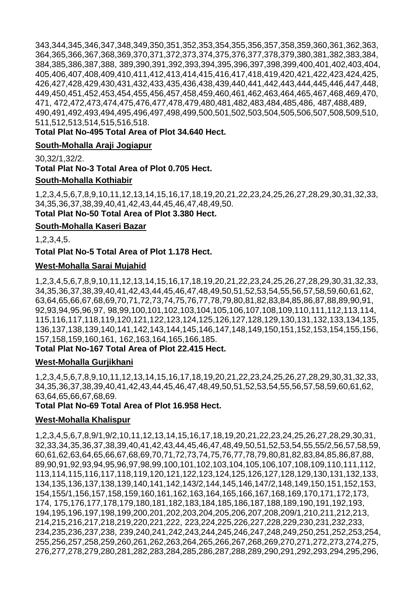343,344,345,346,347,348,349,350,351,352,353,354,355,356,357,358,359,360,361,362,363, 364,365,366,367,368,369,370,371,372,373,374,375,376,377,378,379,380,381,382,383,384, 384,385,386,387,388, 389,390,391,392,393,394,395,396,397,398,399,400,401,402,403,404, 405,406,407,408,409,410,411,412,413,414,415,416,417,418,419,420,421,422,423,424,425, 426,427,428,429,430,431,432,433,435,436,438,439,440,441,442,443,444,445,446,447,448, 449,450,451,452,453,454,455,456,457,458,459,460,461,462,463,464,465,467,468,469,470, 471, 472,472,473,474,475,476,477,478,479,480,481,482,483,484,485,486, 487,488,489, 490,491,492,493,494,495,496,497,498,499,500,501,502,503,504,505,506,507,508,509,510, 511,512,513,514,515,516,518.

**Total Plat No-495 Total Area of Plot 34.640 Hect.**

#### **South-Mohalla Araji Jogiapur**

30,32/1,32/2.

**Total Plat No-3 Total Area of Plot 0.705 Hect.**

#### **South-Mohalla Kothiabir**

1,2,3,4,5,6,7,8,9,10,11,12,13,14,15,16,17,18,19,20,21,22,23,24,25,26,27,28,29,30,31,32,33, 34,35,36,37,38,39,40,41,42,43,44,45,46,47,48,49,50. **Total Plat No-50 Total Area of Plot 3.380 Hect.**

# **South-Mohalla Kaseri Bazar**

1,2,3,4,5.

**Total Plat No-5 Total Area of Plot 1.178 Hect.**

#### **West-Mohalla Sarai Mujahid**

1,2,3,4,5,6,7,8,9,10,11,12,13,14,15,16,17,18,19,20,21,22,23,24,25,26,27,28,29,30,31,32,33, 34,35,36,37,38,39,40,41,42,43,44,45,46,47,48,49,50,51,52,53,54,55,56,57,58,59,60,61,62, 63,64,65,66,67,68,69,70,71,72,73,74,75,76,77,78,79,80,81,82,83,84,85,86,87,88,89,90,91, 92,93,94,95,96,97, 98,99,100,101,102,103,104,105,106,107,108,109,110,111,112,113,114, 115,116,117,118,119,120,121,122,123,124,125,126,127,128,129,130,131,132,133,134,135, 136,137,138,139,140,141,142,143,144,145,146,147,148,149,150,151,152,153,154,155,156, 157,158,159,160,161, 162,163,164,165,166,185.

#### **Total Plat No-167 Total Area of Plot 22.415 Hect.**

#### **West-Mohalla Gurjikhani**

1,2,3,4,5,6,7,8,9,10,11,12,13,14,15,16,17,18,19,20,21,22,23,24,25,26,27,28,29,30,31,32,33, 34,35,36,37,38,39,40,41,42,43,44,45,46,47,48,49,50,51,52,53,54,55,56,57,58,59,60,61,62, 63,64,65,66,67,68,69.

#### **Total Plat No-69 Total Area of Plot 16.958 Hect.**

#### **West-Mohalla Khalispur**

1,2,3,4,5,6,7,8,9/1,9/2,10,11,12,13,14,15,16,17,18,19,20,21,22,23,24,25,26,27,28,29,30,31, 32,33,34,35,36,37,38,39,40,41,42,43,44,45,46,47,48,49,50,51,52,53,54,55,55/2,56,57,58,59, 60,61,62,63,64,65,66,67,68,69,70,71,72,73,74,75,76,77,78,79,80,81,82,83,84,85,86,87,88, 89,90,91,92,93,94,95,96,97,98,99,100,101,102,103,104,105,106,107,108,109,110,111,112, 113,114,115,116,117,118,119,120,121,122,123,124,125,126,127,128,129,130,131,132,133, 134,135,136,137,138,139,140,141,142,143/2,144,145,146,147/2,148,149,150,151,152,153, 154,155/1,156,157,158,159,160,161,162,163,164,165,166,167,168,169,170,171,172,173, 174, 175,176,177,178,179,180,181,182,183,184,185,186,187,188,189,190,191,192,193, 194,195,196,197,198,199,200,201,202,203,204,205,206,207,208,209/1,210,211,212,213, 214,215,216,217,218,219,220,221,222, 223,224,225,226,227,228,229,230,231,232,233, 234,235,236,237,238, 239,240,241,242,243,244,245,246,247,248,249,250,251,252,253,254, 255,256,257,258,259,260,261,262,263,264,265,266,267,268,269,270,271,272,273,274,275, 276,277,278,279,280,281,282,283,284,285,286,287,288,289,290,291,292,293,294,295,296,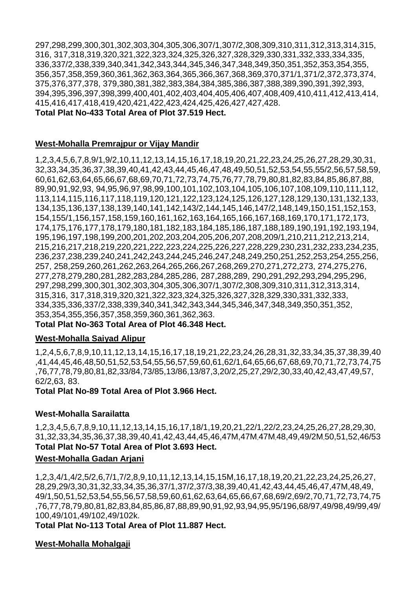297,298,299,300,301,302,303,304,305,306,307/1,307/2,308,309,310,311,312,313,314,315, 316, 317,318,319,320,321,322,323,324,325,326,327,328,329,330,331,332,333,334,335, 336,337/2,338,339,340,341,342,343,344,345,346,347,348,349,350,351,352,353,354,355, 356,357,358,359,360,361,362,363,364,365,366,367,368,369,370,371/1,371/2,372,373,374, 375,376,377,378, 379,380,381,382,383,384,384,385,386,387,388,389,390,391,392,393, 394,395,396,397,398,399,400,401,402,403,404,405,406,407,408,409,410,411,412,413,414, 415,416,417,418,419,420,421,422,423,424,425,426,427,427,428.

**Total Plat No-433 Total Area of Plot 37.519 Hect.**

#### **West-Mohalla Premrajpur or Vijay Mandir**

1,2,3,4,5,6,7,8,9/1,9/2,10,11,12,13,14,15,16,17,18,19,20,21,22,23,24,25,26,27,28,29,30,31, 32,33,34,35,36,37,38,39,40,41,42,43,44,45,46,47,48,49,50,51,52,53,54,55,55/2,56,57,58,59, 60,61,62,63,64,65,66,67,68,69,70,71,72,73,74,75,76,77,78,79,80,81,82,83,84,85,86,87,88, 89,90,91,92,93, 94,95,96,97,98,99,100,101,102,103,104,105,106,107,108,109,110,111,112, 113,114,115,116,117,118,119,120,121,122,123,124,125,126,127,128,129,130,131,132,133, 134,135,136,137,138,139,140,141,142,143/2,144,145,146,147/2,148,149,150,151,152,153, 154,155/1,156,157,158,159,160,161,162,163,164,165,166,167,168,169,170,171,172,173, 174,175,176,177,178,179,180,181,182,183,184,185,186,187,188,189,190,191,192,193,194, 195,196,197,198,199,200,201,202,203,204,205,206,207,208,209/1,210,211,212,213,214, 215,216,217,218,219,220,221,222,223,224,225,226,227,228,229,230,231,232,233,234,235, 236,237,238,239,240,241,242,243,244,245,246,247,248,249,250,251,252,253,254,255,256, 257, 258,259,260,261,262,263,264,265,266,267,268,269,270,271,272,273, 274,275,276, 277,278,279,280,281,282,283,284,285,286, 287,288,289, 290,291,292,293,294,295,296, 297,298,299,300,301,302,303,304,305,306,307/1,307/2,308,309,310,311,312,313,314, 315,316, 317,318,319,320,321,322,323,324,325,326,327,328,329,330,331,332,333, 334,335,336,337/2,338,339,340,341,342,343,344,345,346,347,348,349,350,351,352, 353,354,355,356,357,358,359,360,361,362,363.

#### **Total Plat No-363 Total Area of Plot 46.348 Hect.**

#### **West-Mohalla Saiyad Alipur**

1,2,4,5,6,7,8,9,10,11,12,13,14,15,16,17,18,19,21,22,23,24,26,28,31,32,33,34,35,37,38,39,40 ,41,44,45,46,48,50,51,52,53,54,55,56,57,59,60,61,62/1,64,65,66,67,68,69,70,71,72,73,74,75 ,76,77,78,79,80,81,82,33/84,73/85,13/86,13/87,3,20/2,25,27,29/2,30,33,40,42,43,47,49,57, 62/2,63, 83.

**Total Plat No-89 Total Area of Plot 3.966 Hect.**

#### **West-Mohalla Sarailatta**

1,2,3,4,5,6,7,8,9,10,11,12,13,14,15,16,17,18/1,19,20,21,22/1,22/2,23,24,25,26,27,28,29,30, 31,32,33,34,35,36,37,38,39,40,41,42,43,44,45,46,47M,47M]47M]48,49,49/2M]50,51,52,46/53 **Total Plat No-57 Total Area of Plot 3.693 Hect.**

#### **West-Mohalla Gadan Arjani**

1,2,3,4/1,4/2,5/2,6,7/1,7/2,8,9,10,11,12,13,14,15,15M,16,17,18,19,20,21,22,23,24,25,26,27, 28,29,29/3,30,31,32,33,34,35,36,37/1,37/2,37/3,38,39,40,41,42,43,44,45,46,47,47M,48,49, 49/1,50,51,52,53,54,55,56,57,58,59,60,61,62,63,64,65,66,67,68,69/2,69/2,70,71,72,73,74,75 ,76,77,78,79,80,81,82,83,84,85,86,87,88,89,90,91,92,93,94,95,95/196,68/97,49/98,49/99,49/ 100,49/101,49/102,49/102k.

**Total Plat No-113 Total Area of Plot 11.887 Hect.**

#### **West-Mohalla Mohalgaji**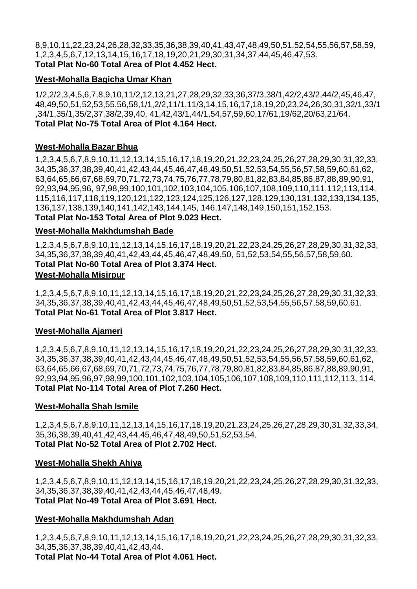8,9,10,11,22,23,24,26,28,32,33,35,36,38,39,40,41,43,47,48,49,50,51,52,54,55,56,57,58,59, 1,2,3,4,5,6,7,12,13,14,15,16,17,18,19,20,21,29,30,31,34,37,44,45,46,47,53. **Total Plat No-60 Total Area of Plot 4.452 Hect.**

#### **West-Mohalla Bagicha Umar Khan**

1/2,2/2,3,4,5,6,7,8,9,10,11/2,12,13,21,27,28,29,32,33,36,37/3,38/1,42/2,43/2,44/2,45,46,47, 48,49,50,51,52,53,55,56,58,1/1,2/2,11/1,11/3,14,15,16,17,18,19,20,23,24,26,30,31,32/1,33/1 ,34/1,35/1,35/2,37,38/2,39,40, 41,42,43/1,44/1,54,57,59,60,17/61,19/62,20/63,21/64. **Total Plat No-75 Total Area of Plot 4.164 Hect.**

#### **West-Mohalla Bazar Bhua**

1,2,3,4,5,6,7,8,9,10,11,12,13,14,15,16,17,18,19,20,21,22,23,24,25,26,27,28,29,30,31,32,33, 34,35,36,37,38,39,40,41,42,43,44,45,46,47,48,49,50,51,52,53,54,55,56,57,58,59,60,61,62, 63,64,65,66,67,68,69,70,71,72,73,74,75,76,77,78,79,80,81,82,83,84,85,86,87,88,89,90,91, 92,93,94,95,96, 97,98,99,100,101,102,103,104,105,106,107,108,109,110,111,112,113,114, 115,116,117,118,119,120,121,122,123,124,125,126,127,128,129,130,131,132,133,134,135, 136,137,138,139,140,141,142,143,144,145, 146,147,148,149,150,151,152,153. **Total Plat No-153 Total Area of Plot 9.023 Hect.**

#### **West-Mohalla Makhdumshah Bade**

1,2,3,4,5,6,7,8,9,10,11,12,13,14,15,16,17,18,19,20,21,22,23,24,25,26,27,28,29,30,31,32,33, 34,35,36,37,38,39,40,41,42,43,44,45,46,47,48,49,50, 51,52,53,54,55,56,57,58,59,60. **Total Plat No-60 Total Area of Plot 3.374 Hect. West-Mohalla Misirpur** 

1,2,3,4,5,6,7,8,9,10,11,12,13,14,15,16,17,18,19,20,21,22,23,24,25,26,27,28,29,30,31,32,33, 34,35,36,37,38,39,40,41,42,43,44,45,46,47,48,49,50,51,52,53,54,55,56,57,58,59,60,61. **Total Plat No-61 Total Area of Plot 3.817 Hect.**

#### **West-Mohalla Ajameri**

1,2,3,4,5,6,7,8,9,10,11,12,13,14,15,16,17,18,19,20,21,22,23,24,25,26,27,28,29,30,31,32,33, 34,35,36,37,38,39,40,41,42,43,44,45,46,47,48,49,50,51,52,53,54,55,56,57,58,59,60,61,62, 63,64,65,66,67,68,69,70,71,72,73,74,75,76,77,78,79,80,81,82,83,84,85,86,87,88,89,90,91, 92,93,94,95,96,97,98,99,100,101,102,103,104,105,106,107,108,109,110,111,112,113, 114. **Total Plat No-114 Total Area of Plot 7.260 Hect.**

#### **West-Mohalla Shah Ismile**

1,2,3,4,5,6,7,8,9,10,11,12,13,14,15,16,17,18,19,20,21,23,24,25,26,27,28,29,30,31,32,33,34, 35,36,38,39,40,41,42,43,44,45,46,47,48,49,50,51,52,53,54. **Total Plat No-52 Total Area of Plot 2.702 Hect.**

#### **West-Mohalla Shekh Ahiya**

1,2,3,4,5,6,7,8,9,10,11,12,13,14,15,16,17,18,19,20,21,22,23,24,25,26,27,28,29,30,31,32,33, 34,35,36,37,38,39,40,41,42,43,44,45,46,47,48,49. **Total Plat No-49 Total Area of Plot 3.691 Hect.**

#### **West-Mohalla Makhdumshah Adan**

1,2,3,4,5,6,7,8,9,10,11,12,13,14,15,16,17,18,19,20,21,22,23,24,25,26,27,28,29,30,31,32,33, 34,35,36,37,38,39,40,41,42,43,44. **Total Plat No-44 Total Area of Plot 4.061 Hect.**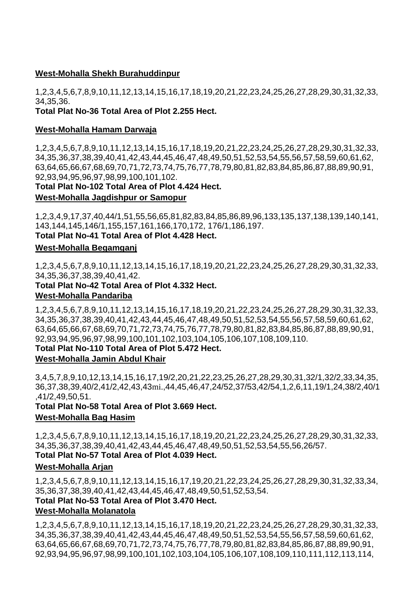# **West-Mohalla Shekh Burahuddinpur**

1,2,3,4,5,6,7,8,9,10,11,12,13,14,15,16,17,18,19,20,21,22,23,24,25,26,27,28,29,30,31,32,33, 34,35,36.

# **Total Plat No-36 Total Area of Plot 2.255 Hect.**

#### **West-Mohalla Hamam Darwaja**

1,2,3,4,5,6,7,8,9,10,11,12,13,14,15,16,17,18,19,20,21,22,23,24,25,26,27,28,29,30,31,32,33, 34,35,36,37,38,39,40,41,42,43,44,45,46,47,48,49,50,51,52,53,54,55,56,57,58,59,60,61,62, 63,64,65,66,67,68,69,70,71,72,73,74,75,76,77,78,79,80,81,82,83,84,85,86,87,88,89,90,91, 92,93,94,95,96,97,98,99,100,101,102.

#### **Total Plat No-102 Total Area of Plot 4.424 Hect.**

#### **West-Mohalla Jagdishpur or Samopur**

1,2,3,4,9,17,37,40,44/1,51,55,56,65,81,82,83,84,85,86,89,96,133,135,137,138,139,140,141, 143,144,145,146/1,155,157,161,166,170,172, 176/1,186,197.

#### **Total Plat No-41 Total Area of Plot 4.428 Hect.**

#### **West-Mohalla Begamganj**

1,2,3,4,5,6,7,8,9,10,11,12,13,14,15,16,17,18,19,20,21,22,23,24,25,26,27,28,29,30,31,32,33, 34,35,36,37,38,39,40,41,42.

**Total Plat No-42 Total Area of Plot 4.332 Hect. West-Mohalla Pandariba** 

1,2,3,4,5,6,7,8,9,10,11,12,13,14,15,16,17,18,19,20,21,22,23,24,25,26,27,28,29,30,31,32,33, 34,35,36,37,38,39,40,41,42,43,44,45,46,47,48,49,50,51,52,53,54,55,56,57,58,59,60,61,62, 63,64,65,66,67,68,69,70,71,72,73,74,75,76,77,78,79,80,81,82,83,84,85,86,87,88,89,90,91, 92,93,94,95,96,97,98,99,100,101,102,103,104,105,106,107,108,109,110.

#### **Total Plat No-110 Total Area of Plot 5.472 Hect.**

#### **West-Mohalla Jamin Abdul Khair**

3,4,5,7,8,9,10,12,13,14,15,16,17,19/2,20,21,22,23,25,26,27,28,29,30,31,32/1,32/2,33,34,35, 36,37,38,39,40/2,41/2,42,43,43mi.,44,45,46,47,24/52,37/53,42/54,1,2,6,11,19/1,24,38/2,40/1 ,41/2,49,50,51.

#### **Total Plat No-58 Total Area of Plot 3.669 Hect. West-Mohalla Bag Hasim**

1,2,3,4,5,6,7,8,9,10,11,12,13,14,15,16,17,18,19,20,21,22,23,24,25,26,27,28,29,30,31,32,33, 34,35,36,37,38,39,40,41,42,43,44,45,46,47,48,49,50,51,52,53,54,55,56,26/57.

# **Total Plat No-57 Total Area of Plot 4.039 Hect.**

#### **West-Mohalla Arjan**

1,2,3,4,5,6,7,8,9,10,11,12,13,14,15,16,17,19,20,21,22,23,24,25,26,27,28,29,30,31,32,33,34, 35,36,37,38,39,40,41,42,43,44,45,46,47,48,49,50,51,52,53,54.

# **Total Plat No-53 Total Area of Plot 3.470 Hect.**

### **West-Mohalla Molanatola**

1,2,3,4,5,6,7,8,9,10,11,12,13,14,15,16,17,18,19,20,21,22,23,24,25,26,27,28,29,30,31,32,33, 34,35,36,37,38,39,40,41,42,43,44,45,46,47,48,49,50,51,52,53,54,55,56,57,58,59,60,61,62, 63,64,65,66,67,68,69,70,71,72,73,74,75,76,77,78,79,80,81,82,83,84,85,86,87,88,89,90,91, 92,93,94,95,96,97,98,99,100,101,102,103,104,105,106,107,108,109,110,111,112,113,114,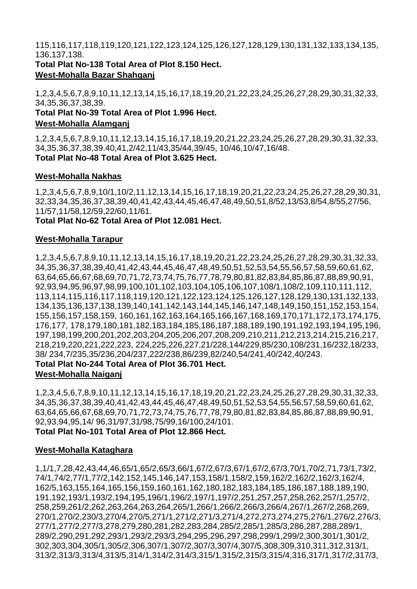115,116,117,118,119,120,121,122,123,124,125,126,127,128,129,130,131,132,133,134,135, 136,137,138.

**Total Plat No-138 Total Area of Plot 8.150 Hect. West-Mohalla Bazar Shahganj** 

1,2,3,4,5,6,7,8,9,10,11,12,13,14,15,16,17,18,19,20,21,22,23,24,25,26,27,28,29,30,31,32,33, 34,35,36,37,38,39.

**Total Plat No-39 Total Area of Plot 1.996 Hect. West-Mohalla Alamganj** 

1,2,3,4,5,6,7,8,9,10,11,12,13,14,15,16,17,18,19,20,21,22,23,24,25,26,27,28,29,30,31,32,33, 34,35,36,37,38,39.40,41,2/42,11/43,35/44,39/45, 10/46,10/47,16/48. **Total Plat No-48 Total Area of Plot 3.625 Hect.**

# **West-Mohalla Nakhas**

1,2,3,4,5,6,7,8,9,10/1,10/2,11,12,13,14,15,16,17,18,19,20,21,22,23,24,25,26,27,28,29,30,31, 32,33,34,35,36,37,38,39,40,41,42,43,44,45,46,47,48,49,50,51,8/52,13/53,8/54,8/55,27/56, 11/57,11/58,12/59,22/60,11/61.

**Total Plat No-62 Total Area of Plot 12.081 Hect.**

#### **West-Mohalla Tarapur**

1,2,3,4,5,6,7,8,9,10,11,12,13,14,15,16,17,18,19,20,21,22,23,24,25,26,27,28,29,30,31,32,33, 34,35,36,37,38,39,40,41,42,43,44,45,46,47,48,49,50,51,52,53,54,55,56,57,58,59,60,61,62, 63,64,65,66,67,68,69,70,71,72,73,74,75,76,77,78,79,80,81,82,83,84,85,86,87,88,89,90,91, 92,93,94,95,96,97,98,99,100,101,102,103,104,105,106,107,108/1,108/2,109,110,111,112, 113,114,115,116,117,118,119,120,121,122,123,124,125,126,127,128,129,130,131,132,133, 134,135,136,137,138,139,140,141,142,143,144,145,146,147,148,149,150,151,152,153,154, 155,156,157,158,159, 160,161,162,163,164,165,166,167,168,169,170,171,172,173,174,175, 176,177, 178,179,180,181,182,183,184,185,186,187,188,189,190,191,192,193,194,195,196, 197,198,199,200,201,202,203,204,205,206,207,208,209,210,211,212,213,214,215,216,217, 218,219,220,221,222,223, 224,225,226,227,21/228,144/229,85/230,108/231,16/232,18/233, 38/ 234,7/235,35/236,204/237,222/238,86/239,82/240,54/241,40/242,40/243.

#### **Total Plat No-244 Total Area of Plot 36.701 Hect. West-Mohalla Naiganj**

1,2,3,4,5,6,7,8,9,10,11,12,13,14,15,16,17,18,19,20,21,22,23,24,25,26,27,28,29,30,31,32,33, 34,35,36,37,38,39,40,41,42,43,44,45,46,47,48,49,50,51,52,53,54,55,56,57,58,59,60,61,62, 63,64,65,66,67,68,69,70,71,72,73,74,75,76,77,78,79,80,81,82,83,84,85,86,87,88,89,90,91, 92,93,94,95,14/ 96,31/97,31/98,75/99,16/100,24/101. **Total Plat No-101 Total Area of Plot 12.866 Hect.**

#### **West-Mohalla Kataghara**

1,1/1,7,28,42,43,44,46,65/1,65/2,65/3,66/1,67/2,67/3,67/1,67/2,67/3,70/1,70/2,71,73/1,73/2, 74/1,74/2,77/1,77/2,142,152,145,146,147,153,158/1,158/2,159,162/2,162/2,162/3,162/4, 162/5,163,155,164,165,156,159,160,161,162,180,182,183,184,185,186,187,188,189,190, 191,192,193/1,193/2,194,195,196/1,196/2,197/1,197/2,251,257,257,258,262,257/1,257/2, 258,259,261/2,262,263,264,263,264,265/1,266/1,266/2,266/3,266/4,267/1,267/2,268,269, 270/1,270/2,230/3,270/4,270/5,271/1,271/2,271/3,271/4,272,273,274,275,276/1,276/2,276/3, 277/1,277/2,277/3,278,279,280,281,282,283,284,285/2,285/1,285/3,286,287,288,289/1, 289/2,290,291,292,293/1,293/2,293/3,294,295,296,297,298,299/1,299/2,300,301/1,301/2, 302,303,304,305/1,305/2,306,307/1,307/2,307/3,307/4,307/5,308,309,310,311,312,313/1, 313/2,313/3,313/4,313/5,314/1,314/2,314/3,315/1,315/2,315/3,315/4,316,317/1,317/2,317/3,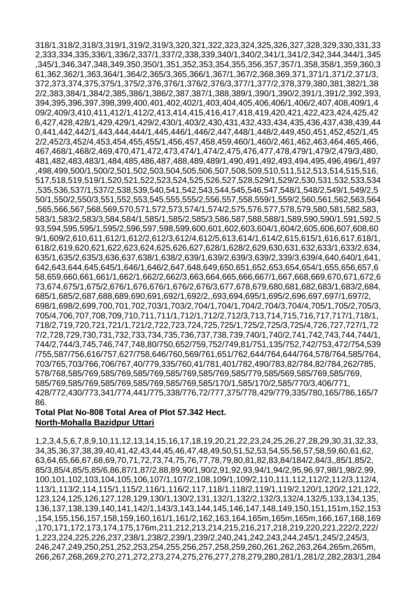318/1,318/2,318/3,319/1,319/2,319/3,320,321,322,323,324,325,326,327,328,329,330,331,33 2,333,334,335,336/1,336/2,337/1,337/2,338,339,340/1,340/2,341/1,341/2,342,344,344/1,345 ,345/1,346,347,348,349,350,350/1,351,352,353,354,355,356,357,357/1,358,358/1,359,360,3 61,362,362/1,363,364/1,364/2,365/3,365,366/1,367/1,367/2,368,369,371,371/1,371/2,371/3, 372,373,374,375,375/1,375/2,376,376/1,376/2,376/3,377/1,377/2,378,379,380,381,382/1,38 2/2,383,384/1,384/2,385,386/1,386/2,387,387/1,388,389/1,390/1,390/2,391/1,391/2,392,393, 394,395,396,397,398,399,400,401,402,402/1,403,404,405,406,406/1,406/2,407,408,409/1,4 09/2,409/3,410,411,412/1,412/2,413,414,415,416,417,418,419,420,421,422,423,424,425,42 6,427,428,428/1,429,429/1,429/2,430/1,403/2,430,431,432,433,434,435,436,437,438,439,44 0,441,442,442/1,443,444,444/1,445,446/1,446/2,447,448/1,448/2,449,450,451,452,452/1,45 2/2,452/3,452/4,453,454,455,455/1,456,457,458,459,460/1,460/2,461,462,463,464,465,466, 467,468/1,468/2,469,470,471,472,473,474/1,474/2,475,476,477,478,479/1,479/2,479/3,480, 481,482,483,483/1,484,485,486,487,488,489,489/1,490,491,492,493,494,495,496,496/1,497 ,498,499,500/1,500/2,501,502,503,504,505,506,507,508,509,510,511,512,513,514,515,516, 517,518,519,519/1,520,521,522,523,524,525,526,527,528,529/1,529/2,530,531,532,533,534 ,535,536,537/1,537/2,538,539,540,541,542,543,544,545,546,547,548/1,548/2,549/1,549/2,5 50/1,550/2,550/3,551,552,553,545,555,555/2,556,557,558,559/1,559/2,560,561,562,563,564 ,565,566,567,568,569,570,571,572,573,574/1,574/2,575,576,577,578,579,580,581,582,583, 583/1,583/2,583/3,584,584/1,585/1,585/2,585/3,586,587,588,588/1,589,590,590/1,591,592,5 93,594,595,595/1,595/2,596,597,598,599,600,601,602,603,604/1,604/2,605,606,607,608,60 9/1,609/2,610,611,612/1,612/2,612/3,612/4,612/5,613,614/1,614/2,615,615/1,616,617,618/1, 618/2,619,620,621,622,623,624,625,626,627,628/1,628/2,629,630,631,632,633/1,633/2,634, 635/1,635/2,635/3,636,637,638/1,638/2,639/1,639/2,639/3,639/2,339/3,639/4,640,640/1,641, 642,643,644,645,645/1,646/1,646/2,647,648,649,650,651,652,653,654,654/1,655,656,657,6 58,659,660,661,661/1,662/1,662/2,662/3,663,664,665,666,667/1,667,668,669,670,671,672,6 73,674,675/1,675/2,676/1,676,676/1,676/2,676/3,677,678,679,680,681,682,683/1,683/2,684, 685/1,685/2,687,688,689,690,691,692/1,692/2,,693,694,695/1,695/2,696,697,697/1,697/2, 698/1,698/2,699,700,701,702,703/1,703/2,704/1,704/1,704/2,704/3,704/4,705/1,705/2,705/3, 705/4,706,707,708,709,710,711,711/1,712/1,712/2,712/3,713,714,715,716,717,717/1,718/1, 718/2,719,720,721,721/1,721/2,722,723,724,725,725/1,725/2,725/3,725/4,726,727,727/1,72 7/2,728,729,730,731,732,733,734,735,736,737,738,739,740/1,740/2,741,742,743,744,744/1, 744/2,744/3,745,746,747,748,80/750,652/759,752/749,81/751,135/752,742/753,472/754,539 /755,587/756,616/757,627/758,646/760,569/761,651/762,644/764,644/764,578/764,585/764, 703/765,703/766,706/767,40/779,335/760,41/781,401/782,490/783,82/784,82/784,262/785, 578/768,585/769,585/769,585/769,585/769,585/769,585/779,585/569,585/769,585/769, 585/769,585/769,585/769,585/769,585/769,585/170/1,585/170/2,585/770/3,406/771, 428/772,430/773,341/774,441/775,338/776,72/777,375/778,429/779,335/780,165/786,165/7 86.

# **Total Plat No-808 Total Area of Plot 57.342 Hect. North-Mohalla Bazidpur Uttari**

1,2,3,4,5,6,7,8,9,10,11,12,13,14,15,16,17,18,19,20,21,22,23,24,25,26,27,28,29,30,31,32,33, 34,35,36,37,38,39,40,41,42,43,44,45,46,47,48,49,50,51,52,53,54,55,56,57,58,59,60,61,62, 63,64,65,66,67,68,69,70,71,72,73,74,75,76,77,78,79,80,81,82,83,84/184/2,84/3,,85/1,85/2, 85/3,85/4,85/5,85/6,86,87/1,87/2,88,89,90/1,90/2,91,92,93,94/1,94/2,95,96,97,98/1,98/2,99, 100,101,102,103,104,105,106,107/1,107/2,108,109/1,109/2,110,111,112,112/2,112/3,112/4, 113/1,113/2,114,115/1,115/2,116/1,116/2,117,118/1,118/2,119/1,119/2,120/1,120/2,121,122, 123,124,125,126,127,128,129,130/1,130/2,131,132/1,132/2,132/3,132/4,132/5,133,134,135, 136,137,138,139,140,141,142/1,143/3,143,144,145,146,147,148,149,150,151,151m,152,153 ,154,155,156,157,158,159,160,161/1,161/2,162,163,164,165m,165m,165m,166,167,168,169 ,170,171,172,173,174,175,176m,211,212,213,214,215,216,217,218,219,220,221,222/2,222/ 1,223,224,225,226,237,238/1,238/2,239/1,239/2,240,241,242,243,244,245/1,245/2,245/3, 246,247,249,250,251,252,253,254,255,256,257,258,259,260,261,262,263,264,265m,265m, 266,267,268,269,270,271,272,273,274,275,276,277,278,279,280,281/1,281/2,282,283/1,284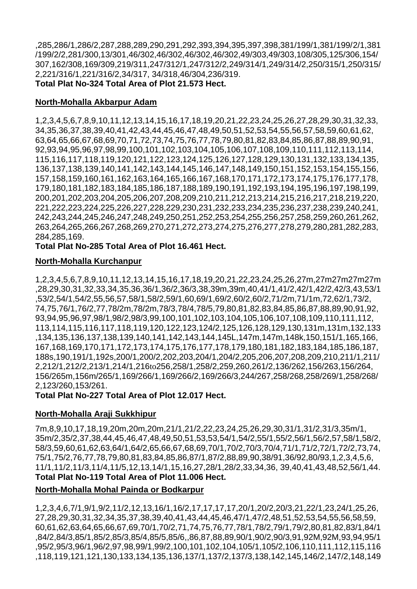,285,286/1,286/2,287,288,289,290,291,292,393,394,395,397,398,381/199/1,381/199/2/1,381 /199/2/2,281/300,13/301,46/302,46/302,46/302,46/302,49/303,49/303,108/305,125/306,154/ 307,162/308,169/309,219/311,247/312/1,247/312/2,249/314/1,249/314/2,250/315/1,250/315/ 2,221/316/1,221/316/2,34/317, 34/318,46/304,236/319. **Total Plat No-324 Total Area of Plot 21.573 Hect.**

#### **North-Mohalla Akbarpur Adam**

1,2,3,4,5,6,7,8,9,10,11,12,13,14,15,16,17,18,19,20,21,22,23,24,25,26,27,28,29,30,31,32,33, 34,35,36,37,38,39,40,41,42,43,44,45,46,47,48,49,50,51,52,53,54,55,56,57,58,59,60,61,62, 63,64,65,66,67,68,69,70,71,72,73,74,75,76,77,78,79,80,81,82,83,84,85,86,87,88,89,90,91, 92,93,94,95,96,97,98,99,100,101,102,103,104,105,106,107,108,109,110,111,112,113,114, 115,116,117,118,119,120,121,122,123,124,125,126,127,128,129,130,131,132,133,134,135, 136,137,138,139,140,141,142,143,144,145,146,147,148,149,150,151,152,153,154,155,156, 157,158,159,160,161,162,163,164,165,166,167,168,170,171,172,173,174,175,176,177,178, 179,180,181,182,183,184,185,186,187,188,189,190,191,192,193,194,195,196,197,198,199, 200,201,202,203,204,205,206,207,208,209,210,211,212,213,214,215,216,217,218,219,220, 221,222,223,224,225,226,227,228,229,230,231,232,233,234,235,236,237,238,239,240,241, 242,243,244,245,246,247,248,249,250,251,252,253,254,255,256,257,258,259,260,261,262, 263,264,265,266,267,268,269,270,271,272,273,274,275,276,277,278,279,280,281,282,283, 284,285,169.

**Total Plat No-285 Total Area of Plot 16.461 Hect.**

#### **North-Mohalla Kurchanpur**

1,2,3,4,5,6,7,8,9,10,11,12,13,14,15,16,17,18,19,20,21,22,23,24,25,26,27m,27m27m27m27m ,28,29,30,31,32,33,34,35,36,36/1,36/2,36/3,38,39m,39m,40,41/1,41/2,42/1,42/2,42/3,43,53/1 ,53/2,54/1,54/2,55,56,57,58/1,58/2,59/1,60,69/1,69/2,60/2,60/2,71/2m,71/1m,72,62/1,73/2, 74,75,76/1,76/2,77,78/2m,78/2m,78/3,78/4,78/5,79,80,81,82,83,84,85,86,87,88,89,90,91,92, 93,94,95,96,97,98/1,98/2,98/3,99,100,101,102,103,104,105,106,107,108,109,110,111,112, 113,114,115,116,117,118,119,120,122,123,124/2,125,126,128,129,130,131m,131m,132,133 ,134,135,136,137,138,139,140,141,142,143,144,145L,147m,147m,148k,150,151/1,165,166, 167,168,169,170,171,172,173,174,175,176,177,178,179,180,181,182,183,184,185,186,187, 188s,190,191/1,192s,200/1,200/2,202,203,204/1,204/2,205,206,207,208,209,210,211/1,211/ 2,212/1,212/2,213/1,214/1,216to256,258/1,258/2,259,260,261/2,136/262,156/263,156/264, 156/265m,156m/265/1,169/266/1,169/266/2,169/266/3,244/267,258/268,258/269/1,258/268/ 2,123/260,153/261.

**Total Plat No-227 Total Area of Plot 12.017 Hect.**

#### **North-Mohalla Araji Sukkhipur**

7m,8,9,10,17,18,19,20m,20m,20m,21/1,21/2,22,23,24,25,26,29,30,31/1,31/2,31/3,35m/1, 35m/2,35/2,37,38,44,45,46,47,48,49,50,51,53,53,54/1,54/2,55/1,55/2,56/1,56/2,57,58/1,58/2, 58/3,59,60,61,62,63,64/1,64/2,65,66,67,68,69,70/1,70/2,70/3,70/4,71/1,71/2,72/1,72/2,73,74, 75/1,75/2,76,77,78,79,80,81,83,84,85,86,87/1,87/2,88,89,90,38/91,36/92,80/93,1,2,3,4,5,6, 11/1,11/2,11/3,11/4,11/5,12,13,14/1,15,16,27,28/1,28/2,33,34,36, 39,40,41,43,48,52,56/1,44. **Total Plat No-119 Total Area of Plot 11.006 Hect.**

#### **North-Mohalla Mohal Painda or Bodkarpur**

1,2,3,4,6,7/1,9/1,9/2,11/2,12,13,16/1,16/2,17,17,17,17,20/1,20/2,20/3,21,22/1,23,24/1,25,26, 27,28,29,30,31,32,34,35,37,38,39,40,41,43,44,45,46,47/1,47/2,48,51,52,53,54,55,56,58,59, 60,61,62,63,64,65,66,67,69,70/1,70/2,71,74,75,76,77,78/1,78/2,79/1,79/2,80,81,82,83/1,84/1 ,84/2,84/3,85/1,85/2,85/3,85/4,85/5,85/6,,86,87,88,89,90/1,90/2,90/3,91,92M,92M,93,94,95/1 ,95/2,95/3,96/1,96/2,97,98,99/1,99/2,100,101,102,104,105/1,105/2,106,110,111,112,115,116 ,118,119,121,121,130,133,134,135,136,137/1,137/2,137/3,138,142,145,146/2,147/2,148,149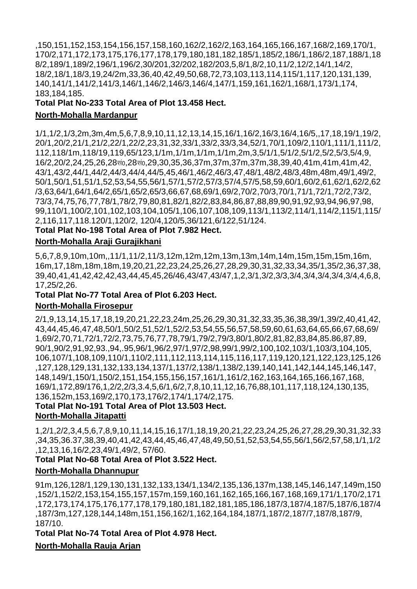,150,151,152,153,154,156,157,158,160,162/2,162/2,163,164,165,166,167,168/2,169,170/1, 170/2,171,172,173,175,176,177,178,179,180,181,182,185/1,185/2,186/1,186/2,187,188/1,18 8/2,189/1,189/2,196/1,196/2,30/201,32/202,182/203,5,8/1,8/2,10,11/2,12/2,14/1,14/2, 18/2,18/1,18/3,19,24/2m,33,36,40,42,49,50,68,72,73,103,113,114,115/1,117,120,131,139, 140,141/1,141/2,141/3,146/1,146/2,146/3,146/4,147/1,159,161,162/1,168/1,173/1,174, 183,184,185.

# **Total Plat No-233 Total Area of Plot 13.458 Hect.**

### **North-Mohalla Mardanpur**

1/1,1/2,1/3,2m,3m,4m,5,6,7,8,9,10,11,12,13,14,15,16/1,16/2,16/3,16/4,16/5,,17,18,19/1,19/2, 20/1,20/2,21/1,21/2,22/1,22/2,23,31,32,33/1,33/2,33/3,34,52/1,70/1,109/2,110/1,111/1,111/2, 112,118/1m,118/19,119,65/123,1/1m,1/1m,1/1m,1/1m,2m,3,5/1/1,5/1/2,5/1/2,5/2,5/3,5/4,9, 16/2,20/2,24,25,26,28la0,28la0,29,30,35,36,37m,37m,37m,37m,38,39,40,41m,41m,41m,42, 43/1,43/2,44/1,44/2,44/3,44/4,44/5,45,46/1,46/2,46/3,47,48/1,48/2,48/3,48m,48m,49/1,49/2, 50/1,50/1,51,51/1,52,53,54,55,56/1,57/1,57/2,57/3,57/4,57/5,58,59,60/1,60/2,61,62/1,62/2,62 /3,63,64/1,64/1,64/2,65/1,65/2,65/3,66,67,68,69/1,69/2,70/2,70/3,70/1,71/1,72/1,72/2,73/2, 73/3,74,75,76,77,78/1,78/2,79,80,81,82/1,82/2,83,84,86,87,88,89,90,91,92,93,94,96,97,98, 99,110/1,100/2,101,102,103,104,105/1,106,107,108,109,113/1,113/2,114/1,114/2,115/1,115/ 2,116,117,118.120/1,120/2, 120/4,120/5,36/121,6/122,51/124.

# **Total Plat No-198 Total Area of Plot 7.982 Hect.**

# **North-Mohalla Araji Gurajikhani**

5,6,7,8,9,10m,10m,,11/1,11/2,11/3,12m,12m,12m,13m,13m,14m,14m,15m,15m,15m,16m, 16m,17,18m,18m,18m,19,20,21,22,23,24,25,26,27,28,29,30,31,32,33,34,35/1,35/2,36,37,38, 39,40,41,41,42,42,42,43,44,45,45,26/46,43/47,43/47,1,2,3/1,3/2,3/3,3/4,3/4,3/4,3/4,3/4,4,6,8, 17,25/2,26.

# **Total Plat No-77 Total Area of Plot 6.203 Hect.**

#### **North-Mohalla Firosepur**

2/1,9,13,14,15,17,18,19,20,21,22,23,24m,25,26,29,30,31,32,33,35,36,38,39/1,39/2,40,41,42, 43,44,45,46,47,48,50/1,50/2,51,52/1,52/2,53,54,55,56,57,58,59,60,61,63,64,65,66,67,68,69/ 1,69/2,70,71,72/1,72/2,73,75,76,77,78,79/1,79/2,79/3,80/1,80/2,81,82,83,84,85.86,87,89, 90/1,90/2,91,92,93.,94,.95,96/1,96/2,97/1,97/2,98,99/1,99/2,100,102,103/1,103/3,104,105, 106,107/1,108,109,110/1,110/2,111,112,113,114,115,116,117,119,120,121,122,123,125,126 ,127,128,129,131,132,133,134,137/1,137/2,138/1,138/2,139,140,141,142,144,145,146,147, 148,149/1,150/1,150/2,151,154,155,156,157,161/1,161/2,162,163,164,165,166,167,168, 169/1,172,89/176,1,2/2,2/3,3.4,5,6/1,6/2,7,8,10,11,12,16,76,88,101,117,118,124,130,135, 136,152m,153,169/2,170,173,176/2,174/1,174/2,175.

#### **Total Plat No-191 Total Area of Plot 13.503 Hect. North-Mohalla Jitapatti**

1,2/1,2/2,3,4,5,6,7,8,9,10,11,14,15,16,17/1,18,19,20,21,22,23,24,25,26,27,28,29,30,31,32,33 ,34,35,36.37,38,39,40,41,42,43,44,45,46,47,48,49,50,51,52,53,54,55,56/1,56/2,57,58,1/1,1/2 ,12,13,16,16/2,23,49/1,49/2, 57/60.

#### **Total Plat No-68 Total Area of Plot 3.522 Hect.**

# **North-Mohalla Dhannupur**

91m,126,128/1,129,130,131,132,133,134/1,134/2,135,136,137m,138,145,146,147,149m,150 ,152/1,152/2,153,154,155,157,157m,159,160,161,162,165,166,167,168,169,171/1,170/2,171 ,172,173,174,175,176,177,178,179,180,181,182,181,185,186,187/3,187/4,187/5,187/6,187/4 ,187/3m,127,128,144,148m,151,156,162/1,162,164,184,187/1,187/2,187/7,187/8,187/9, 187/10.

**Total Plat No-74 Total Area of Plot 4.978 Hect.**

# **North-Mohalla Rauja Arjan**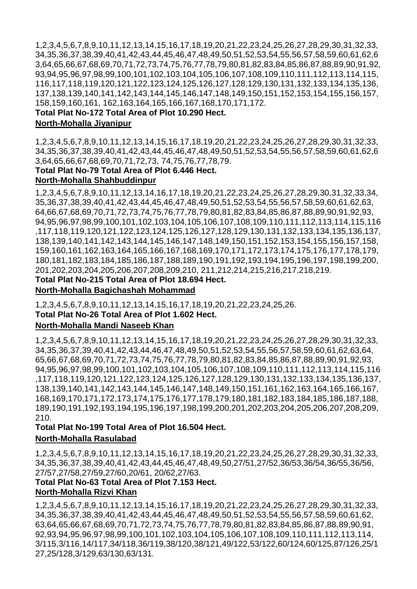1,2,3,4,5,6,7,8,9,10,11,12,13,14,15,16,17,18,19,20,21,22,23,24,25,26,27,28,29,30,31,32,33, 34,35,36,37,38,39,40,41,42,43,44,45,46,47,48,49,50,51,52,53,54,55,56,57,58,59,60,61,62,6 3,64,65,66,67,68,69,70,71,72,73,74,75,76,77,78,79,80,81,82,83,84,85,86,87,88,89,90,91,92, 93,94,95,96,97,98,99,100,101,102,103,104,105,106,107,108,109,110,111,112,113,114,115, 116,117,118,119,120,121,122,123,124,125,126,127,128,129,130,131,132,133,134,135,136, 137,138,139,140,141,142,143,144,145,146,147,148,149,150,151,152,153,154,155,156,157, 158,159,160,161, 162,163,164,165,166,167,168,170,171,172.

**Total Plat No-172 Total Area of Plot 10.290 Hect.**

#### **North-Mohalla Jiyanipur**

1,2,3,4,5,6,7,8,9,10,11,12,13,14,15,16,17,18,19,20,21,22,23,24,25,26,27,28,29,30,31,32,33, 34,35,36,37,38,39,40,41,42,43,44,45,46,47,48,49,50,51,52,53,54,55,56,57,58,59,60,61,62,6 3,64,65,66,67,68,69,70,71,72,73, 74,75,76,77,78,79.

# **Total Plat No-79 Total Area of Plot 6.446 Hect.**

# **North-Mohalla Shahbuddinpur**

1,2,3,4,5,6,7,8,9,10,11,12,13,14,16,17,18,19,20,21,22,23,24,25,26,27,28,29,30,31,32,33,34, 35,36,37,38,39,40,41,42,43,44,45,46,47,48,49,50,51,52,53,54,55,56,57,58,59,60,61,62,63, 64,66,67,68,69,70,71,72,73,74,75,76,77,78,79,80,81,82,83,84,85,86,87,88,89,90,91,92,93, 94,95,96,97,98,99,100,101,102,103,104,105,106,107,108,109,110,111,112,113,114,115,116 ,117,118,119,120,121,122,123,124,125,126,127,128,129,130,131,132,133,134,135,136,137, 138,139,140,141,142,143,144,145,146,147,148,149,150,151,152,153,154,155,156,157,158, 159,160,161,162,163,164,165,166,167,168,169,170,171,172,173,174,175,176,177,178,179, 180,181,182,183,184,185,186,187,188,189,190,191,192,193,194,195,196,197,198,199,200, 201,202,203,204,205,206,207,208,209,210, 211,212,214,215,216,217,218,219.

# **Total Plat No-215 Total Area of Plot 18.694 Hect. North-Mohalla Bagichashah Mohammad**

1,2,3,4,5,6,7,8,9,10,11,12,13,14,15,16,17,18,19,20,21,22,23,24,25,26. **Total Plat No-26 Total Area of Plot 1.602 Hect.**

#### **North-Mohalla Mandi Naseeb Khan**

1,2,3,4,5,6,7,8,9,10,11,12,13,14,15,16,17,18,19,20,21,22,23,24,25,26,27,28,29,30,31,32,33, 34,35,36,37,39,40,41,42,43,44,46,47,48,49,50,51,52,53,54,55,56,57,58,59,60,61,62,63,64, 65,66,67,68,69,70,71,72,73,74,75,76,77,78,79,80,81,82,83,84,85,86,87,88,89,90,91,92,93, 94,95,96,97,98,99,100,101,102,103,104,105,106,107,108,109,110,111,112,113,114,115,116 ,117,118,119,120,121,122,123,124,125,126,127,128,129,130,131,132,133,134,135,136,137, 138,139,140,141,142,143,144,145,146,147,148,149,150,151,161,162,163,164,165,166,167, 168,169,170,171,172,173,174,175,176,177,178,179,180,181,182,183,184,185,186,187,188, 189,190,191,192,193,194,195,196,197,198,199,200,201,202,203,204,205,206,207,208,209, 210.

# **Total Plat No-199 Total Area of Plot 16.504 Hect. North-Mohalla Rasulabad**

1,2,3,4,5,6,7,8,9,10,11,12,13,14,15,16,17,18,19,20,21,22,23,24,25,26,27,28,29,30,31,32,33, 34,35,36,37,38,39,40,41,42,43,44,45,46,47,48,49,50,27/51,27/52,36/53,36/54,36/55,36/56, 27/57,27/58,27/59,27/60,20/61, 20/62,27/63.

# **Total Plat No-63 Total Area of Plot 7.153 Hect. North-Mohalla Rizvi Khan**

1,2,3,4,5,6,7,8,9,10,11,12,13,14,15,16,17,18,19,20,21,22,23,24,25,26,27,28,29,30,31,32,33, 34,35,36,37,38,39,40,41,42,43,44,45,46,47,48,49,50,51,52,53,54,55,56,57,58,59,60,61,62, 63,64,65,66,67,68,69,70,71,72,73,74,75,76,77,78,79,80,81,82,83,84,85,86,87,88,89,90,91, 92,93,94,95,96,97,98,99,100,101,102,103,104,105,106,107,108,109,110,111,112,113,114, 3/115,3/116,14/117,34/118,36/119,38/120,38/121,49/122,53/122,60/124,60/125,87/126,25/1 27,25/128,3/129,63/130,63/131.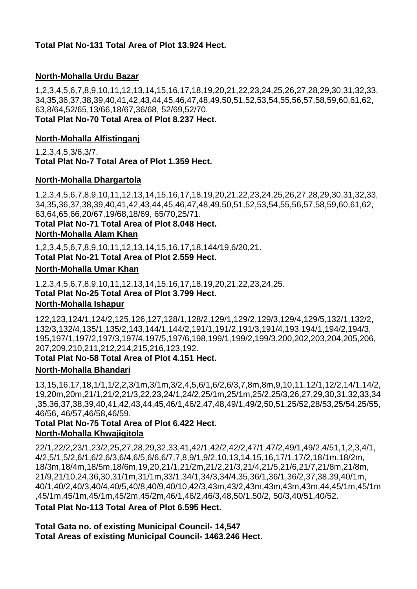# **Total Plat No-131 Total Area of Plot 13.924 Hect.**

# **North-Mohalla Urdu Bazar**

1,2,3,4,5,6,7,8,9,10,11,12,13,14,15,16,17,18,19,20,21,22,23,24,25,26,27,28,29,30,31,32,33, 34,35,36,37,38,39,40,41,42,43,44,45,46,47,48,49,50,51,52,53,54,55,56,57,58,59,60,61,62, 63,8/64,52/65,13/66,18/67,36/68, 52/69,52/70. **Total Plat No-70 Total Area of Plot 8.237 Hect.**

#### **North-Mohalla Alfistinganj**

1,2,3,4,5,3/6,3/7. **Total Plat No-7 Total Area of Plot 1.359 Hect.**

#### **North-Mohalla Dhargartola**

1,2,3,4,5,6,7,8,9,10,11,12,13,14,15,16,17,18,19,20,21,22,23,24,25,26,27,28,29,30,31,32,33, 34,35,36,37,38,39,40,41,42,43,44,45,46,47,48,49,50,51,52,53,54,55,56,57,58,59,60,61,62, 63,64,65,66,20/67,19/68,18/69, 65/70,25/71.

**Total Plat No-71 Total Area of Plot 8.048 Hect.**

#### **North-Mohalla Alam Khan**

1,2,3,4,5,6,7,8,9,10,11,12,13,14,15,16,17,18,144/19,6/20,21.

**Total Plat No-21 Total Area of Plot 2.559 Hect.**

#### **North-Mohalla Umar Khan**

1,2,3,4,5,6,7,8,9,10,11,12,13,14,15,16,17,18,19,20,21,22,23,24,25. **Total Plat No-25 Total Area of Plot 3.799 Hect. North-Mohalla Ishapur** 

122,123,124/1,124/2,125,126,127,128/1,128/2,129/1,129/2,129/3,129/4,129/5,132/1,132/2, 132/3,132/4,135/1,135/2,143,144/1,144/2,191/1,191/2,191/3,191/4,193,194/1,194/2,194/3, 195,197/1,197/2,197/3,197/4,197/5,197/6,198,199/1,199/2,199/3,200,202,203,204,205,206, 207,209,210,211,212,214,215,216,123,192.

#### **Total Plat No-58 Total Area of Plot 4.151 Hect.**

#### **North-Mohalla Bhandari**

13,15,16,17,18,1/1,1/2,2,3/1m,3/1m,3/2,4,5,6/1,6/2,6/3,7,8m,8m,9,10,11,12/1,12/2,14/1,14/2, 19,20m,20m,21/1,21/2,21/3,22,23,24/1,24/2,25/1m,25/1m,25/2,25/3,26,27,29,30,31,32,33,34 ,35,36,37,38,39,40,41,42,43,44,45,46/1,46/2,47,48,49/1,49/2,50,51,25/52,28/53,25/54,25/55, 46/56, 46/57,46/58,46/59.

# **Total Plat No-75 Total Area of Plot 6.422 Hect. North-Mohalla Khwajigitola**

22/1,22/2,23/1,23/2,25,27,28,29,32,33,41,42/1,42/2,42/2,47/1,47/2,49/1,49/2,4/51,1,2,3,4/1, 4/2,5/1,5/2,6/1,6/2,6/3,6/4,6/5,6/6,6/7,7,8,9/1,9/2,10,13,14,15,16,17/1,17/2,18/1m,18/2m, 18/3m,18/4m,18/5m,18/6m,19,20,21/1,21/2m,21/2,21/3,21/4,21/5,21/6,21/7,21/8m,21/8m, 21/9,21/10,24,36,30,31/1m,31/1m,33/1,34/1,34/3,34/4,35,36/1,36/1,36/2,37,38,39,40/1m, 40/1,40/2,40/3,40/4,40/5,40/8,40/9,40/10,42/3,43m,43/2,43m,43m,43m,43m,44,45/1m,45/1m ,45/1m,45/1m,45/1m,45/2m,45/2m,46/1,46/2,46/3,48,50/1,50/2, 50/3,40/51,40/52.

**Total Plat No-113 Total Area of Plot 6.595 Hect.**

**Total Gata no. of existing Municipal Council- 14,547 Total Areas of existing Municipal Council- 1463.246 Hect.**